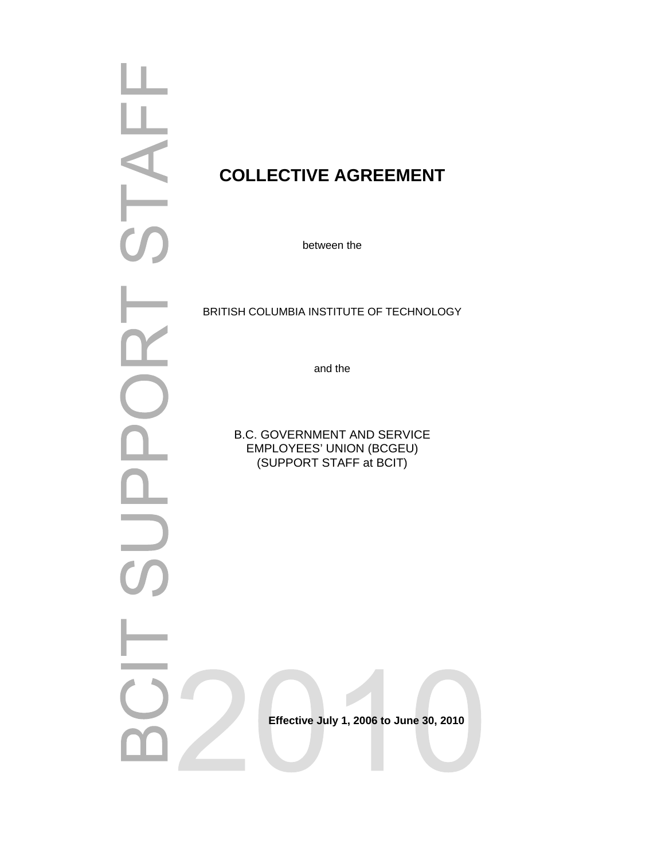|                                  | CO             |
|----------------------------------|----------------|
|                                  |                |
|                                  |                |
|                                  | <b>BRITISH</b> |
|                                  |                |
|                                  |                |
|                                  | B              |
|                                  |                |
|                                  |                |
| $\overline{U}$<br>$\overline{a}$ |                |
|                                  |                |
|                                  |                |
|                                  |                |
|                                  |                |

# **COLLECTIVE AGREEMENT**

between the

H COLUMBIA INSTITUTE OF TECHNOLOGY

and the

B.C. GOVERNMENT AND SERVICE EMPLOYEES' UNION (BCGEU) (SUPPORT STAFF at BCIT)

 **Effective July 1, 2006 to June 30, 2010**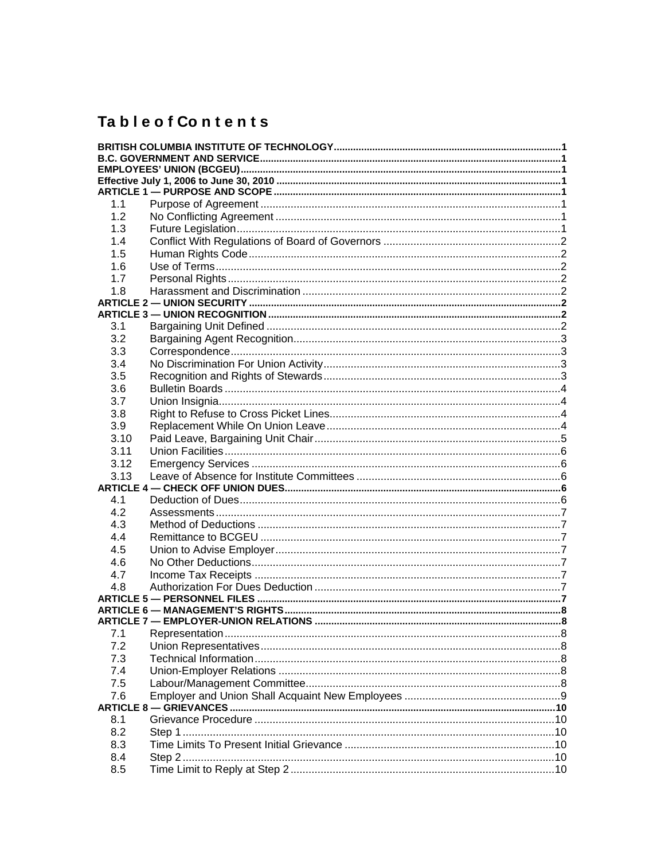# **TableofContents**

| 1.1  |  |
|------|--|
| 1.2  |  |
| 1.3  |  |
| 1.4  |  |
| 1.5  |  |
| 1.6  |  |
| 1.7  |  |
| 1.8  |  |
|      |  |
| 3.1  |  |
| 3.2  |  |
| 3.3  |  |
| 3.4  |  |
| 3.5  |  |
| 3.6  |  |
| 3.7  |  |
| 3.8  |  |
| 3.9  |  |
| 3.10 |  |
| 3.11 |  |
| 3.12 |  |
| 3.13 |  |
|      |  |
| 4.1  |  |
| 4.2  |  |
| 4.3  |  |
| 4.4  |  |
| 4.5  |  |
| 4.6  |  |
| 4.7  |  |
| 4.8  |  |
|      |  |
|      |  |
|      |  |
| 7.1  |  |
| 7.2  |  |
| 7.3  |  |
| 7.4  |  |
| 7.5  |  |
| 7.6  |  |
|      |  |
| 8.1  |  |
| 8.2  |  |
| 8.3  |  |
| 8.4  |  |
| 8.5  |  |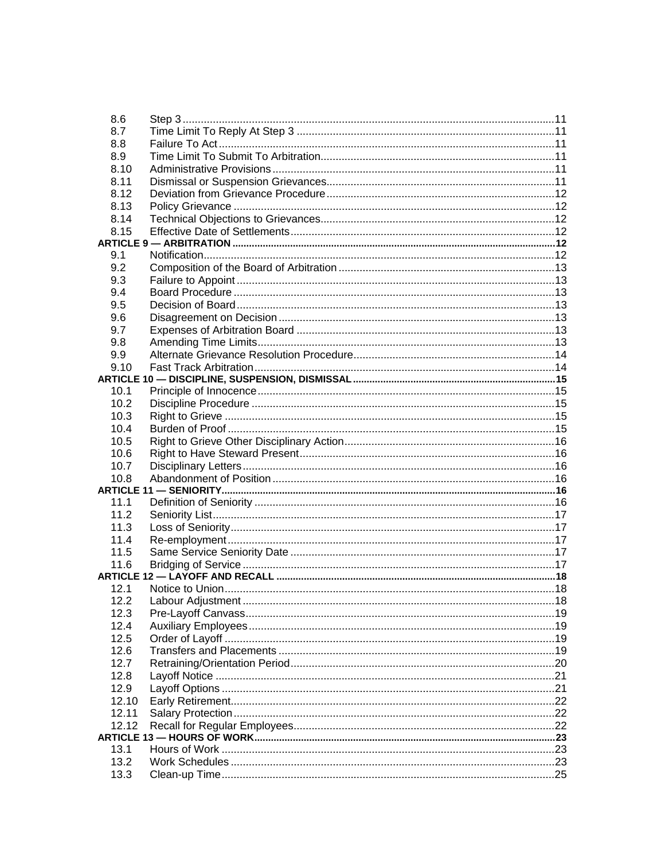| 8.6   |  |
|-------|--|
| 8.7   |  |
| 8.8   |  |
| 8.9   |  |
| 8.10  |  |
| 8.11  |  |
| 8.12  |  |
| 8.13  |  |
| 8.14  |  |
| 8.15  |  |
|       |  |
| 9.1   |  |
| 9.2   |  |
| 9.3   |  |
| 9.4   |  |
| 9.5   |  |
| 9.6   |  |
| 9.7   |  |
| 9.8   |  |
| 9.9   |  |
| 9.10  |  |
|       |  |
| 10.1  |  |
| 10.2  |  |
| 10.3  |  |
| 10.4  |  |
| 10.5  |  |
| 10.6  |  |
| 10.7  |  |
| 10.8  |  |
| 11.1  |  |
| 11.2  |  |
| 11.3  |  |
| 11.4  |  |
| 11.5  |  |
| 11.6  |  |
|       |  |
| 12.1  |  |
|       |  |
| 12.3  |  |
| 12.4  |  |
| 12.5  |  |
| 12.6  |  |
| 12.7  |  |
| 12.8  |  |
| 12.9  |  |
| 12.10 |  |
| 12.11 |  |
| 12.12 |  |
|       |  |
| 13.1  |  |
| 13.2  |  |
| 13.3  |  |
|       |  |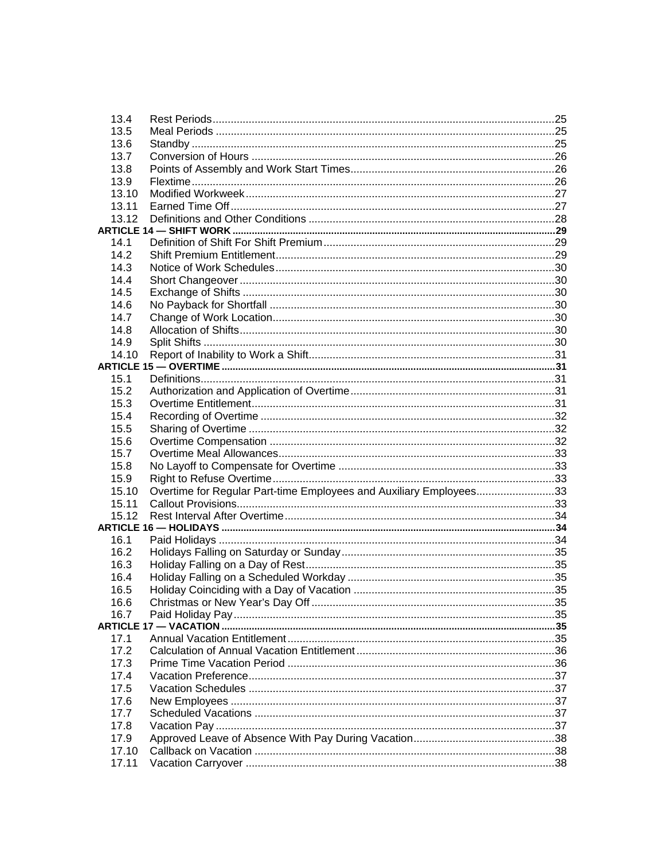| 13.4            |                                                                    |  |
|-----------------|--------------------------------------------------------------------|--|
| 13.5            |                                                                    |  |
| 13.6            |                                                                    |  |
| 13.7            |                                                                    |  |
| 13.8            |                                                                    |  |
| 13.9            |                                                                    |  |
| 13.10           |                                                                    |  |
| 13.11           |                                                                    |  |
| 13.12           |                                                                    |  |
|                 |                                                                    |  |
| 14 <sub>1</sub> |                                                                    |  |
| 14.2            |                                                                    |  |
| 14.3            |                                                                    |  |
| 14.4            |                                                                    |  |
| 14.5            |                                                                    |  |
| 14.6            |                                                                    |  |
| 14.7            |                                                                    |  |
| 14.8            |                                                                    |  |
| 14.9            |                                                                    |  |
| 14.10           |                                                                    |  |
|                 |                                                                    |  |
| 15.1            |                                                                    |  |
| 15.2            |                                                                    |  |
| 15.3            |                                                                    |  |
| 15.4            |                                                                    |  |
| 15.5            |                                                                    |  |
| 15.6            |                                                                    |  |
| 15.7            |                                                                    |  |
| 15.8            |                                                                    |  |
| 15.9            |                                                                    |  |
| 15.10           | Overtime for Regular Part-time Employees and Auxiliary Employees33 |  |
| 15.11           |                                                                    |  |
| 15.12           |                                                                    |  |
|                 |                                                                    |  |
| 16.1            |                                                                    |  |
| 16.2            |                                                                    |  |
| 16.3            |                                                                    |  |
| 16.4            |                                                                    |  |
| 16.5            |                                                                    |  |
| 16.6            |                                                                    |  |
| 16.7            |                                                                    |  |
|                 |                                                                    |  |
| 17.1<br>172     |                                                                    |  |
|                 |                                                                    |  |
| 17.3            |                                                                    |  |
| 17.4            |                                                                    |  |
| 17.5            |                                                                    |  |
| 17.6            |                                                                    |  |
| 17.7            |                                                                    |  |
| 17.8            |                                                                    |  |
| 17.9            |                                                                    |  |
| 17.10           |                                                                    |  |
| 17.11           |                                                                    |  |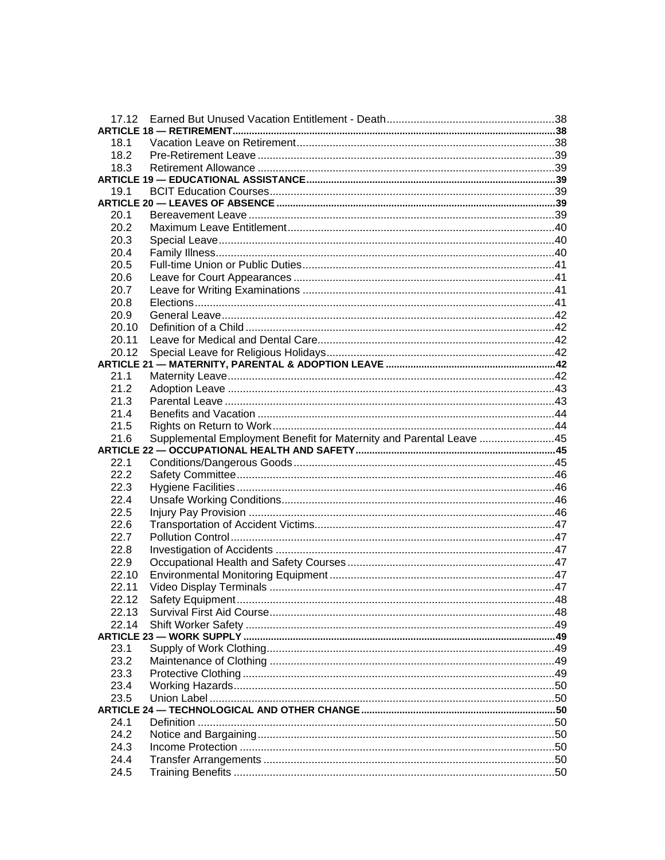| 18.1         |                                                                     |  |
|--------------|---------------------------------------------------------------------|--|
| 18.2         |                                                                     |  |
| 18.3         |                                                                     |  |
|              |                                                                     |  |
| 19.1         |                                                                     |  |
|              |                                                                     |  |
| 20.1         |                                                                     |  |
| 20.2         |                                                                     |  |
| 20.3         |                                                                     |  |
| 20.4         |                                                                     |  |
| 20.5         |                                                                     |  |
| 20.6         |                                                                     |  |
| 20.7         |                                                                     |  |
| 20.8         |                                                                     |  |
| 20.9         |                                                                     |  |
| 20.10        |                                                                     |  |
| 20.11        |                                                                     |  |
| 20.12        |                                                                     |  |
| 21.1         |                                                                     |  |
| 21.2         |                                                                     |  |
| 21.3         |                                                                     |  |
| 21.4         |                                                                     |  |
| 21.5         |                                                                     |  |
| 21.6         | Supplemental Employment Benefit for Maternity and Parental Leave 45 |  |
|              |                                                                     |  |
|              |                                                                     |  |
|              |                                                                     |  |
| 22.1         |                                                                     |  |
| 22.2         |                                                                     |  |
| 22.3         |                                                                     |  |
| 22.4         |                                                                     |  |
| 22.5         |                                                                     |  |
| 22.6<br>22.7 |                                                                     |  |
|              |                                                                     |  |
| 22.8<br>22.9 |                                                                     |  |
| 22.10        |                                                                     |  |
| 22.11        |                                                                     |  |
|              |                                                                     |  |
| 22.13        |                                                                     |  |
| 22.14        |                                                                     |  |
|              |                                                                     |  |
| 23.1         |                                                                     |  |
| 23.2         |                                                                     |  |
| 23.3         |                                                                     |  |
| 23.4         |                                                                     |  |
| 23.5         |                                                                     |  |
|              |                                                                     |  |
| 24.1         |                                                                     |  |
| 24.2         |                                                                     |  |
| 24.3         |                                                                     |  |
| 24.4<br>24.5 |                                                                     |  |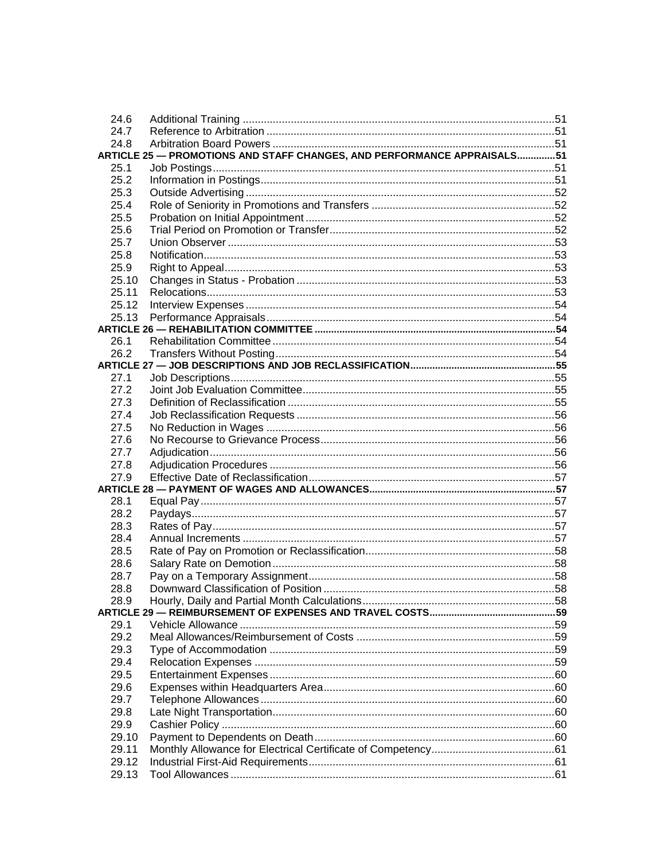| 24.6         |                                                                         |  |
|--------------|-------------------------------------------------------------------------|--|
| 24.7         |                                                                         |  |
| 24.8         |                                                                         |  |
|              | ARTICLE 25 - PROMOTIONS AND STAFF CHANGES, AND PERFORMANCE APPRAISALS51 |  |
| 25.1         |                                                                         |  |
| 25.2         |                                                                         |  |
| 25.3         |                                                                         |  |
| 25.4         |                                                                         |  |
| 25.5         |                                                                         |  |
| 25.6         |                                                                         |  |
| 25.7         |                                                                         |  |
| 25.8         |                                                                         |  |
| 25.9         |                                                                         |  |
| 25.10        |                                                                         |  |
| 25.11        |                                                                         |  |
| 25.12        |                                                                         |  |
| 25.13        |                                                                         |  |
|              |                                                                         |  |
| 26.1         |                                                                         |  |
|              |                                                                         |  |
|              |                                                                         |  |
| 27.1         |                                                                         |  |
| 27.2         |                                                                         |  |
| 27.3         |                                                                         |  |
| 27.4         |                                                                         |  |
| 27.5         |                                                                         |  |
| 27.6         |                                                                         |  |
| 27.7         |                                                                         |  |
| 27.8         |                                                                         |  |
| 27.9         |                                                                         |  |
| 28.1         |                                                                         |  |
| 28.2         |                                                                         |  |
| 28.3         |                                                                         |  |
| 28.4         |                                                                         |  |
| 28.5         |                                                                         |  |
| 28.6         |                                                                         |  |
|              |                                                                         |  |
| 28.7         |                                                                         |  |
| 28.8<br>28.9 |                                                                         |  |
|              |                                                                         |  |
| 29.1         |                                                                         |  |
| 29.2         |                                                                         |  |
| 29.3         |                                                                         |  |
| 29.4         |                                                                         |  |
| 29.5         |                                                                         |  |
| 29.6         |                                                                         |  |
| 29.7         |                                                                         |  |
| 29.8         |                                                                         |  |
| 29.9         |                                                                         |  |
| 29.10        |                                                                         |  |
| 29.11        |                                                                         |  |
| 29.12        |                                                                         |  |
| 29.13        |                                                                         |  |
|              |                                                                         |  |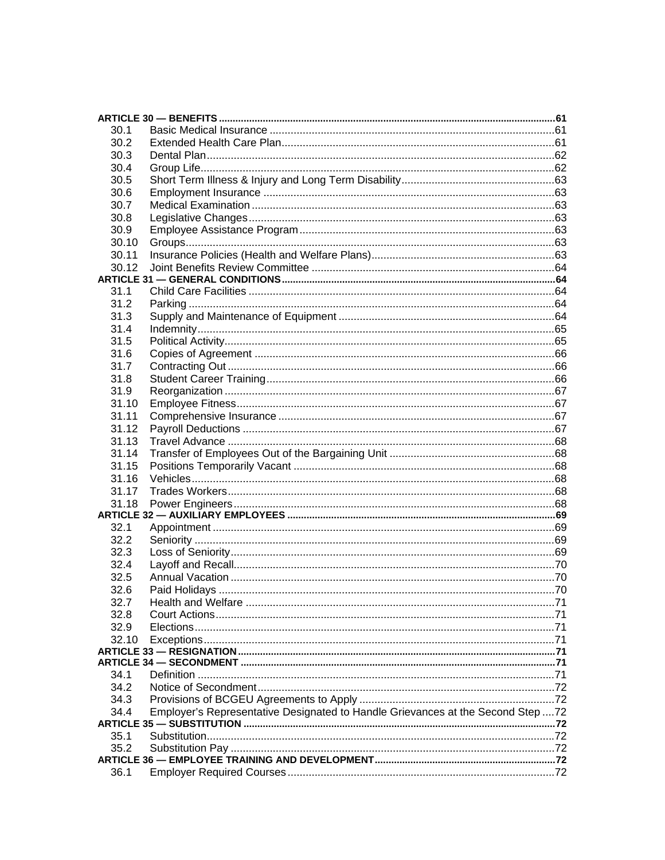| 30.1           |                                                                                 |  |
|----------------|---------------------------------------------------------------------------------|--|
| 30.2           |                                                                                 |  |
| 30.3           |                                                                                 |  |
| 30.4           |                                                                                 |  |
| 30.5           |                                                                                 |  |
| 30.6           |                                                                                 |  |
| 30.7           |                                                                                 |  |
| 30.8           |                                                                                 |  |
| 30.9           |                                                                                 |  |
| 30.10          |                                                                                 |  |
| 30.11          |                                                                                 |  |
| 30.12          |                                                                                 |  |
|                |                                                                                 |  |
| 31.1           |                                                                                 |  |
| 31.2           |                                                                                 |  |
| 31.3           |                                                                                 |  |
| 31.4           |                                                                                 |  |
| 31.5           |                                                                                 |  |
| 31.6           |                                                                                 |  |
| 31.7           |                                                                                 |  |
| 31.8           |                                                                                 |  |
| 31.9           |                                                                                 |  |
| 31.10          |                                                                                 |  |
| 31.11          |                                                                                 |  |
| 31.12          |                                                                                 |  |
| 31.13<br>31.14 |                                                                                 |  |
| 31.15          |                                                                                 |  |
|                |                                                                                 |  |
| 31.16<br>31.17 |                                                                                 |  |
| 31.18          |                                                                                 |  |
|                |                                                                                 |  |
| 32.1           |                                                                                 |  |
| 32.2           |                                                                                 |  |
| 32.3           |                                                                                 |  |
| 32.4           |                                                                                 |  |
| 32.5           |                                                                                 |  |
| 32.6           |                                                                                 |  |
| 32.7           |                                                                                 |  |
| 32.8           |                                                                                 |  |
| 32.9           |                                                                                 |  |
| 32.10          |                                                                                 |  |
|                |                                                                                 |  |
|                |                                                                                 |  |
| 34.1           |                                                                                 |  |
| 34.2           |                                                                                 |  |
| 34.3           |                                                                                 |  |
| 34.4           | Employer's Representative Designated to Handle Grievances at the Second Step 72 |  |
|                |                                                                                 |  |
| 35.1           |                                                                                 |  |
| 35.2           |                                                                                 |  |
|                |                                                                                 |  |
| 36.1           |                                                                                 |  |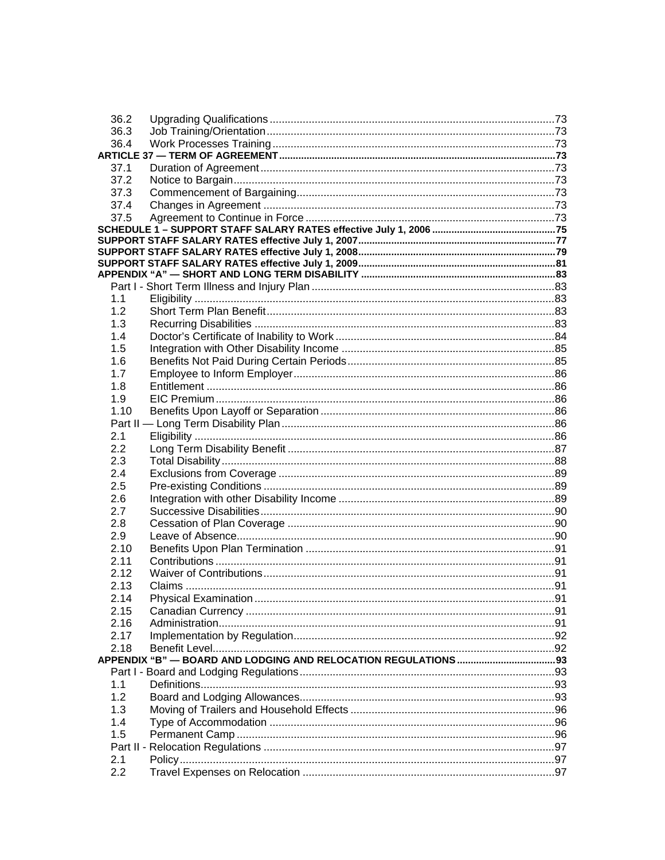| 36.2 |                             |     |
|------|-----------------------------|-----|
| 36.3 |                             |     |
| 36.4 |                             |     |
|      |                             |     |
| 37.1 |                             |     |
| 37.2 |                             |     |
| 37.3 |                             |     |
| 37.4 |                             |     |
| 37.5 |                             |     |
|      |                             |     |
|      |                             |     |
|      |                             |     |
|      |                             |     |
|      |                             |     |
|      |                             |     |
| 1.1  |                             |     |
| 1.2  |                             |     |
| 1.3  |                             |     |
| 1.4  |                             |     |
| 1.5  |                             |     |
| 1.6  |                             |     |
| 1.7  |                             |     |
| 1.8  |                             |     |
| 1.9  |                             |     |
| 1.10 |                             |     |
|      |                             |     |
| 2.1  |                             |     |
| 2.2  |                             |     |
| 2.3  |                             |     |
| 2.4  |                             |     |
| 2.5  |                             |     |
| 2.6  |                             |     |
| 2.7  |                             |     |
| 2.8  |                             |     |
|      |                             |     |
| 2.9  |                             |     |
| 2.10 |                             |     |
| 2.11 |                             |     |
| 2.12 |                             |     |
| 2.13 |                             |     |
| 2.14 | <b>Physical Examination</b> | .91 |
| 2.15 |                             |     |
| 2.16 |                             |     |
| 2.17 |                             |     |
| 2.18 |                             |     |
|      |                             |     |
|      |                             |     |
| 1.1  |                             |     |
| 1.2  |                             |     |
| 1.3  |                             |     |
| 1.4  |                             |     |
| 1.5  |                             |     |
|      |                             |     |
| 2.1  |                             |     |
| 2.2  |                             |     |
|      |                             |     |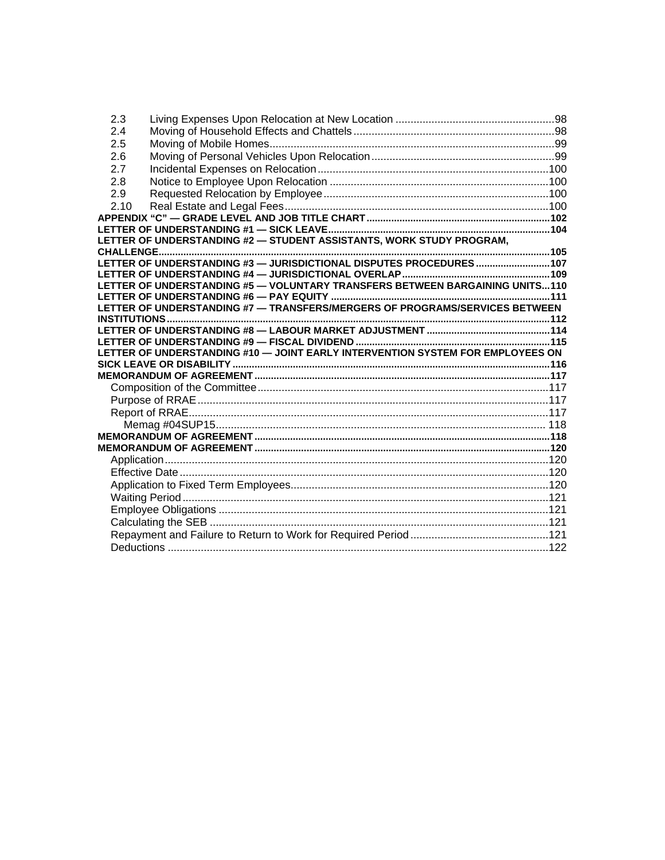| 2.3  |                                                                                |  |
|------|--------------------------------------------------------------------------------|--|
| 2.4  |                                                                                |  |
| 2.5  |                                                                                |  |
| 2.6  |                                                                                |  |
| 2.7  |                                                                                |  |
| 2.8  |                                                                                |  |
| 2.9  |                                                                                |  |
| 2.10 |                                                                                |  |
|      |                                                                                |  |
|      |                                                                                |  |
|      | LETTER OF UNDERSTANDING #2 - STUDENT ASSISTANTS, WORK STUDY PROGRAM,           |  |
|      | LETTER OF UNDERSTANDING #3 - JURISDICTIONAL DISPUTES PROCEDURES  107           |  |
|      |                                                                                |  |
|      | LETTER OF UNDERSTANDING #5 - VOLUNTARY TRANSFERS BETWEEN BARGAINING UNITS110   |  |
|      |                                                                                |  |
|      | LETTER OF UNDERSTANDING #7 - TRANSFERS/MERGERS OF PROGRAMS/SERVICES BETWEEN    |  |
|      |                                                                                |  |
|      |                                                                                |  |
|      |                                                                                |  |
|      | LETTER OF UNDERSTANDING #10 - JOINT EARLY INTERVENTION SYSTEM FOR EMPLOYEES ON |  |
|      |                                                                                |  |
|      |                                                                                |  |
|      |                                                                                |  |
|      |                                                                                |  |
|      |                                                                                |  |
|      |                                                                                |  |
|      |                                                                                |  |
|      |                                                                                |  |
|      |                                                                                |  |
|      |                                                                                |  |
|      |                                                                                |  |
|      |                                                                                |  |
|      |                                                                                |  |
|      |                                                                                |  |
|      |                                                                                |  |
|      |                                                                                |  |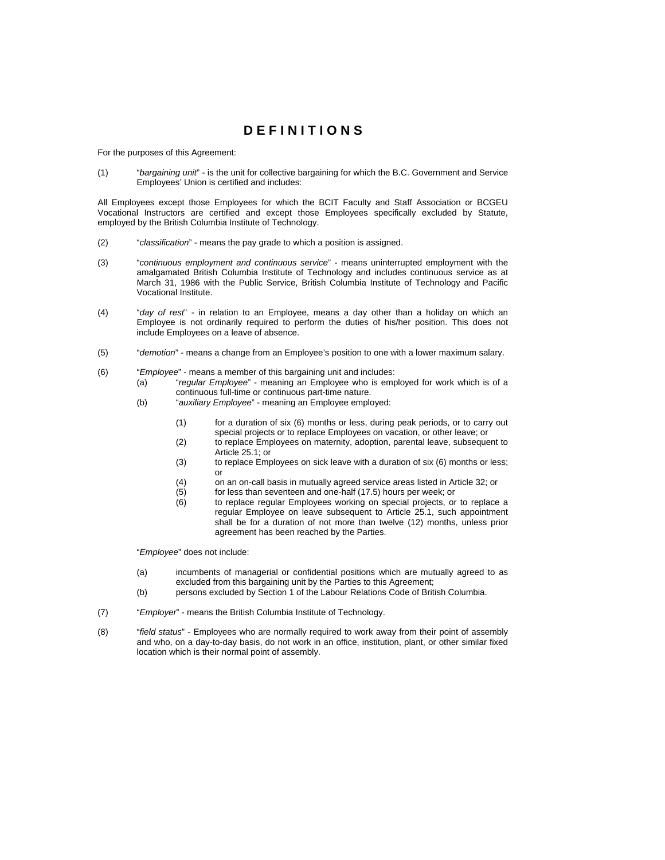# **D E F I N I T I O N S**

For the purposes of this Agreement:

(1) "*bargaining unit*" - is the unit for collective bargaining for which the B.C. Government and Service Employees' Union is certified and includes:

All Employees except those Employees for which the BCIT Faculty and Staff Association or BCGEU Vocational Instructors are certified and except those Employees specifically excluded by Statute, employed by the British Columbia Institute of Technology.

- (2) "*classification*" means the pay grade to which a position is assigned.
- (3) "*continuous employment and continuous service*" means uninterrupted employment with the amalgamated British Columbia Institute of Technology and includes continuous service as at March 31, 1986 with the Public Service, British Columbia Institute of Technology and Pacific Vocational Institute.
- (4) "*day of rest*" in relation to an Employee, means a day other than a holiday on which an Employee is not ordinarily required to perform the duties of his/her position. This does not include Employees on a leave of absence.
- (5) "*demotion*" means a change from an Employee's position to one with a lower maximum salary.
- (6) "*Employee*" means a member of this bargaining unit and includes:
	- (a) "*regular Employee*" meaning an Employee who is employed for work which is of a continuous full-time or continuous part-time nature.
		- (b) "*auxiliary Employee*" meaning an Employee employed:
			- (1) for a duration of six (6) months or less, during peak periods, or to carry out special projects or to replace Employees on vacation, or other leave; or
			- (2) to replace Employees on maternity, adoption, parental leave, subsequent to Article 25.1; or
			- (3) to replace Employees on sick leave with a duration of six (6) months or less; or
			- (4) on an on-call basis in mutually agreed service areas listed in Article 32; or
			- (5) for less than seventeen and one-half (17.5) hours per week; or
			- (6) to replace regular Employees working on special projects, or to replace a regular Employee on leave subsequent to Article 25.1, such appointment shall be for a duration of not more than twelve (12) months, unless prior agreement has been reached by the Parties.

"*Employee*" does not include:

- (a) incumbents of managerial or confidential positions which are mutually agreed to as excluded from this bargaining unit by the Parties to this Agreement;
- (b) persons excluded by Section 1 of the Labour Relations Code of British Columbia.
- (7) "*Employer*" means the British Columbia Institute of Technology.
- (8) "*field status*" Employees who are normally required to work away from their point of assembly and who, on a day-to-day basis, do not work in an office, institution, plant, or other similar fixed location which is their normal point of assembly.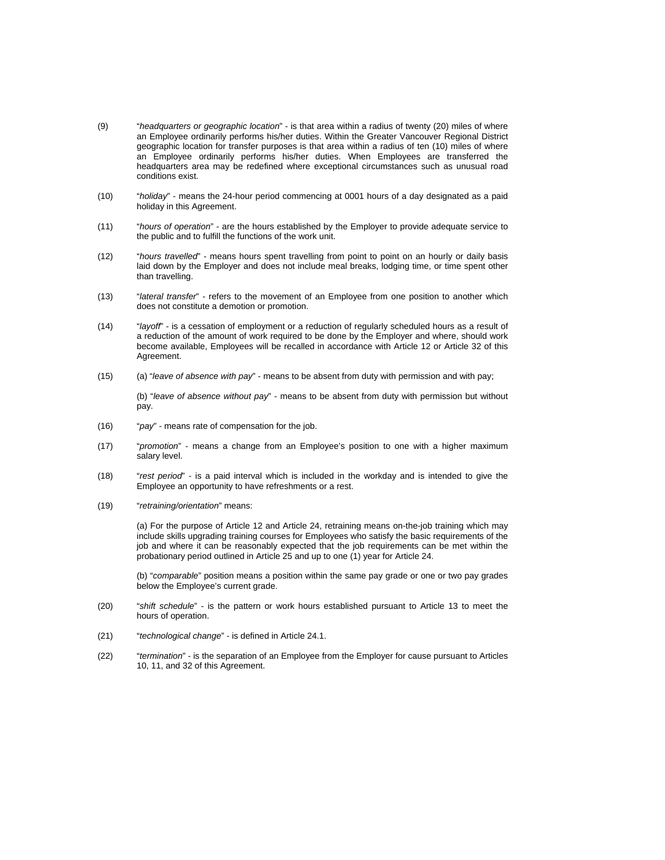- (9) "*headquarters or geographic location*" is that area within a radius of twenty (20) miles of where an Employee ordinarily performs his/her duties. Within the Greater Vancouver Regional District geographic location for transfer purposes is that area within a radius of ten (10) miles of where an Employee ordinarily performs his/her duties. When Employees are transferred the headquarters area may be redefined where exceptional circumstances such as unusual road conditions exist.
- (10) "*holiday*" means the 24-hour period commencing at 0001 hours of a day designated as a paid holiday in this Agreement.
- (11) "*hours of operation*" are the hours established by the Employer to provide adequate service to the public and to fulfill the functions of the work unit.
- (12) "*hours travelled*" means hours spent travelling from point to point on an hourly or daily basis laid down by the Employer and does not include meal breaks, lodging time, or time spent other than travelling.
- (13) "*lateral transfer*" refers to the movement of an Employee from one position to another which does not constitute a demotion or promotion.
- (14) "*layoff*" is a cessation of employment or a reduction of regularly scheduled hours as a result of a reduction of the amount of work required to be done by the Employer and where, should work become available, Employees will be recalled in accordance with Article 12 or Article 32 of this Agreement.
- (15) (a) "*leave of absence with pay*" means to be absent from duty with permission and with pay;

(b) "*leave of absence without pay*" - means to be absent from duty with permission but without pay.

- (16) "*pay*" means rate of compensation for the job.
- (17) "*promotion*" means a change from an Employee's position to one with a higher maximum salary level.
- (18) "*rest period*" is a paid interval which is included in the workday and is intended to give the Employee an opportunity to have refreshments or a rest.
- (19) "*retraining/orientation*" means:

(a) For the purpose of Article 12 and Article 24, retraining means on-the-job training which may include skills upgrading training courses for Employees who satisfy the basic requirements of the job and where it can be reasonably expected that the job requirements can be met within the probationary period outlined in Article 25 and up to one (1) year for Article 24.

(b) "*comparable*" position means a position within the same pay grade or one or two pay grades below the Employee's current grade.

- (20) "*shift schedule*" is the pattern or work hours established pursuant to Article 13 to meet the hours of operation.
- (21) "*technological change*" is defined in Article 24.1.
- (22) "*termination*" is the separation of an Employee from the Employer for cause pursuant to Articles 10, 11, and 32 of this Agreement.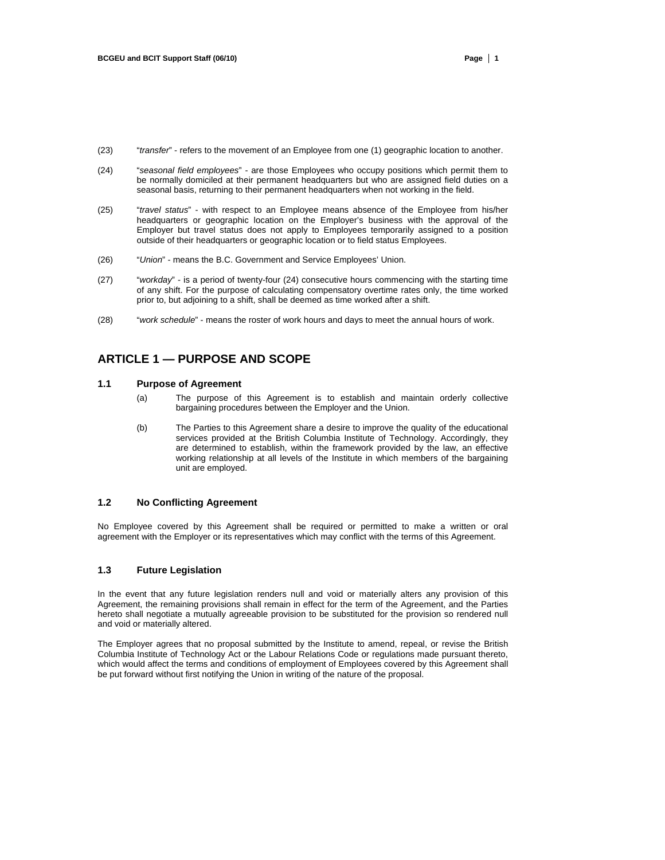- (23) "*transfer*" refers to the movement of an Employee from one (1) geographic location to another.
- (24) "*seasonal field employees*" are those Employees who occupy positions which permit them to be normally domiciled at their permanent headquarters but who are assigned field duties on a seasonal basis, returning to their permanent headquarters when not working in the field.
- (25) "*travel status*" with respect to an Employee means absence of the Employee from his/her headquarters or geographic location on the Employer's business with the approval of the Employer but travel status does not apply to Employees temporarily assigned to a position outside of their headquarters or geographic location or to field status Employees.
- (26) "*Union*" means the B.C. Government and Service Employees' Union.
- (27) "*workday*" is a period of twenty-four (24) consecutive hours commencing with the starting time of any shift. For the purpose of calculating compensatory overtime rates only, the time worked prior to, but adjoining to a shift, shall be deemed as time worked after a shift.
- (28) "*work schedule*" means the roster of work hours and days to meet the annual hours of work.

# **ARTICLE 1 — PURPOSE AND SCOPE**

### **1.1 Purpose of Agreement**

- (a) The purpose of this Agreement is to establish and maintain orderly collective bargaining procedures between the Employer and the Union.
- (b) The Parties to this Agreement share a desire to improve the quality of the educational services provided at the British Columbia Institute of Technology. Accordingly, they are determined to establish, within the framework provided by the law, an effective working relationship at all levels of the Institute in which members of the bargaining unit are employed.

# **1.2 No Conflicting Agreement**

No Employee covered by this Agreement shall be required or permitted to make a written or oral agreement with the Employer or its representatives which may conflict with the terms of this Agreement.

#### **1.3 Future Legislation**

In the event that any future legislation renders null and void or materially alters any provision of this Agreement, the remaining provisions shall remain in effect for the term of the Agreement, and the Parties hereto shall negotiate a mutually agreeable provision to be substituted for the provision so rendered null and void or materially altered.

The Employer agrees that no proposal submitted by the Institute to amend, repeal, or revise the British Columbia Institute of Technology Act or the Labour Relations Code or regulations made pursuant thereto, which would affect the terms and conditions of employment of Employees covered by this Agreement shall be put forward without first notifying the Union in writing of the nature of the proposal.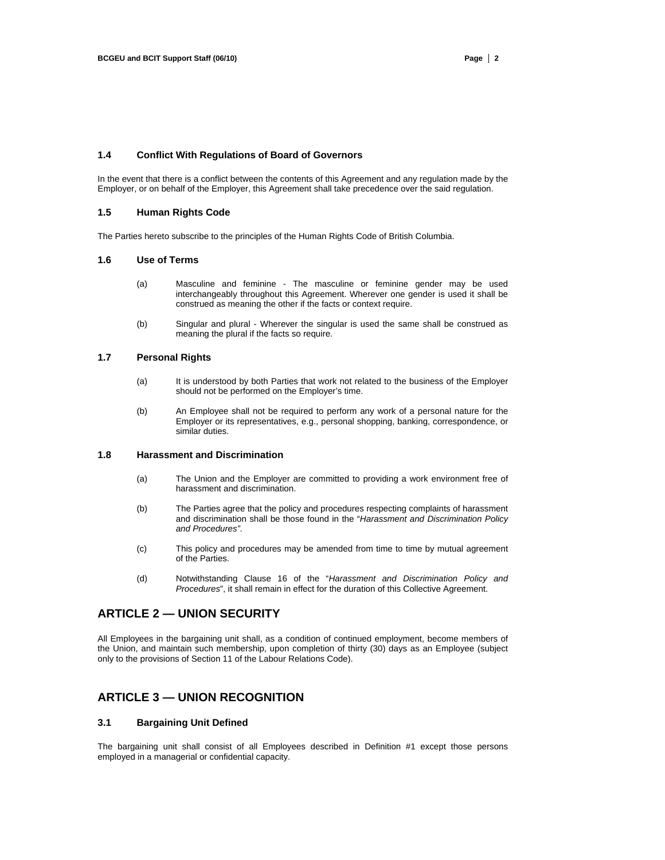# **1.4 Conflict With Regulations of Board of Governors**

In the event that there is a conflict between the contents of this Agreement and any regulation made by the Employer, or on behalf of the Employer, this Agreement shall take precedence over the said regulation.

# **1.5 Human Rights Code**

The Parties hereto subscribe to the principles of the Human Rights Code of British Columbia.

#### **1.6 Use of Terms**

- (a) Masculine and feminine The masculine or feminine gender may be used interchangeably throughout this Agreement. Wherever one gender is used it shall be construed as meaning the other if the facts or context require.
- (b) Singular and plural Wherever the singular is used the same shall be construed as meaning the plural if the facts so require.

# **1.7 Personal Rights**

- (a) It is understood by both Parties that work not related to the business of the Employer should not be performed on the Employer's time.
- (b) An Employee shall not be required to perform any work of a personal nature for the Employer or its representatives, e.g., personal shopping, banking, correspondence, or similar duties.

# **1.8 Harassment and Discrimination**

- (a) The Union and the Employer are committed to providing a work environment free of harassment and discrimination.
- (b) The Parties agree that the policy and procedures respecting complaints of harassment and discrimination shall be those found in the "*Harassment and Discrimination Policy and Procedures"*.
- (c) This policy and procedures may be amended from time to time by mutual agreement of the Parties.
- (d) Notwithstanding Clause 16 of the "*Harassment and Discrimination Policy and Procedures*", it shall remain in effect for the duration of this Collective Agreement.

# **ARTICLE 2 — UNION SECURITY**

All Employees in the bargaining unit shall, as a condition of continued employment, become members of the Union, and maintain such membership, upon completion of thirty (30) days as an Employee (subject only to the provisions of Section 11 of the Labour Relations Code).

# **ARTICLE 3 — UNION RECOGNITION**

# **3.1 Bargaining Unit Defined**

The bargaining unit shall consist of all Employees described in Definition #1 except those persons employed in a managerial or confidential capacity.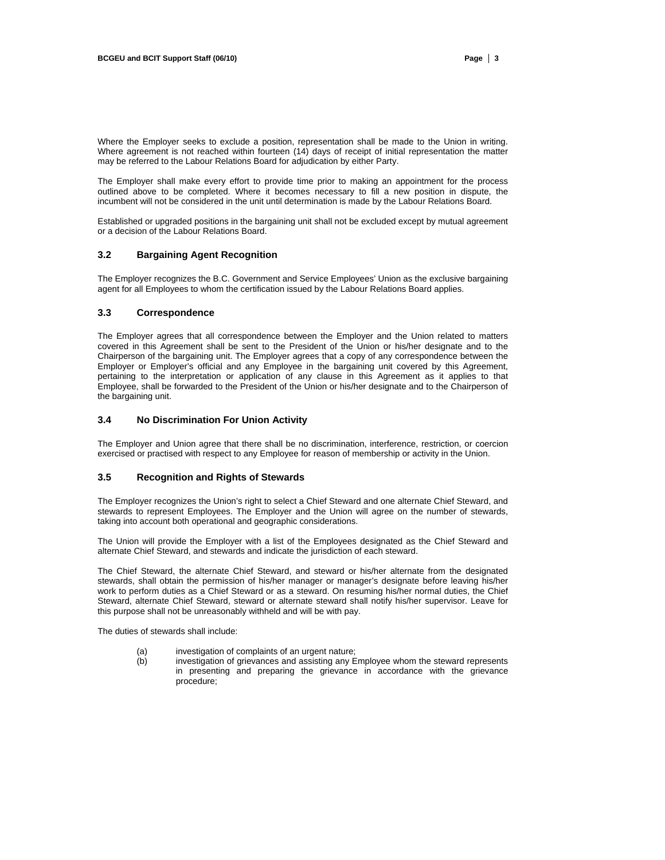Where the Employer seeks to exclude a position, representation shall be made to the Union in writing. Where agreement is not reached within fourteen (14) days of receipt of initial representation the matter may be referred to the Labour Relations Board for adjudication by either Party.

The Employer shall make every effort to provide time prior to making an appointment for the process outlined above to be completed. Where it becomes necessary to fill a new position in dispute, the incumbent will not be considered in the unit until determination is made by the Labour Relations Board.

Established or upgraded positions in the bargaining unit shall not be excluded except by mutual agreement or a decision of the Labour Relations Board.

#### **3.2 Bargaining Agent Recognition**

The Employer recognizes the B.C. Government and Service Employees' Union as the exclusive bargaining agent for all Employees to whom the certification issued by the Labour Relations Board applies.

#### **3.3 Correspondence**

The Employer agrees that all correspondence between the Employer and the Union related to matters covered in this Agreement shall be sent to the President of the Union or his/her designate and to the Chairperson of the bargaining unit. The Employer agrees that a copy of any correspondence between the Employer or Employer's official and any Employee in the bargaining unit covered by this Agreement, pertaining to the interpretation or application of any clause in this Agreement as it applies to that Employee, shall be forwarded to the President of the Union or his/her designate and to the Chairperson of the bargaining unit.

# **3.4 No Discrimination For Union Activity**

The Employer and Union agree that there shall be no discrimination, interference, restriction, or coercion exercised or practised with respect to any Employee for reason of membership or activity in the Union.

### **3.5 Recognition and Rights of Stewards**

The Employer recognizes the Union's right to select a Chief Steward and one alternate Chief Steward, and stewards to represent Employees. The Employer and the Union will agree on the number of stewards, taking into account both operational and geographic considerations.

The Union will provide the Employer with a list of the Employees designated as the Chief Steward and alternate Chief Steward, and stewards and indicate the jurisdiction of each steward.

The Chief Steward, the alternate Chief Steward, and steward or his/her alternate from the designated stewards, shall obtain the permission of his/her manager or manager's designate before leaving his/her work to perform duties as a Chief Steward or as a steward. On resuming his/her normal duties, the Chief Steward, alternate Chief Steward, steward or alternate steward shall notify his/her supervisor. Leave for this purpose shall not be unreasonably withheld and will be with pay.

The duties of stewards shall include:

- (a) investigation of complaints of an urgent nature;
- (b) investigation of grievances and assisting any Employee whom the steward represents in presenting and preparing the grievance in accordance with the grievance procedure;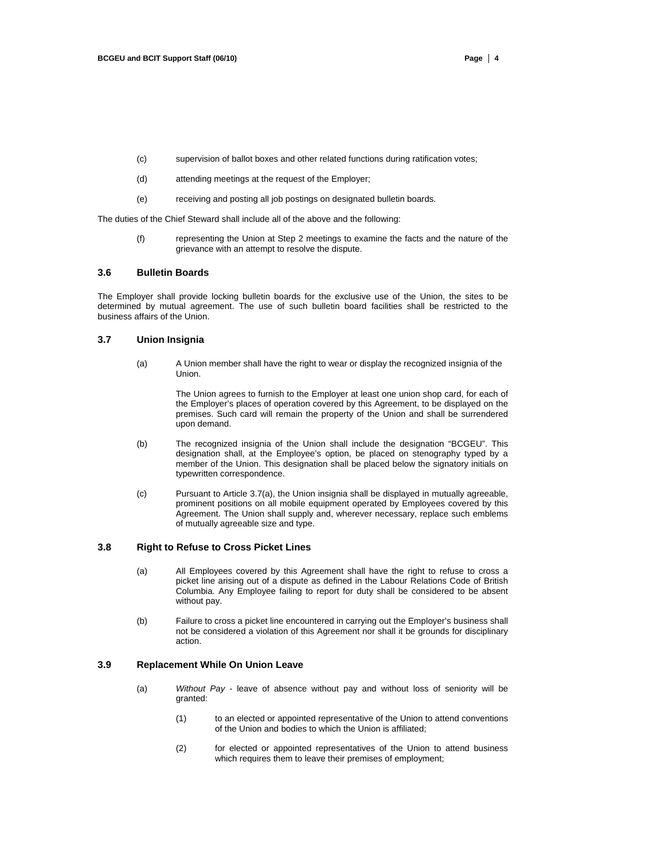- (c) supervision of ballot boxes and other related functions during ratification votes;
- (d) attending meetings at the request of the Employer;
- (e) receiving and posting all job postings on designated bulletin boards.

The duties of the Chief Steward shall include all of the above and the following:

(f) representing the Union at Step 2 meetings to examine the facts and the nature of the grievance with an attempt to resolve the dispute.

#### **3.6 Bulletin Boards**

The Employer shall provide locking bulletin boards for the exclusive use of the Union, the sites to be determined by mutual agreement. The use of such bulletin board facilities shall be restricted to the business affairs of the Union.

# **3.7 Union Insignia**

(a) A Union member shall have the right to wear or display the recognized insignia of the Union.

> The Union agrees to furnish to the Employer at least one union shop card, for each of the Employer's places of operation covered by this Agreement, to be displayed on the premises. Such card will remain the property of the Union and shall be surrendered upon demand.

- (b) The recognized insignia of the Union shall include the designation "BCGEU". This designation shall, at the Employee's option, be placed on stenography typed by a member of the Union. This designation shall be placed below the signatory initials on typewritten correspondence.
- (c) Pursuant to Article 3.7(a), the Union insignia shall be displayed in mutually agreeable, prominent positions on all mobile equipment operated by Employees covered by this Agreement. The Union shall supply and, wherever necessary, replace such emblems of mutually agreeable size and type.

#### **3.8 Right to Refuse to Cross Picket Lines**

- (a) All Employees covered by this Agreement shall have the right to refuse to cross a picket line arising out of a dispute as defined in the Labour Relations Code of British Columbia. Any Employee failing to report for duty shall be considered to be absent without pay.
- (b) Failure to cross a picket line encountered in carrying out the Employer's business shall not be considered a violation of this Agreement nor shall it be grounds for disciplinary action.

# **3.9 Replacement While On Union Leave**

- (a) *Without Pay*  leave of absence without pay and without loss of seniority will be granted:
	- (1) to an elected or appointed representative of the Union to attend conventions of the Union and bodies to which the Union is affiliated;
	- (2) for elected or appointed representatives of the Union to attend business which requires them to leave their premises of employment;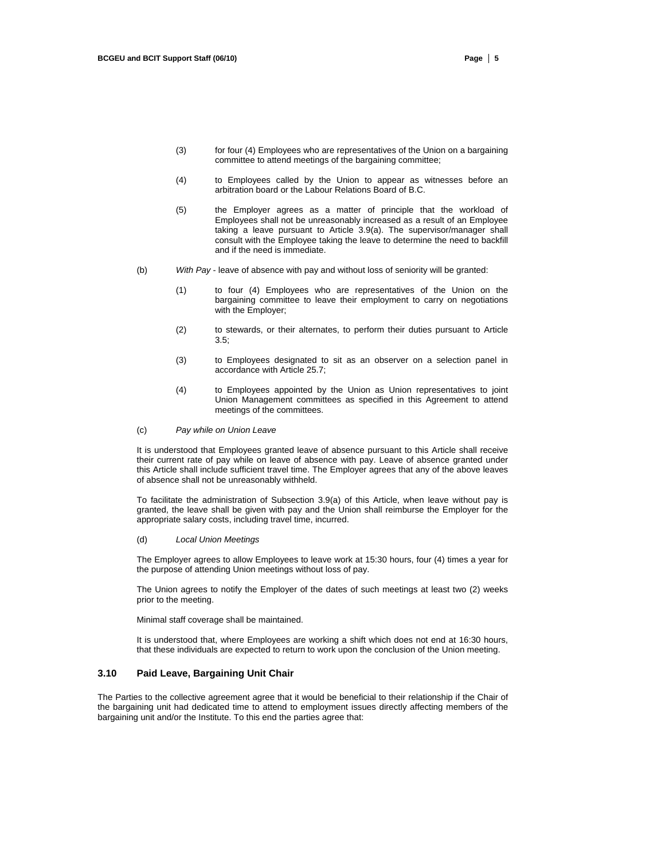- (3) for four (4) Employees who are representatives of the Union on a bargaining committee to attend meetings of the bargaining committee;
- (4) to Employees called by the Union to appear as witnesses before an arbitration board or the Labour Relations Board of B.C.
- (5) the Employer agrees as a matter of principle that the workload of Employees shall not be unreasonably increased as a result of an Employee taking a leave pursuant to Article 3.9(a). The supervisor/manager shall consult with the Employee taking the leave to determine the need to backfill and if the need is immediate.
- (b) *With Pay*  leave of absence with pay and without loss of seniority will be granted:
	- (1) to four (4) Employees who are representatives of the Union on the bargaining committee to leave their employment to carry on negotiations with the Employer;
	- (2) to stewards, or their alternates, to perform their duties pursuant to Article 3.5;
	- (3) to Employees designated to sit as an observer on a selection panel in accordance with Article 25.7;
	- (4) to Employees appointed by the Union as Union representatives to joint Union Management committees as specified in this Agreement to attend meetings of the committees.
- (c) *Pay while on Union Leave*

It is understood that Employees granted leave of absence pursuant to this Article shall receive their current rate of pay while on leave of absence with pay. Leave of absence granted under this Article shall include sufficient travel time. The Employer agrees that any of the above leaves of absence shall not be unreasonably withheld.

To facilitate the administration of Subsection 3.9(a) of this Article, when leave without pay is granted, the leave shall be given with pay and the Union shall reimburse the Employer for the appropriate salary costs, including travel time, incurred.

#### (d) *Local Union Meetings*

The Employer agrees to allow Employees to leave work at 15:30 hours, four (4) times a year for the purpose of attending Union meetings without loss of pay.

The Union agrees to notify the Employer of the dates of such meetings at least two (2) weeks prior to the meeting.

Minimal staff coverage shall be maintained.

It is understood that, where Employees are working a shift which does not end at 16:30 hours, that these individuals are expected to return to work upon the conclusion of the Union meeting.

# **3.10 Paid Leave, Bargaining Unit Chair**

The Parties to the collective agreement agree that it would be beneficial to their relationship if the Chair of the bargaining unit had dedicated time to attend to employment issues directly affecting members of the bargaining unit and/or the Institute. To this end the parties agree that: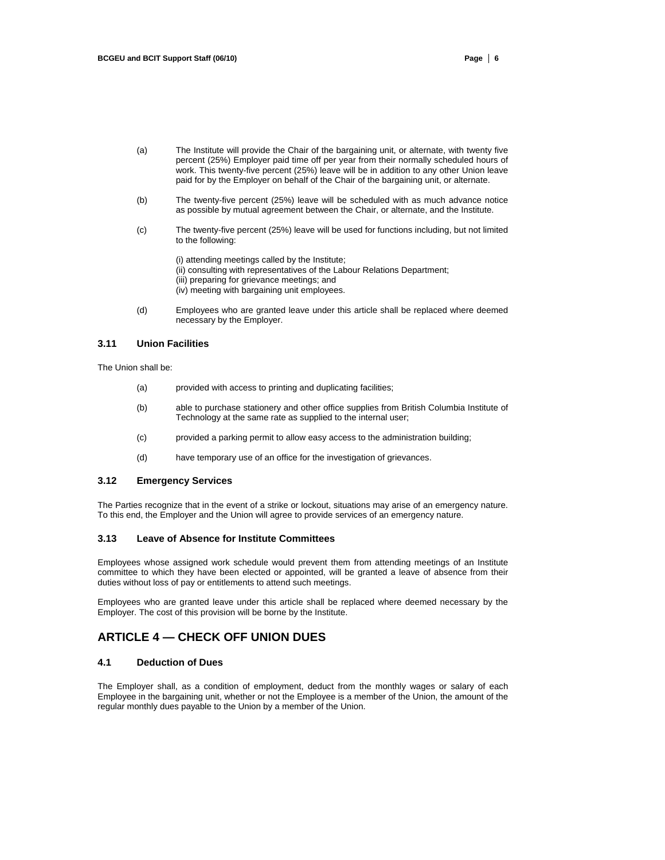- (a) The Institute will provide the Chair of the bargaining unit, or alternate, with twenty five percent (25%) Employer paid time off per year from their normally scheduled hours of work. This twenty-five percent (25%) leave will be in addition to any other Union leave paid for by the Employer on behalf of the Chair of the bargaining unit, or alternate.
- (b) The twenty-five percent (25%) leave will be scheduled with as much advance notice as possible by mutual agreement between the Chair, or alternate, and the Institute.
- (c) The twenty-five percent (25%) leave will be used for functions including, but not limited to the following:
	- (i) attending meetings called by the Institute; (ii) consulting with representatives of the Labour Relations Department; (iii) preparing for grievance meetings; and (iv) meeting with bargaining unit employees.
- (d) Employees who are granted leave under this article shall be replaced where deemed necessary by the Employer.

### **3.11 Union Facilities**

The Union shall be:

- (a) provided with access to printing and duplicating facilities;
- (b) able to purchase stationery and other office supplies from British Columbia Institute of Technology at the same rate as supplied to the internal user;
- (c) provided a parking permit to allow easy access to the administration building;
- (d) have temporary use of an office for the investigation of grievances.

# **3.12 Emergency Services**

The Parties recognize that in the event of a strike or lockout, situations may arise of an emergency nature. To this end, the Employer and the Union will agree to provide services of an emergency nature.

# **3.13 Leave of Absence for Institute Committees**

Employees whose assigned work schedule would prevent them from attending meetings of an Institute committee to which they have been elected or appointed, will be granted a leave of absence from their duties without loss of pay or entitlements to attend such meetings.

Employees who are granted leave under this article shall be replaced where deemed necessary by the Employer. The cost of this provision will be borne by the Institute.

# **ARTICLE 4 — CHECK OFF UNION DUES**

# **4.1 Deduction of Dues**

The Employer shall, as a condition of employment, deduct from the monthly wages or salary of each Employee in the bargaining unit, whether or not the Employee is a member of the Union, the amount of the regular monthly dues payable to the Union by a member of the Union.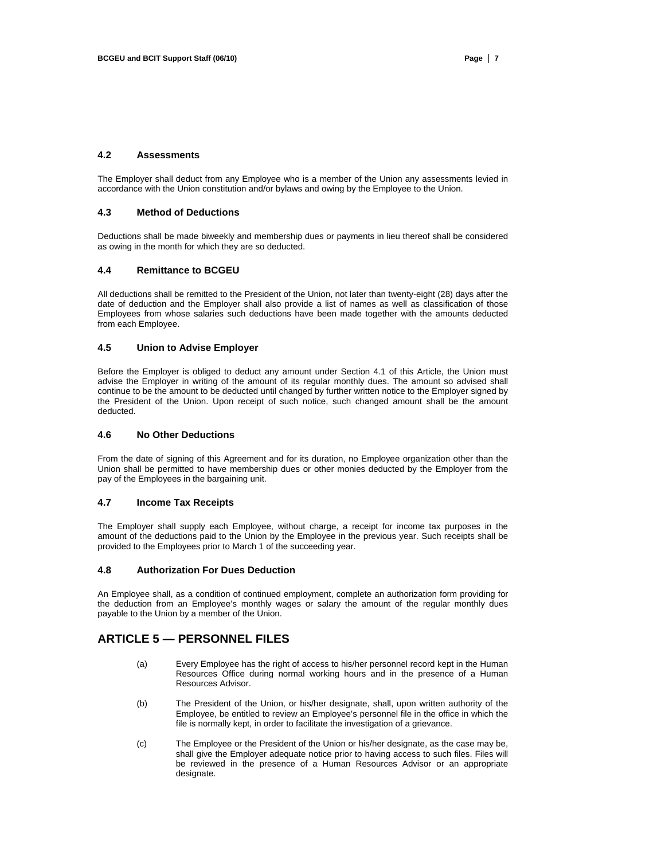# **4.2 Assessments**

The Employer shall deduct from any Employee who is a member of the Union any assessments levied in accordance with the Union constitution and/or bylaws and owing by the Employee to the Union.

# **4.3 Method of Deductions**

Deductions shall be made biweekly and membership dues or payments in lieu thereof shall be considered as owing in the month for which they are so deducted.

#### **4.4 Remittance to BCGEU**

All deductions shall be remitted to the President of the Union, not later than twenty-eight (28) days after the date of deduction and the Employer shall also provide a list of names as well as classification of those Employees from whose salaries such deductions have been made together with the amounts deducted from each Employee.

# **4.5 Union to Advise Employer**

Before the Employer is obliged to deduct any amount under Section 4.1 of this Article, the Union must advise the Employer in writing of the amount of its regular monthly dues. The amount so advised shall continue to be the amount to be deducted until changed by further written notice to the Employer signed by the President of the Union. Upon receipt of such notice, such changed amount shall be the amount deducted.

#### **4.6 No Other Deductions**

From the date of signing of this Agreement and for its duration, no Employee organization other than the Union shall be permitted to have membership dues or other monies deducted by the Employer from the pay of the Employees in the bargaining unit.

### **4.7 Income Tax Receipts**

The Employer shall supply each Employee, without charge, a receipt for income tax purposes in the amount of the deductions paid to the Union by the Employee in the previous year. Such receipts shall be provided to the Employees prior to March 1 of the succeeding year.

#### **4.8 Authorization For Dues Deduction**

An Employee shall, as a condition of continued employment, complete an authorization form providing for the deduction from an Employee's monthly wages or salary the amount of the regular monthly dues payable to the Union by a member of the Union.

# **ARTICLE 5 — PERSONNEL FILES**

- (a) Every Employee has the right of access to his/her personnel record kept in the Human Resources Office during normal working hours and in the presence of a Human Resources Advisor.
- (b) The President of the Union, or his/her designate, shall, upon written authority of the Employee, be entitled to review an Employee's personnel file in the office in which the file is normally kept, in order to facilitate the investigation of a grievance.
- (c) The Employee or the President of the Union or his/her designate, as the case may be, shall give the Employer adequate notice prior to having access to such files. Files will be reviewed in the presence of a Human Resources Advisor or an appropriate designate.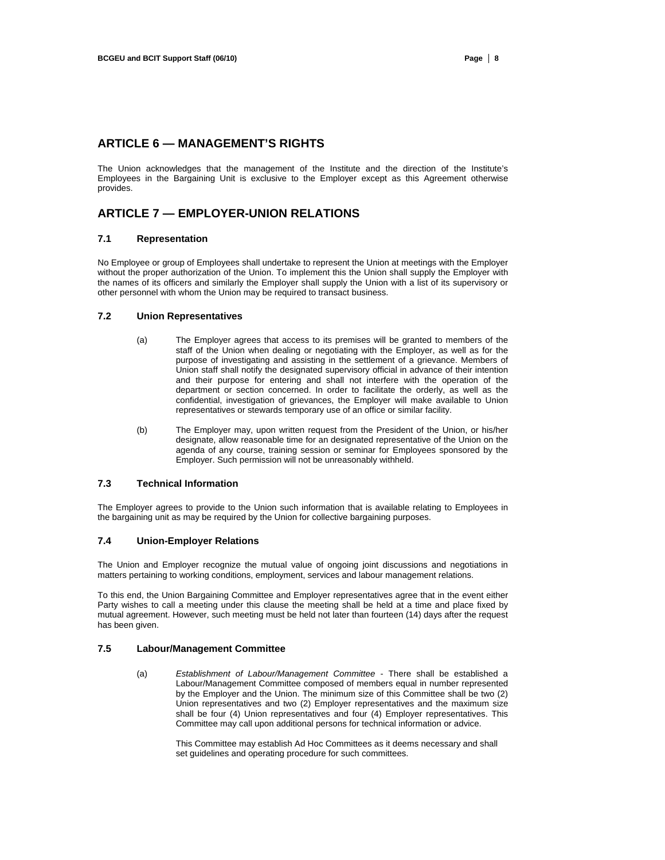# **ARTICLE 6 — MANAGEMENT'S RIGHTS**

The Union acknowledges that the management of the Institute and the direction of the Institute's Employees in the Bargaining Unit is exclusive to the Employer except as this Agreement otherwise provides.

# **ARTICLE 7 — EMPLOYER-UNION RELATIONS**

# **7.1 Representation**

No Employee or group of Employees shall undertake to represent the Union at meetings with the Employer without the proper authorization of the Union. To implement this the Union shall supply the Employer with the names of its officers and similarly the Employer shall supply the Union with a list of its supervisory or other personnel with whom the Union may be required to transact business.

# **7.2 Union Representatives**

- (a) The Employer agrees that access to its premises will be granted to members of the staff of the Union when dealing or negotiating with the Employer, as well as for the purpose of investigating and assisting in the settlement of a grievance. Members of Union staff shall notify the designated supervisory official in advance of their intention and their purpose for entering and shall not interfere with the operation of the department or section concerned. In order to facilitate the orderly, as well as the confidential, investigation of grievances, the Employer will make available to Union representatives or stewards temporary use of an office or similar facility.
- (b) The Employer may, upon written request from the President of the Union, or his/her designate, allow reasonable time for an designated representative of the Union on the agenda of any course, training session or seminar for Employees sponsored by the Employer. Such permission will not be unreasonably withheld.

#### **7.3 Technical Information**

The Employer agrees to provide to the Union such information that is available relating to Employees in the bargaining unit as may be required by the Union for collective bargaining purposes.

# **7.4 Union-Employer Relations**

The Union and Employer recognize the mutual value of ongoing joint discussions and negotiations in matters pertaining to working conditions, employment, services and labour management relations.

To this end, the Union Bargaining Committee and Employer representatives agree that in the event either Party wishes to call a meeting under this clause the meeting shall be held at a time and place fixed by mutual agreement. However, such meeting must be held not later than fourteen (14) days after the request has been given.

#### **7.5 Labour/Management Committee**

(a) *Establishment of Labour/Management Committee* - There shall be established a Labour/Management Committee composed of members equal in number represented by the Employer and the Union. The minimum size of this Committee shall be two (2) Union representatives and two (2) Employer representatives and the maximum size shall be four (4) Union representatives and four (4) Employer representatives. This Committee may call upon additional persons for technical information or advice.

> This Committee may establish Ad Hoc Committees as it deems necessary and shall set guidelines and operating procedure for such committees.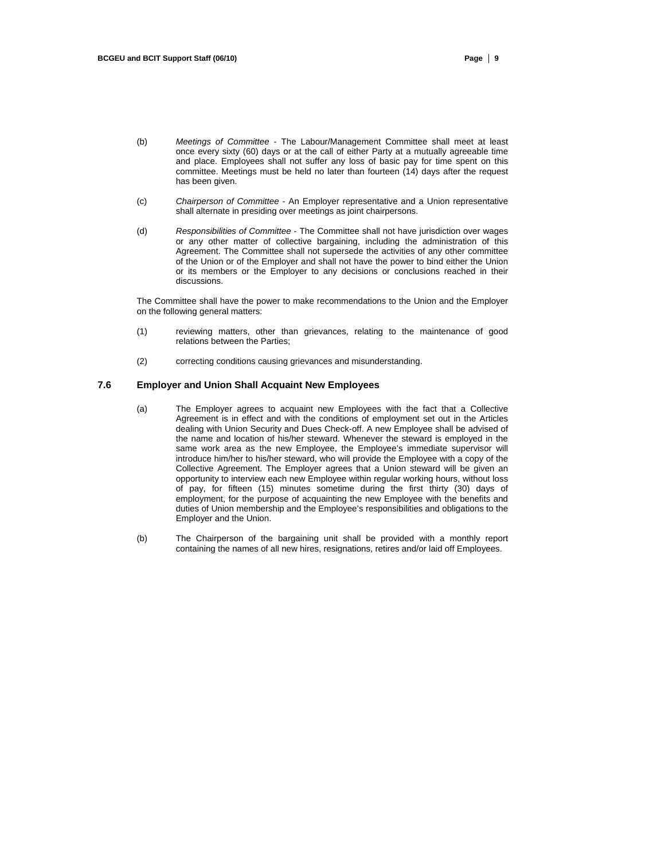- (b) *Meetings of Committee*  The Labour/Management Committee shall meet at least once every sixty (60) days or at the call of either Party at a mutually agreeable time and place. Employees shall not suffer any loss of basic pay for time spent on this committee. Meetings must be held no later than fourteen (14) days after the request has been given.
- (c) *Chairperson of Committee*  An Employer representative and a Union representative shall alternate in presiding over meetings as joint chairpersons.
- (d) *Responsibilities of Committee*  The Committee shall not have jurisdiction over wages or any other matter of collective bargaining, including the administration of this Agreement. The Committee shall not supersede the activities of any other committee of the Union or of the Employer and shall not have the power to bind either the Union or its members or the Employer to any decisions or conclusions reached in their discussions.

The Committee shall have the power to make recommendations to the Union and the Employer on the following general matters:

- (1) reviewing matters, other than grievances, relating to the maintenance of good relations between the Parties;
- (2) correcting conditions causing grievances and misunderstanding.

# **7.6 Employer and Union Shall Acquaint New Employees**

- (a) The Employer agrees to acquaint new Employees with the fact that a Collective Agreement is in effect and with the conditions of employment set out in the Articles dealing with Union Security and Dues Check-off. A new Employee shall be advised of the name and location of his/her steward. Whenever the steward is employed in the same work area as the new Employee, the Employee's immediate supervisor will introduce him/her to his/her steward, who will provide the Employee with a copy of the Collective Agreement. The Employer agrees that a Union steward will be given an opportunity to interview each new Employee within regular working hours, without loss of pay, for fifteen (15) minutes sometime during the first thirty (30) days of employment, for the purpose of acquainting the new Employee with the benefits and duties of Union membership and the Employee's responsibilities and obligations to the Employer and the Union.
- (b) The Chairperson of the bargaining unit shall be provided with a monthly report containing the names of all new hires, resignations, retires and/or laid off Employees.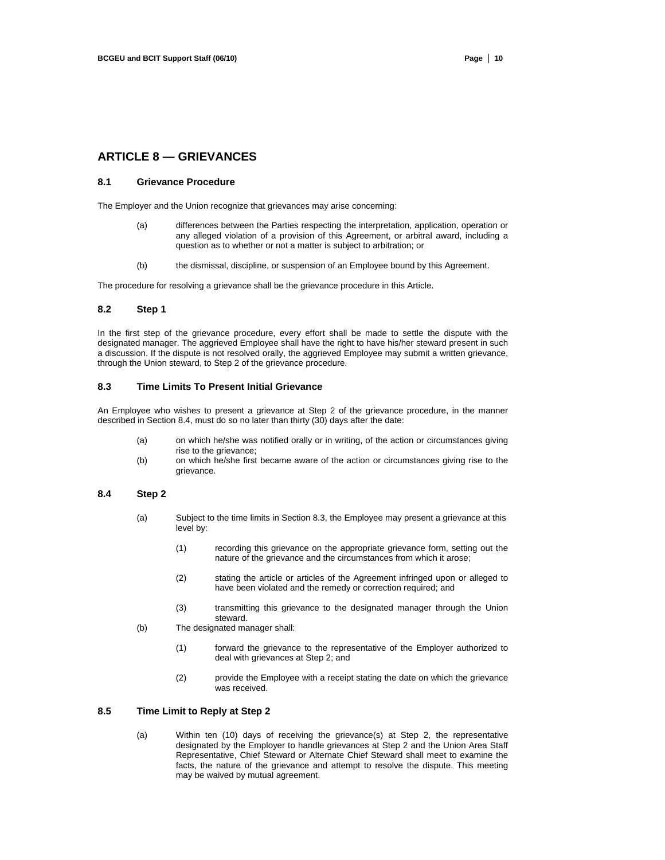# **ARTICLE 8 — GRIEVANCES**

# **8.1 Grievance Procedure**

The Employer and the Union recognize that grievances may arise concerning:

- (a) differences between the Parties respecting the interpretation, application, operation or any alleged violation of a provision of this Agreement, or arbitral award, including a question as to whether or not a matter is subject to arbitration; or
- (b) the dismissal, discipline, or suspension of an Employee bound by this Agreement.

The procedure for resolving a grievance shall be the grievance procedure in this Article.

#### **8.2 Step 1**

In the first step of the grievance procedure, every effort shall be made to settle the dispute with the designated manager. The aggrieved Employee shall have the right to have his/her steward present in such a discussion. If the dispute is not resolved orally, the aggrieved Employee may submit a written grievance, through the Union steward, to Step 2 of the grievance procedure.

## **8.3 Time Limits To Present Initial Grievance**

An Employee who wishes to present a grievance at Step 2 of the grievance procedure, in the manner described in Section 8.4, must do so no later than thirty (30) days after the date:

- (a) on which he/she was notified orally or in writing, of the action or circumstances giving rise to the grievance:
- (b) on which he/she first became aware of the action or circumstances giving rise to the grievance.

## **8.4 Step 2**

- (a) Subject to the time limits in Section 8.3, the Employee may present a grievance at this level by:
	- (1) recording this grievance on the appropriate grievance form, setting out the nature of the grievance and the circumstances from which it arose;
	- (2) stating the article or articles of the Agreement infringed upon or alleged to have been violated and the remedy or correction required; and
	- (3) transmitting this grievance to the designated manager through the Union steward.
- (b) The designated manager shall:
	- (1) forward the grievance to the representative of the Employer authorized to deal with grievances at Step 2; and
	- (2) provide the Employee with a receipt stating the date on which the grievance was received.

# **8.5 Time Limit to Reply at Step 2**

(a) Within ten (10) days of receiving the grievance(s) at Step 2, the representative designated by the Employer to handle grievances at Step 2 and the Union Area Staff Representative, Chief Steward or Alternate Chief Steward shall meet to examine the facts, the nature of the grievance and attempt to resolve the dispute. This meeting may be waived by mutual agreement.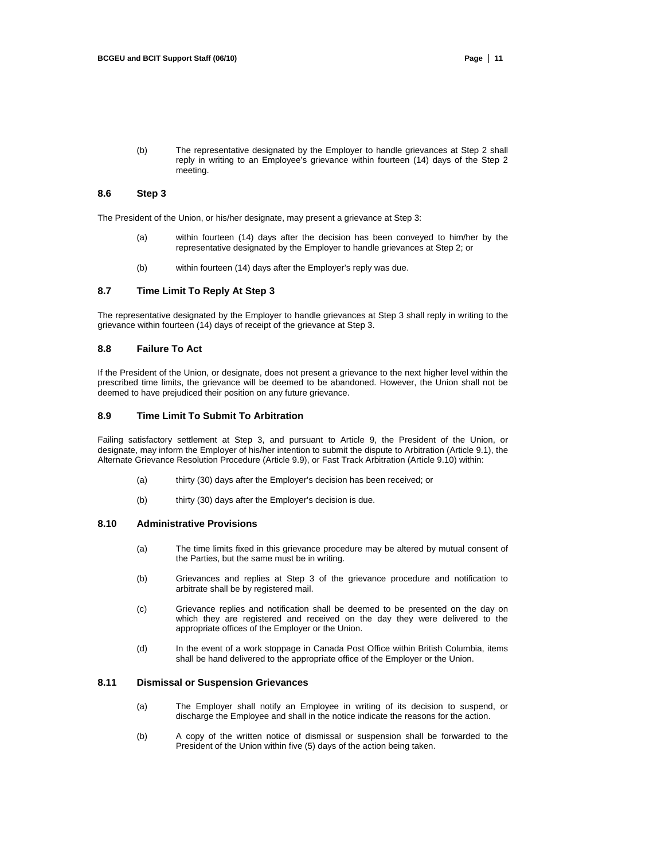(b) The representative designated by the Employer to handle grievances at Step 2 shall reply in writing to an Employee's grievance within fourteen (14) days of the Step 2 meeting.

# **8.6 Step 3**

The President of the Union, or his/her designate, may present a grievance at Step 3:

- (a) within fourteen (14) days after the decision has been conveyed to him/her by the representative designated by the Employer to handle grievances at Step 2; or
- (b) within fourteen (14) days after the Employer's reply was due.

# **8.7 Time Limit To Reply At Step 3**

The representative designated by the Employer to handle grievances at Step 3 shall reply in writing to the grievance within fourteen (14) days of receipt of the grievance at Step 3.

# **8.8 Failure To Act**

If the President of the Union, or designate, does not present a grievance to the next higher level within the prescribed time limits, the grievance will be deemed to be abandoned. However, the Union shall not be deemed to have prejudiced their position on any future grievance.

# **8.9 Time Limit To Submit To Arbitration**

Failing satisfactory settlement at Step 3, and pursuant to Article 9, the President of the Union, or designate, may inform the Employer of his/her intention to submit the dispute to Arbitration (Article 9.1), the Alternate Grievance Resolution Procedure (Article 9.9), or Fast Track Arbitration (Article 9.10) within:

- (a) thirty (30) days after the Employer's decision has been received; or
- (b) thirty (30) days after the Employer's decision is due.

# **8.10 Administrative Provisions**

- (a) The time limits fixed in this grievance procedure may be altered by mutual consent of the Parties, but the same must be in writing.
- (b) Grievances and replies at Step 3 of the grievance procedure and notification to arbitrate shall be by registered mail.
- (c) Grievance replies and notification shall be deemed to be presented on the day on which they are registered and received on the day they were delivered to the appropriate offices of the Employer or the Union.
- (d) In the event of a work stoppage in Canada Post Office within British Columbia, items shall be hand delivered to the appropriate office of the Employer or the Union.

# **8.11 Dismissal or Suspension Grievances**

- (a) The Employer shall notify an Employee in writing of its decision to suspend, or discharge the Employee and shall in the notice indicate the reasons for the action.
- (b) A copy of the written notice of dismissal or suspension shall be forwarded to the President of the Union within five (5) days of the action being taken.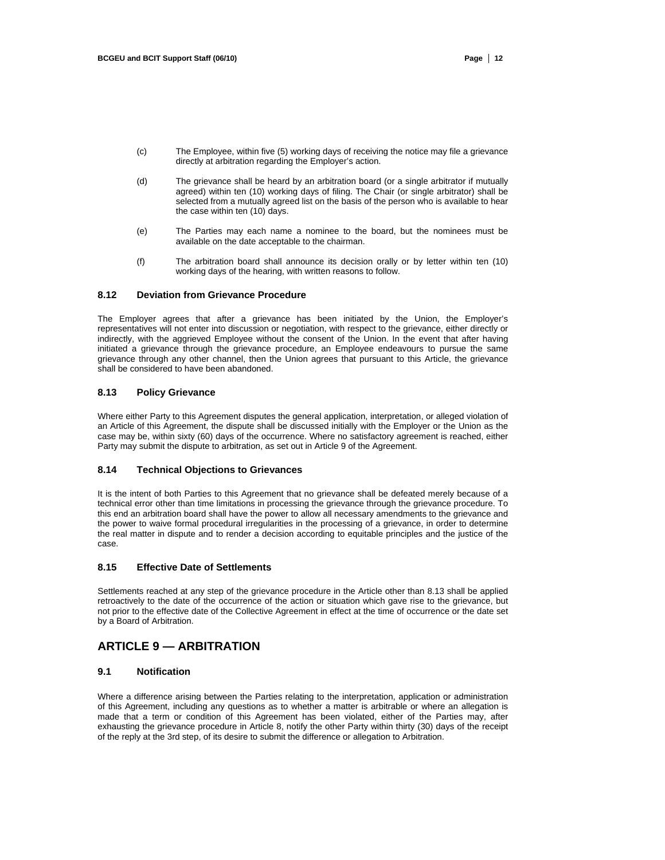- (c) The Employee, within five (5) working days of receiving the notice may file a grievance directly at arbitration regarding the Employer's action.
- (d) The grievance shall be heard by an arbitration board (or a single arbitrator if mutually agreed) within ten (10) working days of filing. The Chair (or single arbitrator) shall be selected from a mutually agreed list on the basis of the person who is available to hear the case within ten (10) days.
- (e) The Parties may each name a nominee to the board, but the nominees must be available on the date acceptable to the chairman.
- (f) The arbitration board shall announce its decision orally or by letter within ten (10) working days of the hearing, with written reasons to follow.

# **8.12 Deviation from Grievance Procedure**

The Employer agrees that after a grievance has been initiated by the Union, the Employer's representatives will not enter into discussion or negotiation, with respect to the grievance, either directly or indirectly, with the aggrieved Employee without the consent of the Union. In the event that after having initiated a grievance through the grievance procedure, an Employee endeavours to pursue the same grievance through any other channel, then the Union agrees that pursuant to this Article, the grievance shall be considered to have been abandoned.

# **8.13 Policy Grievance**

Where either Party to this Agreement disputes the general application, interpretation, or alleged violation of an Article of this Agreement, the dispute shall be discussed initially with the Employer or the Union as the case may be, within sixty (60) days of the occurrence. Where no satisfactory agreement is reached, either Party may submit the dispute to arbitration, as set out in Article 9 of the Agreement.

#### **8.14 Technical Objections to Grievances**

It is the intent of both Parties to this Agreement that no grievance shall be defeated merely because of a technical error other than time limitations in processing the grievance through the grievance procedure. To this end an arbitration board shall have the power to allow all necessary amendments to the grievance and the power to waive formal procedural irregularities in the processing of a grievance, in order to determine the real matter in dispute and to render a decision according to equitable principles and the justice of the case.

# **8.15 Effective Date of Settlements**

Settlements reached at any step of the grievance procedure in the Article other than 8.13 shall be applied retroactively to the date of the occurrence of the action or situation which gave rise to the grievance, but not prior to the effective date of the Collective Agreement in effect at the time of occurrence or the date set by a Board of Arbitration.

# **ARTICLE 9 — ARBITRATION**

# **9.1 Notification**

Where a difference arising between the Parties relating to the interpretation, application or administration of this Agreement, including any questions as to whether a matter is arbitrable or where an allegation is made that a term or condition of this Agreement has been violated, either of the Parties may, after exhausting the grievance procedure in Article 8, notify the other Party within thirty (30) days of the receipt of the reply at the 3rd step, of its desire to submit the difference or allegation to Arbitration.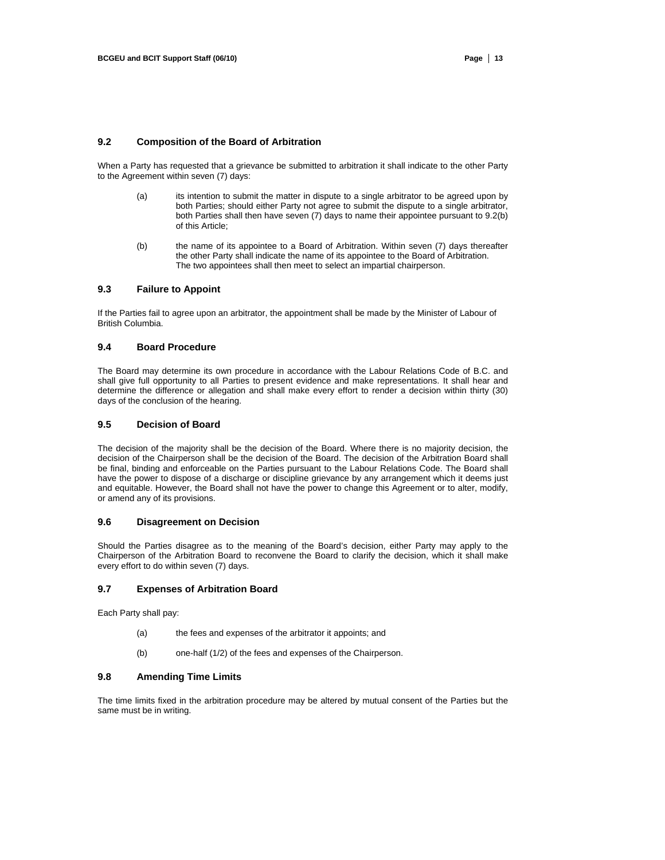# **9.2 Composition of the Board of Arbitration**

When a Party has requested that a grievance be submitted to arbitration it shall indicate to the other Party to the Agreement within seven (7) days:

- (a) its intention to submit the matter in dispute to a single arbitrator to be agreed upon by both Parties; should either Party not agree to submit the dispute to a single arbitrator, both Parties shall then have seven (7) days to name their appointee pursuant to 9.2(b) of this Article;
- (b) the name of its appointee to a Board of Arbitration. Within seven (7) days thereafter the other Party shall indicate the name of its appointee to the Board of Arbitration. The two appointees shall then meet to select an impartial chairperson.

# **9.3 Failure to Appoint**

If the Parties fail to agree upon an arbitrator, the appointment shall be made by the Minister of Labour of British Columbia.

# **9.4 Board Procedure**

The Board may determine its own procedure in accordance with the Labour Relations Code of B.C. and shall give full opportunity to all Parties to present evidence and make representations. It shall hear and determine the difference or allegation and shall make every effort to render a decision within thirty (30) days of the conclusion of the hearing.

### **9.5 Decision of Board**

The decision of the majority shall be the decision of the Board. Where there is no majority decision, the decision of the Chairperson shall be the decision of the Board. The decision of the Arbitration Board shall be final, binding and enforceable on the Parties pursuant to the Labour Relations Code. The Board shall have the power to dispose of a discharge or discipline grievance by any arrangement which it deems just and equitable. However, the Board shall not have the power to change this Agreement or to alter, modify, or amend any of its provisions.

# **9.6 Disagreement on Decision**

Should the Parties disagree as to the meaning of the Board's decision, either Party may apply to the Chairperson of the Arbitration Board to reconvene the Board to clarify the decision, which it shall make every effort to do within seven (7) days.

# **9.7 Expenses of Arbitration Board**

Each Party shall pay:

- (a) the fees and expenses of the arbitrator it appoints; and
- (b) one-half (1/2) of the fees and expenses of the Chairperson.

# **9.8 Amending Time Limits**

The time limits fixed in the arbitration procedure may be altered by mutual consent of the Parties but the same must be in writing.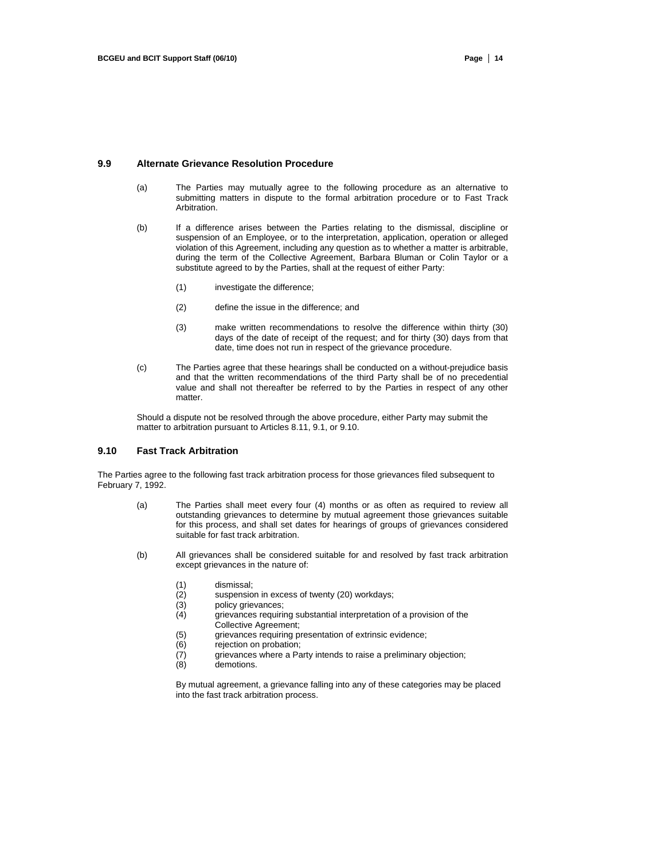#### **9.9 Alternate Grievance Resolution Procedure**

- (a) The Parties may mutually agree to the following procedure as an alternative to submitting matters in dispute to the formal arbitration procedure or to Fast Track Arbitration.
- (b) If a difference arises between the Parties relating to the dismissal, discipline or suspension of an Employee, or to the interpretation, application, operation or alleged violation of this Agreement, including any question as to whether a matter is arbitrable, during the term of the Collective Agreement, Barbara Bluman or Colin Taylor or a substitute agreed to by the Parties, shall at the request of either Party:
	- (1) investigate the difference;
	- (2) define the issue in the difference; and
	- (3) make written recommendations to resolve the difference within thirty (30) days of the date of receipt of the request; and for thirty (30) days from that date, time does not run in respect of the grievance procedure.
- (c) The Parties agree that these hearings shall be conducted on a without-prejudice basis and that the written recommendations of the third Party shall be of no precedential value and shall not thereafter be referred to by the Parties in respect of any other matter.

Should a dispute not be resolved through the above procedure, either Party may submit the matter to arbitration pursuant to Articles 8.11, 9.1, or 9.10.

# **9.10 Fast Track Arbitration**

The Parties agree to the following fast track arbitration process for those grievances filed subsequent to February 7, 1992.

- (a) The Parties shall meet every four (4) months or as often as required to review all outstanding grievances to determine by mutual agreement those grievances suitable for this process, and shall set dates for hearings of groups of grievances considered suitable for fast track arbitration.
- (b) All grievances shall be considered suitable for and resolved by fast track arbitration except grievances in the nature of:
	- (1) dismissal;
	- (2) suspension in excess of twenty (20) workdays;<br>(3) policy grievances;
	- policy grievances;
	- (4) grievances requiring substantial interpretation of a provision of the Collective Agreement;
	- (5) grievances requiring presentation of extrinsic evidence;<br>(6) rejection on probation:
	- rejection on probation;
	- (7) grievances where a Party intends to raise a preliminary objection;
	- (8) demotions.

By mutual agreement, a grievance falling into any of these categories may be placed into the fast track arbitration process.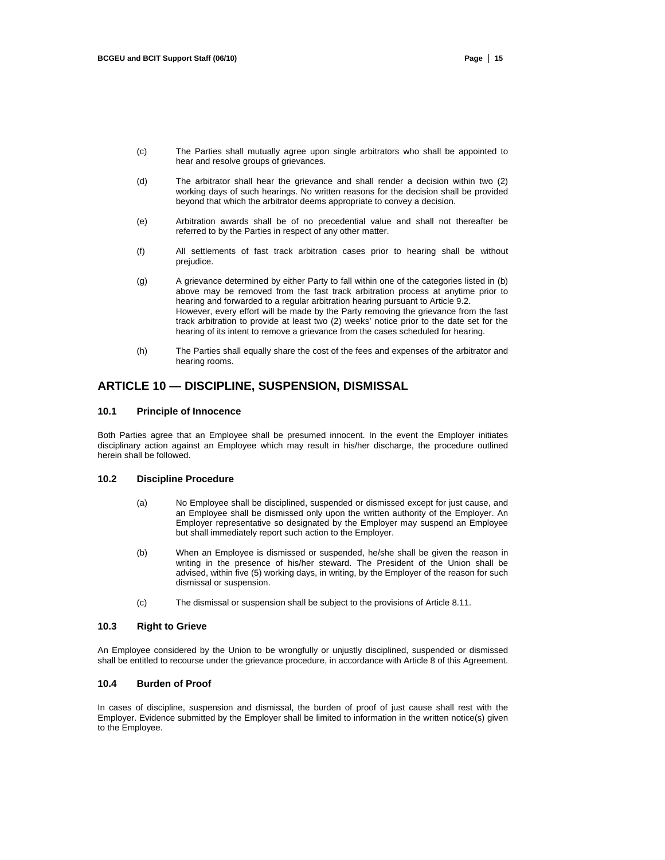- (c) The Parties shall mutually agree upon single arbitrators who shall be appointed to hear and resolve groups of grievances.
- (d) The arbitrator shall hear the grievance and shall render a decision within two (2) working days of such hearings. No written reasons for the decision shall be provided beyond that which the arbitrator deems appropriate to convey a decision.
- (e) Arbitration awards shall be of no precedential value and shall not thereafter be referred to by the Parties in respect of any other matter.
- (f) All settlements of fast track arbitration cases prior to hearing shall be without prejudice.
- (g) A grievance determined by either Party to fall within one of the categories listed in (b) above may be removed from the fast track arbitration process at anytime prior to hearing and forwarded to a regular arbitration hearing pursuant to Article 9.2. However, every effort will be made by the Party removing the grievance from the fast track arbitration to provide at least two (2) weeks' notice prior to the date set for the hearing of its intent to remove a grievance from the cases scheduled for hearing.
- (h) The Parties shall equally share the cost of the fees and expenses of the arbitrator and hearing rooms.

# **ARTICLE 10 — DISCIPLINE, SUSPENSION, DISMISSAL**

### **10.1 Principle of Innocence**

Both Parties agree that an Employee shall be presumed innocent. In the event the Employer initiates disciplinary action against an Employee which may result in his/her discharge, the procedure outlined herein shall be followed.

### **10.2 Discipline Procedure**

- (a) No Employee shall be disciplined, suspended or dismissed except for just cause, and an Employee shall be dismissed only upon the written authority of the Employer. An Employer representative so designated by the Employer may suspend an Employee but shall immediately report such action to the Employer.
- (b) When an Employee is dismissed or suspended, he/she shall be given the reason in writing in the presence of his/her steward. The President of the Union shall be advised, within five (5) working days, in writing, by the Employer of the reason for such dismissal or suspension.
- (c) The dismissal or suspension shall be subject to the provisions of Article 8.11.

# **10.3 Right to Grieve**

An Employee considered by the Union to be wrongfully or unjustly disciplined, suspended or dismissed shall be entitled to recourse under the grievance procedure, in accordance with Article 8 of this Agreement.

# **10.4 Burden of Proof**

In cases of discipline, suspension and dismissal, the burden of proof of just cause shall rest with the Employer. Evidence submitted by the Employer shall be limited to information in the written notice(s) given to the Employee.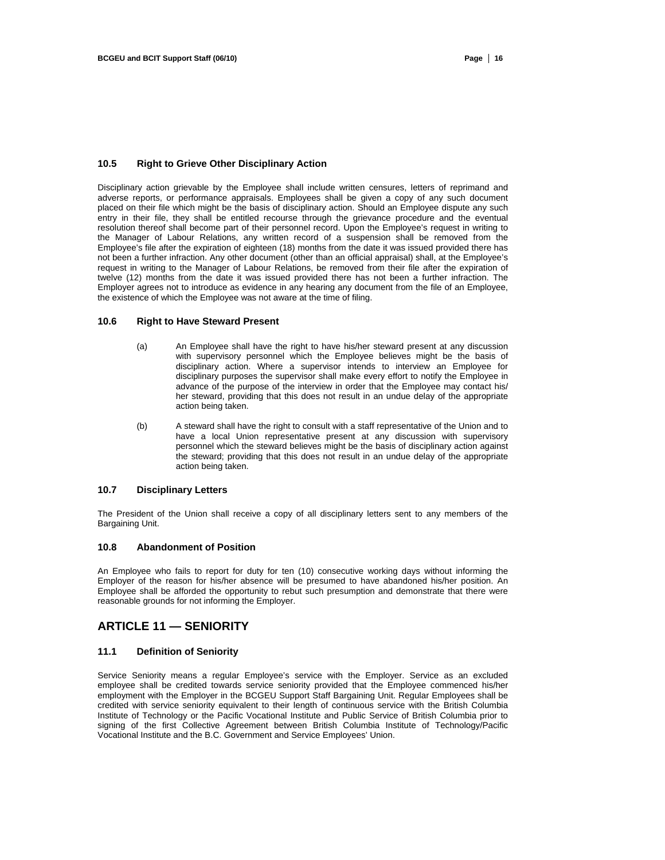#### **10.5 Right to Grieve Other Disciplinary Action**

Disciplinary action grievable by the Employee shall include written censures, letters of reprimand and adverse reports, or performance appraisals. Employees shall be given a copy of any such document placed on their file which might be the basis of disciplinary action. Should an Employee dispute any such entry in their file, they shall be entitled recourse through the grievance procedure and the eventual resolution thereof shall become part of their personnel record. Upon the Employee's request in writing to the Manager of Labour Relations, any written record of a suspension shall be removed from the Employee's file after the expiration of eighteen (18) months from the date it was issued provided there has not been a further infraction. Any other document (other than an official appraisal) shall, at the Employee's request in writing to the Manager of Labour Relations, be removed from their file after the expiration of twelve (12) months from the date it was issued provided there has not been a further infraction. The Employer agrees not to introduce as evidence in any hearing any document from the file of an Employee, the existence of which the Employee was not aware at the time of filing.

# **10.6 Right to Have Steward Present**

- (a) An Employee shall have the right to have his/her steward present at any discussion with supervisory personnel which the Employee believes might be the basis of disciplinary action. Where a supervisor intends to interview an Employee for disciplinary purposes the supervisor shall make every effort to notify the Employee in advance of the purpose of the interview in order that the Employee may contact his/ her steward, providing that this does not result in an undue delay of the appropriate action being taken.
- (b) A steward shall have the right to consult with a staff representative of the Union and to have a local Union representative present at any discussion with supervisory personnel which the steward believes might be the basis of disciplinary action against the steward; providing that this does not result in an undue delay of the appropriate action being taken.

#### **10.7 Disciplinary Letters**

The President of the Union shall receive a copy of all disciplinary letters sent to any members of the Bargaining Unit.

#### **10.8 Abandonment of Position**

An Employee who fails to report for duty for ten (10) consecutive working days without informing the Employer of the reason for his/her absence will be presumed to have abandoned his/her position. An Employee shall be afforded the opportunity to rebut such presumption and demonstrate that there were reasonable grounds for not informing the Employer.

# **ARTICLE 11 — SENIORITY**

# **11.1 Definition of Seniority**

Service Seniority means a regular Employee's service with the Employer. Service as an excluded employee shall be credited towards service seniority provided that the Employee commenced his/her employment with the Employer in the BCGEU Support Staff Bargaining Unit. Regular Employees shall be credited with service seniority equivalent to their length of continuous service with the British Columbia Institute of Technology or the Pacific Vocational Institute and Public Service of British Columbia prior to signing of the first Collective Agreement between British Columbia Institute of Technology/Pacific Vocational Institute and the B.C. Government and Service Employees' Union.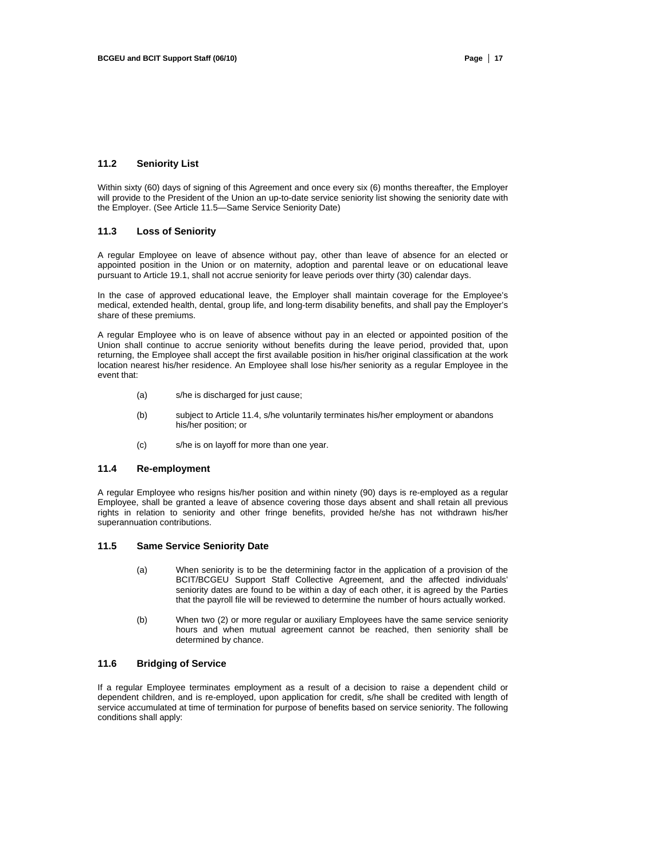#### **11.2 Seniority List**

Within sixty (60) days of signing of this Agreement and once every six (6) months thereafter, the Employer will provide to the President of the Union an up-to-date service seniority list showing the seniority date with the Employer. (See Article 11.5—Same Service Seniority Date)

# **11.3 Loss of Seniority**

A regular Employee on leave of absence without pay, other than leave of absence for an elected or appointed position in the Union or on maternity, adoption and parental leave or on educational leave pursuant to Article 19.1, shall not accrue seniority for leave periods over thirty (30) calendar days.

In the case of approved educational leave, the Employer shall maintain coverage for the Employee's medical, extended health, dental, group life, and long-term disability benefits, and shall pay the Employer's share of these premiums.

A regular Employee who is on leave of absence without pay in an elected or appointed position of the Union shall continue to accrue seniority without benefits during the leave period, provided that, upon returning, the Employee shall accept the first available position in his/her original classification at the work location nearest his/her residence. An Employee shall lose his/her seniority as a regular Employee in the event that:

- (a) s/he is discharged for just cause;
- (b) subject to Article 11.4, s/he voluntarily terminates his/her employment or abandons his/her position; or
- (c) s/he is on layoff for more than one year.

# **11.4 Re-employment**

A regular Employee who resigns his/her position and within ninety (90) days is re-employed as a regular Employee, shall be granted a leave of absence covering those days absent and shall retain all previous rights in relation to seniority and other fringe benefits, provided he/she has not withdrawn his/her superannuation contributions.

### **11.5 Same Service Seniority Date**

- (a) When seniority is to be the determining factor in the application of a provision of the BCIT/BCGEU Support Staff Collective Agreement, and the affected individuals' seniority dates are found to be within a day of each other, it is agreed by the Parties that the payroll file will be reviewed to determine the number of hours actually worked.
- (b) When two (2) or more regular or auxiliary Employees have the same service seniority hours and when mutual agreement cannot be reached, then seniority shall be determined by chance.

# **11.6 Bridging of Service**

If a regular Employee terminates employment as a result of a decision to raise a dependent child or dependent children, and is re-employed, upon application for credit, s/he shall be credited with length of service accumulated at time of termination for purpose of benefits based on service seniority. The following conditions shall apply: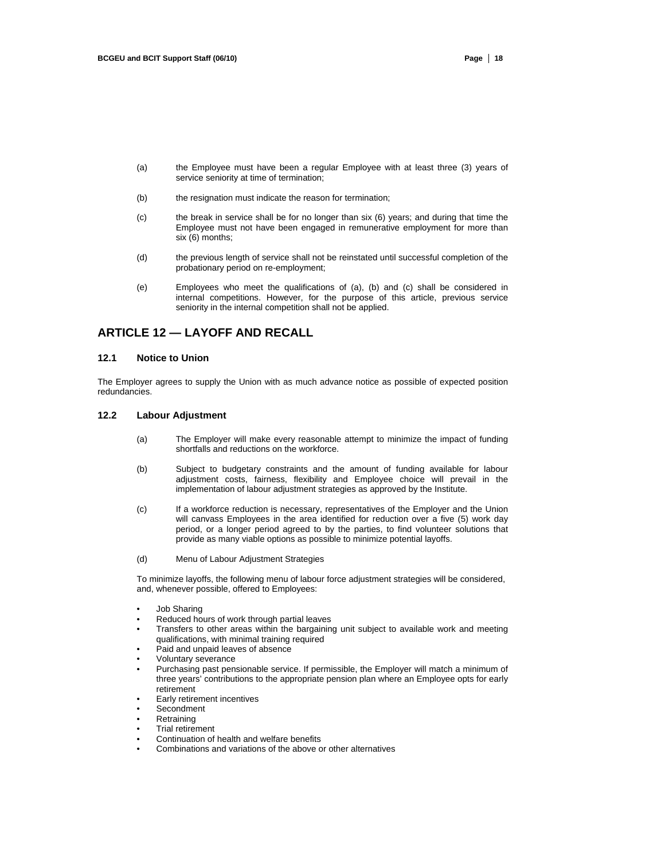- (a) the Employee must have been a regular Employee with at least three (3) years of service seniority at time of termination;
- (b) the resignation must indicate the reason for termination;
- (c) the break in service shall be for no longer than six (6) years; and during that time the Employee must not have been engaged in remunerative employment for more than six (6) months;
- (d) the previous length of service shall not be reinstated until successful completion of the probationary period on re-employment;
- (e) Employees who meet the qualifications of (a), (b) and (c) shall be considered in internal competitions. However, for the purpose of this article, previous service seniority in the internal competition shall not be applied.

# **ARTICLE 12 — LAYOFF AND RECALL**

### **12.1 Notice to Union**

The Employer agrees to supply the Union with as much advance notice as possible of expected position redundancies.

#### **12.2 Labour Adjustment**

- (a) The Employer will make every reasonable attempt to minimize the impact of funding shortfalls and reductions on the workforce.
- (b) Subject to budgetary constraints and the amount of funding available for labour adjustment costs, fairness, flexibility and Employee choice will prevail in the implementation of labour adjustment strategies as approved by the Institute.
- (c) If a workforce reduction is necessary, representatives of the Employer and the Union will canvass Employees in the area identified for reduction over a five (5) work day period, or a longer period agreed to by the parties, to find volunteer solutions that provide as many viable options as possible to minimize potential layoffs.
- (d) Menu of Labour Adjustment Strategies

To minimize layoffs, the following menu of labour force adjustment strategies will be considered, and, whenever possible, offered to Employees:

- Job Sharing
- Reduced hours of work through partial leaves
- Transfers to other areas within the bargaining unit subject to available work and meeting qualifications, with minimal training required
- Paid and unpaid leaves of absence
- Voluntary severance
- Purchasing past pensionable service. If permissible, the Employer will match a minimum of three years' contributions to the appropriate pension plan where an Employee opts for early retirement
- Early retirement incentives
- Secondment
- **Retraining**
- Trial retirement
- Continuation of health and welfare benefits
- Combinations and variations of the above or other alternatives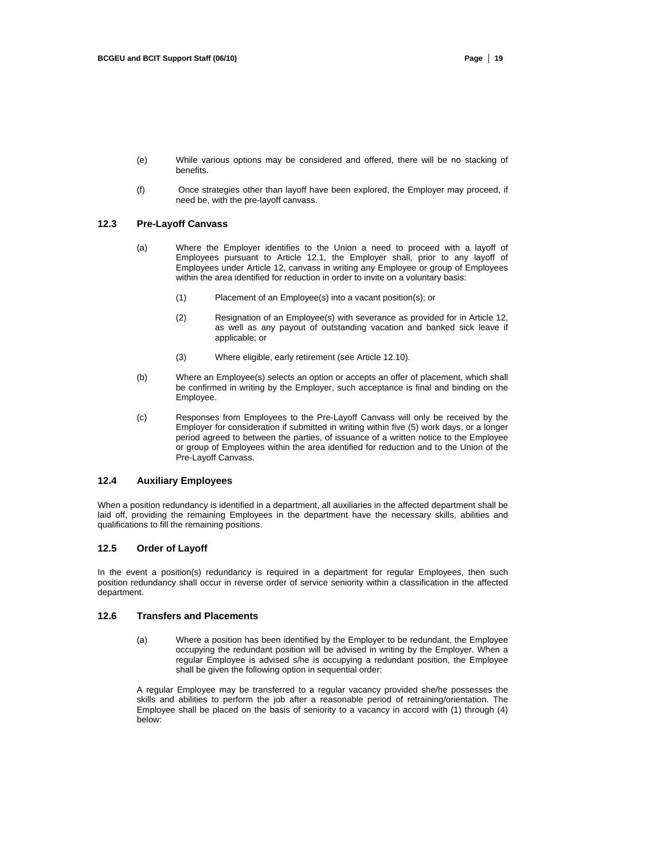- (e) While various options may be considered and offered, there will be no stacking of benefits.
- (f) Once strategies other than layoff have been explored, the Employer may proceed, if need be, with the pre-layoff canvass.

# **12.3 Pre-Layoff Canvass**

- (a) Where the Employer identifies to the Union a need to proceed with a layoff of Employees pursuant to Article 12.1, the Employer shall, prior to any layoff of Employees under Article 12, canvass in writing any Employee or group of Employees within the area identified for reduction in order to invite on a voluntary basis:
	- (1) Placement of an Employee(s) into a vacant position(s); or
	- (2) Resignation of an Employee(s) with severance as provided for in Article 12, as well as any payout of outstanding vacation and banked sick leave if applicable; or
	- (3) Where eligible, early retirement (see Article 12.10).
- (b) Where an Employee(s) selects an option or accepts an offer of placement, which shall be confirmed in writing by the Employer, such acceptance is final and binding on the Employee.
- (c) Responses from Employees to the Pre-Layoff Canvass will only be received by the Employer for consideration if submitted in writing within five (5) work days, or a longer period agreed to between the parties, of issuance of a written notice to the Employee or group of Employees within the area identified for reduction and to the Union of the Pre-Layoff Canvass.

# **12.4 Auxiliary Employees**

When a position redundancy is identified in a department, all auxiliaries in the affected department shall be laid off, providing the remaining Employees in the department have the necessary skills, abilities and qualifications to fill the remaining positions.

# **12.5 Order of Layoff**

In the event a position(s) redundancy is required in a department for regular Employees, then such position redundancy shall occur in reverse order of service seniority within a classification in the affected department.

# **12.6 Transfers and Placements**

(a) Where a position has been identified by the Employer to be redundant, the Employee occupying the redundant position will be advised in writing by the Employer. When a regular Employee is advised s/he is occupying a redundant position, the Employee shall be given the following option in sequential order:

A regular Employee may be transferred to a regular vacancy provided she/he possesses the skills and abilities to perform the job after a reasonable period of retraining/orientation. The Employee shall be placed on the basis of seniority to a vacancy in accord with (1) through (4) below: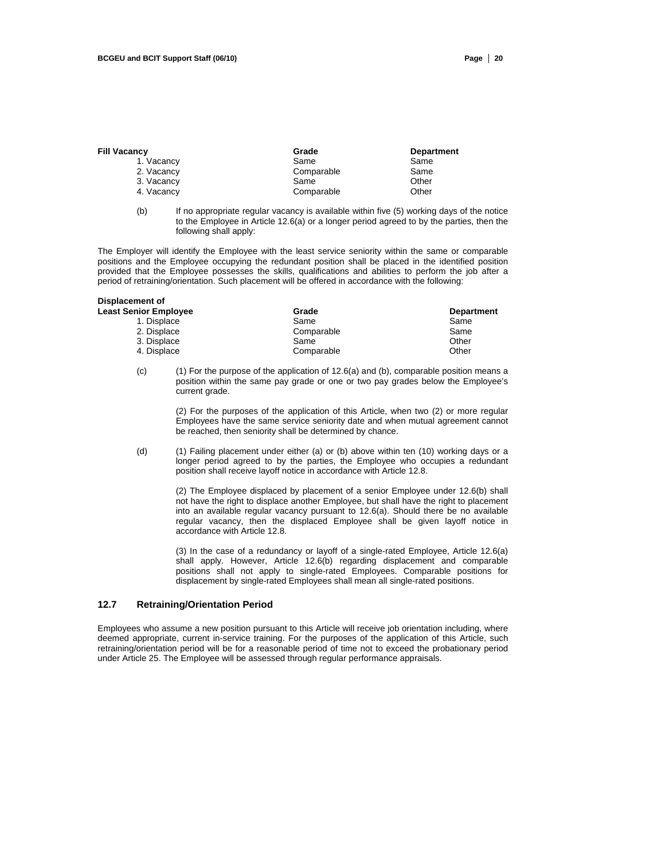| Fill Vacancy | Grade      | <b>Department</b> |  |
|--------------|------------|-------------------|--|
| 1. Vacancy   | Same       | Same              |  |
| 2. Vacancy   | Comparable | Same              |  |
| 3. Vacancy   | Same       | Other             |  |
| 4. Vacancy   | Comparable | Other             |  |
|              |            |                   |  |

(b) If no appropriate regular vacancy is available within five (5) working days of the notice to the Employee in Article 12.6(a) or a longer period agreed to by the parties, then the following shall apply:

The Employer will identify the Employee with the least service seniority within the same or comparable positions and the Employee occupying the redundant position shall be placed in the identified position provided that the Employee possesses the skills, qualifications and abilities to perform the job after a period of retraining/orientation. Such placement will be offered in accordance with the following:

# **Displacement of**

| <b>Least Senior Employee</b> | Grade      | <b>Department</b> |
|------------------------------|------------|-------------------|
| 1. Displace                  | Same       | Same              |
| 2. Displace                  | Comparable | Same              |
| 3. Displace                  | Same       | Other             |
| 4. Displace                  | Comparable | Other             |
|                              |            |                   |

(c) (1) For the purpose of the application of 12.6(a) and (b), comparable position means a position within the same pay grade or one or two pay grades below the Employee's current grade.

> (2) For the purposes of the application of this Article, when two (2) or more regular Employees have the same service seniority date and when mutual agreement cannot be reached, then seniority shall be determined by chance.

(d) (1) Failing placement under either (a) or (b) above within ten (10) working days or a longer period agreed to by the parties, the Employee who occupies a redundant position shall receive layoff notice in accordance with Article 12.8.

> (2) The Employee displaced by placement of a senior Employee under 12.6(b) shall not have the right to displace another Employee, but shall have the right to placement into an available regular vacancy pursuant to 12.6(a). Should there be no available regular vacancy, then the displaced Employee shall be given layoff notice in accordance with Article 12.8.

> (3) In the case of a redundancy or layoff of a single-rated Employee, Article 12.6(a) shall apply. However, Article 12.6(b) regarding displacement and comparable positions shall not apply to single-rated Employees. Comparable positions for displacement by single-rated Employees shall mean all single-rated positions.

# **12.7 Retraining/Orientation Period**

Employees who assume a new position pursuant to this Article will receive job orientation including, where deemed appropriate, current in-service training. For the purposes of the application of this Article, such retraining/orientation period will be for a reasonable period of time not to exceed the probationary period under Article 25. The Employee will be assessed through regular performance appraisals.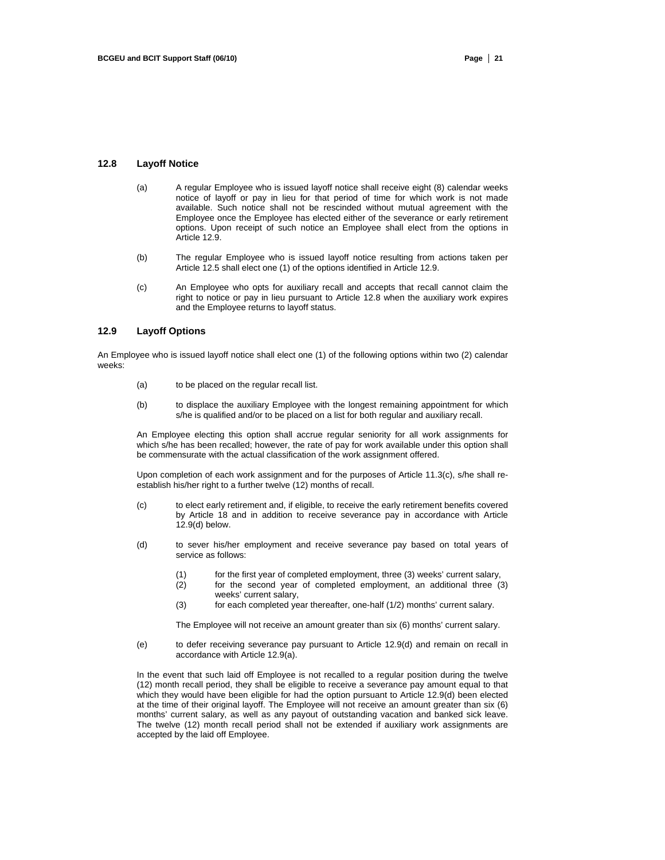#### **12.8 Layoff Notice**

- (a) A regular Employee who is issued layoff notice shall receive eight (8) calendar weeks notice of layoff or pay in lieu for that period of time for which work is not made available. Such notice shall not be rescinded without mutual agreement with the Employee once the Employee has elected either of the severance or early retirement options. Upon receipt of such notice an Employee shall elect from the options in Article 12.9.
- (b) The regular Employee who is issued layoff notice resulting from actions taken per Article 12.5 shall elect one (1) of the options identified in Article 12.9.
- (c) An Employee who opts for auxiliary recall and accepts that recall cannot claim the right to notice or pay in lieu pursuant to Article 12.8 when the auxiliary work expires and the Employee returns to layoff status.

# **12.9 Layoff Options**

An Employee who is issued layoff notice shall elect one (1) of the following options within two (2) calendar weeks:

- (a) to be placed on the regular recall list.
- (b) to displace the auxiliary Employee with the longest remaining appointment for which s/he is qualified and/or to be placed on a list for both regular and auxiliary recall.

An Employee electing this option shall accrue regular seniority for all work assignments for which s/he has been recalled; however, the rate of pay for work available under this option shall be commensurate with the actual classification of the work assignment offered.

Upon completion of each work assignment and for the purposes of Article 11.3(c), s/he shall reestablish his/her right to a further twelve (12) months of recall.

- (c) to elect early retirement and, if eligible, to receive the early retirement benefits covered by Article 18 and in addition to receive severance pay in accordance with Article  $12.9(d)$  below.
- (d) to sever his/her employment and receive severance pay based on total years of service as follows:
	- (1) for the first year of completed employment, three (3) weeks' current salary,
	- (2) for the second year of completed employment, an additional three (3) weeks' current salary,
	- (3) for each completed year thereafter, one-half (1/2) months' current salary.

The Employee will not receive an amount greater than six (6) months' current salary.

(e) to defer receiving severance pay pursuant to Article 12.9(d) and remain on recall in accordance with Article 12.9(a).

In the event that such laid off Employee is not recalled to a regular position during the twelve (12) month recall period, they shall be eligible to receive a severance pay amount equal to that which they would have been eligible for had the option pursuant to Article 12.9(d) been elected at the time of their original layoff. The Employee will not receive an amount greater than six (6) months' current salary, as well as any payout of outstanding vacation and banked sick leave. The twelve (12) month recall period shall not be extended if auxiliary work assignments are accepted by the laid off Employee.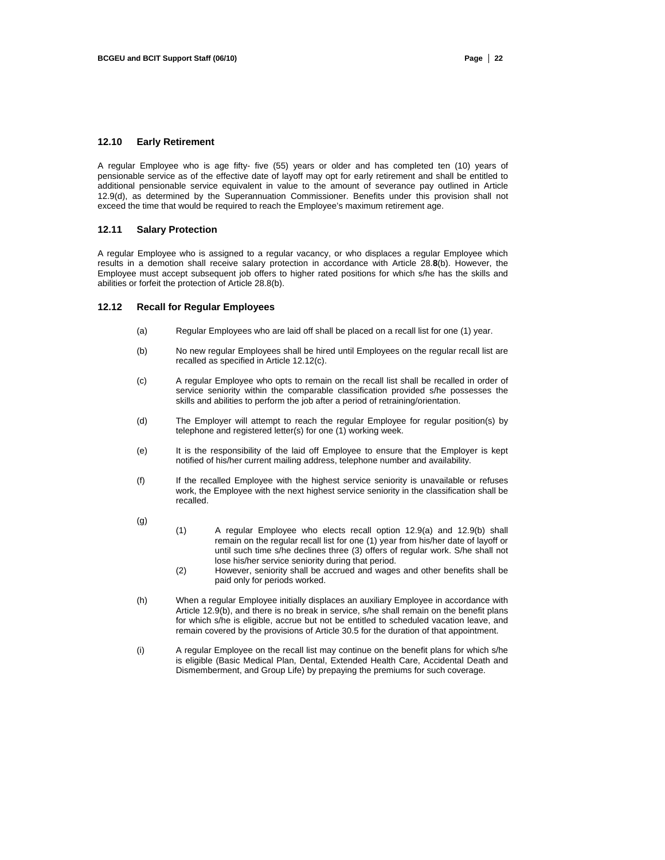# **12.10 Early Retirement**

A regular Employee who is age fifty- five (55) years or older and has completed ten (10) years of pensionable service as of the effective date of layoff may opt for early retirement and shall be entitled to additional pensionable service equivalent in value to the amount of severance pay outlined in Article 12.9(d), as determined by the Superannuation Commissioner. Benefits under this provision shall not exceed the time that would be required to reach the Employee's maximum retirement age.

#### **12.11 Salary Protection**

A regular Employee who is assigned to a regular vacancy, or who displaces a regular Employee which results in a demotion shall receive salary protection in accordance with Article 28.**8**(b). However, the Employee must accept subsequent job offers to higher rated positions for which s/he has the skills and abilities or forfeit the protection of Article 28.8(b).

#### **12.12 Recall for Regular Employees**

- (a) Regular Employees who are laid off shall be placed on a recall list for one (1) year.
- (b) No new regular Employees shall be hired until Employees on the regular recall list are recalled as specified in Article 12.12(c).
- (c) A regular Employee who opts to remain on the recall list shall be recalled in order of service seniority within the comparable classification provided s/he possesses the skills and abilities to perform the job after a period of retraining/orientation.
- (d) The Employer will attempt to reach the regular Employee for regular position(s) by telephone and registered letter(s) for one (1) working week.
- (e) It is the responsibility of the laid off Employee to ensure that the Employer is kept notified of his/her current mailing address, telephone number and availability.
- (f) If the recalled Employee with the highest service seniority is unavailable or refuses work, the Employee with the next highest service seniority in the classification shall be recalled.
- (g)
- (1) A regular Employee who elects recall option 12.9(a) and 12.9(b) shall remain on the regular recall list for one (1) year from his/her date of layoff or until such time s/he declines three (3) offers of regular work. S/he shall not lose his/her service seniority during that period.
- (2) However, seniority shall be accrued and wages and other benefits shall be paid only for periods worked.
- (h) When a regular Employee initially displaces an auxiliary Employee in accordance with Article 12.9(b), and there is no break in service, s/he shall remain on the benefit plans for which s/he is eligible, accrue but not be entitled to scheduled vacation leave, and remain covered by the provisions of Article 30.5 for the duration of that appointment.
- (i) A regular Employee on the recall list may continue on the benefit plans for which s/he is eligible (Basic Medical Plan, Dental, Extended Health Care, Accidental Death and Dismemberment, and Group Life) by prepaying the premiums for such coverage.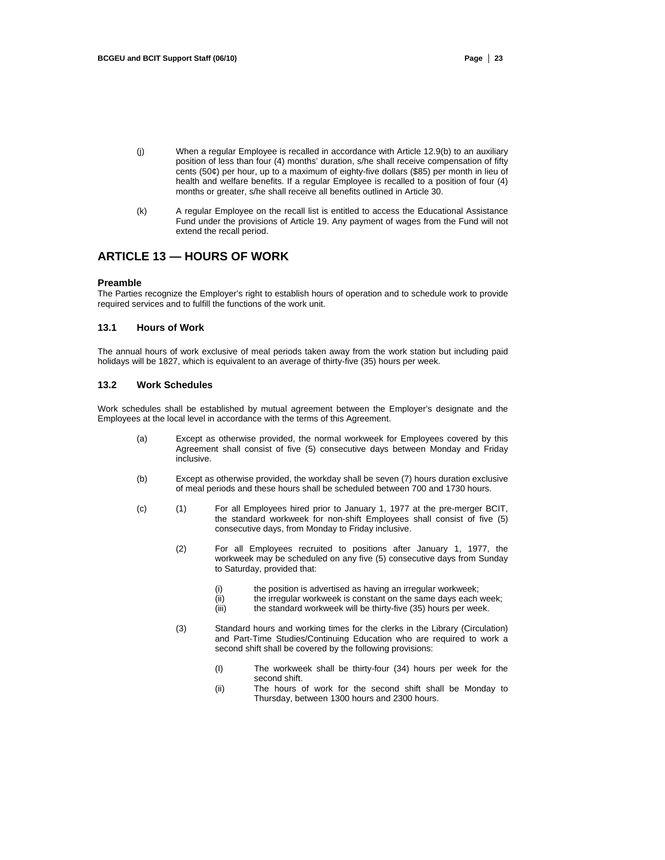- (j) When a regular Employee is recalled in accordance with Article 12.9(b) to an auxiliary position of less than four (4) months' duration, s/he shall receive compensation of fifty cents (50¢) per hour, up to a maximum of eighty-five dollars (\$85) per month in lieu of health and welfare benefits. If a regular Employee is recalled to a position of four (4) months or greater, s/he shall receive all benefits outlined in Article 30.
- (k) A regular Employee on the recall list is entitled to access the Educational Assistance Fund under the provisions of Article 19. Any payment of wages from the Fund will not extend the recall period.

# **ARTICLE 13 — HOURS OF WORK**

#### **Preamble**

The Parties recognize the Employer's right to establish hours of operation and to schedule work to provide required services and to fulfill the functions of the work unit.

# **13.1 Hours of Work**

The annual hours of work exclusive of meal periods taken away from the work station but including paid holidays will be 1827, which is equivalent to an average of thirty-five (35) hours per week.

# **13.2 Work Schedules**

Work schedules shall be established by mutual agreement between the Employer's designate and the Employees at the local level in accordance with the terms of this Agreement.

- (a) Except as otherwise provided, the normal workweek for Employees covered by this Agreement shall consist of five (5) consecutive days between Monday and Friday inclusive.
- (b) Except as otherwise provided, the workday shall be seven (7) hours duration exclusive of meal periods and these hours shall be scheduled between 700 and 1730 hours.
- (c) (1) For all Employees hired prior to January 1, 1977 at the pre-merger BCIT, the standard workweek for non-shift Employees shall consist of five (5) consecutive days, from Monday to Friday inclusive.
	- (2) For all Employees recruited to positions after January 1, 1977, the workweek may be scheduled on any five (5) consecutive days from Sunday to Saturday, provided that:
		- (i) the position is advertised as having an irregular workweek;
		- (ii) the irregular workweek is constant on the same days each week;
		- (iii) the standard workweek will be thirty-five (35) hours per week.
	- (3) Standard hours and working times for the clerks in the Library (Circulation) and Part-Time Studies/Continuing Education who are required to work a second shift shall be covered by the following provisions:
		- (I) The workweek shall be thirty-four (34) hours per week for the second shift.
		- (ii) The hours of work for the second shift shall be Monday to Thursday, between 1300 hours and 2300 hours.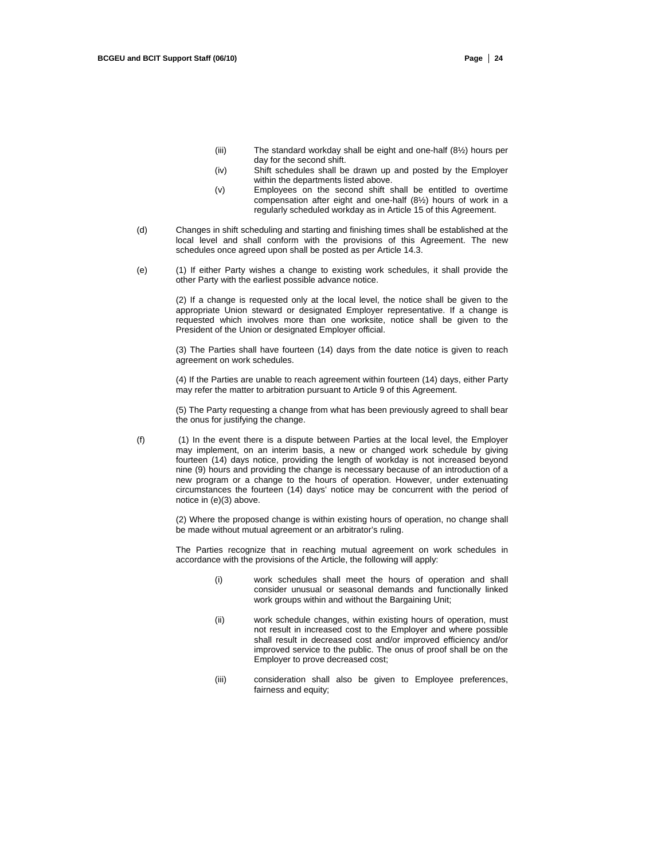- (iii) The standard workday shall be eight and one-half (8½) hours per day for the second shift.
- (iv) Shift schedules shall be drawn up and posted by the Employer within the departments listed above.
- (v) Employees on the second shift shall be entitled to overtime compensation after eight and one-half (8½) hours of work in a regularly scheduled workday as in Article 15 of this Agreement.
- (d) Changes in shift scheduling and starting and finishing times shall be established at the local level and shall conform with the provisions of this Agreement. The new schedules once agreed upon shall be posted as per Article 14.3.
- (e) (1) If either Party wishes a change to existing work schedules, it shall provide the other Party with the earliest possible advance notice.

(2) If a change is requested only at the local level, the notice shall be given to the appropriate Union steward or designated Employer representative. If a change is requested which involves more than one worksite, notice shall be given to the President of the Union or designated Employer official.

(3) The Parties shall have fourteen (14) days from the date notice is given to reach agreement on work schedules.

(4) If the Parties are unable to reach agreement within fourteen (14) days, either Party may refer the matter to arbitration pursuant to Article 9 of this Agreement.

(5) The Party requesting a change from what has been previously agreed to shall bear the onus for justifying the change.

(f) (1) In the event there is a dispute between Parties at the local level, the Employer may implement, on an interim basis, a new or changed work schedule by giving fourteen (14) days notice, providing the length of workday is not increased beyond nine (9) hours and providing the change is necessary because of an introduction of a new program or a change to the hours of operation. However, under extenuating circumstances the fourteen (14) days' notice may be concurrent with the period of notice in (e)(3) above.

> (2) Where the proposed change is within existing hours of operation, no change shall be made without mutual agreement or an arbitrator's ruling.

> The Parties recognize that in reaching mutual agreement on work schedules in accordance with the provisions of the Article, the following will apply:

- (i) work schedules shall meet the hours of operation and shall consider unusual or seasonal demands and functionally linked work groups within and without the Bargaining Unit;
- (ii) work schedule changes, within existing hours of operation, must not result in increased cost to the Employer and where possible shall result in decreased cost and/or improved efficiency and/or improved service to the public. The onus of proof shall be on the Employer to prove decreased cost;
- (iii) consideration shall also be given to Employee preferences, fairness and equity;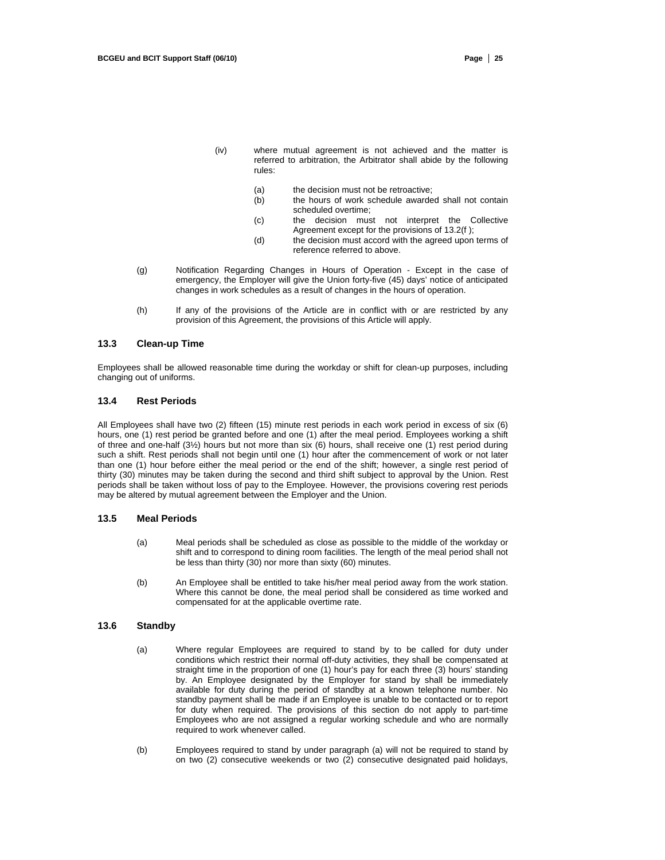- (iv) where mutual agreement is not achieved and the matter is referred to arbitration, the Arbitrator shall abide by the following rules:
	- (a) the decision must not be retroactive:
	- (b) the hours of work schedule awarded shall not contain scheduled overtime;
	- (c) the decision must not interpret the Collective Agreement except for the provisions of 13.2(f );
	- (d) the decision must accord with the agreed upon terms of reference referred to above.
- (g) Notification Regarding Changes in Hours of Operation Except in the case of emergency, the Employer will give the Union forty-five (45) days' notice of anticipated changes in work schedules as a result of changes in the hours of operation.
- (h) If any of the provisions of the Article are in conflict with or are restricted by any provision of this Agreement, the provisions of this Article will apply.

#### **13.3 Clean-up Time**

Employees shall be allowed reasonable time during the workday or shift for clean-up purposes, including changing out of uniforms.

# **13.4 Rest Periods**

All Employees shall have two (2) fifteen (15) minute rest periods in each work period in excess of six (6) hours, one (1) rest period be granted before and one (1) after the meal period. Employees working a shift of three and one-half (3½) hours but not more than six (6) hours, shall receive one (1) rest period during such a shift. Rest periods shall not begin until one (1) hour after the commencement of work or not later than one (1) hour before either the meal period or the end of the shift; however, a single rest period of thirty (30) minutes may be taken during the second and third shift subject to approval by the Union. Rest periods shall be taken without loss of pay to the Employee. However, the provisions covering rest periods may be altered by mutual agreement between the Employer and the Union.

#### **13.5 Meal Periods**

- (a) Meal periods shall be scheduled as close as possible to the middle of the workday or shift and to correspond to dining room facilities. The length of the meal period shall not be less than thirty (30) nor more than sixty (60) minutes.
- (b) An Employee shall be entitled to take his/her meal period away from the work station. Where this cannot be done, the meal period shall be considered as time worked and compensated for at the applicable overtime rate.

# **13.6 Standby**

- (a) Where regular Employees are required to stand by to be called for duty under conditions which restrict their normal off-duty activities, they shall be compensated at straight time in the proportion of one (1) hour's pay for each three (3) hours' standing by. An Employee designated by the Employer for stand by shall be immediately available for duty during the period of standby at a known telephone number. No standby payment shall be made if an Employee is unable to be contacted or to report for duty when required. The provisions of this section do not apply to part-time Employees who are not assigned a regular working schedule and who are normally required to work whenever called.
- (b) Employees required to stand by under paragraph (a) will not be required to stand by on two (2) consecutive weekends or two (2) consecutive designated paid holidays,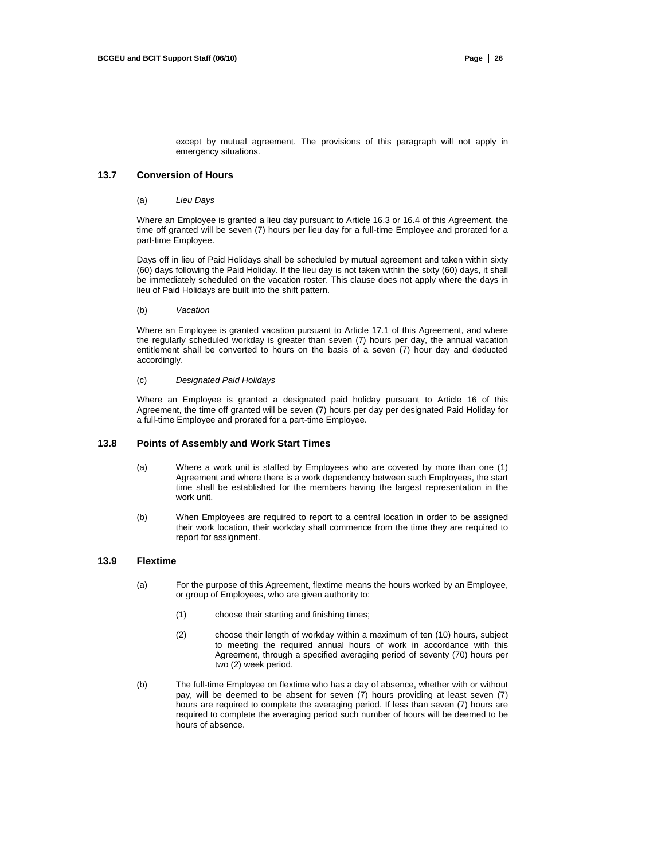except by mutual agreement. The provisions of this paragraph will not apply in emergency situations.

#### **13.7 Conversion of Hours**

#### (a) *Lieu Days*

Where an Employee is granted a lieu day pursuant to Article 16.3 or 16.4 of this Agreement, the time off granted will be seven (7) hours per lieu day for a full-time Employee and prorated for a part-time Employee.

Days off in lieu of Paid Holidays shall be scheduled by mutual agreement and taken within sixty (60) days following the Paid Holiday. If the lieu day is not taken within the sixty (60) days, it shall be immediately scheduled on the vacation roster. This clause does not apply where the days in lieu of Paid Holidays are built into the shift pattern.

#### (b) *Vacation*

Where an Employee is granted vacation pursuant to Article 17.1 of this Agreement, and where the regularly scheduled workday is greater than seven (7) hours per day, the annual vacation entitlement shall be converted to hours on the basis of a seven (7) hour day and deducted accordingly.

#### (c) *Designated Paid Holidays*

Where an Employee is granted a designated paid holiday pursuant to Article 16 of this Agreement, the time off granted will be seven (7) hours per day per designated Paid Holiday for a full-time Employee and prorated for a part-time Employee.

#### **13.8 Points of Assembly and Work Start Times**

- (a) Where a work unit is staffed by Employees who are covered by more than one (1) Agreement and where there is a work dependency between such Employees, the start time shall be established for the members having the largest representation in the work unit.
- (b) When Employees are required to report to a central location in order to be assigned their work location, their workday shall commence from the time they are required to report for assignment.

## **13.9 Flextime**

- (a) For the purpose of this Agreement, flextime means the hours worked by an Employee, or group of Employees, who are given authority to:
	- (1) choose their starting and finishing times;
	- (2) choose their length of workday within a maximum of ten (10) hours, subject to meeting the required annual hours of work in accordance with this Agreement, through a specified averaging period of seventy (70) hours per two (2) week period.
- (b) The full-time Employee on flextime who has a day of absence, whether with or without pay, will be deemed to be absent for seven (7) hours providing at least seven (7) hours are required to complete the averaging period. If less than seven (7) hours are required to complete the averaging period such number of hours will be deemed to be hours of absence.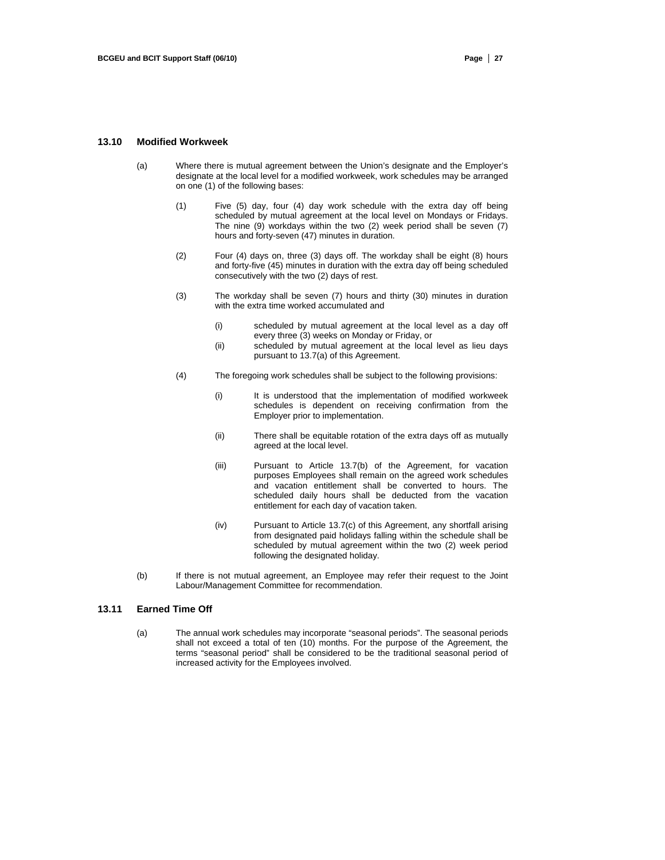## **13.10 Modified Workweek**

- (a) Where there is mutual agreement between the Union's designate and the Employer's designate at the local level for a modified workweek, work schedules may be arranged on one (1) of the following bases:
	- (1) Five (5) day, four (4) day work schedule with the extra day off being scheduled by mutual agreement at the local level on Mondays or Fridays. The nine  $(9)$  workdays within the two  $(2)$  week period shall be seven  $(7)$ hours and forty-seven (47) minutes in duration.
	- (2) Four (4) days on, three (3) days off. The workday shall be eight (8) hours and forty-five (45) minutes in duration with the extra day off being scheduled consecutively with the two (2) days of rest.
	- (3) The workday shall be seven (7) hours and thirty (30) minutes in duration with the extra time worked accumulated and
		- (i) scheduled by mutual agreement at the local level as a day off every three (3) weeks on Monday or Friday, or
		- (ii) scheduled by mutual agreement at the local level as lieu days pursuant to 13.7(a) of this Agreement.
	- (4) The foregoing work schedules shall be subject to the following provisions:
		- (i) It is understood that the implementation of modified workweek schedules is dependent on receiving confirmation from the Employer prior to implementation.
		- (ii) There shall be equitable rotation of the extra days off as mutually agreed at the local level.
		- (iii) Pursuant to Article 13.7(b) of the Agreement, for vacation purposes Employees shall remain on the agreed work schedules and vacation entitlement shall be converted to hours. The scheduled daily hours shall be deducted from the vacation entitlement for each day of vacation taken.
		- (iv) Pursuant to Article 13.7(c) of this Agreement, any shortfall arising from designated paid holidays falling within the schedule shall be scheduled by mutual agreement within the two (2) week period following the designated holiday.
- (b) If there is not mutual agreement, an Employee may refer their request to the Joint Labour/Management Committee for recommendation.

# **13.11 Earned Time Off**

(a) The annual work schedules may incorporate "seasonal periods". The seasonal periods shall not exceed a total of ten (10) months. For the purpose of the Agreement, the terms "seasonal period" shall be considered to be the traditional seasonal period of increased activity for the Employees involved.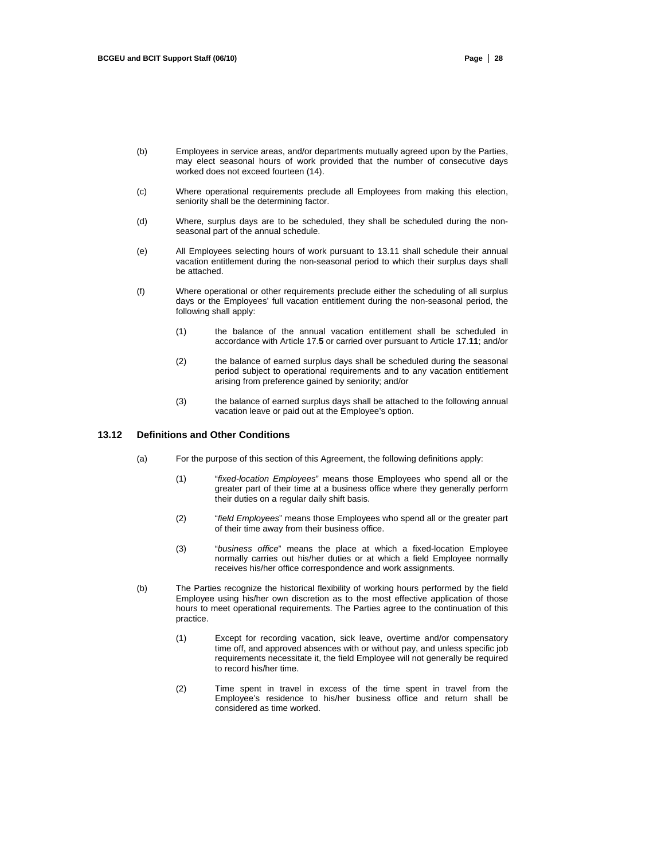- (b) Employees in service areas, and/or departments mutually agreed upon by the Parties, may elect seasonal hours of work provided that the number of consecutive days worked does not exceed fourteen (14).
- (c) Where operational requirements preclude all Employees from making this election, seniority shall be the determining factor.
- (d) Where, surplus days are to be scheduled, they shall be scheduled during the nonseasonal part of the annual schedule.
- (e) All Employees selecting hours of work pursuant to 13.11 shall schedule their annual vacation entitlement during the non-seasonal period to which their surplus days shall be attached.
- (f) Where operational or other requirements preclude either the scheduling of all surplus days or the Employees' full vacation entitlement during the non-seasonal period, the following shall apply:
	- (1) the balance of the annual vacation entitlement shall be scheduled in accordance with Article 17.**5** or carried over pursuant to Article 17.**11**; and/or
	- (2) the balance of earned surplus days shall be scheduled during the seasonal period subject to operational requirements and to any vacation entitlement arising from preference gained by seniority; and/or
	- (3) the balance of earned surplus days shall be attached to the following annual vacation leave or paid out at the Employee's option.

## **13.12 Definitions and Other Conditions**

- (a) For the purpose of this section of this Agreement, the following definitions apply:
	- (1) "*fixed-location Employees*" means those Employees who spend all or the greater part of their time at a business office where they generally perform their duties on a regular daily shift basis.
	- (2) "*field Employees*" means those Employees who spend all or the greater part of their time away from their business office.
	- (3) "*business office*" means the place at which a fixed-location Employee normally carries out his/her duties or at which a field Employee normally receives his/her office correspondence and work assignments.
- (b) The Parties recognize the historical flexibility of working hours performed by the field Employee using his/her own discretion as to the most effective application of those hours to meet operational requirements. The Parties agree to the continuation of this practice.
	- (1) Except for recording vacation, sick leave, overtime and/or compensatory time off, and approved absences with or without pay, and unless specific job requirements necessitate it, the field Employee will not generally be required to record his/her time.
	- (2) Time spent in travel in excess of the time spent in travel from the Employee's residence to his/her business office and return shall be considered as time worked.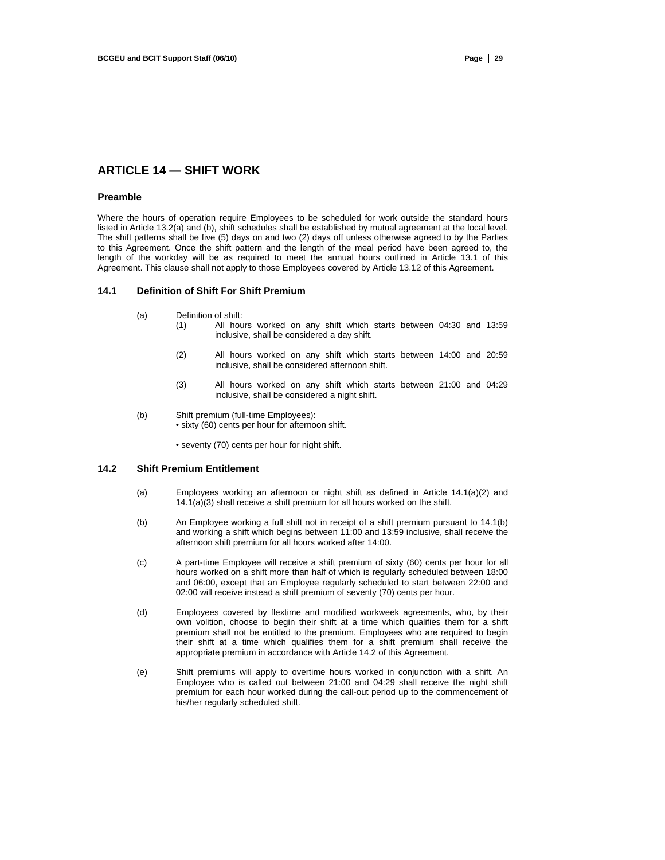# **ARTICLE 14 — SHIFT WORK**

#### **Preamble**

Where the hours of operation require Employees to be scheduled for work outside the standard hours listed in Article 13.2(a) and (b), shift schedules shall be established by mutual agreement at the local level. The shift patterns shall be five (5) days on and two (2) days off unless otherwise agreed to by the Parties to this Agreement. Once the shift pattern and the length of the meal period have been agreed to, the length of the workday will be as required to meet the annual hours outlined in Article 13.1 of this Agreement. This clause shall not apply to those Employees covered by Article 13.12 of this Agreement.

#### **14.1 Definition of Shift For Shift Premium**

- (a) Definition of shift:
	- (1) All hours worked on any shift which starts between 04:30 and 13:59 inclusive, shall be considered a day shift.
	- (2) All hours worked on any shift which starts between 14:00 and 20:59 inclusive, shall be considered afternoon shift.
	- (3) All hours worked on any shift which starts between 21:00 and 04:29 inclusive, shall be considered a night shift.
- (b) Shift premium (full-time Employees): • sixty (60) cents per hour for afternoon shift.
	- seventy (70) cents per hour for night shift.

# **14.2 Shift Premium Entitlement**

- (a) Employees working an afternoon or night shift as defined in Article 14.1(a)(2) and  $14.1(a)(3)$  shall receive a shift premium for all hours worked on the shift.
- (b) An Employee working a full shift not in receipt of a shift premium pursuant to 14.1(b) and working a shift which begins between 11:00 and 13:59 inclusive, shall receive the afternoon shift premium for all hours worked after 14:00.
- (c) A part-time Employee will receive a shift premium of sixty (60) cents per hour for all hours worked on a shift more than half of which is regularly scheduled between 18:00 and 06:00, except that an Employee regularly scheduled to start between 22:00 and 02:00 will receive instead a shift premium of seventy (70) cents per hour.
- (d) Employees covered by flextime and modified workweek agreements, who, by their own volition, choose to begin their shift at a time which qualifies them for a shift premium shall not be entitled to the premium. Employees who are required to begin their shift at a time which qualifies them for a shift premium shall receive the appropriate premium in accordance with Article 14.2 of this Agreement.
- (e) Shift premiums will apply to overtime hours worked in conjunction with a shift. An Employee who is called out between 21:00 and 04:29 shall receive the night shift premium for each hour worked during the call-out period up to the commencement of his/her regularly scheduled shift.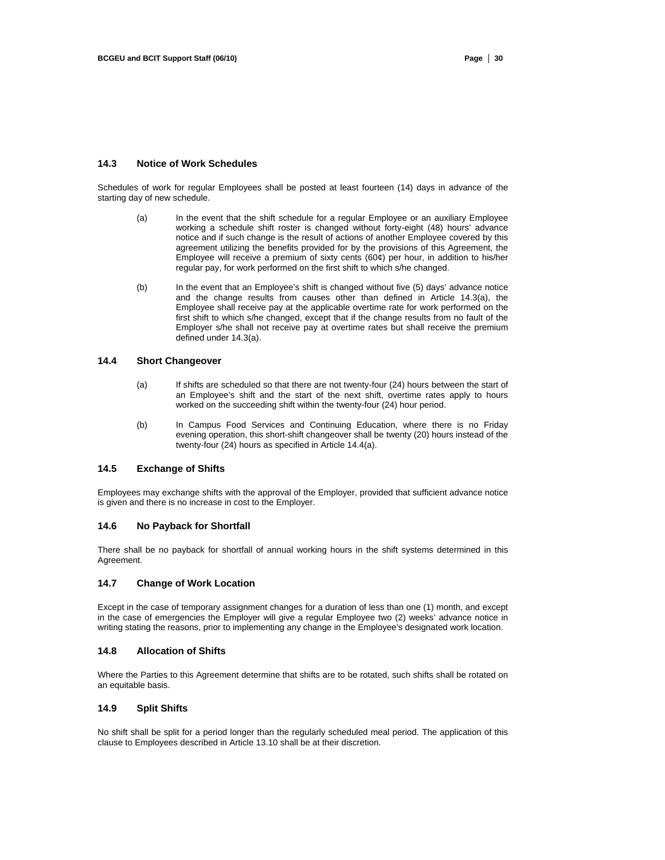#### **14.3 Notice of Work Schedules**

Schedules of work for regular Employees shall be posted at least fourteen (14) days in advance of the starting day of new schedule.

- (a) In the event that the shift schedule for a regular Employee or an auxiliary Employee working a schedule shift roster is changed without forty-eight (48) hours' advance notice and if such change is the result of actions of another Employee covered by this agreement utilizing the benefits provided for by the provisions of this Agreement, the Employee will receive a premium of sixty cents (60¢) per hour, in addition to his/her regular pay, for work performed on the first shift to which s/he changed.
- (b) In the event that an Employee's shift is changed without five (5) days' advance notice and the change results from causes other than defined in Article 14.3(a), the Employee shall receive pay at the applicable overtime rate for work performed on the first shift to which s/he changed, except that if the change results from no fault of the Employer s/he shall not receive pay at overtime rates but shall receive the premium defined under 14.3(a).

#### **14.4 Short Changeover**

- (a) If shifts are scheduled so that there are not twenty-four (24) hours between the start of an Employee's shift and the start of the next shift, overtime rates apply to hours worked on the succeeding shift within the twenty-four (24) hour period.
- (b) In Campus Food Services and Continuing Education, where there is no Friday evening operation, this short-shift changeover shall be twenty (20) hours instead of the twenty-four (24) hours as specified in Article 14.4(a).

# **14.5 Exchange of Shifts**

Employees may exchange shifts with the approval of the Employer, provided that sufficient advance notice is given and there is no increase in cost to the Employer.

### **14.6 No Payback for Shortfall**

There shall be no payback for shortfall of annual working hours in the shift systems determined in this Agreement.

#### **14.7 Change of Work Location**

Except in the case of temporary assignment changes for a duration of less than one (1) month, and except in the case of emergencies the Employer will give a regular Employee two (2) weeks' advance notice in writing stating the reasons, prior to implementing any change in the Employee's designated work location.

## **14.8 Allocation of Shifts**

Where the Parties to this Agreement determine that shifts are to be rotated, such shifts shall be rotated on an equitable basis.

## **14.9 Split Shifts**

No shift shall be split for a period longer than the regularly scheduled meal period. The application of this clause to Employees described in Article 13.10 shall be at their discretion.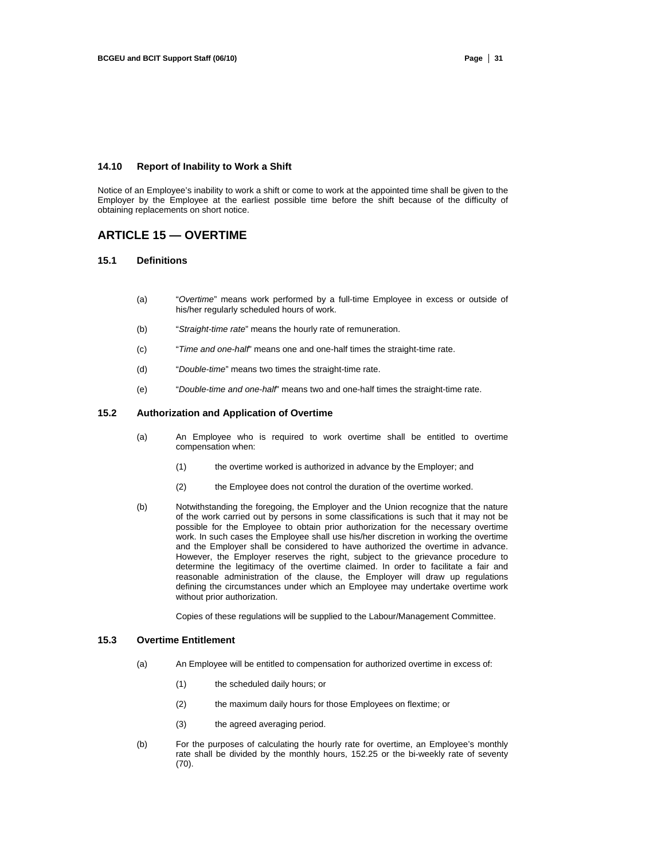#### **14.10 Report of Inability to Work a Shift**

Notice of an Employee's inability to work a shift or come to work at the appointed time shall be given to the Employer by the Employee at the earliest possible time before the shift because of the difficulty of obtaining replacements on short notice.

# **ARTICLE 15 — OVERTIME**

#### **15.1 Definitions**

- (a) "*Overtime*" means work performed by a full-time Employee in excess or outside of his/her regularly scheduled hours of work.
- (b) "*Straight-time rate*" means the hourly rate of remuneration.
- (c) "*Time and one-half*" means one and one-half times the straight-time rate.
- (d) "*Double-time*" means two times the straight-time rate.
- (e) "*Double-time and one-half*" means two and one-half times the straight-time rate.

#### **15.2 Authorization and Application of Overtime**

- (a) An Employee who is required to work overtime shall be entitled to overtime compensation when:
	- (1) the overtime worked is authorized in advance by the Employer; and
	- (2) the Employee does not control the duration of the overtime worked.
- (b) Notwithstanding the foregoing, the Employer and the Union recognize that the nature of the work carried out by persons in some classifications is such that it may not be possible for the Employee to obtain prior authorization for the necessary overtime work. In such cases the Employee shall use his/her discretion in working the overtime and the Employer shall be considered to have authorized the overtime in advance. However, the Employer reserves the right, subject to the grievance procedure to determine the legitimacy of the overtime claimed. In order to facilitate a fair and reasonable administration of the clause, the Employer will draw up regulations defining the circumstances under which an Employee may undertake overtime work without prior authorization.

Copies of these regulations will be supplied to the Labour/Management Committee.

## **15.3 Overtime Entitlement**

- (a) An Employee will be entitled to compensation for authorized overtime in excess of:
	- (1) the scheduled daily hours; or
	- (2) the maximum daily hours for those Employees on flextime; or
	- (3) the agreed averaging period.
- (b) For the purposes of calculating the hourly rate for overtime, an Employee's monthly rate shall be divided by the monthly hours, 152.25 or the bi-weekly rate of seventy (70).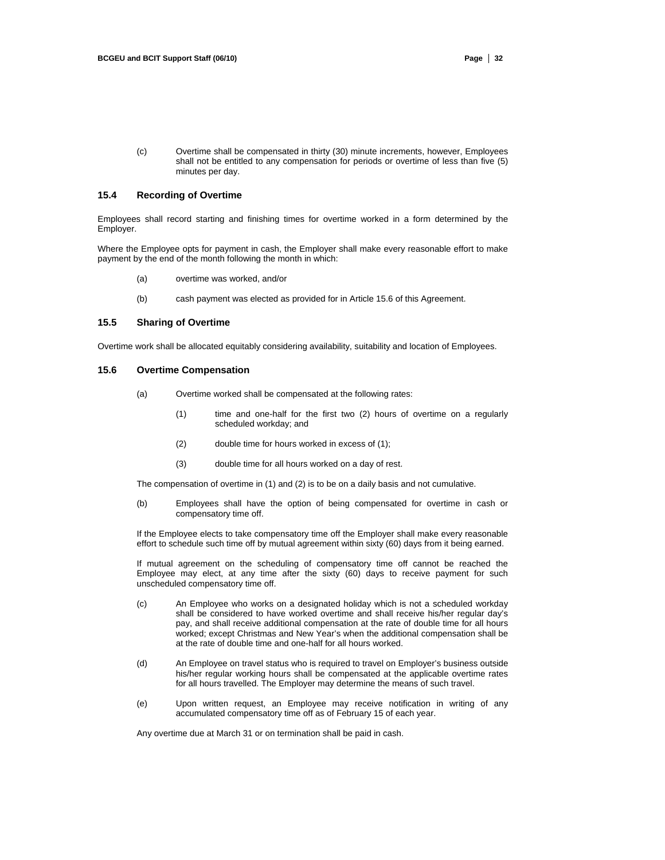(c) Overtime shall be compensated in thirty (30) minute increments, however, Employees shall not be entitled to any compensation for periods or overtime of less than five (5) minutes per day.

#### **15.4 Recording of Overtime**

Employees shall record starting and finishing times for overtime worked in a form determined by the Employer.

Where the Employee opts for payment in cash, the Employer shall make every reasonable effort to make payment by the end of the month following the month in which:

- (a) overtime was worked, and/or
- (b) cash payment was elected as provided for in Article 15.6 of this Agreement.

## **15.5 Sharing of Overtime**

Overtime work shall be allocated equitably considering availability, suitability and location of Employees.

#### **15.6 Overtime Compensation**

- (a) Overtime worked shall be compensated at the following rates:
	- (1) time and one-half for the first two (2) hours of overtime on a regularly scheduled workday; and
	- (2) double time for hours worked in excess of (1);
	- (3) double time for all hours worked on a day of rest.

The compensation of overtime in (1) and (2) is to be on a daily basis and not cumulative.

(b) Employees shall have the option of being compensated for overtime in cash or compensatory time off.

If the Employee elects to take compensatory time off the Employer shall make every reasonable effort to schedule such time off by mutual agreement within sixty (60) days from it being earned.

If mutual agreement on the scheduling of compensatory time off cannot be reached the Employee may elect, at any time after the sixty (60) days to receive payment for such unscheduled compensatory time off.

- (c) An Employee who works on a designated holiday which is not a scheduled workday shall be considered to have worked overtime and shall receive his/her regular day's pay, and shall receive additional compensation at the rate of double time for all hours worked; except Christmas and New Year's when the additional compensation shall be at the rate of double time and one-half for all hours worked.
- (d) An Employee on travel status who is required to travel on Employer's business outside his/her regular working hours shall be compensated at the applicable overtime rates for all hours travelled. The Employer may determine the means of such travel.
- (e) Upon written request, an Employee may receive notification in writing of any accumulated compensatory time off as of February 15 of each year.

Any overtime due at March 31 or on termination shall be paid in cash.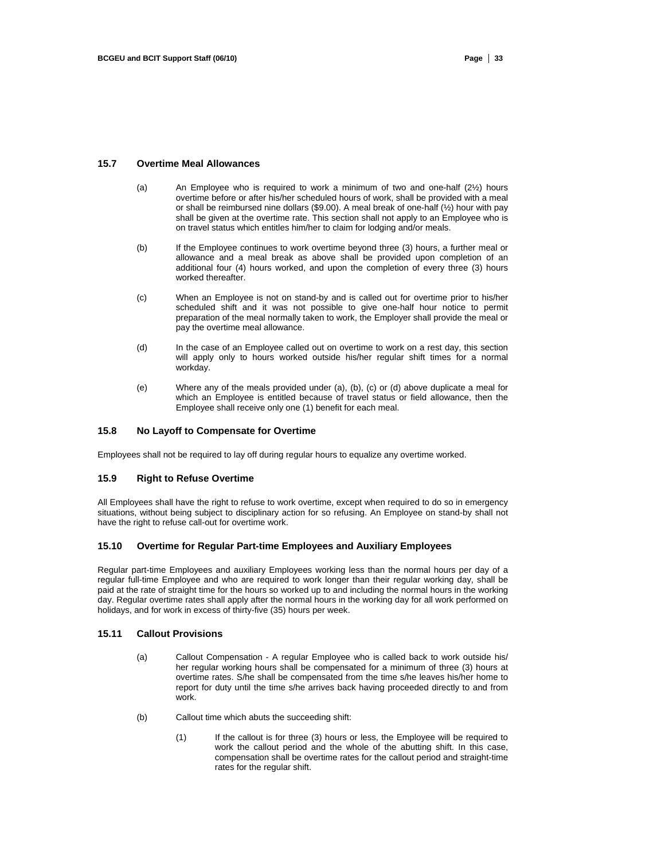#### **15.7 Overtime Meal Allowances**

- (a) An Employee who is required to work a minimum of two and one-half (2½) hours overtime before or after his/her scheduled hours of work, shall be provided with a meal or shall be reimbursed nine dollars (\$9.00). A meal break of one-half (½) hour with pay shall be given at the overtime rate. This section shall not apply to an Employee who is on travel status which entitles him/her to claim for lodging and/or meals.
- (b) If the Employee continues to work overtime beyond three (3) hours, a further meal or allowance and a meal break as above shall be provided upon completion of an additional four (4) hours worked, and upon the completion of every three (3) hours worked thereafter.
- (c) When an Employee is not on stand-by and is called out for overtime prior to his/her scheduled shift and it was not possible to give one-half hour notice to permit preparation of the meal normally taken to work, the Employer shall provide the meal or pay the overtime meal allowance.
- (d) In the case of an Employee called out on overtime to work on a rest day, this section will apply only to hours worked outside his/her regular shift times for a normal workday.
- (e) Where any of the meals provided under (a), (b), (c) or (d) above duplicate a meal for which an Employee is entitled because of travel status or field allowance, then the Employee shall receive only one (1) benefit for each meal.

# **15.8 No Layoff to Compensate for Overtime**

Employees shall not be required to lay off during regular hours to equalize any overtime worked.

#### **15.9 Right to Refuse Overtime**

All Employees shall have the right to refuse to work overtime, except when required to do so in emergency situations, without being subject to disciplinary action for so refusing. An Employee on stand-by shall not have the right to refuse call-out for overtime work.

#### **15.10 Overtime for Regular Part-time Employees and Auxiliary Employees**

Regular part-time Employees and auxiliary Employees working less than the normal hours per day of a regular full-time Employee and who are required to work longer than their regular working day, shall be paid at the rate of straight time for the hours so worked up to and including the normal hours in the working day. Regular overtime rates shall apply after the normal hours in the working day for all work performed on holidays, and for work in excess of thirty-five (35) hours per week.

### **15.11 Callout Provisions**

- (a) Callout Compensation A regular Employee who is called back to work outside his/ her regular working hours shall be compensated for a minimum of three (3) hours at overtime rates. S/he shall be compensated from the time s/he leaves his/her home to report for duty until the time s/he arrives back having proceeded directly to and from work.
- (b) Callout time which abuts the succeeding shift:
	- (1) If the callout is for three (3) hours or less, the Employee will be required to work the callout period and the whole of the abutting shift. In this case, compensation shall be overtime rates for the callout period and straight-time rates for the regular shift.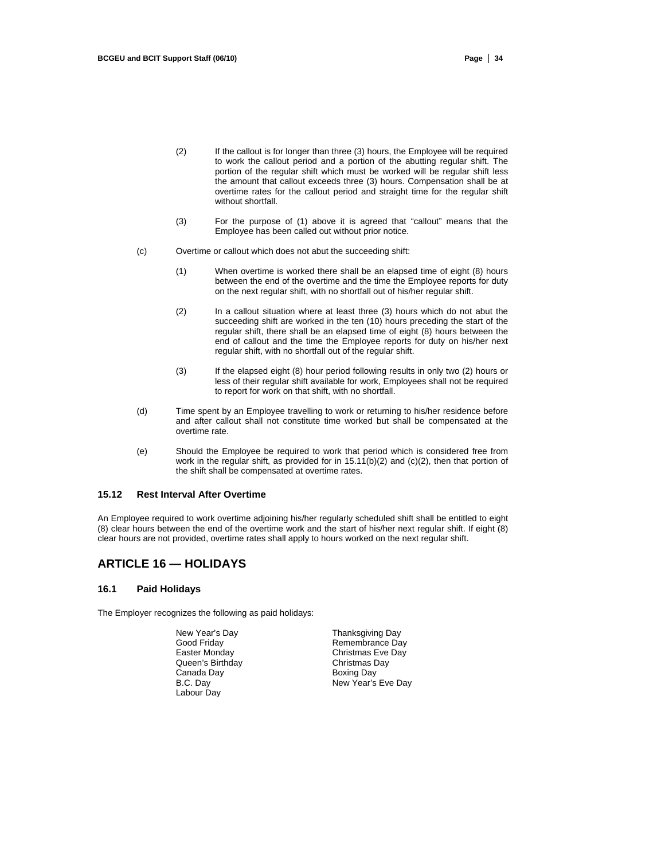- (2) If the callout is for longer than three (3) hours, the Employee will be required to work the callout period and a portion of the abutting regular shift. The portion of the regular shift which must be worked will be regular shift less the amount that callout exceeds three (3) hours. Compensation shall be at overtime rates for the callout period and straight time for the regular shift without shortfall.
- (3) For the purpose of (1) above it is agreed that "callout" means that the Employee has been called out without prior notice.
- (c) Overtime or callout which does not abut the succeeding shift:
	- (1) When overtime is worked there shall be an elapsed time of eight (8) hours between the end of the overtime and the time the Employee reports for duty on the next regular shift, with no shortfall out of his/her regular shift.
	- (2) In a callout situation where at least three (3) hours which do not abut the succeeding shift are worked in the ten (10) hours preceding the start of the regular shift, there shall be an elapsed time of eight (8) hours between the end of callout and the time the Employee reports for duty on his/her next regular shift, with no shortfall out of the regular shift.
	- (3) If the elapsed eight (8) hour period following results in only two (2) hours or less of their regular shift available for work, Employees shall not be required to report for work on that shift, with no shortfall.
- (d) Time spent by an Employee travelling to work or returning to his/her residence before and after callout shall not constitute time worked but shall be compensated at the overtime rate.
- (e) Should the Employee be required to work that period which is considered free from work in the regular shift, as provided for in 15.11(b)(2) and (c)(2), then that portion of the shift shall be compensated at overtime rates.

#### **15.12 Rest Interval After Overtime**

An Employee required to work overtime adjoining his/her regularly scheduled shift shall be entitled to eight (8) clear hours between the end of the overtime work and the start of his/her next regular shift. If eight (8) clear hours are not provided, overtime rates shall apply to hours worked on the next regular shift.

# **ARTICLE 16 — HOLIDAYS**

#### **16.1 Paid Holidays**

The Employer recognizes the following as paid holidays:

Queen's Birthday Canada Day **Boxing Day** Boxing Day<br>
B.C. Day **B.C.** Day Labour Day

New Year's Day **Thanksgiving Day** Good Friday **Remembrance Day**<br> **Easter Monday Remembrance Day** Christmas Eve Day<br>Christmas Day New Year's Eve Day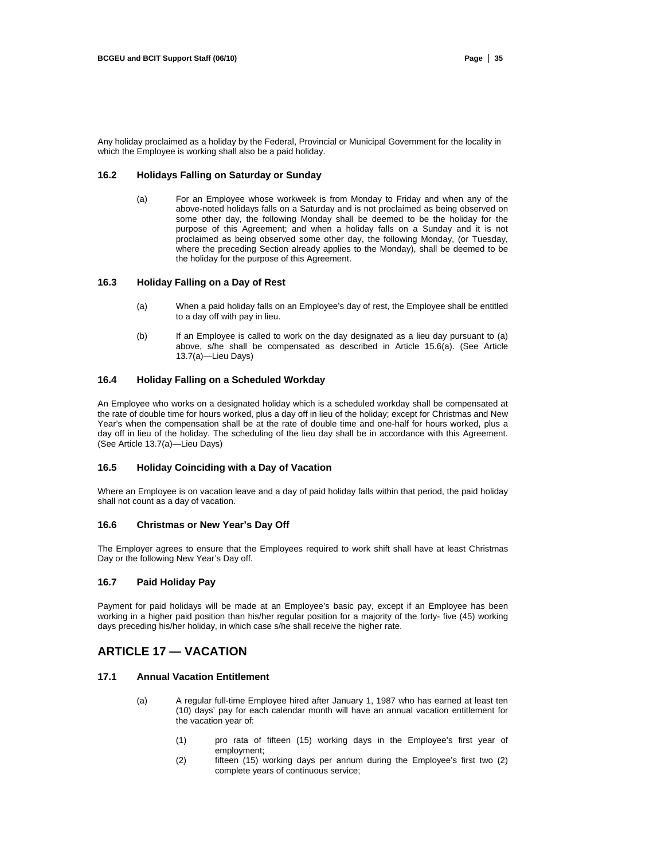Any holiday proclaimed as a holiday by the Federal, Provincial or Municipal Government for the locality in which the Employee is working shall also be a paid holiday.

## **16.2 Holidays Falling on Saturday or Sunday**

(a) For an Employee whose workweek is from Monday to Friday and when any of the above-noted holidays falls on a Saturday and is not proclaimed as being observed on some other day, the following Monday shall be deemed to be the holiday for the purpose of this Agreement; and when a holiday falls on a Sunday and it is not proclaimed as being observed some other day, the following Monday, (or Tuesday, where the preceding Section already applies to the Monday), shall be deemed to be the holiday for the purpose of this Agreement.

# **16.3 Holiday Falling on a Day of Rest**

- (a) When a paid holiday falls on an Employee's day of rest, the Employee shall be entitled to a day off with pay in lieu.
- (b) If an Employee is called to work on the day designated as a lieu day pursuant to (a) above, s/he shall be compensated as described in Article 15.6(a). (See Article 13.7(a)—Lieu Days)

### **16.4 Holiday Falling on a Scheduled Workday**

An Employee who works on a designated holiday which is a scheduled workday shall be compensated at the rate of double time for hours worked, plus a day off in lieu of the holiday; except for Christmas and New Year's when the compensation shall be at the rate of double time and one-half for hours worked, plus a day off in lieu of the holiday. The scheduling of the lieu day shall be in accordance with this Agreement. (See Article 13.7(a)—Lieu Days)

#### **16.5 Holiday Coinciding with a Day of Vacation**

Where an Employee is on vacation leave and a day of paid holiday falls within that period, the paid holiday shall not count as a day of vacation.

#### **16.6 Christmas or New Year's Day Off**

The Employer agrees to ensure that the Employees required to work shift shall have at least Christmas Day or the following New Year's Day off.

#### **16.7 Paid Holiday Pay**

Payment for paid holidays will be made at an Employee's basic pay, except if an Employee has been working in a higher paid position than his/her regular position for a majority of the forty- five (45) working days preceding his/her holiday, in which case s/he shall receive the higher rate.

# **ARTICLE 17 — VACATION**

## **17.1 Annual Vacation Entitlement**

- (a) A regular full-time Employee hired after January 1, 1987 who has earned at least ten (10) days' pay for each calendar month will have an annual vacation entitlement for the vacation year of:
	- (1) pro rata of fifteen (15) working days in the Employee's first year of employment;
	- (2) fifteen (15) working days per annum during the Employee's first two (2) complete years of continuous service;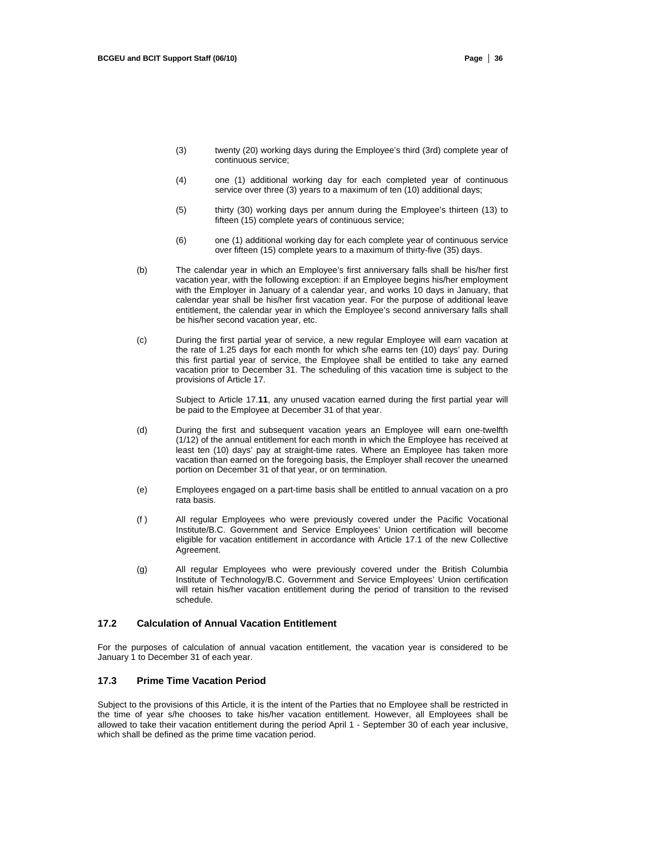- (3) twenty (20) working days during the Employee's third (3rd) complete year of continuous service;
- (4) one (1) additional working day for each completed year of continuous service over three (3) years to a maximum of ten (10) additional days;
- (5) thirty (30) working days per annum during the Employee's thirteen (13) to fifteen (15) complete years of continuous service;
- (6) one (1) additional working day for each complete year of continuous service over fifteen (15) complete years to a maximum of thirty-five (35) days.
- (b) The calendar year in which an Employee's first anniversary falls shall be his/her first vacation year, with the following exception: if an Employee begins his/her employment with the Employer in January of a calendar year, and works 10 days in January, that calendar year shall be his/her first vacation year. For the purpose of additional leave entitlement, the calendar year in which the Employee's second anniversary falls shall be his/her second vacation year, etc.
- (c) During the first partial year of service, a new regular Employee will earn vacation at the rate of 1.25 days for each month for which s/he earns ten (10) days' pay. During this first partial year of service, the Employee shall be entitled to take any earned vacation prior to December 31. The scheduling of this vacation time is subject to the provisions of Article 17.

Subject to Article 17.**11**, any unused vacation earned during the first partial year will be paid to the Employee at December 31 of that year.

- (d) During the first and subsequent vacation years an Employee will earn one-twelfth (1/12) of the annual entitlement for each month in which the Employee has received at least ten (10) days' pay at straight-time rates. Where an Employee has taken more vacation than earned on the foregoing basis, the Employer shall recover the unearned portion on December 31 of that year, or on termination.
- (e) Employees engaged on a part-time basis shall be entitled to annual vacation on a pro rata basis.
- (f ) All regular Employees who were previously covered under the Pacific Vocational Institute/B.C. Government and Service Employees' Union certification will become eligible for vacation entitlement in accordance with Article 17.1 of the new Collective Agreement.
- (g) All regular Employees who were previously covered under the British Columbia Institute of Technology/B.C. Government and Service Employees' Union certification will retain his/her vacation entitlement during the period of transition to the revised schedule.

## **17.2 Calculation of Annual Vacation Entitlement**

For the purposes of calculation of annual vacation entitlement, the vacation year is considered to be January 1 to December 31 of each year.

## **17.3 Prime Time Vacation Period**

Subject to the provisions of this Article, it is the intent of the Parties that no Employee shall be restricted in the time of year s/he chooses to take his/her vacation entitlement. However, all Employees shall be allowed to take their vacation entitlement during the period April 1 - September 30 of each year inclusive, which shall be defined as the prime time vacation period.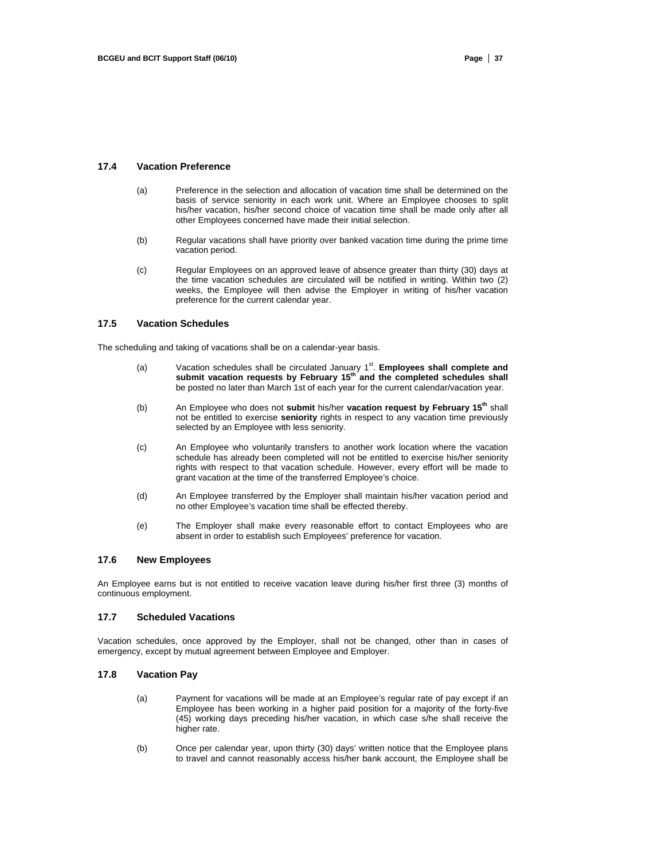#### **17.4 Vacation Preference**

- (a) Preference in the selection and allocation of vacation time shall be determined on the basis of service seniority in each work unit. Where an Employee chooses to split his/her vacation, his/her second choice of vacation time shall be made only after all other Employees concerned have made their initial selection.
- (b) Regular vacations shall have priority over banked vacation time during the prime time vacation period.
- (c) Regular Employees on an approved leave of absence greater than thirty (30) days at the time vacation schedules are circulated will be notified in writing. Within two (2) weeks, the Employee will then advise the Employer in writing of his/her vacation preference for the current calendar year.

#### **17.5 Vacation Schedules**

The scheduling and taking of vacations shall be on a calendar-year basis.

- (a) Vacation schedules shall be circulated January 1<sup>st</sup>. **Employees shall complete and**<br>**submit vacation requests by February 15<sup>th</sup> and the completed schedules shall** be posted no later than March 1st of each year for the current calendar/vacation year.
- (b) An Employee who does not **submit** his/her **vacation request by February 15th** shall not be entitled to exercise **seniority** rights in respect to any vacation time previously selected by an Employee with less seniority.
- (c) An Employee who voluntarily transfers to another work location where the vacation schedule has already been completed will not be entitled to exercise his/her seniority rights with respect to that vacation schedule. However, every effort will be made to grant vacation at the time of the transferred Employee's choice.
- (d) An Employee transferred by the Employer shall maintain his/her vacation period and no other Employee's vacation time shall be effected thereby.
- (e) The Employer shall make every reasonable effort to contact Employees who are absent in order to establish such Employees' preference for vacation.

#### **17.6 New Employees**

An Employee earns but is not entitled to receive vacation leave during his/her first three (3) months of continuous employment.

#### **17.7 Scheduled Vacations**

Vacation schedules, once approved by the Employer, shall not be changed, other than in cases of emergency, except by mutual agreement between Employee and Employer.

## **17.8 Vacation Pay**

- (a) Payment for vacations will be made at an Employee's regular rate of pay except if an Employee has been working in a higher paid position for a majority of the forty-five (45) working days preceding his/her vacation, in which case s/he shall receive the higher rate.
- (b) Once per calendar year, upon thirty (30) days' written notice that the Employee plans to travel and cannot reasonably access his/her bank account, the Employee shall be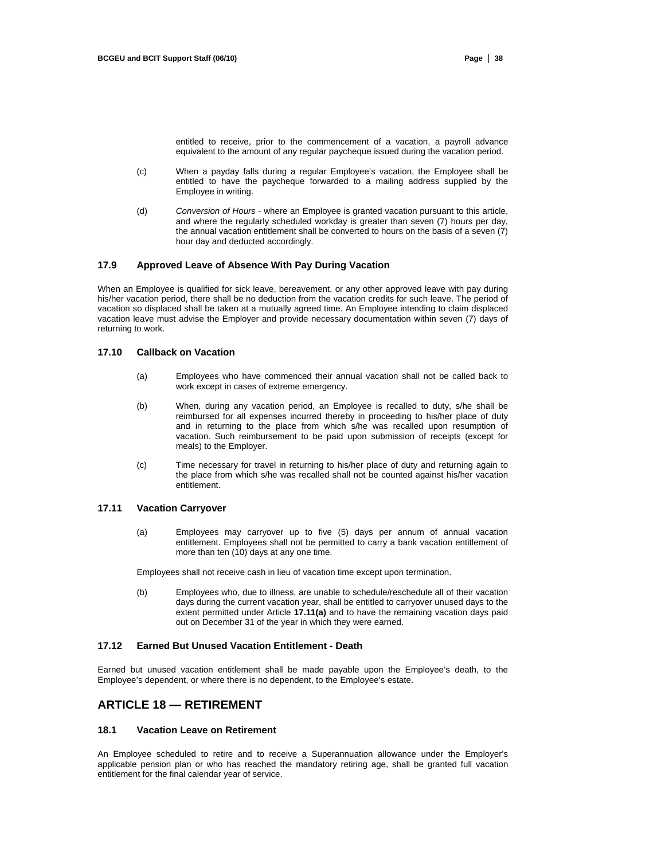entitled to receive, prior to the commencement of a vacation, a payroll advance equivalent to the amount of any regular paycheque issued during the vacation period.

- (c) When a payday falls during a regular Employee's vacation, the Employee shall be entitled to have the paycheque forwarded to a mailing address supplied by the Employee in writing.
- (d) *Conversion of Hours*  where an Employee is granted vacation pursuant to this article, and where the regularly scheduled workday is greater than seven (7) hours per day, the annual vacation entitlement shall be converted to hours on the basis of a seven (7) hour day and deducted accordingly.

#### **17.9 Approved Leave of Absence With Pay During Vacation**

When an Employee is qualified for sick leave, bereavement, or any other approved leave with pay during his/her vacation period, there shall be no deduction from the vacation credits for such leave. The period of vacation so displaced shall be taken at a mutually agreed time. An Employee intending to claim displaced vacation leave must advise the Employer and provide necessary documentation within seven (7) days of returning to work.

#### **17.10 Callback on Vacation**

- (a) Employees who have commenced their annual vacation shall not be called back to work except in cases of extreme emergency.
- (b) When, during any vacation period, an Employee is recalled to duty, s/he shall be reimbursed for all expenses incurred thereby in proceeding to his/her place of duty and in returning to the place from which s/he was recalled upon resumption of vacation. Such reimbursement to be paid upon submission of receipts (except for meals) to the Employer.
- (c) Time necessary for travel in returning to his/her place of duty and returning again to the place from which s/he was recalled shall not be counted against his/her vacation entitlement.

#### **17.11 Vacation Carryover**

(a) Employees may carryover up to five (5) days per annum of annual vacation entitlement. Employees shall not be permitted to carry a bank vacation entitlement of more than ten (10) days at any one time.

Employees shall not receive cash in lieu of vacation time except upon termination.

(b) Employees who, due to illness, are unable to schedule/reschedule all of their vacation days during the current vacation year, shall be entitled to carryover unused days to the extent permitted under Article **17.11(a)** and to have the remaining vacation days paid out on December 31 of the year in which they were earned.

### **17.12 Earned But Unused Vacation Entitlement - Death**

Earned but unused vacation entitlement shall be made payable upon the Employee's death, to the Employee's dependent, or where there is no dependent, to the Employee's estate.

# **ARTICLE 18 — RETIREMENT**

# **18.1 Vacation Leave on Retirement**

An Employee scheduled to retire and to receive a Superannuation allowance under the Employer's applicable pension plan or who has reached the mandatory retiring age, shall be granted full vacation entitlement for the final calendar year of service.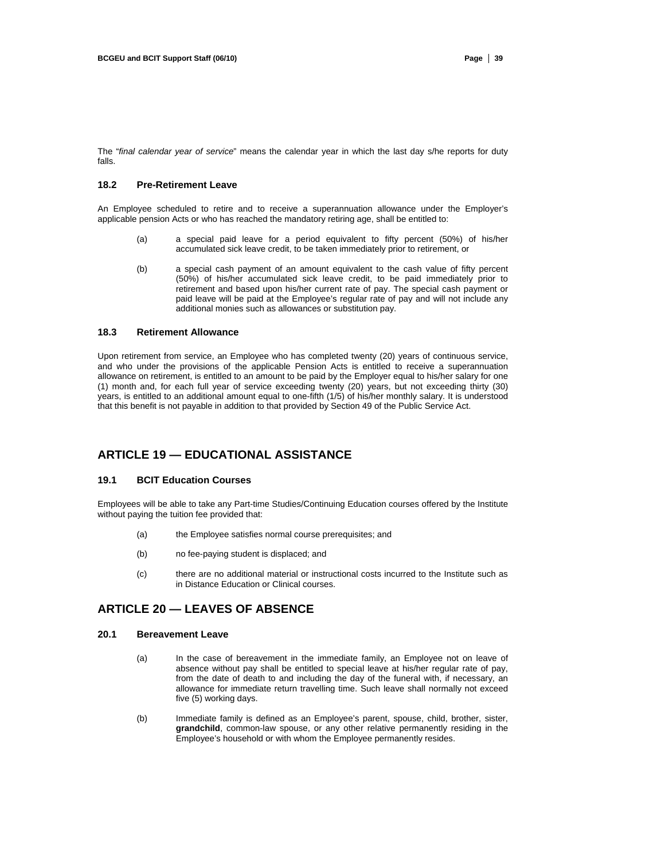The "*final calendar year of service*" means the calendar year in which the last day s/he reports for duty falls.

## **18.2 Pre-Retirement Leave**

An Employee scheduled to retire and to receive a superannuation allowance under the Employer's applicable pension Acts or who has reached the mandatory retiring age, shall be entitled to:

- (a) a special paid leave for a period equivalent to fifty percent (50%) of his/her accumulated sick leave credit, to be taken immediately prior to retirement, or
- (b) a special cash payment of an amount equivalent to the cash value of fifty percent (50%) of his/her accumulated sick leave credit, to be paid immediately prior to retirement and based upon his/her current rate of pay. The special cash payment or paid leave will be paid at the Employee's regular rate of pay and will not include any additional monies such as allowances or substitution pay.

## **18.3 Retirement Allowance**

Upon retirement from service, an Employee who has completed twenty (20) years of continuous service, and who under the provisions of the applicable Pension Acts is entitled to receive a superannuation allowance on retirement, is entitled to an amount to be paid by the Employer equal to his/her salary for one (1) month and, for each full year of service exceeding twenty (20) years, but not exceeding thirty (30) years, is entitled to an additional amount equal to one-fifth (1/5) of his/her monthly salary. It is understood that this benefit is not payable in addition to that provided by Section 49 of the Public Service Act.

# **ARTICLE 19 — EDUCATIONAL ASSISTANCE**

## **19.1 BCIT Education Courses**

Employees will be able to take any Part-time Studies/Continuing Education courses offered by the Institute without paying the tuition fee provided that:

- (a) the Employee satisfies normal course prerequisites; and
- (b) no fee-paying student is displaced; and
- (c) there are no additional material or instructional costs incurred to the Institute such as in Distance Education or Clinical courses.

# **ARTICLE 20 — LEAVES OF ABSENCE**

#### **20.1 Bereavement Leave**

- (a) In the case of bereavement in the immediate family, an Employee not on leave of absence without pay shall be entitled to special leave at his/her regular rate of pay, from the date of death to and including the day of the funeral with, if necessary, an allowance for immediate return travelling time. Such leave shall normally not exceed five (5) working days.
- (b) Immediate family is defined as an Employee's parent, spouse, child, brother, sister, **grandchild**, common-law spouse, or any other relative permanently residing in the Employee's household or with whom the Employee permanently resides.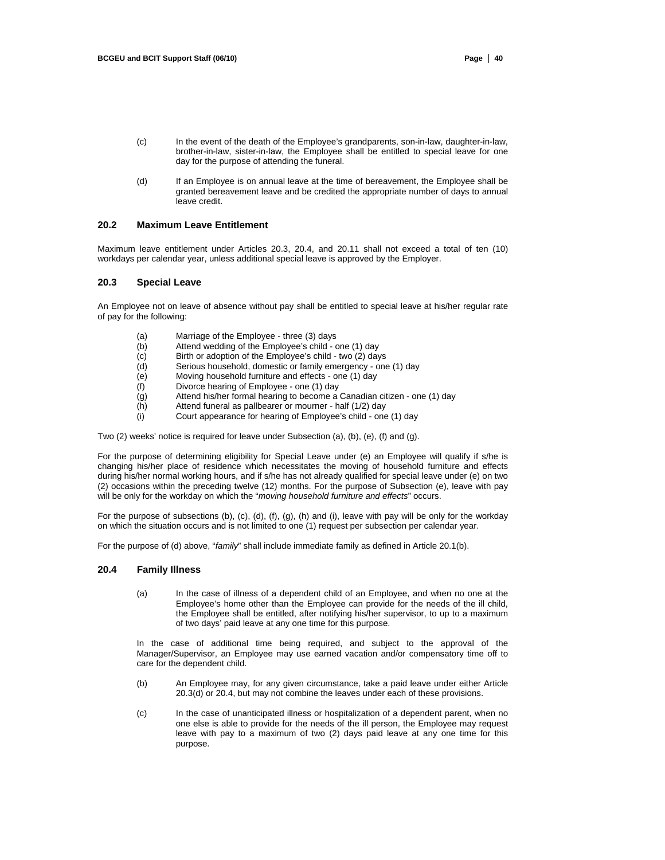- (c) In the event of the death of the Employee's grandparents, son-in-law, daughter-in-law, brother-in-law, sister-in-law, the Employee shall be entitled to special leave for one day for the purpose of attending the funeral.
- (d) If an Employee is on annual leave at the time of bereavement, the Employee shall be granted bereavement leave and be credited the appropriate number of days to annual leave credit.

## **20.2 Maximum Leave Entitlement**

Maximum leave entitlement under Articles 20.3, 20.4, and 20.11 shall not exceed a total of ten (10) workdays per calendar year, unless additional special leave is approved by the Employer.

## **20.3 Special Leave**

An Employee not on leave of absence without pay shall be entitled to special leave at his/her regular rate of pay for the following:

- (a) Marriage of the Employee three (3) days
- (b) Attend wedding of the Employee's child one (1) day<br>(c) Birth or adoption of the Employee's child two (2) day
- Birth or adoption of the Employee's child two (2) days
- (d) Serious household, domestic or family emergency one (1) day
- Moving household furniture and effects one (1) day
- (f) Divorce hearing of Employee one (1) day<br>(g) Attend his/her formal hearing to become a
- Attend his/her formal hearing to become a Canadian citizen one (1) day
- (h) Attend funeral as pallbearer or mourner half (1/2) day
- (i) Court appearance for hearing of Employee's child one (1) day

Two (2) weeks' notice is required for leave under Subsection (a), (b), (e), (f) and (g).

For the purpose of determining eligibility for Special Leave under (e) an Employee will qualify if s/he is changing his/her place of residence which necessitates the moving of household furniture and effects during his/her normal working hours, and if s/he has not already qualified for special leave under (e) on two (2) occasions within the preceding twelve (12) months. For the purpose of Subsection (e), leave with pay will be only for the workday on which the "*moving household furniture and effects*" occurs.

For the purpose of subsections (b), (c), (d), (f), (g), (h) and (i), leave with pay will be only for the workday on which the situation occurs and is not limited to one (1) request per subsection per calendar year.

For the purpose of (d) above, "*family*" shall include immediate family as defined in Article 20.1(b).

#### **20.4 Family Illness**

(a) In the case of illness of a dependent child of an Employee, and when no one at the Employee's home other than the Employee can provide for the needs of the ill child, the Employee shall be entitled, after notifying his/her supervisor, to up to a maximum of two days' paid leave at any one time for this purpose.

In the case of additional time being required, and subject to the approval of the Manager/Supervisor, an Employee may use earned vacation and/or compensatory time off to care for the dependent child.

- (b) An Employee may, for any given circumstance, take a paid leave under either Article 20.3(d) or 20.4, but may not combine the leaves under each of these provisions.
- (c) In the case of unanticipated illness or hospitalization of a dependent parent, when no one else is able to provide for the needs of the ill person, the Employee may request leave with pay to a maximum of two (2) days paid leave at any one time for this purpose.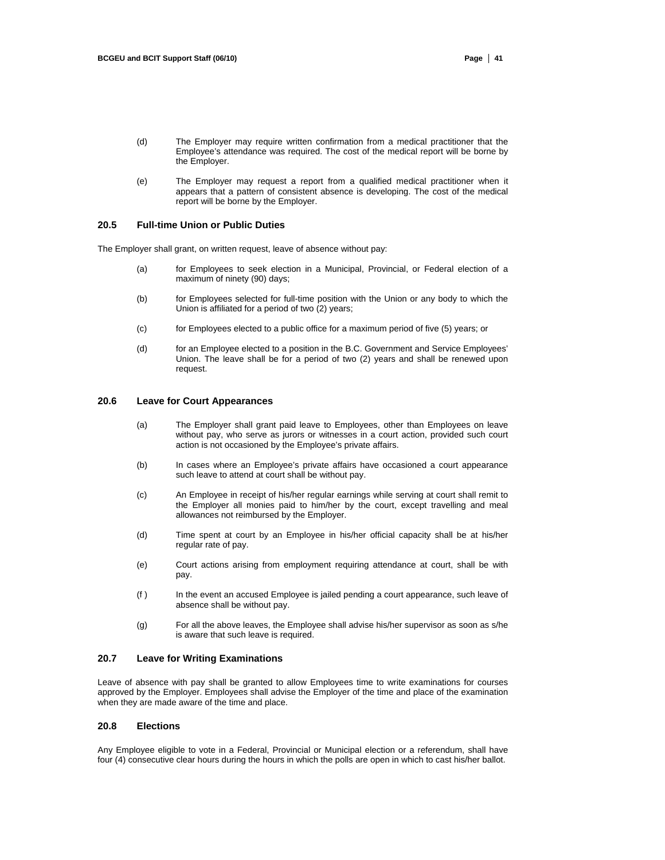- (d) The Employer may require written confirmation from a medical practitioner that the Employee's attendance was required. The cost of the medical report will be borne by the Employer.
- (e) The Employer may request a report from a qualified medical practitioner when it appears that a pattern of consistent absence is developing. The cost of the medical report will be borne by the Employer.

### **20.5 Full-time Union or Public Duties**

The Employer shall grant, on written request, leave of absence without pay:

- (a) for Employees to seek election in a Municipal, Provincial, or Federal election of a maximum of ninety (90) days;
- (b) for Employees selected for full-time position with the Union or any body to which the Union is affiliated for a period of two (2) years;
- (c) for Employees elected to a public office for a maximum period of five (5) years; or
- (d) for an Employee elected to a position in the B.C. Government and Service Employees' Union. The leave shall be for a period of two (2) years and shall be renewed upon request.

#### **20.6 Leave for Court Appearances**

- (a) The Employer shall grant paid leave to Employees, other than Employees on leave without pay, who serve as jurors or witnesses in a court action, provided such court action is not occasioned by the Employee's private affairs.
- (b) In cases where an Employee's private affairs have occasioned a court appearance such leave to attend at court shall be without pay.
- (c) An Employee in receipt of his/her regular earnings while serving at court shall remit to the Employer all monies paid to him/her by the court, except travelling and meal allowances not reimbursed by the Employer.
- (d) Time spent at court by an Employee in his/her official capacity shall be at his/her regular rate of pay.
- (e) Court actions arising from employment requiring attendance at court, shall be with pay.
- (f ) In the event an accused Employee is jailed pending a court appearance, such leave of absence shall be without pay.
- (g) For all the above leaves, the Employee shall advise his/her supervisor as soon as s/he is aware that such leave is required.

# **20.7 Leave for Writing Examinations**

Leave of absence with pay shall be granted to allow Employees time to write examinations for courses approved by the Employer. Employees shall advise the Employer of the time and place of the examination when they are made aware of the time and place.

#### **20.8 Elections**

Any Employee eligible to vote in a Federal, Provincial or Municipal election or a referendum, shall have four (4) consecutive clear hours during the hours in which the polls are open in which to cast his/her ballot.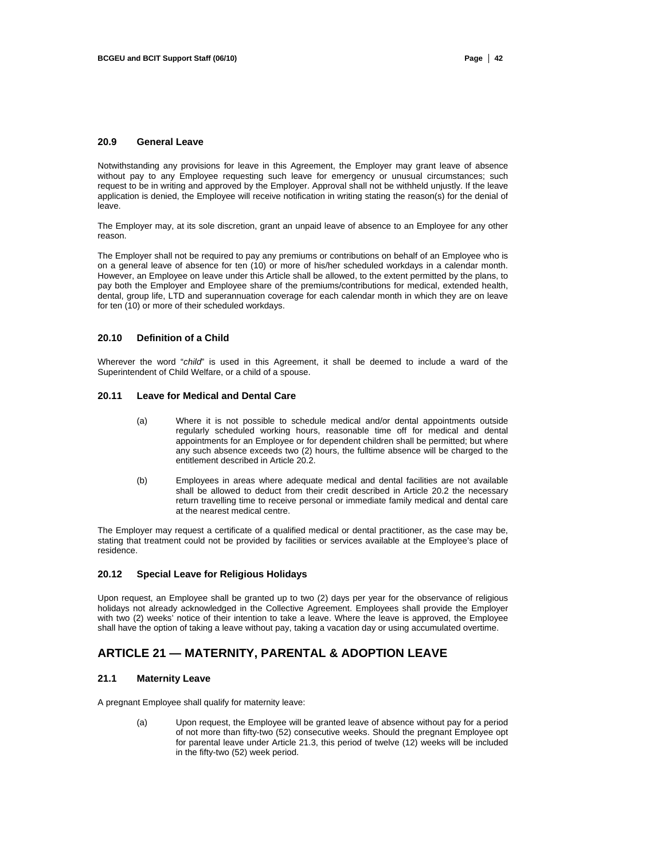## **20.9 General Leave**

Notwithstanding any provisions for leave in this Agreement, the Employer may grant leave of absence without pay to any Employee requesting such leave for emergency or unusual circumstances; such request to be in writing and approved by the Employer. Approval shall not be withheld unjustly. If the leave application is denied, the Employee will receive notification in writing stating the reason(s) for the denial of leave.

The Employer may, at its sole discretion, grant an unpaid leave of absence to an Employee for any other reason.

The Employer shall not be required to pay any premiums or contributions on behalf of an Employee who is on a general leave of absence for ten (10) or more of his/her scheduled workdays in a calendar month. However, an Employee on leave under this Article shall be allowed, to the extent permitted by the plans, to pay both the Employer and Employee share of the premiums/contributions for medical, extended health, dental, group life, LTD and superannuation coverage for each calendar month in which they are on leave for ten (10) or more of their scheduled workdays.

#### **20.10 Definition of a Child**

Wherever the word "*child*" is used in this Agreement, it shall be deemed to include a ward of the Superintendent of Child Welfare, or a child of a spouse.

#### **20.11 Leave for Medical and Dental Care**

- (a) Where it is not possible to schedule medical and/or dental appointments outside regularly scheduled working hours, reasonable time off for medical and dental appointments for an Employee or for dependent children shall be permitted; but where any such absence exceeds two (2) hours, the fulltime absence will be charged to the entitlement described in Article 20.2.
- (b) Employees in areas where adequate medical and dental facilities are not available shall be allowed to deduct from their credit described in Article 20.2 the necessary return travelling time to receive personal or immediate family medical and dental care at the nearest medical centre.

The Employer may request a certificate of a qualified medical or dental practitioner, as the case may be, stating that treatment could not be provided by facilities or services available at the Employee's place of residence.

#### **20.12 Special Leave for Religious Holidays**

Upon request, an Employee shall be granted up to two (2) days per year for the observance of religious holidays not already acknowledged in the Collective Agreement. Employees shall provide the Employer with two (2) weeks' notice of their intention to take a leave. Where the leave is approved, the Employee shall have the option of taking a leave without pay, taking a vacation day or using accumulated overtime.

# **ARTICLE 21 — MATERNITY, PARENTAL & ADOPTION LEAVE**

## **21.1 Maternity Leave**

A pregnant Employee shall qualify for maternity leave:

(a) Upon request, the Employee will be granted leave of absence without pay for a period of not more than fifty-two (52) consecutive weeks. Should the pregnant Employee opt for parental leave under Article 21.3, this period of twelve (12) weeks will be included in the fifty-two (52) week period.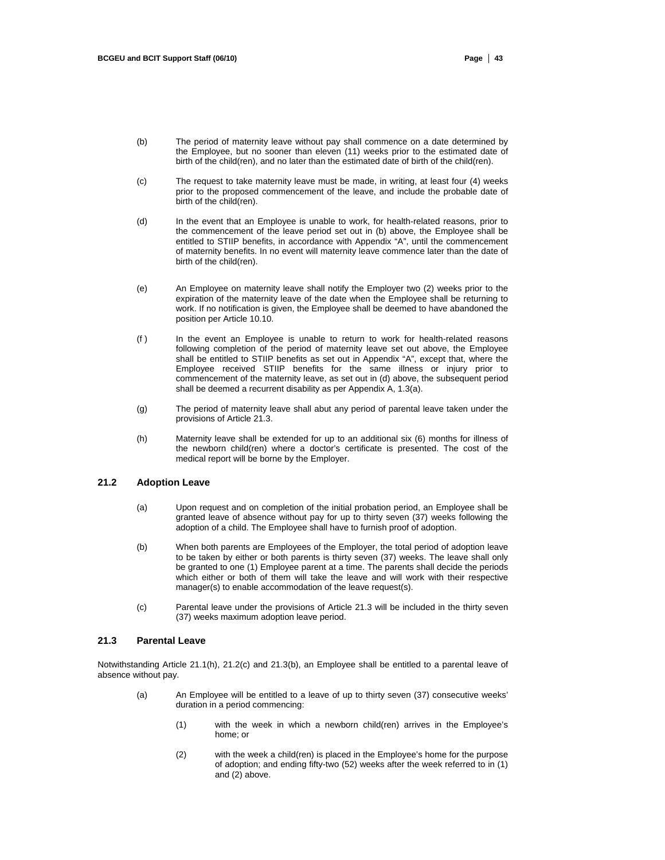- (b) The period of maternity leave without pay shall commence on a date determined by the Employee, but no sooner than eleven (11) weeks prior to the estimated date of birth of the child(ren), and no later than the estimated date of birth of the child(ren).
- (c) The request to take maternity leave must be made, in writing, at least four (4) weeks prior to the proposed commencement of the leave, and include the probable date of birth of the child(ren).
- (d) In the event that an Employee is unable to work, for health-related reasons, prior to the commencement of the leave period set out in (b) above, the Employee shall be entitled to STIIP benefits, in accordance with Appendix "A", until the commencement of maternity benefits. In no event will maternity leave commence later than the date of birth of the child(ren).
- (e) An Employee on maternity leave shall notify the Employer two (2) weeks prior to the expiration of the maternity leave of the date when the Employee shall be returning to work. If no notification is given, the Employee shall be deemed to have abandoned the position per Article 10.10.
- (f ) In the event an Employee is unable to return to work for health-related reasons following completion of the period of maternity leave set out above, the Employee shall be entitled to STIIP benefits as set out in Appendix "A", except that, where the Employee received STIIP benefits for the same illness or injury prior to commencement of the maternity leave, as set out in (d) above, the subsequent period shall be deemed a recurrent disability as per Appendix A, 1.3(a).
- (g) The period of maternity leave shall abut any period of parental leave taken under the provisions of Article 21.3.
- (h) Maternity leave shall be extended for up to an additional six (6) months for illness of the newborn child(ren) where a doctor's certificate is presented. The cost of the medical report will be borne by the Employer.

## **21.2 Adoption Leave**

- (a) Upon request and on completion of the initial probation period, an Employee shall be granted leave of absence without pay for up to thirty seven (37) weeks following the adoption of a child. The Employee shall have to furnish proof of adoption.
- (b) When both parents are Employees of the Employer, the total period of adoption leave to be taken by either or both parents is thirty seven (37) weeks. The leave shall only be granted to one (1) Employee parent at a time. The parents shall decide the periods which either or both of them will take the leave and will work with their respective manager(s) to enable accommodation of the leave request(s).
- (c) Parental leave under the provisions of Article 21.3 will be included in the thirty seven (37) weeks maximum adoption leave period.

# **21.3 Parental Leave**

Notwithstanding Article 21.1(h), 21.2(c) and 21.3(b), an Employee shall be entitled to a parental leave of absence without pay.

- (a) An Employee will be entitled to a leave of up to thirty seven (37) consecutive weeks' duration in a period commencing:
	- (1) with the week in which a newborn child(ren) arrives in the Employee's home; or
	- (2) with the week a child(ren) is placed in the Employee's home for the purpose of adoption; and ending fifty-two (52) weeks after the week referred to in (1) and (2) above.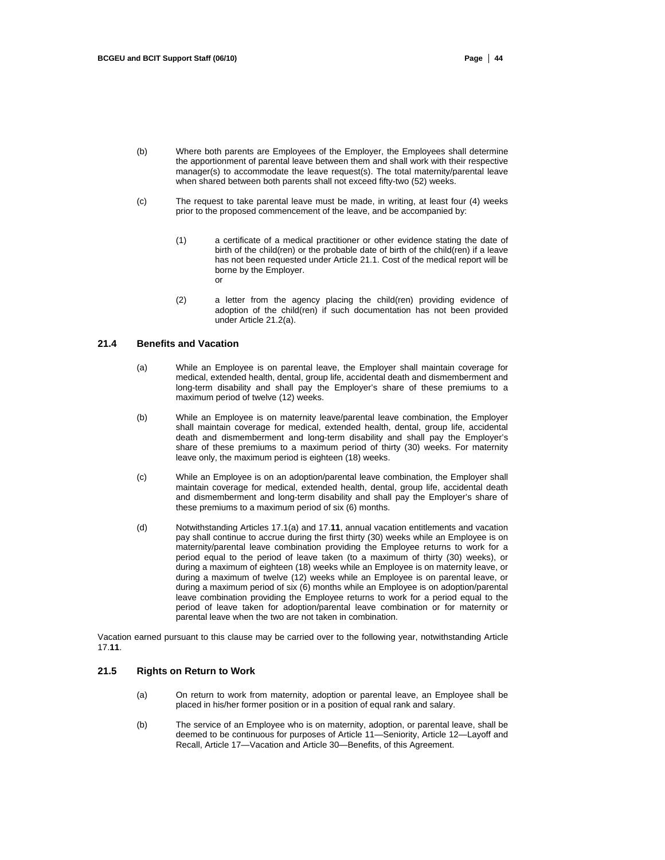- (b) Where both parents are Employees of the Employer, the Employees shall determine the apportionment of parental leave between them and shall work with their respective manager(s) to accommodate the leave request(s). The total maternity/parental leave when shared between both parents shall not exceed fifty-two (52) weeks.
- (c) The request to take parental leave must be made, in writing, at least four (4) weeks prior to the proposed commencement of the leave, and be accompanied by:
	- (1) a certificate of a medical practitioner or other evidence stating the date of birth of the child(ren) or the probable date of birth of the child(ren) if a leave has not been requested under Article 21.1. Cost of the medical report will be borne by the Employer. or
	- (2) a letter from the agency placing the child(ren) providing evidence of adoption of the child(ren) if such documentation has not been provided under Article 21.2(a).

## **21.4 Benefits and Vacation**

- (a) While an Employee is on parental leave, the Employer shall maintain coverage for medical, extended health, dental, group life, accidental death and dismemberment and long-term disability and shall pay the Employer's share of these premiums to a maximum period of twelve (12) weeks.
- (b) While an Employee is on maternity leave/parental leave combination, the Employer shall maintain coverage for medical, extended health, dental, group life, accidental death and dismemberment and long-term disability and shall pay the Employer's share of these premiums to a maximum period of thirty (30) weeks. For maternity leave only, the maximum period is eighteen (18) weeks.
- (c) While an Employee is on an adoption/parental leave combination, the Employer shall maintain coverage for medical, extended health, dental, group life, accidental death and dismemberment and long-term disability and shall pay the Employer's share of these premiums to a maximum period of six (6) months.
- (d) Notwithstanding Articles 17.1(a) and 17.**11**, annual vacation entitlements and vacation pay shall continue to accrue during the first thirty (30) weeks while an Employee is on maternity/parental leave combination providing the Employee returns to work for a period equal to the period of leave taken (to a maximum of thirty (30) weeks), or during a maximum of eighteen (18) weeks while an Employee is on maternity leave, or during a maximum of twelve (12) weeks while an Employee is on parental leave, or during a maximum period of six (6) months while an Employee is on adoption/parental leave combination providing the Employee returns to work for a period equal to the period of leave taken for adoption/parental leave combination or for maternity or parental leave when the two are not taken in combination.

Vacation earned pursuant to this clause may be carried over to the following year, notwithstanding Article 17.**11**.

# **21.5 Rights on Return to Work**

- (a) On return to work from maternity, adoption or parental leave, an Employee shall be placed in his/her former position or in a position of equal rank and salary.
- (b) The service of an Employee who is on maternity, adoption, or parental leave, shall be deemed to be continuous for purposes of Article 11—Seniority, Article 12—Layoff and Recall, Article 17—Vacation and Article 30—Benefits, of this Agreement.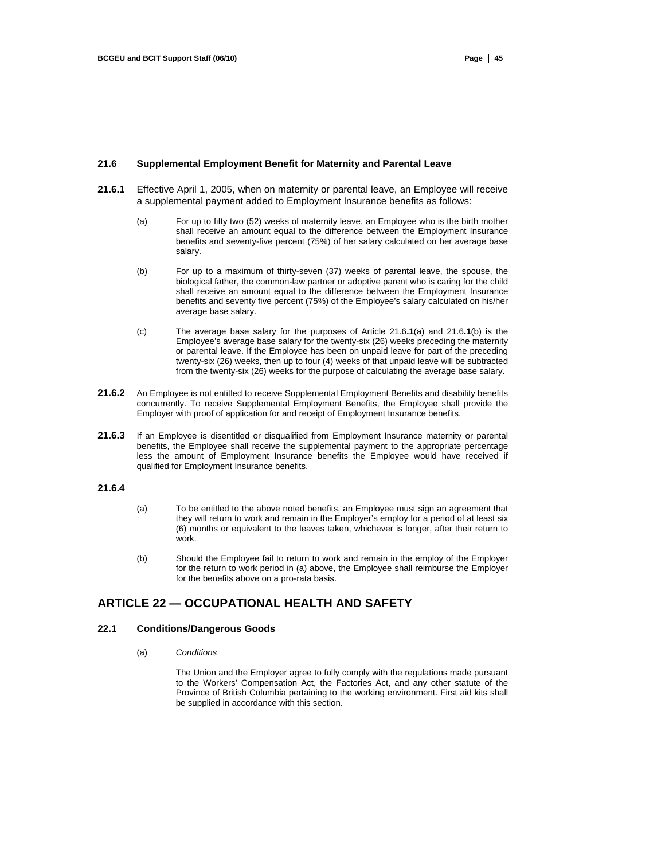#### **21.6 Supplemental Employment Benefit for Maternity and Parental Leave**

- **21.6.1** Effective April 1, 2005, when on maternity or parental leave, an Employee will receive a supplemental payment added to Employment Insurance benefits as follows:
	- (a) For up to fifty two (52) weeks of maternity leave, an Employee who is the birth mother shall receive an amount equal to the difference between the Employment Insurance benefits and seventy-five percent (75%) of her salary calculated on her average base salary.
	- (b) For up to a maximum of thirty-seven (37) weeks of parental leave, the spouse, the biological father, the common-law partner or adoptive parent who is caring for the child shall receive an amount equal to the difference between the Employment Insurance benefits and seventy five percent (75%) of the Employee's salary calculated on his/her average base salary.
	- (c) The average base salary for the purposes of Article 21.6**.1**(a) and 21.6**.1**(b) is the Employee's average base salary for the twenty-six (26) weeks preceding the maternity or parental leave. If the Employee has been on unpaid leave for part of the preceding twenty-six (26) weeks, then up to four (4) weeks of that unpaid leave will be subtracted from the twenty-six (26) weeks for the purpose of calculating the average base salary.
- 21.6.2 An Employee is not entitled to receive Supplemental Employment Benefits and disability benefits concurrently. To receive Supplemental Employment Benefits, the Employee shall provide the Employer with proof of application for and receipt of Employment Insurance benefits.
- **21.6.3** If an Employee is disentitled or disqualified from Employment Insurance maternity or parental benefits, the Employee shall receive the supplemental payment to the appropriate percentage less the amount of Employment Insurance benefits the Employee would have received if qualified for Employment Insurance benefits.

### **21.6.4**

- (a) To be entitled to the above noted benefits, an Employee must sign an agreement that they will return to work and remain in the Employer's employ for a period of at least six (6) months or equivalent to the leaves taken, whichever is longer, after their return to work.
- (b) Should the Employee fail to return to work and remain in the employ of the Employer for the return to work period in (a) above, the Employee shall reimburse the Employer for the benefits above on a pro-rata basis.

# **ARTICLE 22 — OCCUPATIONAL HEALTH AND SAFETY**

#### **22.1 Conditions/Dangerous Goods**

(a) *Conditions* 

The Union and the Employer agree to fully comply with the regulations made pursuant to the Workers' Compensation Act, the Factories Act, and any other statute of the Province of British Columbia pertaining to the working environment. First aid kits shall be supplied in accordance with this section.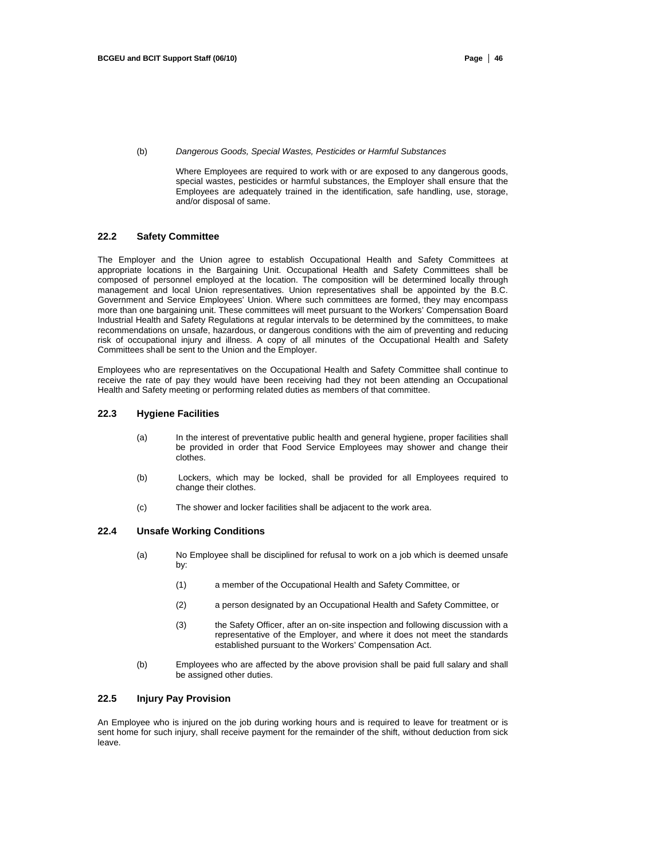(b) *Dangerous Goods, Special Wastes, Pesticides or Harmful Substances* 

Where Employees are required to work with or are exposed to any dangerous goods, special wastes, pesticides or harmful substances, the Employer shall ensure that the Employees are adequately trained in the identification, safe handling, use, storage, and/or disposal of same.

#### **22.2 Safety Committee**

The Employer and the Union agree to establish Occupational Health and Safety Committees at appropriate locations in the Bargaining Unit. Occupational Health and Safety Committees shall be composed of personnel employed at the location. The composition will be determined locally through management and local Union representatives. Union representatives shall be appointed by the B.C. Government and Service Employees' Union. Where such committees are formed, they may encompass more than one bargaining unit. These committees will meet pursuant to the Workers' Compensation Board Industrial Health and Safety Regulations at regular intervals to be determined by the committees, to make recommendations on unsafe, hazardous, or dangerous conditions with the aim of preventing and reducing risk of occupational injury and illness. A copy of all minutes of the Occupational Health and Safety Committees shall be sent to the Union and the Employer.

Employees who are representatives on the Occupational Health and Safety Committee shall continue to receive the rate of pay they would have been receiving had they not been attending an Occupational Health and Safety meeting or performing related duties as members of that committee.

#### **22.3 Hygiene Facilities**

- (a) In the interest of preventative public health and general hygiene, proper facilities shall be provided in order that Food Service Employees may shower and change their clothes.
- (b) Lockers, which may be locked, shall be provided for all Employees required to change their clothes.
- (c) The shower and locker facilities shall be adjacent to the work area.

## **22.4 Unsafe Working Conditions**

- (a) No Employee shall be disciplined for refusal to work on a job which is deemed unsafe by:
	- (1) a member of the Occupational Health and Safety Committee, or
	- (2) a person designated by an Occupational Health and Safety Committee, or
	- (3) the Safety Officer, after an on-site inspection and following discussion with a representative of the Employer, and where it does not meet the standards established pursuant to the Workers' Compensation Act.
- (b) Employees who are affected by the above provision shall be paid full salary and shall be assigned other duties.

# **22.5 Injury Pay Provision**

An Employee who is injured on the job during working hours and is required to leave for treatment or is sent home for such injury, shall receive payment for the remainder of the shift, without deduction from sick leave.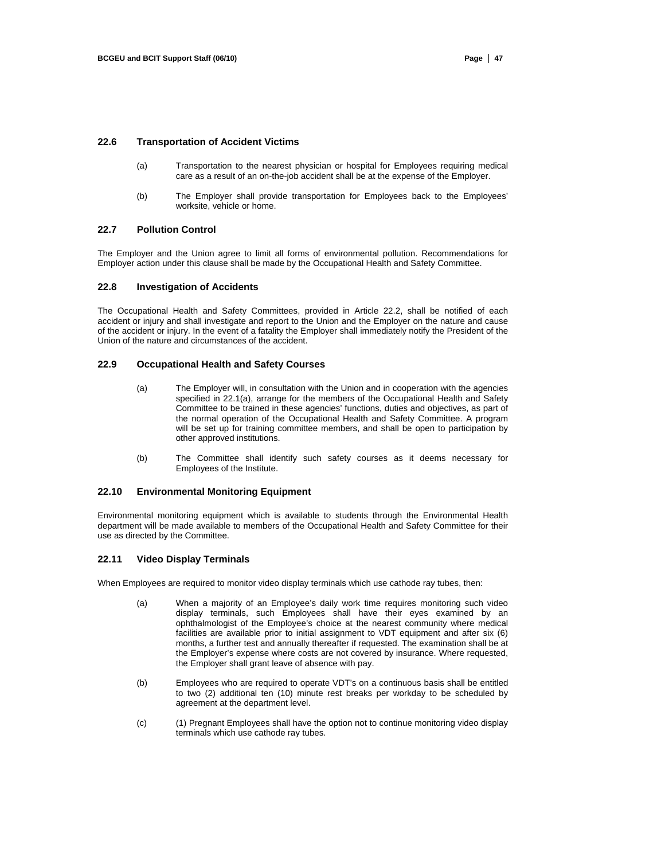## **22.6 Transportation of Accident Victims**

- (a) Transportation to the nearest physician or hospital for Employees requiring medical care as a result of an on-the-job accident shall be at the expense of the Employer.
- (b) The Employer shall provide transportation for Employees back to the Employees' worksite, vehicle or home.

#### **22.7 Pollution Control**

The Employer and the Union agree to limit all forms of environmental pollution. Recommendations for Employer action under this clause shall be made by the Occupational Health and Safety Committee.

#### **22.8 Investigation of Accidents**

The Occupational Health and Safety Committees, provided in Article 22.2, shall be notified of each accident or injury and shall investigate and report to the Union and the Employer on the nature and cause of the accident or injury. In the event of a fatality the Employer shall immediately notify the President of the Union of the nature and circumstances of the accident.

### **22.9 Occupational Health and Safety Courses**

- (a) The Employer will, in consultation with the Union and in cooperation with the agencies specified in 22.1(a), arrange for the members of the Occupational Health and Safety Committee to be trained in these agencies' functions, duties and objectives, as part of the normal operation of the Occupational Health and Safety Committee. A program will be set up for training committee members, and shall be open to participation by other approved institutions.
- (b) The Committee shall identify such safety courses as it deems necessary for Employees of the Institute.

## **22.10 Environmental Monitoring Equipment**

Environmental monitoring equipment which is available to students through the Environmental Health department will be made available to members of the Occupational Health and Safety Committee for their use as directed by the Committee.

#### **22.11 Video Display Terminals**

When Employees are required to monitor video display terminals which use cathode ray tubes, then:

- (a) When a majority of an Employee's daily work time requires monitoring such video display terminals, such Employees shall have their eyes examined by an ophthalmologist of the Employee's choice at the nearest community where medical facilities are available prior to initial assignment to VDT equipment and after six (6) months, a further test and annually thereafter if requested. The examination shall be at the Employer's expense where costs are not covered by insurance. Where requested, the Employer shall grant leave of absence with pay.
- (b) Employees who are required to operate VDT's on a continuous basis shall be entitled to two (2) additional ten (10) minute rest breaks per workday to be scheduled by agreement at the department level.
- (c) (1) Pregnant Employees shall have the option not to continue monitoring video display terminals which use cathode ray tubes.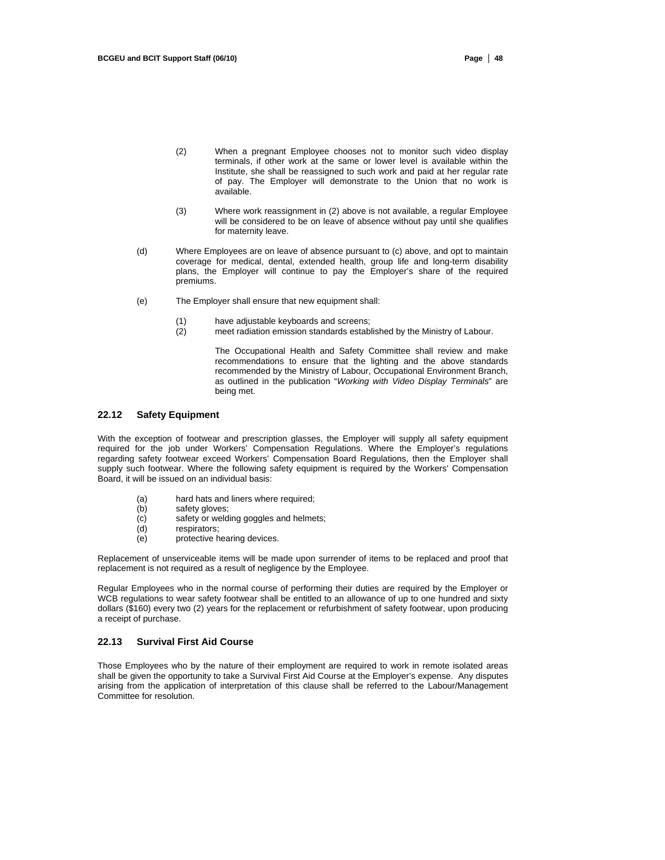- (2) When a pregnant Employee chooses not to monitor such video display terminals, if other work at the same or lower level is available within the Institute, she shall be reassigned to such work and paid at her regular rate of pay. The Employer will demonstrate to the Union that no work is available.
- (3) Where work reassignment in (2) above is not available, a regular Employee will be considered to be on leave of absence without pay until she qualifies for maternity leave.
- (d) Where Employees are on leave of absence pursuant to (c) above, and opt to maintain coverage for medical, dental, extended health, group life and long-term disability plans, the Employer will continue to pay the Employer's share of the required premiums.
- (e) The Employer shall ensure that new equipment shall:
	- (1) have adjustable keyboards and screens;<br>(2) meet radiation emission standards estab
	- meet radiation emission standards established by the Ministry of Labour.

The Occupational Health and Safety Committee shall review and make recommendations to ensure that the lighting and the above standards recommended by the Ministry of Labour, Occupational Environment Branch, as outlined in the publication "*Working with Video Display Terminals*" are being met.

#### **22.12 Safety Equipment**

With the exception of footwear and prescription glasses, the Employer will supply all safety equipment required for the job under Workers' Compensation Regulations. Where the Employer's regulations regarding safety footwear exceed Workers' Compensation Board Regulations, then the Employer shall supply such footwear. Where the following safety equipment is required by the Workers' Compensation Board, it will be issued on an individual basis:

- (a) hard hats and liners where required;<br>(b) safety gloves;
- safety gloves;
- (c) safety or welding goggles and helmets;
- (d) respirators;
- (e) protective hearing devices.

Replacement of unserviceable items will be made upon surrender of items to be replaced and proof that replacement is not required as a result of negligence by the Employee.

Regular Employees who in the normal course of performing their duties are required by the Employer or WCB regulations to wear safety footwear shall be entitled to an allowance of up to one hundred and sixty dollars (\$160) every two (2) years for the replacement or refurbishment of safety footwear, upon producing a receipt of purchase.

## **22.13 Survival First Aid Course**

Those Employees who by the nature of their employment are required to work in remote isolated areas shall be given the opportunity to take a Survival First Aid Course at the Employer's expense. Any disputes arising from the application of interpretation of this clause shall be referred to the Labour/Management Committee for resolution.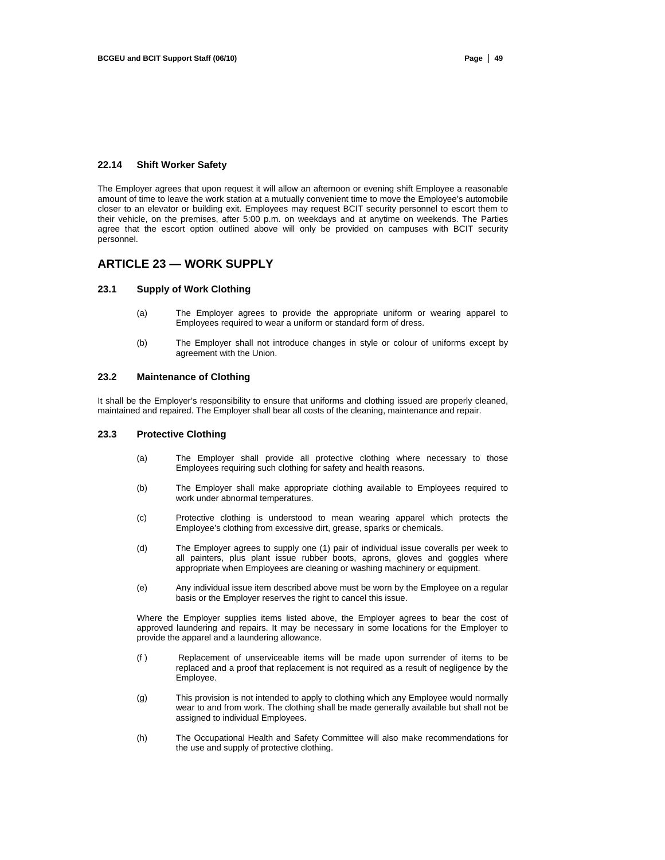#### **22.14 Shift Worker Safety**

The Employer agrees that upon request it will allow an afternoon or evening shift Employee a reasonable amount of time to leave the work station at a mutually convenient time to move the Employee's automobile closer to an elevator or building exit. Employees may request BCIT security personnel to escort them to their vehicle, on the premises, after 5:00 p.m. on weekdays and at anytime on weekends. The Parties agree that the escort option outlined above will only be provided on campuses with BCIT security personnel.

# **ARTICLE 23 — WORK SUPPLY**

#### **23.1 Supply of Work Clothing**

- (a) The Employer agrees to provide the appropriate uniform or wearing apparel to Employees required to wear a uniform or standard form of dress.
- (b) The Employer shall not introduce changes in style or colour of uniforms except by agreement with the Union.

## **23.2 Maintenance of Clothing**

It shall be the Employer's responsibility to ensure that uniforms and clothing issued are properly cleaned, maintained and repaired. The Employer shall bear all costs of the cleaning, maintenance and repair.

## **23.3 Protective Clothing**

- (a) The Employer shall provide all protective clothing where necessary to those Employees requiring such clothing for safety and health reasons.
- (b) The Employer shall make appropriate clothing available to Employees required to work under abnormal temperatures.
- (c) Protective clothing is understood to mean wearing apparel which protects the Employee's clothing from excessive dirt, grease, sparks or chemicals.
- (d) The Employer agrees to supply one (1) pair of individual issue coveralls per week to all painters, plus plant issue rubber boots, aprons, gloves and goggles where appropriate when Employees are cleaning or washing machinery or equipment.
- (e) Any individual issue item described above must be worn by the Employee on a regular basis or the Employer reserves the right to cancel this issue.

Where the Employer supplies items listed above, the Employer agrees to bear the cost of approved laundering and repairs. It may be necessary in some locations for the Employer to provide the apparel and a laundering allowance.

- (f ) Replacement of unserviceable items will be made upon surrender of items to be replaced and a proof that replacement is not required as a result of negligence by the Employee.
- (g) This provision is not intended to apply to clothing which any Employee would normally wear to and from work. The clothing shall be made generally available but shall not be assigned to individual Employees.
- (h) The Occupational Health and Safety Committee will also make recommendations for the use and supply of protective clothing.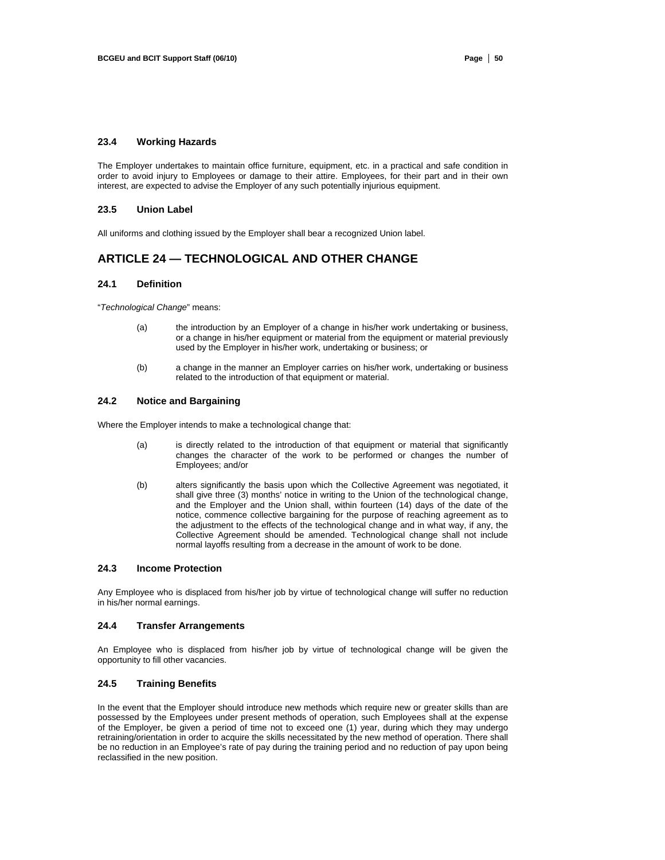# **23.4 Working Hazards**

The Employer undertakes to maintain office furniture, equipment, etc. in a practical and safe condition in order to avoid injury to Employees or damage to their attire. Employees, for their part and in their own interest, are expected to advise the Employer of any such potentially injurious equipment.

#### **23.5 Union Label**

All uniforms and clothing issued by the Employer shall bear a recognized Union label.

# **ARTICLE 24 — TECHNOLOGICAL AND OTHER CHANGE**

### **24.1 Definition**

"*Technological Change*" means:

- (a) the introduction by an Employer of a change in his/her work undertaking or business, or a change in his/her equipment or material from the equipment or material previously used by the Employer in his/her work, undertaking or business; or
- (b) a change in the manner an Employer carries on his/her work, undertaking or business related to the introduction of that equipment or material.

#### **24.2 Notice and Bargaining**

Where the Employer intends to make a technological change that:

- (a) is directly related to the introduction of that equipment or material that significantly changes the character of the work to be performed or changes the number of Employees; and/or
- (b) alters significantly the basis upon which the Collective Agreement was negotiated, it shall give three (3) months' notice in writing to the Union of the technological change, and the Employer and the Union shall, within fourteen (14) days of the date of the notice, commence collective bargaining for the purpose of reaching agreement as to the adjustment to the effects of the technological change and in what way, if any, the Collective Agreement should be amended. Technological change shall not include normal layoffs resulting from a decrease in the amount of work to be done.

## **24.3 Income Protection**

Any Employee who is displaced from his/her job by virtue of technological change will suffer no reduction in his/her normal earnings.

## **24.4 Transfer Arrangements**

An Employee who is displaced from his/her job by virtue of technological change will be given the opportunity to fill other vacancies.

## **24.5 Training Benefits**

In the event that the Employer should introduce new methods which require new or greater skills than are possessed by the Employees under present methods of operation, such Employees shall at the expense of the Employer, be given a period of time not to exceed one (1) year, during which they may undergo retraining/orientation in order to acquire the skills necessitated by the new method of operation. There shall be no reduction in an Employee's rate of pay during the training period and no reduction of pay upon being reclassified in the new position.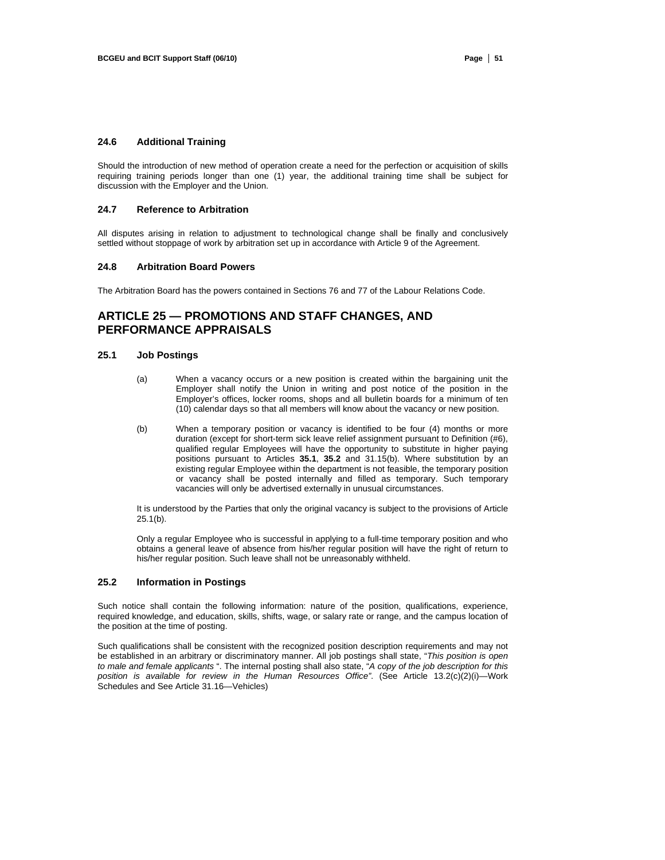# **24.6 Additional Training**

Should the introduction of new method of operation create a need for the perfection or acquisition of skills requiring training periods longer than one (1) year, the additional training time shall be subject for discussion with the Employer and the Union.

#### **24.7 Reference to Arbitration**

All disputes arising in relation to adjustment to technological change shall be finally and conclusively settled without stoppage of work by arbitration set up in accordance with Article 9 of the Agreement.

#### **24.8 Arbitration Board Powers**

The Arbitration Board has the powers contained in Sections 76 and 77 of the Labour Relations Code.

# **ARTICLE 25 — PROMOTIONS AND STAFF CHANGES, AND PERFORMANCE APPRAISALS**

#### **25.1 Job Postings**

- (a) When a vacancy occurs or a new position is created within the bargaining unit the Employer shall notify the Union in writing and post notice of the position in the Employer's offices, locker rooms, shops and all bulletin boards for a minimum of ten (10) calendar days so that all members will know about the vacancy or new position.
- (b) When a temporary position or vacancy is identified to be four (4) months or more duration (except for short-term sick leave relief assignment pursuant to Definition (#6), qualified regular Employees will have the opportunity to substitute in higher paying positions pursuant to Articles **35.1**, **35.2** and 31.15(b). Where substitution by an existing regular Employee within the department is not feasible, the temporary position or vacancy shall be posted internally and filled as temporary. Such temporary vacancies will only be advertised externally in unusual circumstances.

It is understood by the Parties that only the original vacancy is subject to the provisions of Article 25.1(b).

Only a regular Employee who is successful in applying to a full-time temporary position and who obtains a general leave of absence from his/her regular position will have the right of return to his/her regular position. Such leave shall not be unreasonably withheld.

## **25.2 Information in Postings**

Such notice shall contain the following information: nature of the position, qualifications, experience, required knowledge, and education, skills, shifts, wage, or salary rate or range, and the campus location of the position at the time of posting.

Such qualifications shall be consistent with the recognized position description requirements and may not be established in an arbitrary or discriminatory manner. All job postings shall state, "*This position is open to male and female applicants* ". The internal posting shall also state, "*A copy of the job description for this position is available for review in the Human Resources Office"*. (See Article 13.2(c)(2)(i)—Work Schedules and See Article 31.16—Vehicles)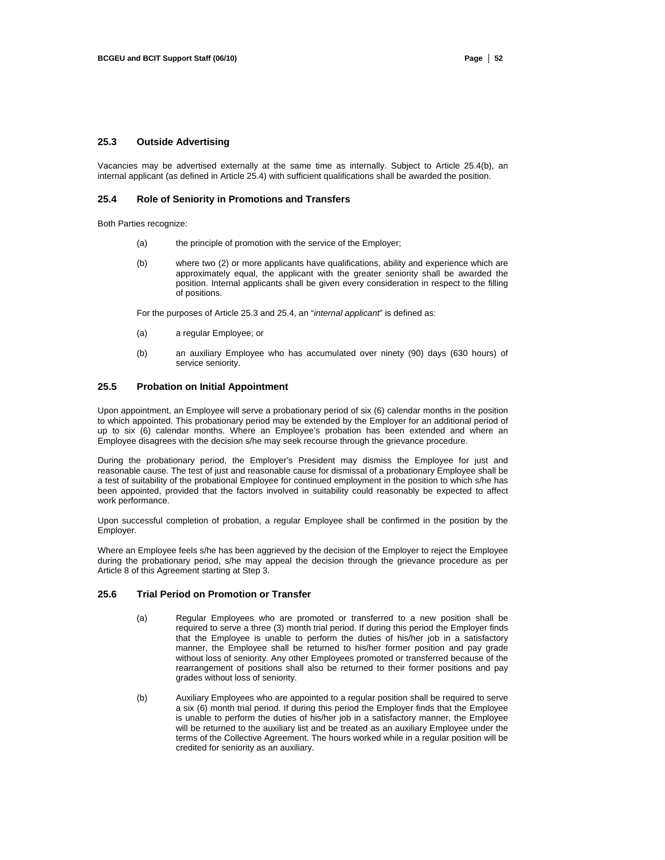# **25.3 Outside Advertising**

Vacancies may be advertised externally at the same time as internally. Subject to Article 25.4(b), an internal applicant (as defined in Article 25.4) with sufficient qualifications shall be awarded the position.

#### **25.4 Role of Seniority in Promotions and Transfers**

Both Parties recognize:

- (a) the principle of promotion with the service of the Employer;
- (b) where two (2) or more applicants have qualifications, ability and experience which are approximately equal, the applicant with the greater seniority shall be awarded the position. Internal applicants shall be given every consideration in respect to the filling of positions.

For the purposes of Article 25.3 and 25.4, an "*internal applicant*" is defined as:

- (a) a regular Employee; or
- (b) an auxiliary Employee who has accumulated over ninety (90) days (630 hours) of service seniority.

### **25.5 Probation on Initial Appointment**

Upon appointment, an Employee will serve a probationary period of six (6) calendar months in the position to which appointed. This probationary period may be extended by the Employer for an additional period of up to six (6) calendar months. Where an Employee's probation has been extended and where an Employee disagrees with the decision s/he may seek recourse through the grievance procedure.

During the probationary period, the Employer's President may dismiss the Employee for just and reasonable cause. The test of just and reasonable cause for dismissal of a probationary Employee shall be a test of suitability of the probational Employee for continued employment in the position to which s/he has been appointed, provided that the factors involved in suitability could reasonably be expected to affect work performance.

Upon successful completion of probation, a regular Employee shall be confirmed in the position by the Employer.

Where an Employee feels s/he has been aggrieved by the decision of the Employer to reject the Employee during the probationary period, s/he may appeal the decision through the grievance procedure as per Article 8 of this Agreement starting at Step 3.

### **25.6 Trial Period on Promotion or Transfer**

- (a) Regular Employees who are promoted or transferred to a new position shall be required to serve a three (3) month trial period. If during this period the Employer finds that the Employee is unable to perform the duties of his/her job in a satisfactory manner, the Employee shall be returned to his/her former position and pay grade without loss of seniority. Any other Employees promoted or transferred because of the rearrangement of positions shall also be returned to their former positions and pay grades without loss of seniority.
- (b) Auxiliary Employees who are appointed to a regular position shall be required to serve a six (6) month trial period. If during this period the Employer finds that the Employee is unable to perform the duties of his/her job in a satisfactory manner, the Employee will be returned to the auxiliary list and be treated as an auxiliary Employee under the terms of the Collective Agreement. The hours worked while in a regular position will be credited for seniority as an auxiliary.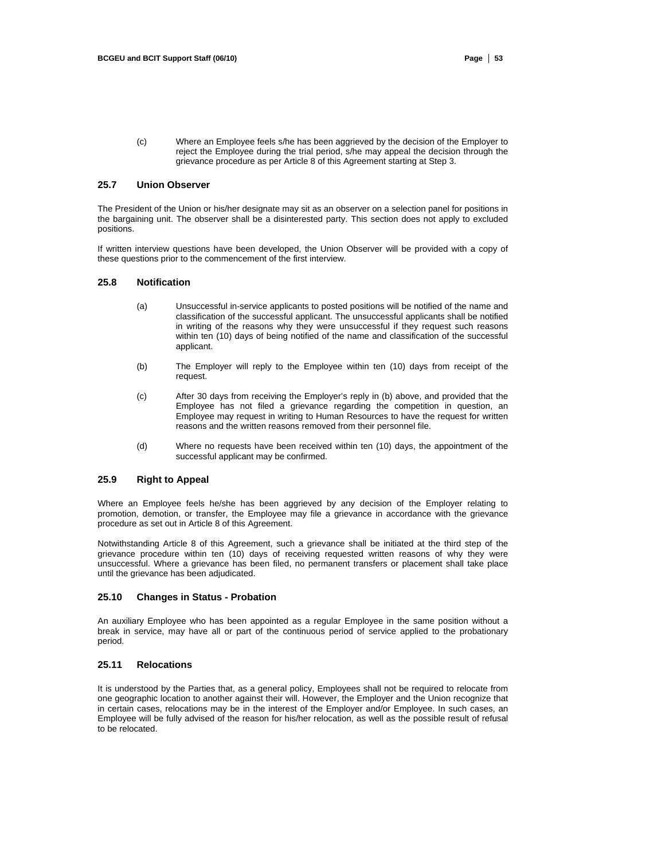(c) Where an Employee feels s/he has been aggrieved by the decision of the Employer to reject the Employee during the trial period, s/he may appeal the decision through the grievance procedure as per Article 8 of this Agreement starting at Step 3.

## **25.7 Union Observer**

The President of the Union or his/her designate may sit as an observer on a selection panel for positions in the bargaining unit. The observer shall be a disinterested party. This section does not apply to excluded positions.

If written interview questions have been developed, the Union Observer will be provided with a copy of these questions prior to the commencement of the first interview.

# **25.8 Notification**

- (a) Unsuccessful in-service applicants to posted positions will be notified of the name and classification of the successful applicant. The unsuccessful applicants shall be notified in writing of the reasons why they were unsuccessful if they request such reasons within ten (10) days of being notified of the name and classification of the successful applicant.
- (b) The Employer will reply to the Employee within ten (10) days from receipt of the request.
- (c) After 30 days from receiving the Employer's reply in (b) above, and provided that the Employee has not filed a grievance regarding the competition in question, an Employee may request in writing to Human Resources to have the request for written reasons and the written reasons removed from their personnel file.
- (d) Where no requests have been received within ten (10) days, the appointment of the successful applicant may be confirmed.

## **25.9 Right to Appeal**

Where an Employee feels he/she has been aggrieved by any decision of the Employer relating to promotion, demotion, or transfer, the Employee may file a grievance in accordance with the grievance procedure as set out in Article 8 of this Agreement.

Notwithstanding Article 8 of this Agreement, such a grievance shall be initiated at the third step of the grievance procedure within ten (10) days of receiving requested written reasons of why they were unsuccessful. Where a grievance has been filed, no permanent transfers or placement shall take place until the grievance has been adjudicated.

## **25.10 Changes in Status - Probation**

An auxiliary Employee who has been appointed as a regular Employee in the same position without a break in service, may have all or part of the continuous period of service applied to the probationary period.

## **25.11 Relocations**

It is understood by the Parties that, as a general policy, Employees shall not be required to relocate from one geographic location to another against their will. However, the Employer and the Union recognize that in certain cases, relocations may be in the interest of the Employer and/or Employee. In such cases, an Employee will be fully advised of the reason for his/her relocation, as well as the possible result of refusal to be relocated.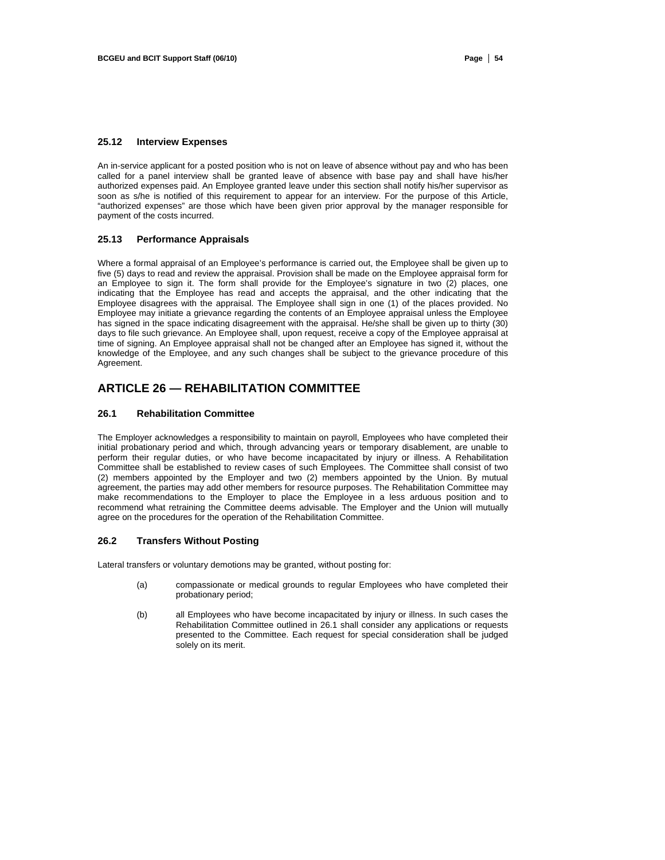# **25.12 Interview Expenses**

An in-service applicant for a posted position who is not on leave of absence without pay and who has been called for a panel interview shall be granted leave of absence with base pay and shall have his/her authorized expenses paid. An Employee granted leave under this section shall notify his/her supervisor as soon as s/he is notified of this requirement to appear for an interview. For the purpose of this Article, "authorized expenses" are those which have been given prior approval by the manager responsible for payment of the costs incurred.

## **25.13 Performance Appraisals**

Where a formal appraisal of an Employee's performance is carried out, the Employee shall be given up to five (5) days to read and review the appraisal. Provision shall be made on the Employee appraisal form for an Employee to sign it. The form shall provide for the Employee's signature in two (2) places, one indicating that the Employee has read and accepts the appraisal, and the other indicating that the Employee disagrees with the appraisal. The Employee shall sign in one (1) of the places provided. No Employee may initiate a grievance regarding the contents of an Employee appraisal unless the Employee has signed in the space indicating disagreement with the appraisal. He/she shall be given up to thirty (30) days to file such grievance. An Employee shall, upon request, receive a copy of the Employee appraisal at time of signing. An Employee appraisal shall not be changed after an Employee has signed it, without the knowledge of the Employee, and any such changes shall be subject to the grievance procedure of this Agreement.

# **ARTICLE 26 — REHABILITATION COMMITTEE**

#### **26.1 Rehabilitation Committee**

The Employer acknowledges a responsibility to maintain on payroll, Employees who have completed their initial probationary period and which, through advancing years or temporary disablement, are unable to perform their regular duties, or who have become incapacitated by injury or illness. A Rehabilitation Committee shall be established to review cases of such Employees. The Committee shall consist of two (2) members appointed by the Employer and two (2) members appointed by the Union. By mutual agreement, the parties may add other members for resource purposes. The Rehabilitation Committee may make recommendations to the Employer to place the Employee in a less arduous position and to recommend what retraining the Committee deems advisable. The Employer and the Union will mutually agree on the procedures for the operation of the Rehabilitation Committee.

#### **26.2 Transfers Without Posting**

Lateral transfers or voluntary demotions may be granted, without posting for:

- (a) compassionate or medical grounds to regular Employees who have completed their probationary period;
- (b) all Employees who have become incapacitated by injury or illness. In such cases the Rehabilitation Committee outlined in 26.1 shall consider any applications or requests presented to the Committee. Each request for special consideration shall be judged solely on its merit.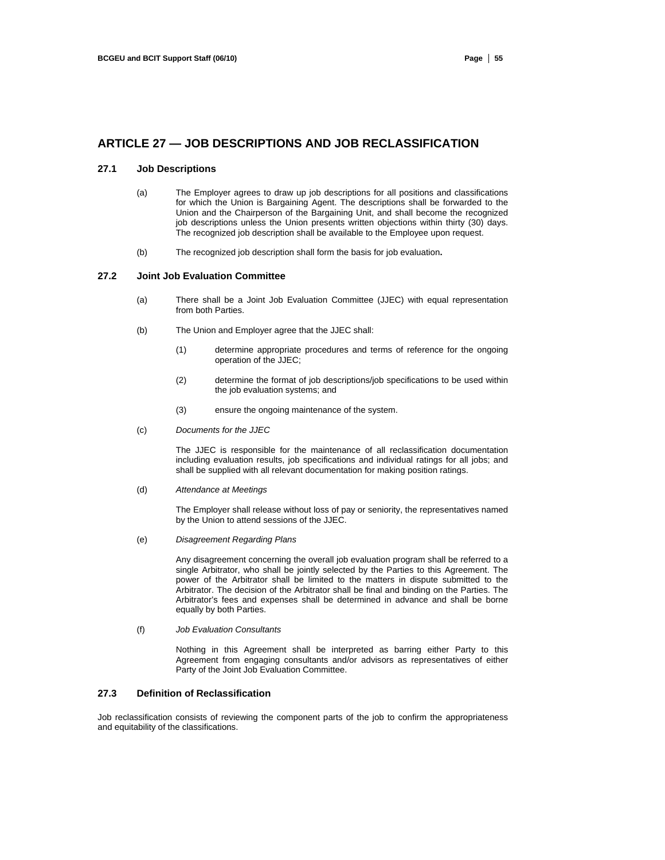# **ARTICLE 27 — JOB DESCRIPTIONS AND JOB RECLASSIFICATION**

## **27.1 Job Descriptions**

- (a) The Employer agrees to draw up job descriptions for all positions and classifications for which the Union is Bargaining Agent. The descriptions shall be forwarded to the Union and the Chairperson of the Bargaining Unit, and shall become the recognized job descriptions unless the Union presents written objections within thirty (30) days. The recognized job description shall be available to the Employee upon request.
- (b) The recognized job description shall form the basis for job evaluation**.**

# **27.2 Joint Job Evaluation Committee**

- (a) There shall be a Joint Job Evaluation Committee (JJEC) with equal representation from both Parties.
- (b) The Union and Employer agree that the JJEC shall:
	- (1) determine appropriate procedures and terms of reference for the ongoing operation of the JJEC;
	- (2) determine the format of job descriptions/job specifications to be used within the job evaluation systems; and
	- (3) ensure the ongoing maintenance of the system.
- (c) *Documents for the JJEC*

The JJEC is responsible for the maintenance of all reclassification documentation including evaluation results, job specifications and individual ratings for all jobs; and shall be supplied with all relevant documentation for making position ratings.

(d) *Attendance at Meetings* 

The Employer shall release without loss of pay or seniority, the representatives named by the Union to attend sessions of the JJEC.

(e) *Disagreement Regarding Plans* 

Any disagreement concerning the overall job evaluation program shall be referred to a single Arbitrator, who shall be jointly selected by the Parties to this Agreement. The power of the Arbitrator shall be limited to the matters in dispute submitted to the Arbitrator. The decision of the Arbitrator shall be final and binding on the Parties. The Arbitrator's fees and expenses shall be determined in advance and shall be borne equally by both Parties.

(f) *Job Evaluation Consultants* 

Nothing in this Agreement shall be interpreted as barring either Party to this Agreement from engaging consultants and/or advisors as representatives of either Party of the Joint Job Evaluation Committee.

# **27.3 Definition of Reclassification**

Job reclassification consists of reviewing the component parts of the job to confirm the appropriateness and equitability of the classifications.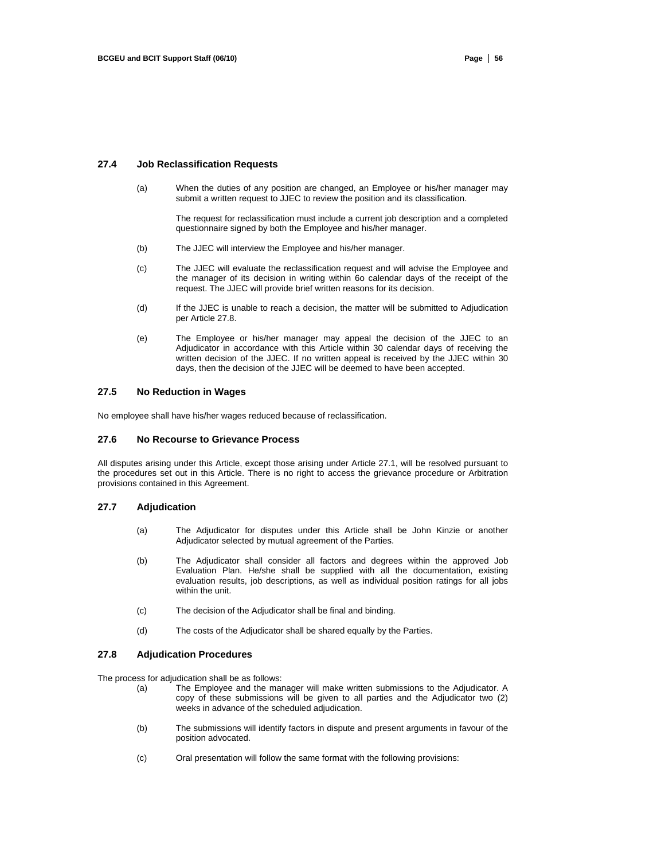#### **27.4 Job Reclassification Requests**

(a) When the duties of any position are changed, an Employee or his/her manager may submit a written request to JJEC to review the position and its classification.

> The request for reclassification must include a current job description and a completed questionnaire signed by both the Employee and his/her manager.

- (b) The JJEC will interview the Employee and his/her manager.
- (c) The JJEC will evaluate the reclassification request and will advise the Employee and the manager of its decision in writing within 6o calendar days of the receipt of the request. The JJEC will provide brief written reasons for its decision.
- (d) If the JJEC is unable to reach a decision, the matter will be submitted to Adjudication per Article 27.8.
- (e) The Employee or his/her manager may appeal the decision of the JJEC to an Adjudicator in accordance with this Article within 30 calendar days of receiving the written decision of the JJEC. If no written appeal is received by the JJEC within 30 days, then the decision of the JJEC will be deemed to have been accepted.

#### **27.5 No Reduction in Wages**

No employee shall have his/her wages reduced because of reclassification.

#### **27.6 No Recourse to Grievance Process**

All disputes arising under this Article, except those arising under Article 27.1, will be resolved pursuant to the procedures set out in this Article. There is no right to access the grievance procedure or Arbitration provisions contained in this Agreement.

#### **27.7 Adjudication**

- (a) The Adjudicator for disputes under this Article shall be John Kinzie or another Adjudicator selected by mutual agreement of the Parties.
- (b) The Adjudicator shall consider all factors and degrees within the approved Job Evaluation Plan. He/she shall be supplied with all the documentation, existing evaluation results, job descriptions, as well as individual position ratings for all jobs within the unit.
- (c) The decision of the Adjudicator shall be final and binding.
- (d) The costs of the Adjudicator shall be shared equally by the Parties.

#### **27.8 Adjudication Procedures**

The process for adjudication shall be as follows:

- (a) The Employee and the manager will make written submissions to the Adjudicator. A copy of these submissions will be given to all parties and the Adjudicator two (2) weeks in advance of the scheduled adjudication.
- (b) The submissions will identify factors in dispute and present arguments in favour of the position advocated.
- (c) Oral presentation will follow the same format with the following provisions: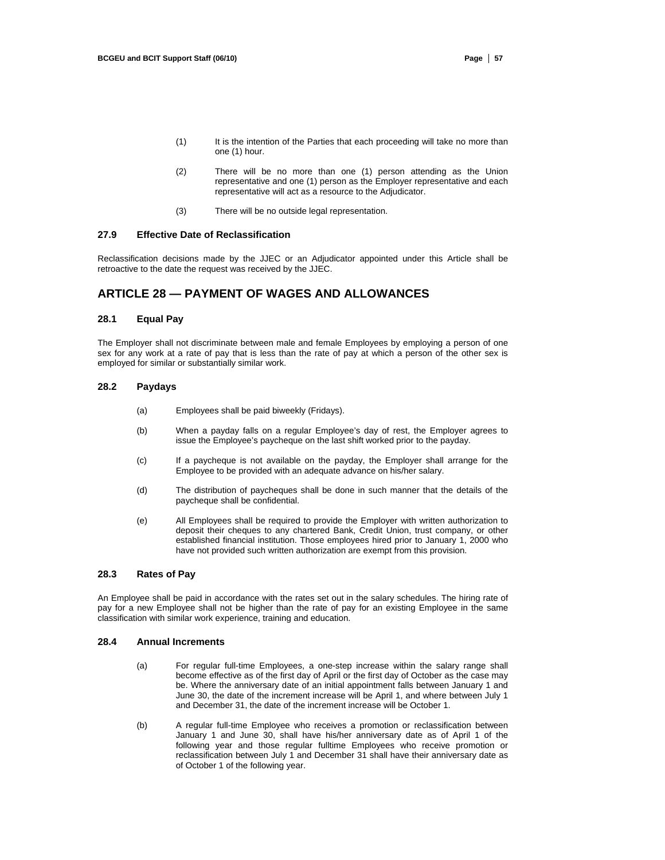- (1) It is the intention of the Parties that each proceeding will take no more than one (1) hour.
- (2) There will be no more than one (1) person attending as the Union representative and one (1) person as the Employer representative and each representative will act as a resource to the Adjudicator.
- (3) There will be no outside legal representation.

#### **27.9 Effective Date of Reclassification**

Reclassification decisions made by the JJEC or an Adjudicator appointed under this Article shall be retroactive to the date the request was received by the JJEC.

# **ARTICLE 28 — PAYMENT OF WAGES AND ALLOWANCES**

## **28.1 Equal Pay**

The Employer shall not discriminate between male and female Employees by employing a person of one sex for any work at a rate of pay that is less than the rate of pay at which a person of the other sex is employed for similar or substantially similar work.

#### **28.2 Paydays**

- (a) Employees shall be paid biweekly (Fridays).
- (b) When a payday falls on a regular Employee's day of rest, the Employer agrees to issue the Employee's paycheque on the last shift worked prior to the payday.
- (c) If a paycheque is not available on the payday, the Employer shall arrange for the Employee to be provided with an adequate advance on his/her salary.
- (d) The distribution of paycheques shall be done in such manner that the details of the paycheque shall be confidential.
- (e) All Employees shall be required to provide the Employer with written authorization to deposit their cheques to any chartered Bank, Credit Union, trust company, or other established financial institution. Those employees hired prior to January 1, 2000 who have not provided such written authorization are exempt from this provision.

#### **28.3 Rates of Pay**

An Employee shall be paid in accordance with the rates set out in the salary schedules. The hiring rate of pay for a new Employee shall not be higher than the rate of pay for an existing Employee in the same classification with similar work experience, training and education.

#### **28.4 Annual Increments**

- (a) For regular full-time Employees, a one-step increase within the salary range shall become effective as of the first day of April or the first day of October as the case may be. Where the anniversary date of an initial appointment falls between January 1 and June 30, the date of the increment increase will be April 1, and where between July 1 and December 31, the date of the increment increase will be October 1.
- (b) A regular full-time Employee who receives a promotion or reclassification between January 1 and June 30, shall have his/her anniversary date as of April 1 of the following year and those regular fulltime Employees who receive promotion or reclassification between July 1 and December 31 shall have their anniversary date as of October 1 of the following year.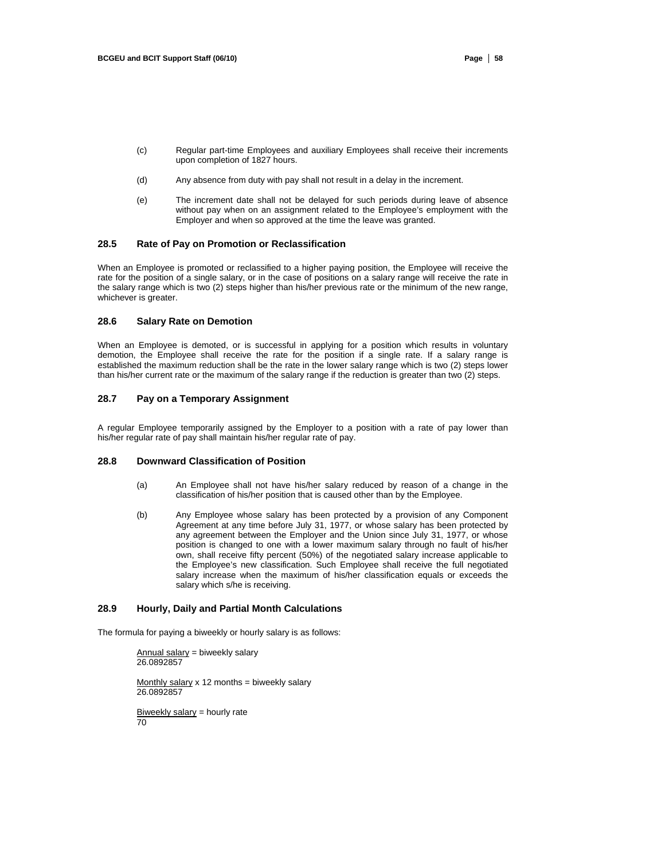- (c) Regular part-time Employees and auxiliary Employees shall receive their increments upon completion of 1827 hours.
- (d) Any absence from duty with pay shall not result in a delay in the increment.
- (e) The increment date shall not be delayed for such periods during leave of absence without pay when on an assignment related to the Employee's employment with the Employer and when so approved at the time the leave was granted.

## **28.5 Rate of Pay on Promotion or Reclassification**

When an Employee is promoted or reclassified to a higher paying position, the Employee will receive the rate for the position of a single salary, or in the case of positions on a salary range will receive the rate in the salary range which is two (2) steps higher than his/her previous rate or the minimum of the new range, whichever is greater.

#### **28.6 Salary Rate on Demotion**

When an Employee is demoted, or is successful in applying for a position which results in voluntary demotion, the Employee shall receive the rate for the position if a single rate. If a salary range is established the maximum reduction shall be the rate in the lower salary range which is two (2) steps lower than his/her current rate or the maximum of the salary range if the reduction is greater than two (2) steps.

## **28.7 Pay on a Temporary Assignment**

A regular Employee temporarily assigned by the Employer to a position with a rate of pay lower than his/her regular rate of pay shall maintain his/her regular rate of pay.

### **28.8 Downward Classification of Position**

- (a) An Employee shall not have his/her salary reduced by reason of a change in the classification of his/her position that is caused other than by the Employee.
- (b) Any Employee whose salary has been protected by a provision of any Component Agreement at any time before July 31, 1977, or whose salary has been protected by any agreement between the Employer and the Union since July 31, 1977, or whose position is changed to one with a lower maximum salary through no fault of his/her own, shall receive fifty percent (50%) of the negotiated salary increase applicable to the Employee's new classification. Such Employee shall receive the full negotiated salary increase when the maximum of his/her classification equals or exceeds the salary which s/he is receiving.

# **28.9 Hourly, Daily and Partial Month Calculations**

The formula for paying a biweekly or hourly salary is as follows:

 $Annual salary = b$ iweekly salary 26.0892857

Monthly salary  $x$  12 months = biweekly salary 26.0892857

Biweekly salary  $=$  hourly rate 70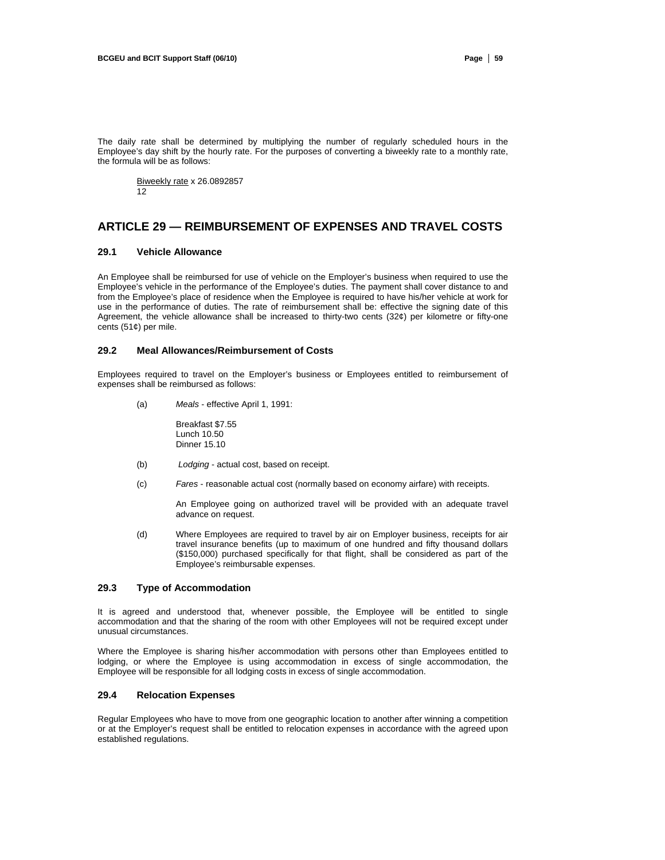The daily rate shall be determined by multiplying the number of regularly scheduled hours in the Employee's day shift by the hourly rate. For the purposes of converting a biweekly rate to a monthly rate, the formula will be as follows:

Biweekly rate x 26.0892857 12

# **ARTICLE 29 — REIMBURSEMENT OF EXPENSES AND TRAVEL COSTS**

## **29.1 Vehicle Allowance**

An Employee shall be reimbursed for use of vehicle on the Employer's business when required to use the Employee's vehicle in the performance of the Employee's duties. The payment shall cover distance to and from the Employee's place of residence when the Employee is required to have his/her vehicle at work for use in the performance of duties. The rate of reimbursement shall be: effective the signing date of this Agreement, the vehicle allowance shall be increased to thirty-two cents (32¢) per kilometre or fifty-one cents (51¢) per mile.

### **29.2 Meal Allowances/Reimbursement of Costs**

Employees required to travel on the Employer's business or Employees entitled to reimbursement of expenses shall be reimbursed as follows:

(a) *Meals* - effective April 1, 1991:

Breakfast \$7.55 Lunch 10.50 Dinner 15.10

- (b) *Lodging*  actual cost, based on receipt.
- (c) *Fares*  reasonable actual cost (normally based on economy airfare) with receipts.

An Employee going on authorized travel will be provided with an adequate travel advance on request.

(d) Where Employees are required to travel by air on Employer business, receipts for air travel insurance benefits (up to maximum of one hundred and fifty thousand dollars (\$150,000) purchased specifically for that flight, shall be considered as part of the Employee's reimbursable expenses.

#### **29.3 Type of Accommodation**

It is agreed and understood that, whenever possible, the Employee will be entitled to single accommodation and that the sharing of the room with other Employees will not be required except under unusual circumstances.

Where the Employee is sharing his/her accommodation with persons other than Employees entitled to lodging, or where the Employee is using accommodation in excess of single accommodation, the Employee will be responsible for all lodging costs in excess of single accommodation.

#### **29.4 Relocation Expenses**

Regular Employees who have to move from one geographic location to another after winning a competition or at the Employer's request shall be entitled to relocation expenses in accordance with the agreed upon established regulations.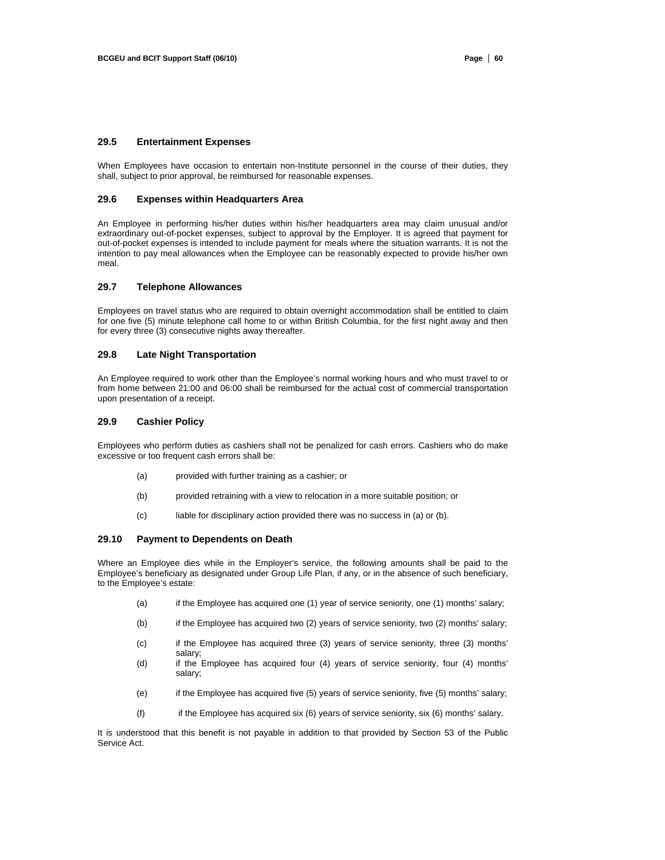## **29.5 Entertainment Expenses**

When Employees have occasion to entertain non-Institute personnel in the course of their duties, they shall, subject to prior approval, be reimbursed for reasonable expenses.

#### **29.6 Expenses within Headquarters Area**

An Employee in performing his/her duties within his/her headquarters area may claim unusual and/or extraordinary out-of-pocket expenses, subject to approval by the Employer. It is agreed that payment for out-of-pocket expenses is intended to include payment for meals where the situation warrants. It is not the intention to pay meal allowances when the Employee can be reasonably expected to provide his/her own meal.

#### **29.7 Telephone Allowances**

Employees on travel status who are required to obtain overnight accommodation shall be entitled to claim for one five (5) minute telephone call home to or within British Columbia, for the first night away and then for every three (3) consecutive nights away thereafter.

#### **29.8 Late Night Transportation**

An Employee required to work other than the Employee's normal working hours and who must travel to or from home between 21:00 and 06:00 shall be reimbursed for the actual cost of commercial transportation upon presentation of a receipt.

#### **29.9 Cashier Policy**

Employees who perform duties as cashiers shall not be penalized for cash errors. Cashiers who do make excessive or too frequent cash errors shall be:

- (a) provided with further training as a cashier; or
- (b) provided retraining with a view to relocation in a more suitable position; or
- (c) liable for disciplinary action provided there was no success in (a) or (b).

### **29.10 Payment to Dependents on Death**

Where an Employee dies while in the Employer's service, the following amounts shall be paid to the Employee's beneficiary as designated under Group Life Plan, if any, or in the absence of such beneficiary, to the Employee's estate:

- (a) if the Employee has acquired one (1) year of service seniority, one (1) months' salary;
- (b) if the Employee has acquired two (2) years of service seniority, two (2) months' salary;
- (c) if the Employee has acquired three (3) years of service seniority, three (3) months' salary;
- (d) if the Employee has acquired four (4) years of service seniority, four (4) months' salary;
- (e) if the Employee has acquired five (5) years of service seniority, five (5) months' salary;
- (f) if the Employee has acquired six (6) years of service seniority, six (6) months' salary.

It is understood that this benefit is not payable in addition to that provided by Section 53 of the Public Service Act.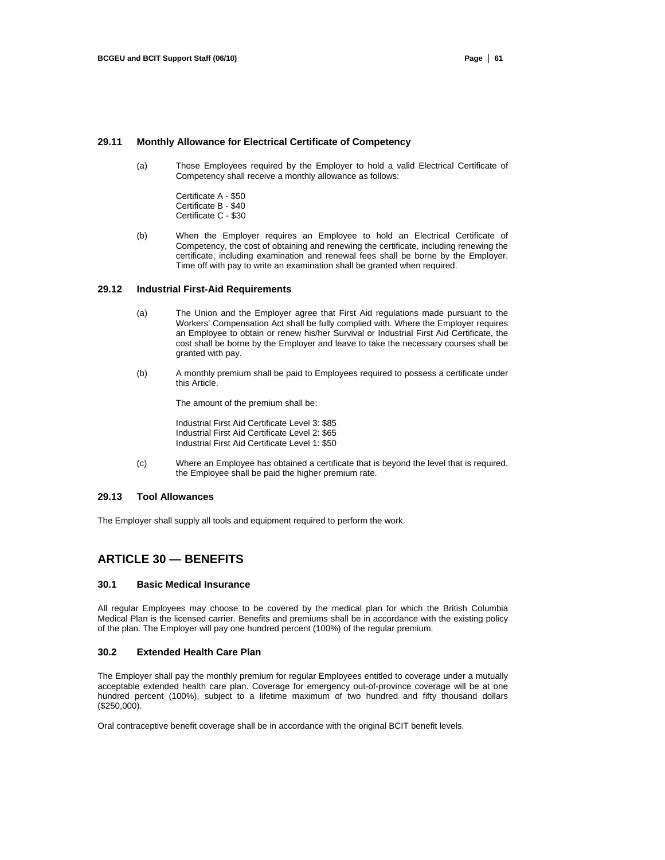## **29.11 Monthly Allowance for Electrical Certificate of Competency**

- (a) Those Employees required by the Employer to hold a valid Electrical Certificate of Competency shall receive a monthly allowance as follows:
	- Certificate A \$50 Certificate B - \$40 Certificate C - \$30
- (b) When the Employer requires an Employee to hold an Electrical Certificate of Competency, the cost of obtaining and renewing the certificate, including renewing the certificate, including examination and renewal fees shall be borne by the Employer. Time off with pay to write an examination shall be granted when required.

### **29.12 Industrial First-Aid Requirements**

- (a) The Union and the Employer agree that First Aid regulations made pursuant to the Workers' Compensation Act shall be fully complied with. Where the Employer requires an Employee to obtain or renew his/her Survival or Industrial First Aid Certificate, the cost shall be borne by the Employer and leave to take the necessary courses shall be granted with pay.
- (b) A monthly premium shall be paid to Employees required to possess a certificate under this Article.

The amount of the premium shall be:

Industrial First Aid Certificate Level 3: \$85 Industrial First Aid Certificate Level 2: \$65 Industrial First Aid Certificate Level 1: \$50

(c) Where an Employee has obtained a certificate that is beyond the level that is required, the Employee shall be paid the higher premium rate.

## **29.13 Tool Allowances**

The Employer shall supply all tools and equipment required to perform the work.

# **ARTICLE 30 — BENEFITS**

#### **30.1 Basic Medical Insurance**

All regular Employees may choose to be covered by the medical plan for which the British Columbia Medical Plan is the licensed carrier. Benefits and premiums shall be in accordance with the existing policy of the plan. The Employer will pay one hundred percent (100%) of the regular premium.

## **30.2 Extended Health Care Plan**

The Employer shall pay the monthly premium for regular Employees entitled to coverage under a mutually acceptable extended health care plan. Coverage for emergency out-of-province coverage will be at one hundred percent (100%), subject to a lifetime maximum of two hundred and fifty thousand dollars (\$250,000).

Oral contraceptive benefit coverage shall be in accordance with the original BCIT benefit levels.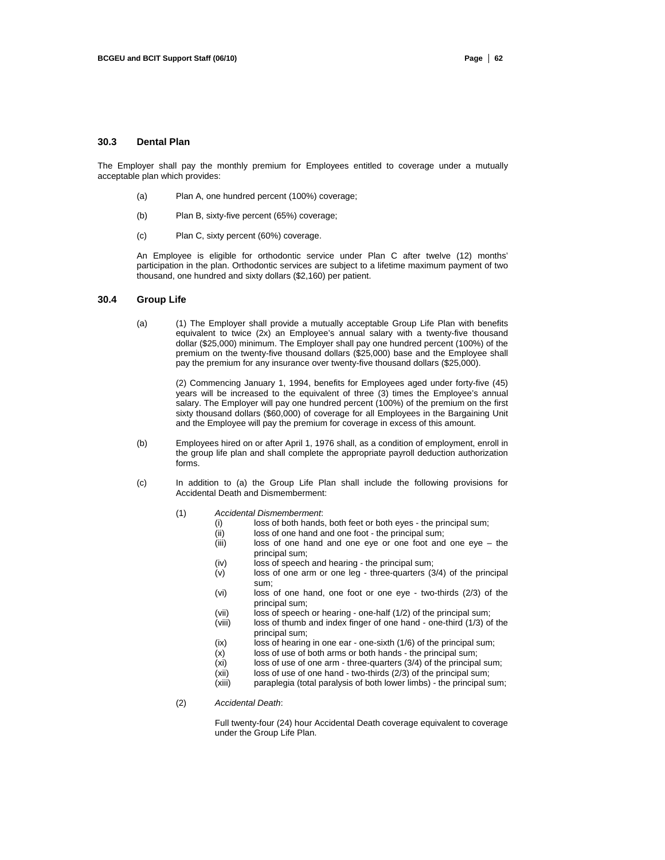#### **30.3 Dental Plan**

The Employer shall pay the monthly premium for Employees entitled to coverage under a mutually acceptable plan which provides:

- (a) Plan A, one hundred percent (100%) coverage;
- (b) Plan B, sixty-five percent (65%) coverage;
- (c) Plan C, sixty percent (60%) coverage.

An Employee is eligible for orthodontic service under Plan C after twelve (12) months' participation in the plan. Orthodontic services are subject to a lifetime maximum payment of two thousand, one hundred and sixty dollars (\$2,160) per patient.

## **30.4 Group Life**

(a) (1) The Employer shall provide a mutually acceptable Group Life Plan with benefits equivalent to twice (2x) an Employee's annual salary with a twenty-five thousand dollar (\$25,000) minimum. The Employer shall pay one hundred percent (100%) of the premium on the twenty-five thousand dollars (\$25,000) base and the Employee shall pay the premium for any insurance over twenty-five thousand dollars (\$25,000).

> (2) Commencing January 1, 1994, benefits for Employees aged under forty-five (45) years will be increased to the equivalent of three (3) times the Employee's annual salary. The Employer will pay one hundred percent (100%) of the premium on the first sixty thousand dollars (\$60,000) of coverage for all Employees in the Bargaining Unit and the Employee will pay the premium for coverage in excess of this amount.

- (b) Employees hired on or after April 1, 1976 shall, as a condition of employment, enroll in the group life plan and shall complete the appropriate payroll deduction authorization forms.
- (c) In addition to (a) the Group Life Plan shall include the following provisions for Accidental Death and Dismemberment:
	- (1) *Accidental Dismemberment*:
		- (i) loss of both hands, both feet or both eyes the principal sum;<br>(ii) loss of one hand and one foot the principal sum;
		- loss of one hand and one foot the principal sum;
		- (iii) loss of one hand and one eye or one foot and one eye the principal sum;
		- (iv) loss of speech and hearing the principal sum;
		- (v) loss of one arm or one leg three-quarters (3/4) of the principal sum;
		- (vi) loss of one hand, one foot or one eye two-thirds (2/3) of the principal sum;
		- (vii) loss of speech or hearing one-half (1/2) of the principal sum;
		- (viii) loss of thumb and index finger of one hand one-third (1/3) of the principal sum;
		- (ix) loss of hearing in one ear one-sixth (1/6) of the principal sum;
		- (x) loss of use of both arms or both hands the principal sum;
		- (xi) loss of use of one arm three-quarters (3/4) of the principal sum;
		- (xii) loss of use of one hand two-thirds (2/3) of the principal sum;<br>(xiii) paraplegia (total paralysis of both lower limbs) the principal s
		- paraplegia (total paralysis of both lower limbs) the principal sum;

(2) *Accidental Death*:

Full twenty-four (24) hour Accidental Death coverage equivalent to coverage under the Group Life Plan.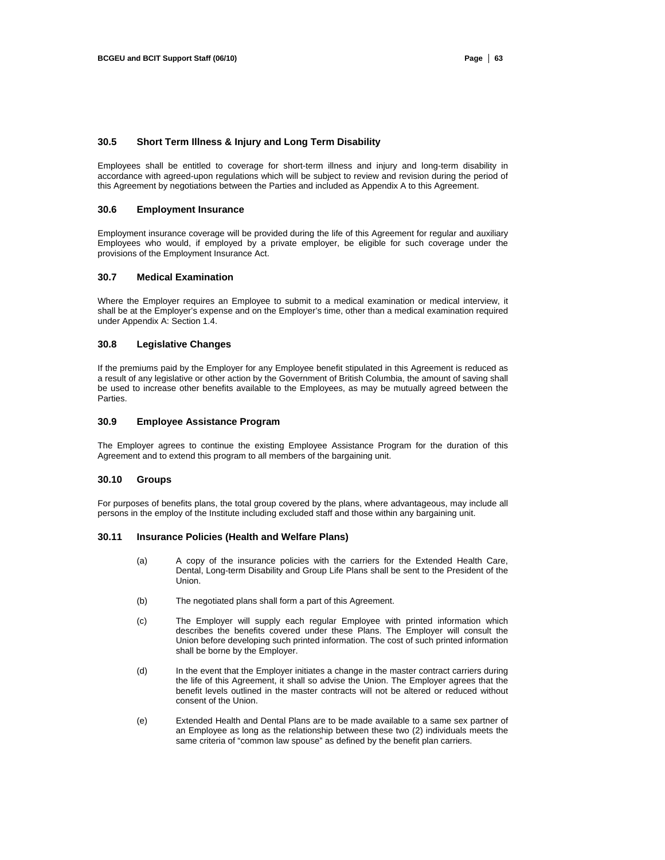## **30.5 Short Term Illness & Injury and Long Term Disability**

Employees shall be entitled to coverage for short-term illness and injury and long-term disability in accordance with agreed-upon regulations which will be subject to review and revision during the period of this Agreement by negotiations between the Parties and included as Appendix A to this Agreement.

# **30.6 Employment Insurance**

Employment insurance coverage will be provided during the life of this Agreement for regular and auxiliary Employees who would, if employed by a private employer, be eligible for such coverage under the provisions of the Employment Insurance Act.

#### **30.7 Medical Examination**

Where the Employer requires an Employee to submit to a medical examination or medical interview, it shall be at the Employer's expense and on the Employer's time, other than a medical examination required under Appendix A: Section 1.4.

#### **30.8 Legislative Changes**

If the premiums paid by the Employer for any Employee benefit stipulated in this Agreement is reduced as a result of any legislative or other action by the Government of British Columbia, the amount of saving shall be used to increase other benefits available to the Employees, as may be mutually agreed between the Parties.

#### **30.9 Employee Assistance Program**

The Employer agrees to continue the existing Employee Assistance Program for the duration of this Agreement and to extend this program to all members of the bargaining unit.

#### **30.10 Groups**

For purposes of benefits plans, the total group covered by the plans, where advantageous, may include all persons in the employ of the Institute including excluded staff and those within any bargaining unit.

#### **30.11 Insurance Policies (Health and Welfare Plans)**

- (a) A copy of the insurance policies with the carriers for the Extended Health Care, Dental, Long-term Disability and Group Life Plans shall be sent to the President of the Union.
- (b) The negotiated plans shall form a part of this Agreement.
- (c) The Employer will supply each regular Employee with printed information which describes the benefits covered under these Plans. The Employer will consult the Union before developing such printed information. The cost of such printed information shall be borne by the Employer.
- (d) In the event that the Employer initiates a change in the master contract carriers during the life of this Agreement, it shall so advise the Union. The Employer agrees that the benefit levels outlined in the master contracts will not be altered or reduced without consent of the Union.
- (e) Extended Health and Dental Plans are to be made available to a same sex partner of an Employee as long as the relationship between these two (2) individuals meets the same criteria of "common law spouse" as defined by the benefit plan carriers.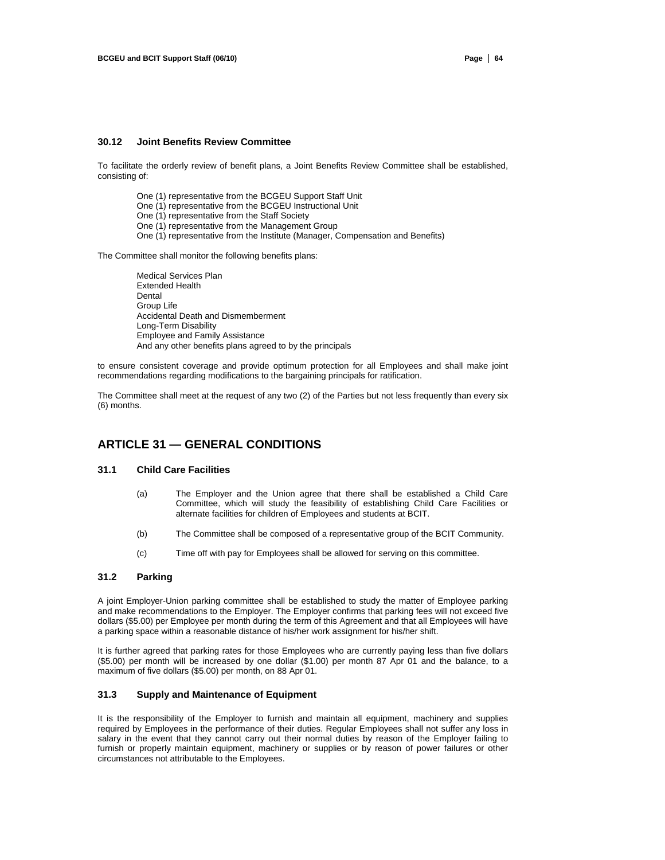#### **30.12 Joint Benefits Review Committee**

To facilitate the orderly review of benefit plans, a Joint Benefits Review Committee shall be established, consisting of:

- One (1) representative from the BCGEU Support Staff Unit
- One (1) representative from the BCGEU Instructional Unit
- One (1) representative from the Staff Society
- One (1) representative from the Management Group
- One (1) representative from the Institute (Manager, Compensation and Benefits)

The Committee shall monitor the following benefits plans:

Medical Services Plan Extended Health **Dental** Group Life Accidental Death and Dismemberment Long-Term Disability Employee and Family Assistance And any other benefits plans agreed to by the principals

to ensure consistent coverage and provide optimum protection for all Employees and shall make joint recommendations regarding modifications to the bargaining principals for ratification.

The Committee shall meet at the request of any two (2) of the Parties but not less frequently than every six (6) months.

# **ARTICLE 31 — GENERAL CONDITIONS**

## **31.1 Child Care Facilities**

- (a) The Employer and the Union agree that there shall be established a Child Care Committee, which will study the feasibility of establishing Child Care Facilities or alternate facilities for children of Employees and students at BCIT.
- (b) The Committee shall be composed of a representative group of the BCIT Community.
- (c) Time off with pay for Employees shall be allowed for serving on this committee.

## **31.2 Parking**

A joint Employer-Union parking committee shall be established to study the matter of Employee parking and make recommendations to the Employer. The Employer confirms that parking fees will not exceed five dollars (\$5.00) per Employee per month during the term of this Agreement and that all Employees will have a parking space within a reasonable distance of his/her work assignment for his/her shift.

It is further agreed that parking rates for those Employees who are currently paying less than five dollars (\$5.00) per month will be increased by one dollar (\$1.00) per month 87 Apr 01 and the balance, to a maximum of five dollars (\$5.00) per month, on 88 Apr 01.

#### **31.3 Supply and Maintenance of Equipment**

It is the responsibility of the Employer to furnish and maintain all equipment, machinery and supplies required by Employees in the performance of their duties. Regular Employees shall not suffer any loss in salary in the event that they cannot carry out their normal duties by reason of the Employer failing to furnish or properly maintain equipment, machinery or supplies or by reason of power failures or other circumstances not attributable to the Employees.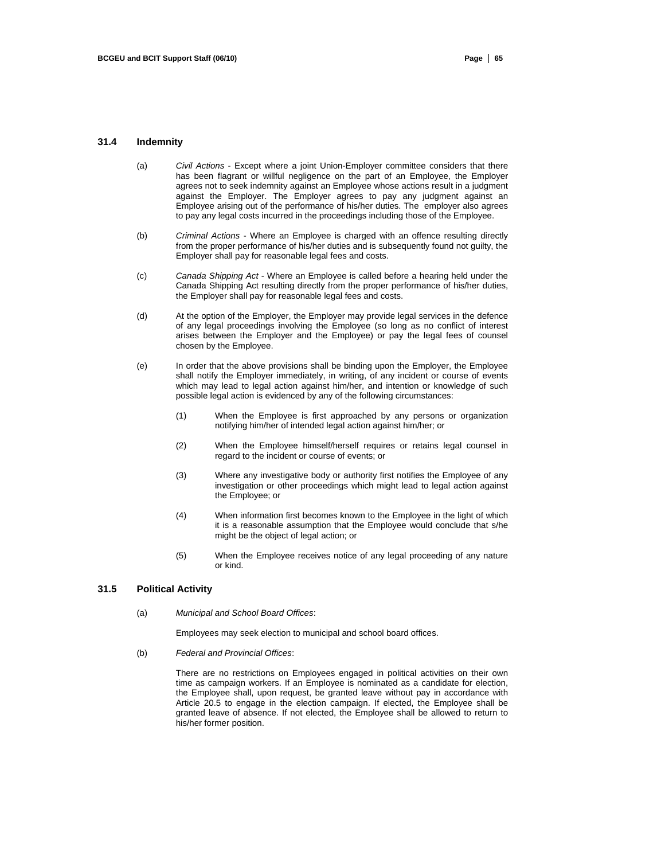#### **31.4 Indemnity**

- (a) *Civil Actions*  Except where a joint Union-Employer committee considers that there has been flagrant or willful negligence on the part of an Employee, the Employer agrees not to seek indemnity against an Employee whose actions result in a judgment against the Employer. The Employer agrees to pay any judgment against an Employee arising out of the performance of his/her duties. The employer also agrees to pay any legal costs incurred in the proceedings including those of the Employee.
- (b) *Criminal Actions*  Where an Employee is charged with an offence resulting directly from the proper performance of his/her duties and is subsequently found not guilty, the Employer shall pay for reasonable legal fees and costs.
- (c) *Canada Shipping Act*  Where an Employee is called before a hearing held under the Canada Shipping Act resulting directly from the proper performance of his/her duties, the Employer shall pay for reasonable legal fees and costs.
- (d) At the option of the Employer, the Employer may provide legal services in the defence of any legal proceedings involving the Employee (so long as no conflict of interest arises between the Employer and the Employee) or pay the legal fees of counsel chosen by the Employee.
- (e) In order that the above provisions shall be binding upon the Employer, the Employee shall notify the Employer immediately, in writing, of any incident or course of events which may lead to legal action against him/her, and intention or knowledge of such possible legal action is evidenced by any of the following circumstances:
	- (1) When the Employee is first approached by any persons or organization notifying him/her of intended legal action against him/her; or
	- (2) When the Employee himself/herself requires or retains legal counsel in regard to the incident or course of events; or
	- (3) Where any investigative body or authority first notifies the Employee of any investigation or other proceedings which might lead to legal action against the Employee; or
	- (4) When information first becomes known to the Employee in the light of which it is a reasonable assumption that the Employee would conclude that s/he might be the object of legal action; or
	- (5) When the Employee receives notice of any legal proceeding of any nature or kind.

### **31.5 Political Activity**

(a) *Municipal and School Board Offices*:

Employees may seek election to municipal and school board offices.

(b) *Federal and Provincial Offices*:

There are no restrictions on Employees engaged in political activities on their own time as campaign workers. If an Employee is nominated as a candidate for election, the Employee shall, upon request, be granted leave without pay in accordance with Article 20.5 to engage in the election campaign. If elected, the Employee shall be granted leave of absence. If not elected, the Employee shall be allowed to return to his/her former position.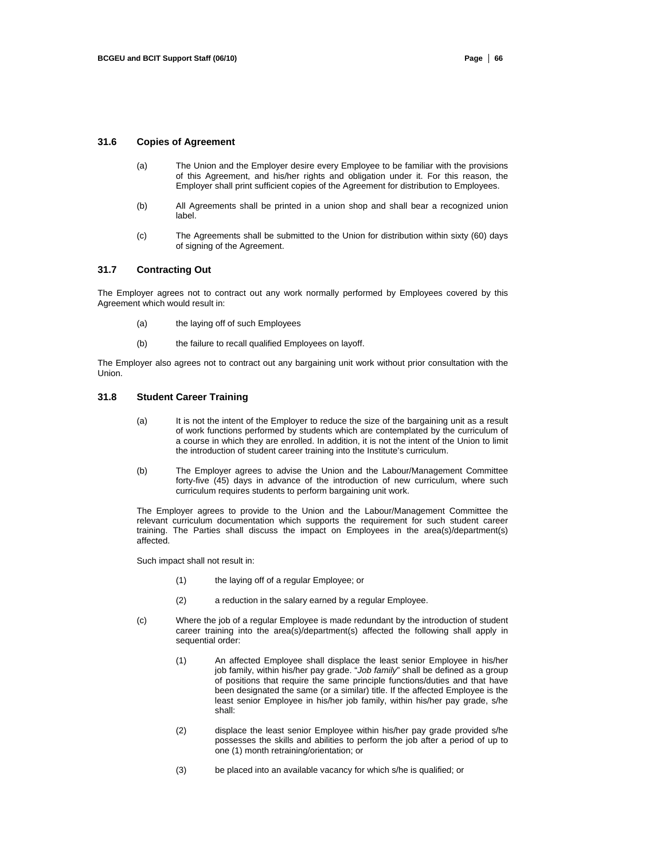#### **31.6 Copies of Agreement**

- (a) The Union and the Employer desire every Employee to be familiar with the provisions of this Agreement, and his/her rights and obligation under it. For this reason, the Employer shall print sufficient copies of the Agreement for distribution to Employees.
- (b) All Agreements shall be printed in a union shop and shall bear a recognized union label.
- (c) The Agreements shall be submitted to the Union for distribution within sixty (60) days of signing of the Agreement.

# **31.7 Contracting Out**

The Employer agrees not to contract out any work normally performed by Employees covered by this Agreement which would result in:

- (a) the laying off of such Employees
- (b) the failure to recall qualified Employees on layoff.

The Employer also agrees not to contract out any bargaining unit work without prior consultation with the Union.

## **31.8 Student Career Training**

- (a) It is not the intent of the Employer to reduce the size of the bargaining unit as a result of work functions performed by students which are contemplated by the curriculum of a course in which they are enrolled. In addition, it is not the intent of the Union to limit the introduction of student career training into the Institute's curriculum.
- (b) The Employer agrees to advise the Union and the Labour/Management Committee forty-five (45) days in advance of the introduction of new curriculum, where such curriculum requires students to perform bargaining unit work.

The Employer agrees to provide to the Union and the Labour/Management Committee the relevant curriculum documentation which supports the requirement for such student career training. The Parties shall discuss the impact on Employees in the area(s)/department(s) affected.

Such impact shall not result in:

- (1) the laying off of a regular Employee; or
- (2) a reduction in the salary earned by a regular Employee.
- (c) Where the job of a regular Employee is made redundant by the introduction of student career training into the area(s)/department(s) affected the following shall apply in sequential order:
	- (1) An affected Employee shall displace the least senior Employee in his/her job family, within his/her pay grade. "*Job family*" shall be defined as a group of positions that require the same principle functions/duties and that have been designated the same (or a similar) title. If the affected Employee is the least senior Employee in his/her job family, within his/her pay grade, s/he shall:
	- (2) displace the least senior Employee within his/her pay grade provided s/he possesses the skills and abilities to perform the job after a period of up to one (1) month retraining/orientation; or
	- (3) be placed into an available vacancy for which s/he is qualified; or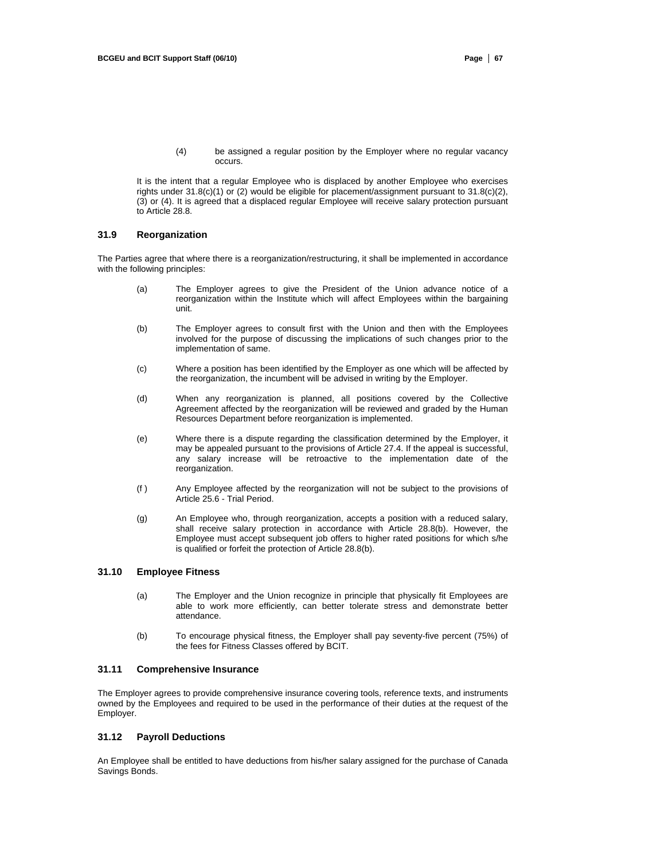(4) be assigned a regular position by the Employer where no regular vacancy occurs.

It is the intent that a regular Employee who is displaced by another Employee who exercises rights under 31.8(c)(1) or (2) would be eligible for placement/assignment pursuant to 31.8(c)(2), (3) or (4). It is agreed that a displaced regular Employee will receive salary protection pursuant to Article 28.8.

#### **31.9 Reorganization**

The Parties agree that where there is a reorganization/restructuring, it shall be implemented in accordance with the following principles:

- (a) The Employer agrees to give the President of the Union advance notice of a reorganization within the Institute which will affect Employees within the bargaining unit.
- (b) The Employer agrees to consult first with the Union and then with the Employees involved for the purpose of discussing the implications of such changes prior to the implementation of same.
- (c) Where a position has been identified by the Employer as one which will be affected by the reorganization, the incumbent will be advised in writing by the Employer.
- (d) When any reorganization is planned, all positions covered by the Collective Agreement affected by the reorganization will be reviewed and graded by the Human Resources Department before reorganization is implemented.
- (e) Where there is a dispute regarding the classification determined by the Employer, it may be appealed pursuant to the provisions of Article 27.4. If the appeal is successful, any salary increase will be retroactive to the implementation date of the reorganization.
- (f ) Any Employee affected by the reorganization will not be subject to the provisions of Article 25.6 - Trial Period.
- (g) An Employee who, through reorganization, accepts a position with a reduced salary, shall receive salary protection in accordance with Article 28.8(b). However, the Employee must accept subsequent job offers to higher rated positions for which s/he is qualified or forfeit the protection of Article 28.8(b).

# **31.10 Employee Fitness**

- (a) The Employer and the Union recognize in principle that physically fit Employees are able to work more efficiently, can better tolerate stress and demonstrate better attendance.
- (b) To encourage physical fitness, the Employer shall pay seventy-five percent (75%) of the fees for Fitness Classes offered by BCIT.

# **31.11 Comprehensive Insurance**

The Employer agrees to provide comprehensive insurance covering tools, reference texts, and instruments owned by the Employees and required to be used in the performance of their duties at the request of the Employer.

#### **31.12 Payroll Deductions**

An Employee shall be entitled to have deductions from his/her salary assigned for the purchase of Canada Savings Bonds.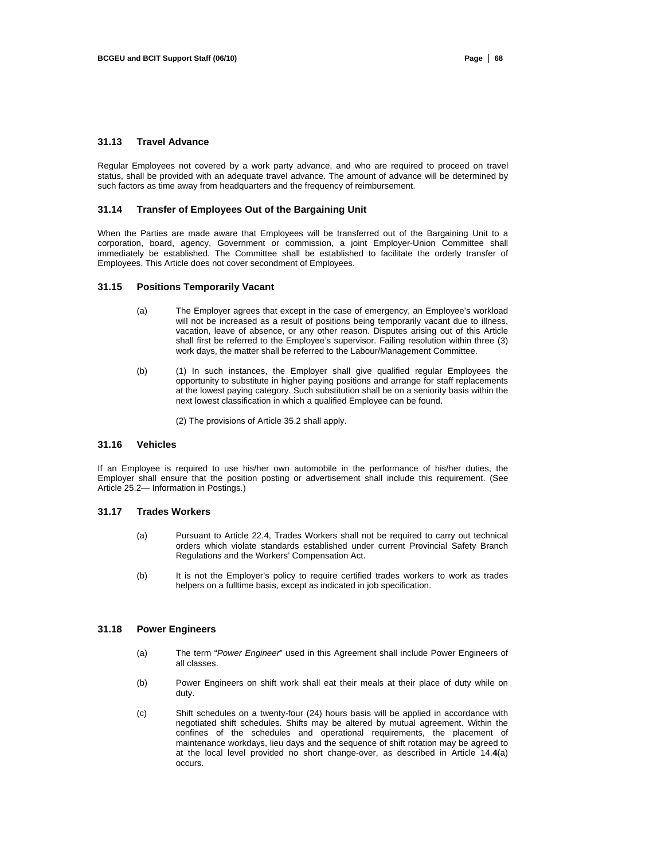# **31.13 Travel Advance**

Regular Employees not covered by a work party advance, and who are required to proceed on travel status, shall be provided with an adequate travel advance. The amount of advance will be determined by such factors as time away from headquarters and the frequency of reimbursement.

#### **31.14 Transfer of Employees Out of the Bargaining Unit**

When the Parties are made aware that Employees will be transferred out of the Bargaining Unit to a corporation, board, agency, Government or commission, a joint Employer-Union Committee shall immediately be established. The Committee shall be established to facilitate the orderly transfer of Employees. This Article does not cover secondment of Employees.

#### **31.15 Positions Temporarily Vacant**

- (a) The Employer agrees that except in the case of emergency, an Employee's workload will not be increased as a result of positions being temporarily vacant due to illness, vacation, leave of absence, or any other reason. Disputes arising out of this Article shall first be referred to the Employee's supervisor. Failing resolution within three (3) work days, the matter shall be referred to the Labour/Management Committee.
- (b) (1) In such instances, the Employer shall give qualified regular Employees the opportunity to substitute in higher paying positions and arrange for staff replacements at the lowest paying category. Such substitution shall be on a seniority basis within the next lowest classification in which a qualified Employee can be found.

(2) The provisions of Article 35.2 shall apply.

#### **31.16 Vehicles**

If an Employee is required to use his/her own automobile in the performance of his/her duties, the Employer shall ensure that the position posting or advertisement shall include this requirement. (See Article 25.2— Information in Postings.)

#### **31.17 Trades Workers**

- (a) Pursuant to Article 22.4, Trades Workers shall not be required to carry out technical orders which violate standards established under current Provincial Safety Branch Regulations and the Workers' Compensation Act.
- (b) It is not the Employer's policy to require certified trades workers to work as trades helpers on a fulltime basis, except as indicated in job specification.

#### **31.18 Power Engineers**

- (a) The term "*Power Engineer*" used in this Agreement shall include Power Engineers of all classes.
- (b) Power Engineers on shift work shall eat their meals at their place of duty while on duty.
- (c) Shift schedules on a twenty-four (24) hours basis will be applied in accordance with negotiated shift schedules. Shifts may be altered by mutual agreement. Within the confines of the schedules and operational requirements, the placement of maintenance workdays, lieu days and the sequence of shift rotation may be agreed to at the local level provided no short change-over, as described in Article 14.**4**(a) occurs.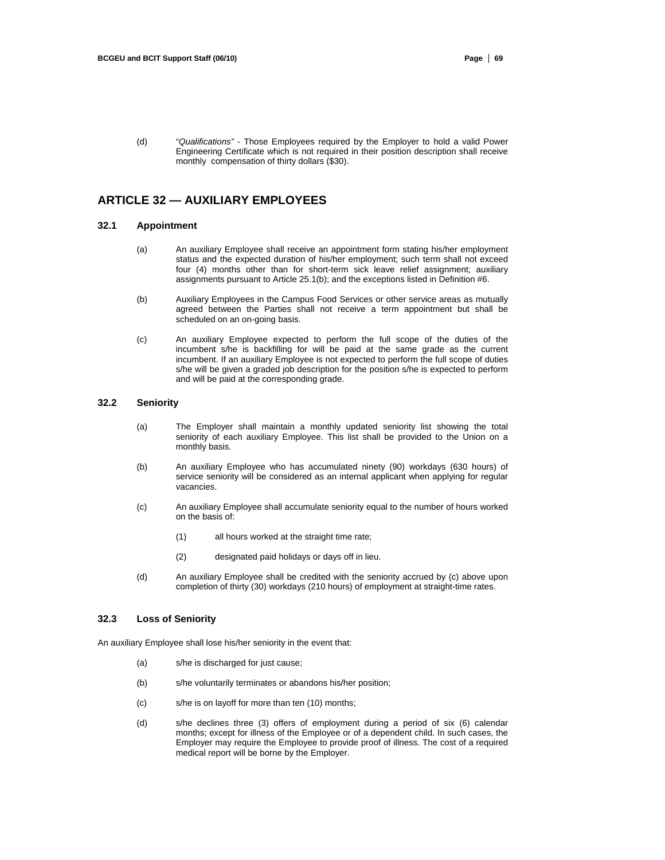(d) "*Qualifications"* - Those Employees required by the Employer to hold a valid Power Engineering Certificate which is not required in their position description shall receive monthly compensation of thirty dollars (\$30).

# **ARTICLE 32 — AUXILIARY EMPLOYEES**

#### **32.1 Appointment**

- (a) An auxiliary Employee shall receive an appointment form stating his/her employment status and the expected duration of his/her employment; such term shall not exceed four (4) months other than for short-term sick leave relief assignment; auxiliary assignments pursuant to Article 25.1(b); and the exceptions listed in Definition #6.
- (b) Auxiliary Employees in the Campus Food Services or other service areas as mutually agreed between the Parties shall not receive a term appointment but shall be scheduled on an on-going basis.
- (c) An auxiliary Employee expected to perform the full scope of the duties of the incumbent s/he is backfilling for will be paid at the same grade as the current incumbent. If an auxiliary Employee is not expected to perform the full scope of duties s/he will be given a graded job description for the position s/he is expected to perform and will be paid at the corresponding grade.

#### **32.2 Seniority**

- (a) The Employer shall maintain a monthly updated seniority list showing the total seniority of each auxiliary Employee. This list shall be provided to the Union on a monthly basis.
- (b) An auxiliary Employee who has accumulated ninety (90) workdays (630 hours) of service seniority will be considered as an internal applicant when applying for regular vacancies.
- (c) An auxiliary Employee shall accumulate seniority equal to the number of hours worked on the basis of:
	- (1) all hours worked at the straight time rate;
	- (2) designated paid holidays or days off in lieu.
- (d) An auxiliary Employee shall be credited with the seniority accrued by (c) above upon completion of thirty (30) workdays (210 hours) of employment at straight-time rates.

#### **32.3 Loss of Seniority**

An auxiliary Employee shall lose his/her seniority in the event that:

- (a) s/he is discharged for just cause;
- (b) s/he voluntarily terminates or abandons his/her position;
- (c) s/he is on layoff for more than ten (10) months;
- (d) s/he declines three (3) offers of employment during a period of six (6) calendar months; except for illness of the Employee or of a dependent child. In such cases, the Employer may require the Employee to provide proof of illness. The cost of a required medical report will be borne by the Employer.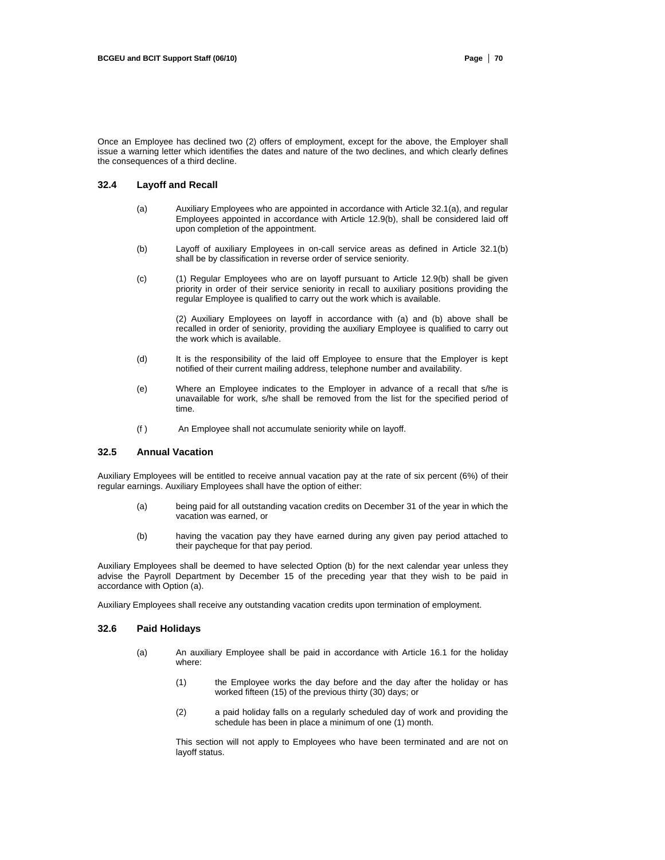Once an Employee has declined two (2) offers of employment, except for the above, the Employer shall issue a warning letter which identifies the dates and nature of the two declines, and which clearly defines the consequences of a third decline.

## **32.4 Layoff and Recall**

- (a) Auxiliary Employees who are appointed in accordance with Article 32.1(a), and regular Employees appointed in accordance with Article 12.9(b), shall be considered laid off upon completion of the appointment.
- (b) Layoff of auxiliary Employees in on-call service areas as defined in Article 32.1(b) shall be by classification in reverse order of service seniority.
- (c) (1) Regular Employees who are on layoff pursuant to Article 12.9(b) shall be given priority in order of their service seniority in recall to auxiliary positions providing the regular Employee is qualified to carry out the work which is available.

(2) Auxiliary Employees on layoff in accordance with (a) and (b) above shall be recalled in order of seniority, providing the auxiliary Employee is qualified to carry out the work which is available.

- (d) It is the responsibility of the laid off Employee to ensure that the Employer is kept notified of their current mailing address, telephone number and availability.
- (e) Where an Employee indicates to the Employer in advance of a recall that s/he is unavailable for work, s/he shall be removed from the list for the specified period of time.
- (f ) An Employee shall not accumulate seniority while on layoff.

#### **32.5 Annual Vacation**

Auxiliary Employees will be entitled to receive annual vacation pay at the rate of six percent (6%) of their regular earnings. Auxiliary Employees shall have the option of either:

- (a) being paid for all outstanding vacation credits on December 31 of the year in which the vacation was earned, or
- (b) having the vacation pay they have earned during any given pay period attached to their paycheque for that pay period.

Auxiliary Employees shall be deemed to have selected Option (b) for the next calendar year unless they advise the Payroll Department by December 15 of the preceding year that they wish to be paid in accordance with Option (a).

Auxiliary Employees shall receive any outstanding vacation credits upon termination of employment.

#### **32.6 Paid Holidays**

- (a) An auxiliary Employee shall be paid in accordance with Article 16.1 for the holiday where:
	- (1) the Employee works the day before and the day after the holiday or has worked fifteen (15) of the previous thirty (30) days; or
	- (2) a paid holiday falls on a regularly scheduled day of work and providing the schedule has been in place a minimum of one (1) month.

This section will not apply to Employees who have been terminated and are not on layoff status.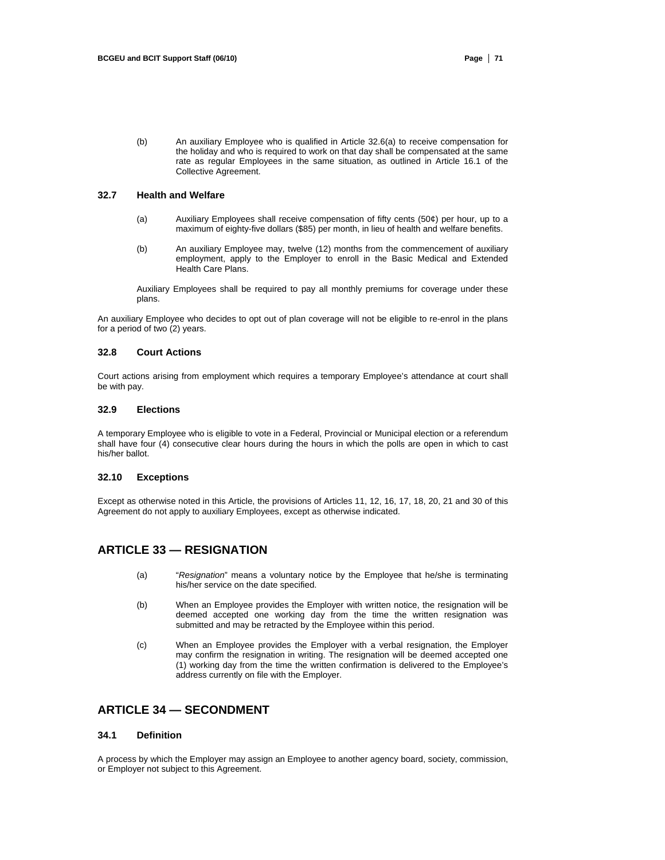(b) An auxiliary Employee who is qualified in Article 32.6(a) to receive compensation for the holiday and who is required to work on that day shall be compensated at the same rate as regular Employees in the same situation, as outlined in Article 16.1 of the Collective Agreement.

#### **32.7 Health and Welfare**

- (a) Auxiliary Employees shall receive compensation of fifty cents (50¢) per hour, up to a maximum of eighty-five dollars (\$85) per month, in lieu of health and welfare benefits.
- (b) An auxiliary Employee may, twelve (12) months from the commencement of auxiliary employment, apply to the Employer to enroll in the Basic Medical and Extended Health Care Plans.

Auxiliary Employees shall be required to pay all monthly premiums for coverage under these plans.

An auxiliary Employee who decides to opt out of plan coverage will not be eligible to re-enrol in the plans for a period of two (2) years.

#### **32.8 Court Actions**

Court actions arising from employment which requires a temporary Employee's attendance at court shall be with pay.

#### **32.9 Elections**

A temporary Employee who is eligible to vote in a Federal, Provincial or Municipal election or a referendum shall have four (4) consecutive clear hours during the hours in which the polls are open in which to cast his/her ballot.

## **32.10 Exceptions**

Except as otherwise noted in this Article, the provisions of Articles 11, 12, 16, 17, 18, 20, 21 and 30 of this Agreement do not apply to auxiliary Employees, except as otherwise indicated.

# **ARTICLE 33 — RESIGNATION**

- (a) "*Resignation*" means a voluntary notice by the Employee that he/she is terminating his/her service on the date specified.
- (b) When an Employee provides the Employer with written notice, the resignation will be deemed accepted one working day from the time the written resignation was submitted and may be retracted by the Employee within this period.
- (c) When an Employee provides the Employer with a verbal resignation, the Employer may confirm the resignation in writing. The resignation will be deemed accepted one (1) working day from the time the written confirmation is delivered to the Employee's address currently on file with the Employer.

# **ARTICLE 34 — SECONDMENT**

#### **34.1 Definition**

A process by which the Employer may assign an Employee to another agency board, society, commission, or Employer not subject to this Agreement.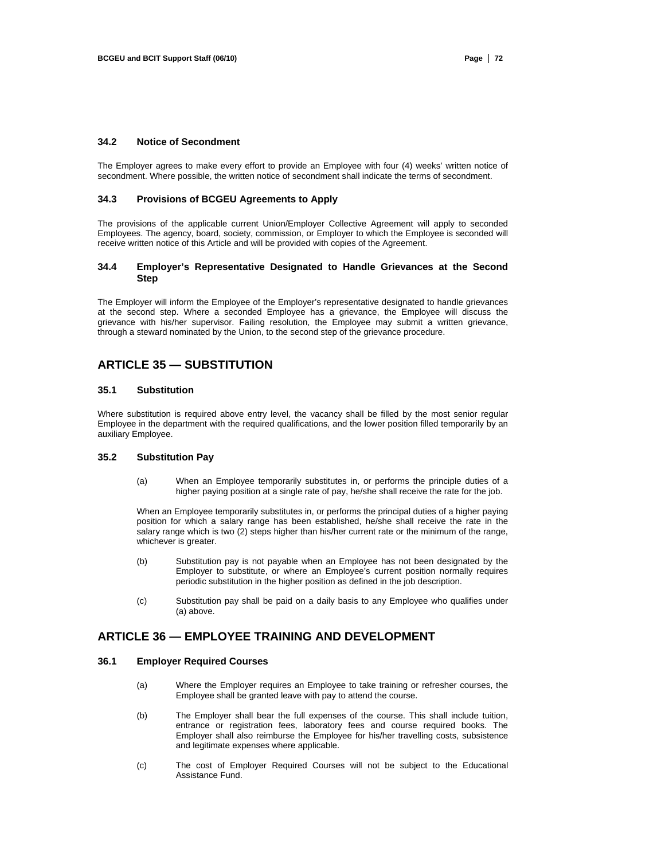## **34.2 Notice of Secondment**

The Employer agrees to make every effort to provide an Employee with four (4) weeks' written notice of secondment. Where possible, the written notice of secondment shall indicate the terms of secondment.

#### **34.3 Provisions of BCGEU Agreements to Apply**

The provisions of the applicable current Union/Employer Collective Agreement will apply to seconded Employees. The agency, board, society, commission, or Employer to which the Employee is seconded will receive written notice of this Article and will be provided with copies of the Agreement.

#### **34.4 Employer's Representative Designated to Handle Grievances at the Second Step**

The Employer will inform the Employee of the Employer's representative designated to handle grievances at the second step. Where a seconded Employee has a grievance, the Employee will discuss the grievance with his/her supervisor. Failing resolution, the Employee may submit a written grievance, through a steward nominated by the Union, to the second step of the grievance procedure.

# **ARTICLE 35 — SUBSTITUTION**

#### **35.1 Substitution**

Where substitution is required above entry level, the vacancy shall be filled by the most senior regular Employee in the department with the required qualifications, and the lower position filled temporarily by an auxiliary Employee.

#### **35.2 Substitution Pay**

(a) When an Employee temporarily substitutes in, or performs the principle duties of a higher paying position at a single rate of pay, he/she shall receive the rate for the job.

When an Employee temporarily substitutes in, or performs the principal duties of a higher paying position for which a salary range has been established, he/she shall receive the rate in the salary range which is two (2) steps higher than his/her current rate or the minimum of the range, whichever is greater.

- (b) Substitution pay is not payable when an Employee has not been designated by the Employer to substitute, or where an Employee's current position normally requires periodic substitution in the higher position as defined in the job description.
- (c) Substitution pay shall be paid on a daily basis to any Employee who qualifies under (a) above.

# **ARTICLE 36 — EMPLOYEE TRAINING AND DEVELOPMENT**

## **36.1 Employer Required Courses**

- (a) Where the Employer requires an Employee to take training or refresher courses, the Employee shall be granted leave with pay to attend the course.
- (b) The Employer shall bear the full expenses of the course. This shall include tuition, entrance or registration fees, laboratory fees and course required books. The Employer shall also reimburse the Employee for his/her travelling costs, subsistence and legitimate expenses where applicable.
- (c) The cost of Employer Required Courses will not be subject to the Educational Assistance Fund.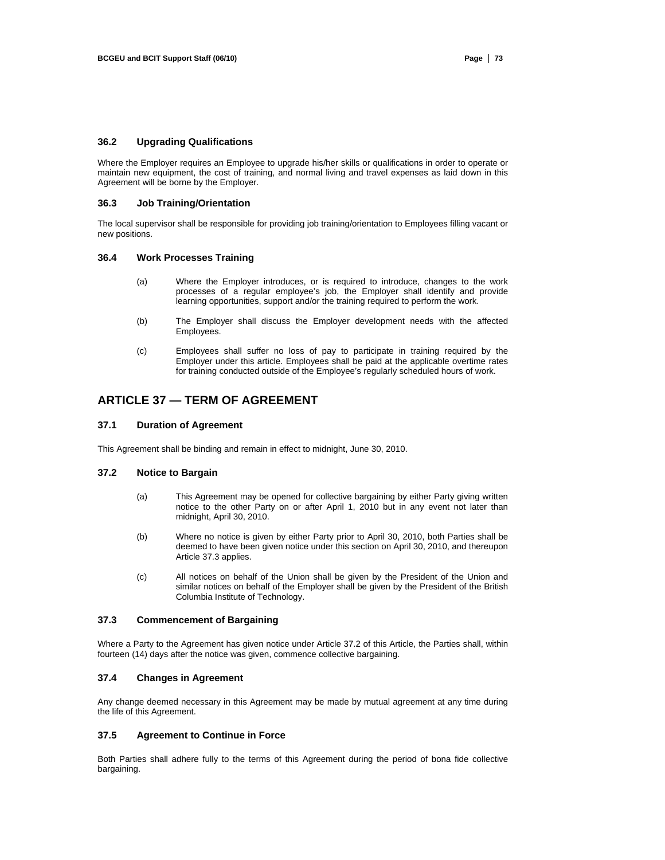## **36.2 Upgrading Qualifications**

Where the Employer requires an Employee to upgrade his/her skills or qualifications in order to operate or maintain new equipment, the cost of training, and normal living and travel expenses as laid down in this Agreement will be borne by the Employer.

#### **36.3 Job Training/Orientation**

The local supervisor shall be responsible for providing job training/orientation to Employees filling vacant or new positions.

#### **36.4 Work Processes Training**

- (a) Where the Employer introduces, or is required to introduce, changes to the work processes of a regular employee's job, the Employer shall identify and provide learning opportunities, support and/or the training required to perform the work.
- (b) The Employer shall discuss the Employer development needs with the affected Employees.
- (c) Employees shall suffer no loss of pay to participate in training required by the Employer under this article. Employees shall be paid at the applicable overtime rates for training conducted outside of the Employee's regularly scheduled hours of work.

# **ARTICLE 37 — TERM OF AGREEMENT**

#### **37.1 Duration of Agreement**

This Agreement shall be binding and remain in effect to midnight, June 30, 2010.

#### **37.2 Notice to Bargain**

- (a) This Agreement may be opened for collective bargaining by either Party giving written notice to the other Party on or after April 1, 2010 but in any event not later than midnight, April 30, 2010.
- (b) Where no notice is given by either Party prior to April 30, 2010, both Parties shall be deemed to have been given notice under this section on April 30, 2010, and thereupon Article 37.3 applies.
- (c) All notices on behalf of the Union shall be given by the President of the Union and similar notices on behalf of the Employer shall be given by the President of the British Columbia Institute of Technology.

# **37.3 Commencement of Bargaining**

Where a Party to the Agreement has given notice under Article 37.2 of this Article, the Parties shall, within fourteen (14) days after the notice was given, commence collective bargaining.

#### **37.4 Changes in Agreement**

Any change deemed necessary in this Agreement may be made by mutual agreement at any time during the life of this Agreement.

#### **37.5 Agreement to Continue in Force**

Both Parties shall adhere fully to the terms of this Agreement during the period of bona fide collective bargaining.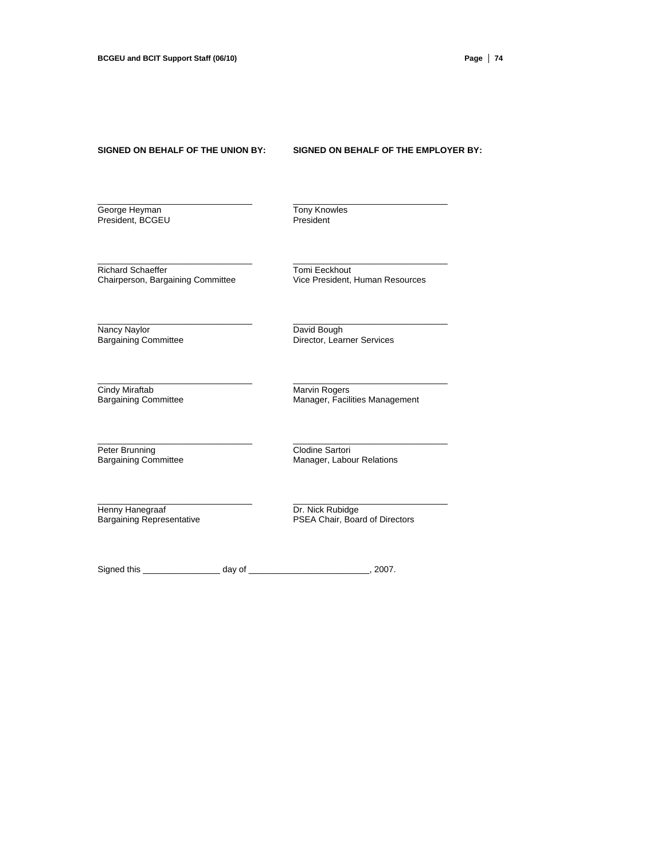#### **SIGNED ON BEHALF OF THE UNION BY: SIGNED ON BEHALF OF THE EMPLOYER BY:**

George Heyman Tony Knowles President, BCGEU **President** 

\_\_\_\_\_\_\_\_\_\_\_\_\_\_\_\_\_\_\_\_\_\_\_\_\_\_\_\_\_\_\_\_ \_\_\_\_\_\_\_\_\_\_\_\_\_\_\_\_\_\_\_\_\_\_\_\_\_\_\_\_\_\_\_\_

\_\_\_\_\_\_\_\_\_\_\_\_\_\_\_\_\_\_\_\_\_\_\_\_\_\_\_\_\_\_\_\_ \_\_\_\_\_\_\_\_\_\_\_\_\_\_\_\_\_\_\_\_\_\_\_\_\_\_\_\_\_\_\_\_

\_\_\_\_\_\_\_\_\_\_\_\_\_\_\_\_\_\_\_\_\_\_\_\_\_\_\_\_\_\_\_\_ \_\_\_\_\_\_\_\_\_\_\_\_\_\_\_\_\_\_\_\_\_\_\_\_\_\_\_\_\_\_\_\_

\_\_\_\_\_\_\_\_\_\_\_\_\_\_\_\_\_\_\_\_\_\_\_\_\_\_\_\_\_\_\_\_ \_\_\_\_\_\_\_\_\_\_\_\_\_\_\_\_\_\_\_\_\_\_\_\_\_\_\_\_\_\_\_\_

 $\_$  , and the set of the set of the set of the set of the set of the set of the set of the set of the set of the set of the set of the set of the set of the set of the set of the set of the set of the set of the set of th

 $\_$  , and the set of the set of the set of the set of the set of the set of the set of the set of the set of the set of the set of the set of the set of the set of the set of the set of the set of the set of the set of th

Richard Schaeffer<br>
Chairperson, Bargaining Committee<br>
Vice President, Human Resources Chairperson, Bargaining Committee

Nancy Naylor<br>
Bargaining Committee Director, Lear

**Director, Learner Services** 

Cindy Miraftab **Marvin Rogers** Marvin Rogers

Bargaining Committee **Manager, Facilities Management** 

Peter Brunning Committee Clodine Sartori<br>
Bargaining Committee Manager, Labou

Manager, Labour Relations

Henny Hanegraaf Dr. Nick Rubidge<br>
Bargaining Representative PSEA Chair, Boar

PSEA Chair, Board of Directors

Signed this \_\_\_\_\_\_\_\_\_\_\_\_\_\_\_\_\_\_\_\_ day of \_\_\_\_\_\_\_\_\_\_\_\_\_\_\_\_\_\_\_\_\_\_\_\_\_\_\_\_\_, 2007.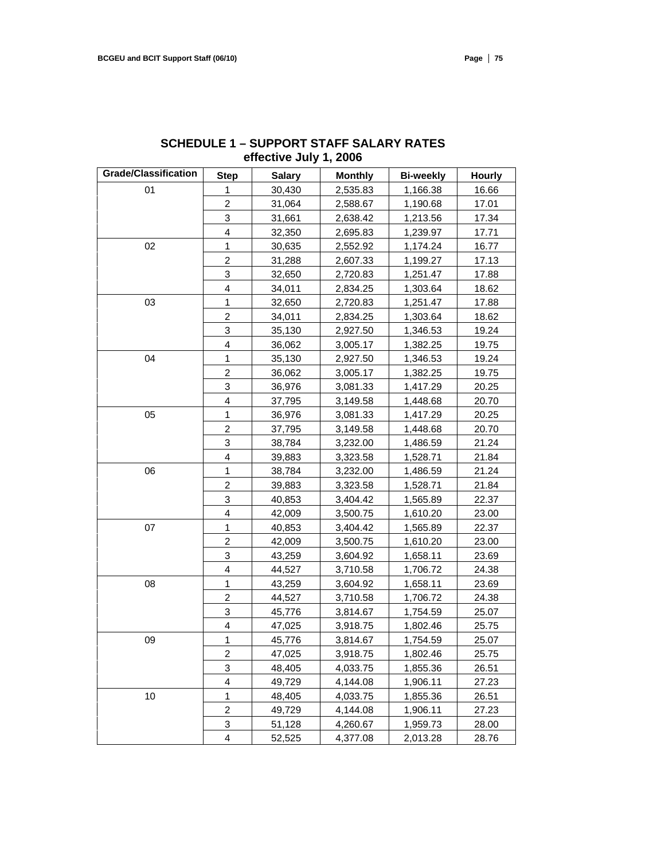| <b>Grade/Classification</b> | <b>Step</b>               | <b>Salary</b> | <b>Monthly</b> | <b>Bi-weekly</b> | <b>Hourly</b> |
|-----------------------------|---------------------------|---------------|----------------|------------------|---------------|
| 01                          | 1                         | 30,430        | 2,535.83       | 1,166.38         | 16.66         |
|                             | $\overline{2}$            | 31,064        | 2,588.67       | 1,190.68         | 17.01         |
|                             | 3                         | 31,661        | 2,638.42       | 1,213.56         | 17.34         |
|                             | 4                         | 32,350        | 2,695.83       | 1,239.97         | 17.71         |
| 02                          | 1                         | 30,635        | 2,552.92       | 1,174.24         | 16.77         |
|                             | $\overline{c}$            | 31,288        | 2,607.33       | 1,199.27         | 17.13         |
|                             | 3                         | 32,650        | 2,720.83       | 1,251.47         | 17.88         |
|                             | 4                         | 34,011        | 2,834.25       | 1,303.64         | 18.62         |
| 03                          | 1                         | 32,650        | 2,720.83       | 1,251.47         | 17.88         |
|                             | $\overline{c}$            | 34,011        | 2,834.25       | 1,303.64         | 18.62         |
|                             | 3                         | 35,130        | 2,927.50       | 1,346.53         | 19.24         |
|                             | $\overline{4}$            | 36,062        | 3,005.17       | 1,382.25         | 19.75         |
| 04                          | 1                         | 35,130        | 2,927.50       | 1,346.53         | 19.24         |
|                             | $\overline{c}$            | 36,062        | 3,005.17       | 1,382.25         | 19.75         |
|                             | 3                         | 36,976        | 3,081.33       | 1,417.29         | 20.25         |
|                             | 4                         | 37,795        | 3,149.58       | 1,448.68         | 20.70         |
| 05                          | 1                         | 36,976        | 3,081.33       | 1,417.29         | 20.25         |
|                             | $\overline{2}$            | 37,795        | 3,149.58       | 1,448.68         | 20.70         |
|                             | $\ensuremath{\mathsf{3}}$ | 38,784        | 3,232.00       | 1,486.59         | 21.24         |
|                             | 4                         | 39,883        | 3,323.58       | 1,528.71         | 21.84         |
| 06                          | 1                         | 38,784        | 3,232.00       | 1,486.59         | 21.24         |
|                             | $\overline{c}$            | 39,883        | 3,323.58       | 1,528.71         | 21.84         |
|                             | 3                         | 40,853        | 3,404.42       | 1,565.89         | 22.37         |
|                             | $\overline{4}$            | 42,009        | 3,500.75       | 1,610.20         | 23.00         |
| 07                          | 1                         | 40,853        | 3,404.42       | 1,565.89         | 22.37         |
|                             | $\boldsymbol{2}$          | 42,009        | 3,500.75       | 1,610.20         | 23.00         |
|                             | 3                         | 43,259        | 3,604.92       | 1,658.11         | 23.69         |
|                             | 4                         | 44,527        | 3,710.58       | 1,706.72         | 24.38         |
| 08                          | $\mathbf{1}$              | 43,259        | 3,604.92       | 1,658.11         | 23.69         |
|                             | $\overline{c}$            | 44,527        | 3,710.58       | 1,706.72         | 24.38         |
|                             | 3                         | 45,776        | 3,814.67       | 1,754.59         | 25.07         |
|                             | 4                         | 47,025        | 3,918.75       | 1,802.46         | 25.75         |
| 09                          | 1                         | 45,776        | 3,814.67       | 1,754.59         | 25.07         |
|                             | 2                         | 47,025        | 3,918.75       | 1,802.46         | 25.75         |
|                             | 3                         | 48,405        | 4,033.75       | 1,855.36         | 26.51         |
|                             | 4                         | 49,729        | 4,144.08       | 1,906.11         | 27.23         |
| 10                          | 1                         | 48,405        | 4,033.75       | 1,855.36         | 26.51         |
|                             | $\overline{c}$            | 49,729        | 4,144.08       | 1,906.11         | 27.23         |
|                             | 3                         | 51,128        | 4,260.67       | 1,959.73         | 28.00         |
|                             | $\overline{4}$            | 52,525        | 4,377.08       | 2,013.28         | 28.76         |

# **SCHEDULE 1 – SUPPORT STAFF SALARY RATES effective July 1, 2006**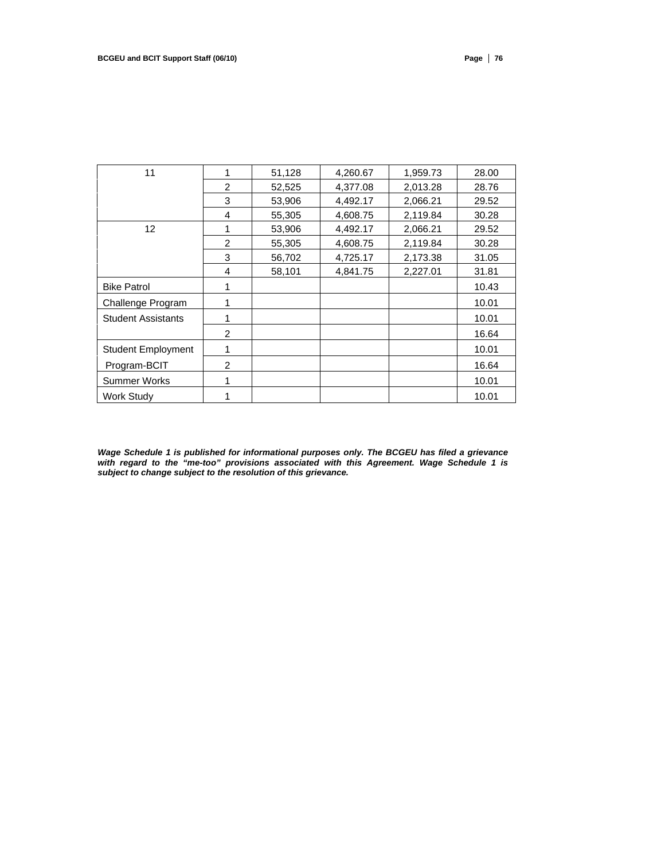| 11                        |               | 51,128 | 4,260.67 | 1,959.73 | 28.00 |
|---------------------------|---------------|--------|----------|----------|-------|
|                           | $\mathcal{P}$ | 52,525 | 4,377.08 | 2,013.28 | 28.76 |
|                           | 3             | 53,906 | 4,492.17 | 2,066.21 | 29.52 |
|                           | 4             | 55,305 | 4,608.75 | 2,119.84 | 30.28 |
| 12 <sup>2</sup>           |               | 53,906 | 4,492.17 | 2,066.21 | 29.52 |
|                           | 2             | 55,305 | 4,608.75 | 2,119.84 | 30.28 |
|                           | 3             | 56,702 | 4,725.17 | 2,173.38 | 31.05 |
|                           | 4             | 58,101 | 4,841.75 | 2,227.01 | 31.81 |
| <b>Bike Patrol</b>        |               |        |          |          | 10.43 |
| Challenge Program         |               |        |          |          | 10.01 |
| <b>Student Assistants</b> |               |        |          |          | 10.01 |
|                           | 2             |        |          |          | 16.64 |
| <b>Student Employment</b> |               |        |          |          | 10.01 |
| Program-BCIT              | 2             |        |          |          | 16.64 |
| Summer Works              |               |        |          |          | 10.01 |
| <b>Work Study</b>         |               |        |          |          | 10.01 |

*Wage Schedule 1 is published for informational purposes only. The BCGEU has filed a grievance with regard to the "me-too" provisions associated with this Agreement. Wage Schedule 1 is subject to change subject to the resolution of this grievance.*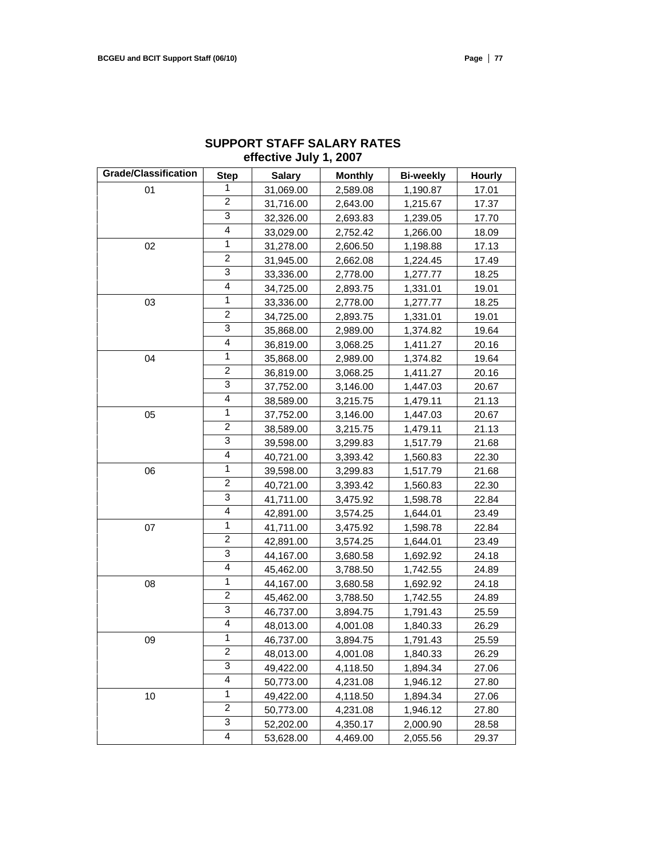| <b>Grade/Classification</b> | <b>Step</b>    | <b>Salary</b> | <b>Monthly</b> | <b>Bi-weekly</b> | <b>Hourly</b> |
|-----------------------------|----------------|---------------|----------------|------------------|---------------|
| 01                          | 1              | 31,069.00     | 2,589.08       | 1,190.87         | 17.01         |
|                             | 2              | 31,716.00     | 2,643.00       | 1,215.67         | 17.37         |
|                             | 3              | 32,326.00     | 2,693.83       | 1,239.05         | 17.70         |
|                             | $\overline{4}$ | 33,029.00     | 2,752.42       | 1,266.00         | 18.09         |
| 02                          | 1              | 31,278.00     | 2,606.50       | 1,198.88         | 17.13         |
|                             | $\overline{c}$ | 31,945.00     | 2,662.08       | 1,224.45         | 17.49         |
|                             | 3              | 33,336.00     | 2,778.00       | 1,277.77         | 18.25         |
|                             | 4              | 34,725.00     | 2,893.75       | 1,331.01         | 19.01         |
| 03                          | 1              | 33,336.00     | 2,778.00       | 1,277.77         | 18.25         |
|                             | $\overline{c}$ | 34,725.00     | 2,893.75       | 1,331.01         | 19.01         |
|                             | 3              | 35,868.00     | 2,989.00       | 1,374.82         | 19.64         |
|                             | $\overline{4}$ | 36,819.00     | 3,068.25       | 1,411.27         | 20.16         |
| 04                          | 1              | 35,868.00     | 2,989.00       | 1,374.82         | 19.64         |
|                             | $\overline{2}$ | 36,819.00     | 3,068.25       | 1,411.27         | 20.16         |
|                             | 3              | 37,752.00     | 3,146.00       | 1,447.03         | 20.67         |
|                             | 4              | 38,589.00     | 3,215.75       | 1,479.11         | 21.13         |
| 05                          | $\mathbf{1}$   | 37,752.00     | 3,146.00       | 1,447.03         | 20.67         |
|                             | $\overline{2}$ | 38,589.00     | 3,215.75       | 1,479.11         | 21.13         |
|                             | 3              | 39,598.00     | 3,299.83       | 1,517.79         | 21.68         |
|                             | 4              | 40,721.00     | 3,393.42       | 1,560.83         | 22.30         |
| 06                          | 1              | 39,598.00     | 3,299.83       | 1,517.79         | 21.68         |
|                             | 2              | 40,721.00     | 3,393.42       | 1,560.83         | 22.30         |
|                             | 3              | 41,711.00     | 3,475.92       | 1,598.78         | 22.84         |
|                             | $\overline{4}$ | 42,891.00     | 3,574.25       | 1,644.01         | 23.49         |
| 07                          | 1              | 41,711.00     | 3,475.92       | 1,598.78         | 22.84         |
|                             | $\overline{c}$ | 42,891.00     | 3,574.25       | 1,644.01         | 23.49         |
|                             | 3              | 44,167.00     | 3,680.58       | 1,692.92         | 24.18         |
|                             | 4              | 45,462.00     | 3,788.50       | 1,742.55         | 24.89         |
| 08                          | $\mathbf{1}$   | 44,167.00     | 3,680.58       | 1,692.92         | 24.18         |
|                             | $\overline{c}$ | 45,462.00     | 3,788.50       | 1,742.55         | 24.89         |
|                             | 3              | 46,737.00     | 3,894.75       | 1,791.43         | 25.59         |
|                             | 4              | 48,013.00     | 4,001.08       | 1,840.33         | 26.29         |
| 09                          | 1              | 46,737.00     | 3,894.75       | 1,791.43         | 25.59         |
|                             | 2              | 48,013.00     | 4,001.08       | 1,840.33         | 26.29         |
|                             | 3              | 49,422.00     | 4,118.50       | 1,894.34         | 27.06         |
|                             | 4              | 50,773.00     | 4,231.08       | 1,946.12         | 27.80         |
| 10                          | 1              | 49,422.00     | 4,118.50       | 1,894.34         | 27.06         |
|                             | $\overline{c}$ | 50,773.00     | 4,231.08       | 1,946.12         | 27.80         |
|                             | 3              | 52,202.00     | 4,350.17       | 2,000.90         | 28.58         |
|                             | 4              | 53,628.00     | 4,469.00       | 2,055.56         | 29.37         |

# **SUPPORT STAFF SALARY RATES effective July 1, 2007**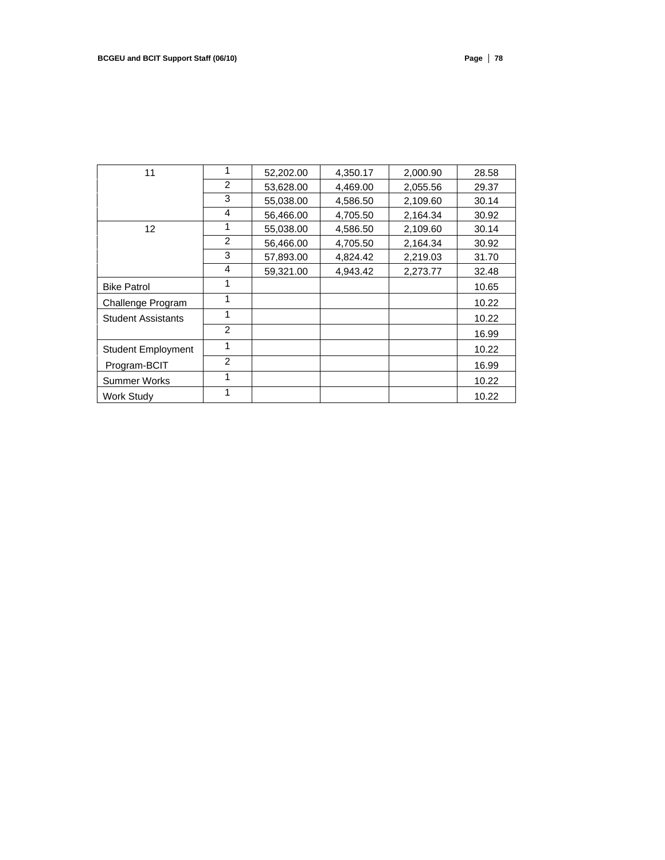| 11                        | 1 | 52,202.00 | 4,350.17 | 2,000.90 | 28.58 |
|---------------------------|---|-----------|----------|----------|-------|
|                           | 2 | 53,628.00 | 4,469.00 | 2,055.56 | 29.37 |
|                           | 3 | 55,038.00 | 4,586.50 | 2,109.60 | 30.14 |
|                           | 4 | 56,466.00 | 4,705.50 | 2,164.34 | 30.92 |
| 12 <sup>2</sup>           |   | 55,038.00 | 4,586.50 | 2,109.60 | 30.14 |
|                           | 2 | 56,466.00 | 4,705.50 | 2,164.34 | 30.92 |
|                           | 3 | 57,893.00 | 4,824.42 | 2,219.03 | 31.70 |
|                           | 4 | 59,321.00 | 4,943.42 | 2,273.77 | 32.48 |
| <b>Bike Patrol</b>        | 1 |           |          |          | 10.65 |
| Challenge Program         | 1 |           |          |          | 10.22 |
| <b>Student Assistants</b> | 1 |           |          |          | 10.22 |
|                           | 2 |           |          |          | 16.99 |
| <b>Student Employment</b> | 1 |           |          |          | 10.22 |
| Program-BCIT              | 2 |           |          |          | 16.99 |
| Summer Works              | 1 |           |          |          | 10.22 |
| Work Study                |   |           |          |          | 10.22 |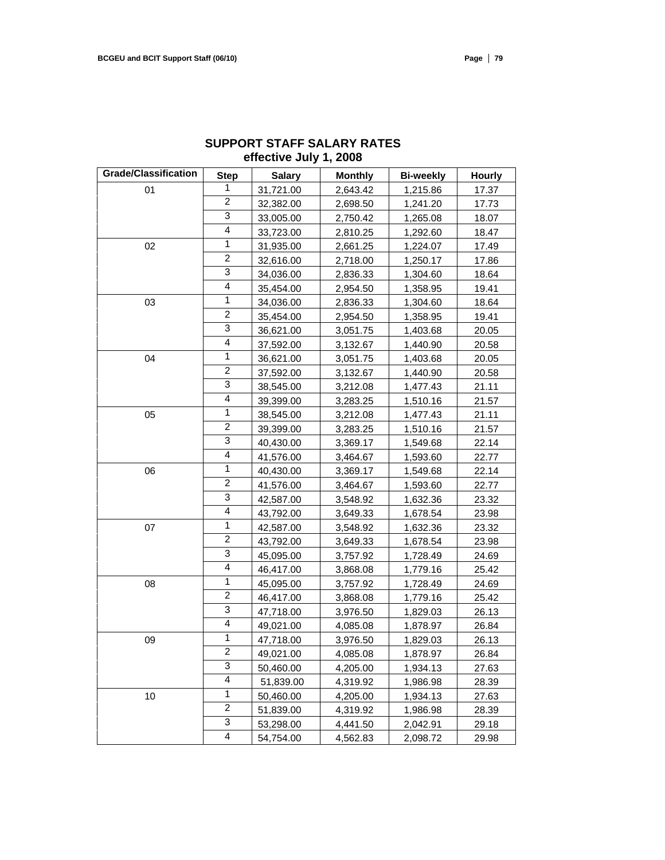| <b>Grade/Classification</b> | <b>Step</b>             | <b>Salary</b> | <b>Monthly</b> | <b>Bi-weekly</b> | <b>Hourly</b> |
|-----------------------------|-------------------------|---------------|----------------|------------------|---------------|
| 01                          | 1                       | 31,721.00     | 2,643.42       | 1,215.86         | 17.37         |
|                             | $\overline{\mathbf{c}}$ | 32,382.00     | 2,698.50       | 1,241.20         | 17.73         |
|                             | 3                       | 33,005.00     | 2,750.42       | 1,265.08         | 18.07         |
|                             | $\overline{4}$          | 33,723.00     | 2,810.25       | 1,292.60         | 18.47         |
| 02                          | 1                       | 31,935.00     | 2,661.25       | 1,224.07         | 17.49         |
|                             | $\overline{c}$          | 32,616.00     | 2,718.00       | 1,250.17         | 17.86         |
|                             | 3                       | 34,036.00     | 2,836.33       | 1,304.60         | 18.64         |
|                             | 4                       | 35,454.00     | 2,954.50       | 1,358.95         | 19.41         |
| 03                          | $\mathbf{1}$            | 34,036.00     | 2,836.33       | 1,304.60         | 18.64         |
|                             | $\overline{c}$          | 35,454.00     | 2,954.50       | 1,358.95         | 19.41         |
|                             | 3                       | 36,621.00     | 3,051.75       | 1,403.68         | 20.05         |
|                             | $\overline{\mathbf{4}}$ | 37,592.00     | 3,132.67       | 1,440.90         | 20.58         |
| 04                          | $\mathbf{1}$            | 36,621.00     | 3,051.75       | 1,403.68         | 20.05         |
|                             | 2                       | 37,592.00     | 3,132.67       | 1,440.90         | 20.58         |
|                             | 3                       | 38,545.00     | 3,212.08       | 1,477.43         | 21.11         |
|                             | 4                       | 39,399.00     | 3,283.25       | 1,510.16         | 21.57         |
| 05                          | $\mathbf{1}$            | 38,545.00     | 3,212.08       | 1,477.43         | 21.11         |
|                             | $\overline{2}$          | 39,399.00     | 3,283.25       | 1,510.16         | 21.57         |
|                             | 3                       | 40,430.00     | 3,369.17       | 1,549.68         | 22.14         |
|                             | 4                       | 41,576.00     | 3,464.67       | 1,593.60         | 22.77         |
| 06                          | 1                       | 40,430.00     | 3,369.17       | 1,549.68         | 22.14         |
|                             | 2                       | 41,576.00     | 3,464.67       | 1,593.60         | 22.77         |
|                             | 3                       | 42,587.00     | 3,548.92       | 1,632.36         | 23.32         |
|                             | 4                       | 43,792.00     | 3,649.33       | 1,678.54         | 23.98         |
| 07                          | $\mathbf{1}$            | 42,587.00     | 3,548.92       | 1,632.36         | 23.32         |
|                             | $\overline{\mathbf{c}}$ | 43,792.00     | 3,649.33       | 1,678.54         | 23.98         |
|                             | 3                       | 45,095.00     | 3,757.92       | 1,728.49         | 24.69         |
|                             | 4                       | 46,417.00     | 3,868.08       | 1,779.16         | 25.42         |
| 08                          | $\mathbf{1}$            | 45,095.00     | 3,757.92       | 1,728.49         | 24.69         |
|                             | 2                       | 46,417.00     | 3,868.08       | 1,779.16         | 25.42         |
|                             | 3                       | 47,718.00     | 3,976.50       | 1,829.03         | 26.13         |
|                             | $\overline{4}$          | 49,021.00     | 4,085.08       | 1,878.97         | 26.84         |
| 09                          | 1                       | 47,718.00     | 3,976.50       | 1,829.03         | 26.13         |
|                             | $\overline{\mathbf{c}}$ | 49,021.00     | 4,085.08       | 1,878.97         | 26.84         |
|                             | 3                       | 50,460.00     | 4,205.00       | 1,934.13         | 27.63         |
|                             | 4                       | 51,839.00     | 4,319.92       | 1,986.98         | 28.39         |
| 10                          | 1                       | 50,460.00     | 4,205.00       | 1,934.13         | 27.63         |
|                             | $\overline{\mathbf{c}}$ | 51,839.00     | 4,319.92       | 1,986.98         | 28.39         |
|                             | 3                       | 53,298.00     | 4,441.50       | 2,042.91         | 29.18         |
|                             | 4                       | 54,754.00     | 4,562.83       | 2,098.72         | 29.98         |

# **SUPPORT STAFF SALARY RATES effective July 1, 2008**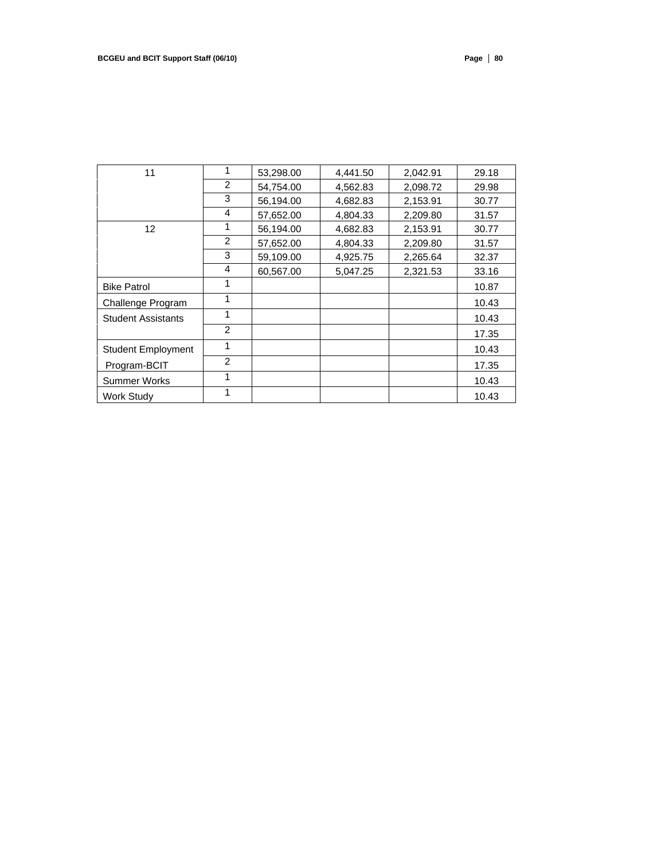| 11                        | 1 | 53,298.00 | 4,441.50 | 2,042.91 | 29.18 |
|---------------------------|---|-----------|----------|----------|-------|
|                           | 2 | 54,754.00 | 4,562.83 | 2,098.72 | 29.98 |
|                           | 3 | 56,194.00 | 4,682.83 | 2,153.91 | 30.77 |
|                           | 4 | 57,652.00 | 4,804.33 | 2,209.80 | 31.57 |
| 12 <sup>2</sup>           |   | 56,194.00 | 4,682.83 | 2,153.91 | 30.77 |
|                           | 2 | 57,652.00 | 4,804.33 | 2,209.80 | 31.57 |
|                           | 3 | 59,109.00 | 4,925.75 | 2,265.64 | 32.37 |
|                           | 4 | 60,567.00 | 5,047.25 | 2,321.53 | 33.16 |
| <b>Bike Patrol</b>        | 1 |           |          |          | 10.87 |
| Challenge Program         | 1 |           |          |          | 10.43 |
| <b>Student Assistants</b> | 1 |           |          |          | 10.43 |
|                           | 2 |           |          |          | 17.35 |
| <b>Student Employment</b> | 1 |           |          |          | 10.43 |
| Program-BCIT              | 2 |           |          |          | 17.35 |
| Summer Works              |   |           |          |          | 10.43 |
| Work Study                |   |           |          |          | 10.43 |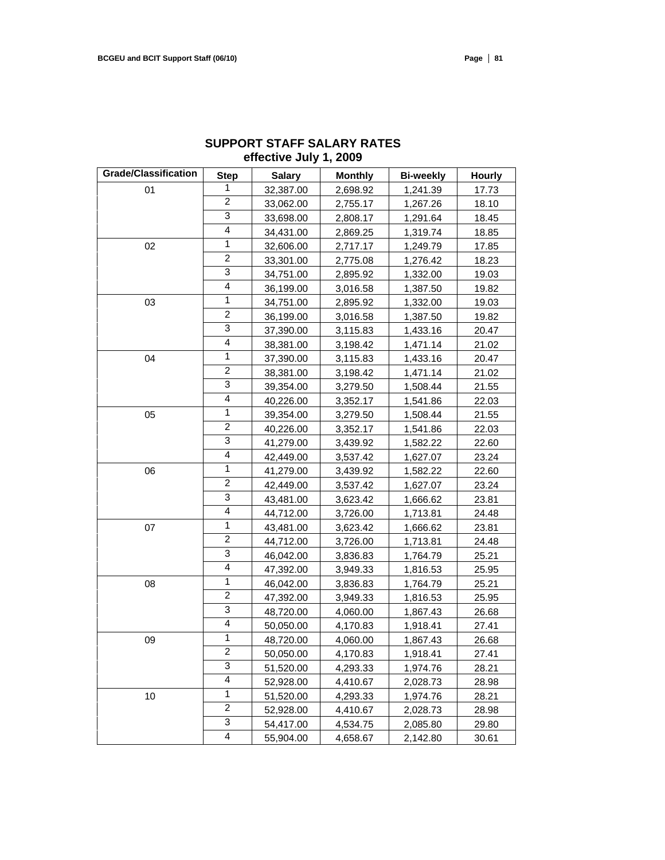| <b>Grade/Classification</b> |                         |               |                |                  |        |
|-----------------------------|-------------------------|---------------|----------------|------------------|--------|
|                             | <b>Step</b>             | <b>Salary</b> | <b>Monthly</b> | <b>Bi-weekly</b> | Hourly |
| 01                          | 1                       | 32,387.00     | 2,698.92       | 1,241.39         | 17.73  |
|                             | $\overline{2}$          | 33,062.00     | 2,755.17       | 1,267.26         | 18.10  |
|                             | 3                       | 33,698.00     | 2,808.17       | 1,291.64         | 18.45  |
|                             | $\overline{\mathbf{4}}$ | 34,431.00     | 2,869.25       | 1,319.74         | 18.85  |
| 02                          | 1                       | 32,606.00     | 2,717.17       | 1,249.79         | 17.85  |
|                             | $\overline{c}$          | 33,301.00     | 2,775.08       | 1,276.42         | 18.23  |
|                             | 3                       | 34,751.00     | 2,895.92       | 1,332.00         | 19.03  |
|                             | 4                       | 36,199.00     | 3,016.58       | 1,387.50         | 19.82  |
| 03                          | 1                       | 34,751.00     | 2,895.92       | 1,332.00         | 19.03  |
|                             | 2                       | 36,199.00     | 3,016.58       | 1,387.50         | 19.82  |
|                             | 3                       | 37,390.00     | 3,115.83       | 1,433.16         | 20.47  |
|                             | $\overline{\mathbf{4}}$ | 38,381.00     | 3,198.42       | 1,471.14         | 21.02  |
| 04                          | $\mathbf{1}$            | 37,390.00     | 3,115.83       | 1,433.16         | 20.47  |
|                             | $\overline{2}$          | 38,381.00     | 3,198.42       | 1,471.14         | 21.02  |
|                             | 3                       | 39,354.00     | 3,279.50       | 1,508.44         | 21.55  |
|                             | $\overline{4}$          | 40,226.00     | 3,352.17       | 1,541.86         | 22.03  |
| 05                          | 1                       | 39,354.00     | 3,279.50       | 1,508.44         | 21.55  |
|                             | $\overline{2}$          | 40,226.00     | 3,352.17       | 1,541.86         | 22.03  |
|                             | 3                       | 41,279.00     | 3,439.92       | 1,582.22         | 22.60  |
|                             | 4                       | 42,449.00     | 3,537.42       | 1,627.07         | 23.24  |
| 06                          | 1                       | 41,279.00     | 3,439.92       | 1,582.22         | 22.60  |
|                             | $\overline{c}$          | 42,449.00     | 3,537.42       | 1,627.07         | 23.24  |
|                             | 3                       | 43,481.00     | 3,623.42       | 1,666.62         | 23.81  |
|                             | 4                       | 44,712.00     | 3,726.00       | 1,713.81         | 24.48  |
| 07                          | 1                       | 43,481.00     | 3,623.42       | 1,666.62         | 23.81  |
|                             | $\boldsymbol{2}$        | 44,712.00     | 3,726.00       | 1,713.81         | 24.48  |
|                             | 3                       | 46,042.00     | 3,836.83       | 1,764.79         | 25.21  |
|                             | 4                       | 47,392.00     | 3,949.33       | 1,816.53         | 25.95  |
| ${\bf 08}$                  | $\mathbf{1}$            | 46,042.00     | 3,836.83       | 1,764.79         | 25.21  |
|                             | $\overline{c}$          | 47,392.00     | 3,949.33       | 1,816.53         | 25.95  |
|                             | 3                       | 48,720.00     | 4,060.00       | 1,867.43         | 26.68  |
|                             | 4                       | 50,050.00     | 4,170.83       | 1,918.41         | 27.41  |
| 09                          | 1                       | 48,720.00     | 4,060.00       | 1,867.43         | 26.68  |
|                             | 2                       | 50,050.00     | 4,170.83       | 1,918.41         | 27.41  |
|                             | 3                       | 51,520.00     | 4,293.33       | 1,974.76         | 28.21  |
|                             | 4                       | 52,928.00     | 4,410.67       | 2,028.73         | 28.98  |
| 10                          | 1                       | 51,520.00     | 4,293.33       | 1,974.76         | 28.21  |
|                             | $\boldsymbol{2}$        | 52,928.00     | 4,410.67       | 2,028.73         | 28.98  |
|                             | 3                       | 54,417.00     | 4,534.75       | 2,085.80         | 29.80  |
|                             | 4                       | 55,904.00     | 4,658.67       | 2,142.80         | 30.61  |

# **SUPPORT STAFF SALARY RATES effective July 1, 2009**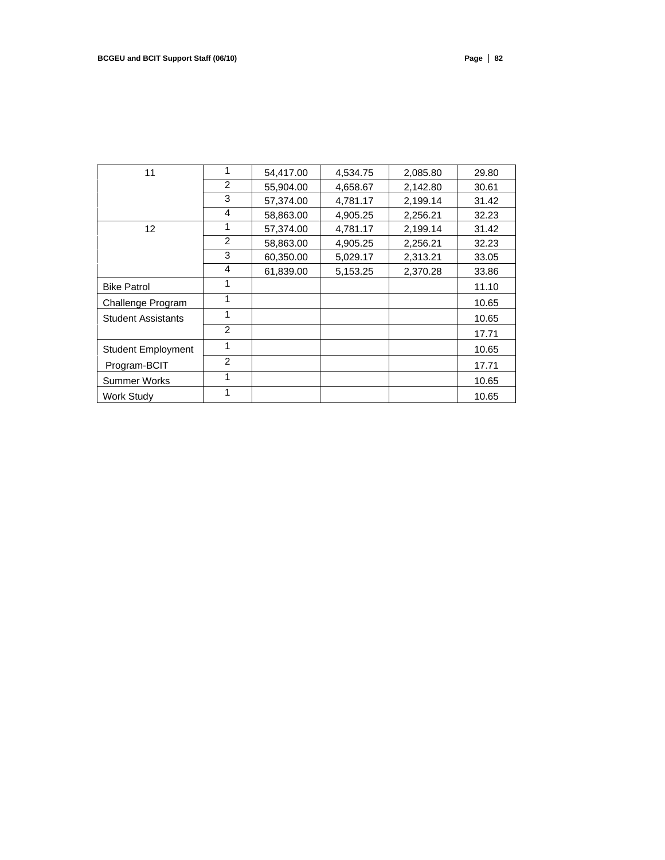| 11                        | 1             | 54,417.00 | 4,534.75 | 2,085.80 | 29.80 |
|---------------------------|---------------|-----------|----------|----------|-------|
|                           | $\mathcal{P}$ | 55,904.00 | 4,658.67 | 2,142.80 | 30.61 |
|                           | 3             | 57,374.00 | 4,781.17 | 2,199.14 | 31.42 |
|                           | 4             | 58,863.00 | 4,905.25 | 2,256.21 | 32.23 |
| $12 \overline{ }$         |               | 57,374.00 | 4,781.17 | 2,199.14 | 31.42 |
|                           | 2             | 58,863.00 | 4,905.25 | 2,256.21 | 32.23 |
|                           | 3             | 60,350.00 | 5,029.17 | 2,313.21 | 33.05 |
|                           | 4             | 61,839.00 | 5,153.25 | 2,370.28 | 33.86 |
| <b>Bike Patrol</b>        | 1             |           |          |          | 11.10 |
| Challenge Program         | 1             |           |          |          | 10.65 |
| <b>Student Assistants</b> | 1             |           |          |          | 10.65 |
|                           | 2             |           |          |          | 17.71 |
| <b>Student Employment</b> | 1             |           |          |          | 10.65 |
| Program-BCIT              | $\mathcal{P}$ |           |          |          | 17.71 |
| Summer Works              |               |           |          |          | 10.65 |
| <b>Work Study</b>         |               |           |          |          | 10.65 |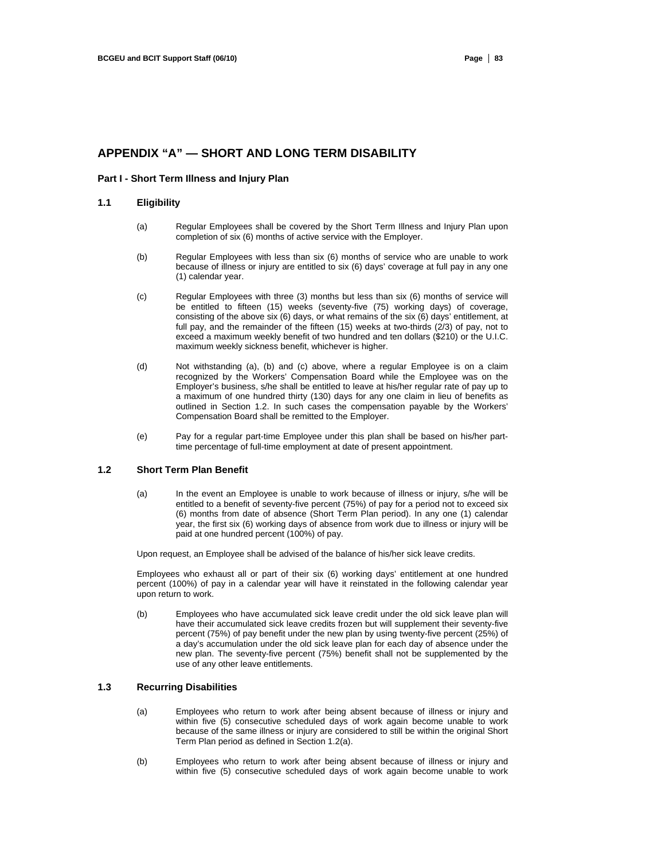# **APPENDIX "A" — SHORT AND LONG TERM DISABILITY**

#### **Part I - Short Term Illness and Injury Plan**

#### **1.1 Eligibility**

- (a) Regular Employees shall be covered by the Short Term Illness and Injury Plan upon completion of six (6) months of active service with the Employer.
- (b) Regular Employees with less than six (6) months of service who are unable to work because of illness or injury are entitled to six (6) days' coverage at full pay in any one (1) calendar year.
- (c) Regular Employees with three (3) months but less than six (6) months of service will be entitled to fifteen (15) weeks (seventy-five (75) working days) of coverage, consisting of the above six (6) days, or what remains of the six (6) days' entitlement, at full pay, and the remainder of the fifteen (15) weeks at two-thirds (2/3) of pay, not to exceed a maximum weekly benefit of two hundred and ten dollars (\$210) or the U.I.C. maximum weekly sickness benefit, whichever is higher.
- (d) Not withstanding (a), (b) and (c) above, where a regular Employee is on a claim recognized by the Workers' Compensation Board while the Employee was on the Employer's business, s/he shall be entitled to leave at his/her regular rate of pay up to a maximum of one hundred thirty (130) days for any one claim in lieu of benefits as outlined in Section 1.2. In such cases the compensation payable by the Workers' Compensation Board shall be remitted to the Employer.
- (e) Pay for a regular part-time Employee under this plan shall be based on his/her parttime percentage of full-time employment at date of present appointment.

## **1.2 Short Term Plan Benefit**

(a) In the event an Employee is unable to work because of illness or injury, s/he will be entitled to a benefit of seventy-five percent (75%) of pay for a period not to exceed six (6) months from date of absence (Short Term Plan period). In any one (1) calendar year, the first six (6) working days of absence from work due to illness or injury will be paid at one hundred percent (100%) of pay.

Upon request, an Employee shall be advised of the balance of his/her sick leave credits.

Employees who exhaust all or part of their six (6) working days' entitlement at one hundred percent (100%) of pay in a calendar year will have it reinstated in the following calendar year upon return to work.

(b) Employees who have accumulated sick leave credit under the old sick leave plan will have their accumulated sick leave credits frozen but will supplement their seventy-five percent (75%) of pay benefit under the new plan by using twenty-five percent (25%) of a day's accumulation under the old sick leave plan for each day of absence under the new plan. The seventy-five percent (75%) benefit shall not be supplemented by the use of any other leave entitlements.

## **1.3 Recurring Disabilities**

- (a) Employees who return to work after being absent because of illness or injury and within five (5) consecutive scheduled days of work again become unable to work because of the same illness or injury are considered to still be within the original Short Term Plan period as defined in Section 1.2(a).
- (b) Employees who return to work after being absent because of illness or injury and within five (5) consecutive scheduled days of work again become unable to work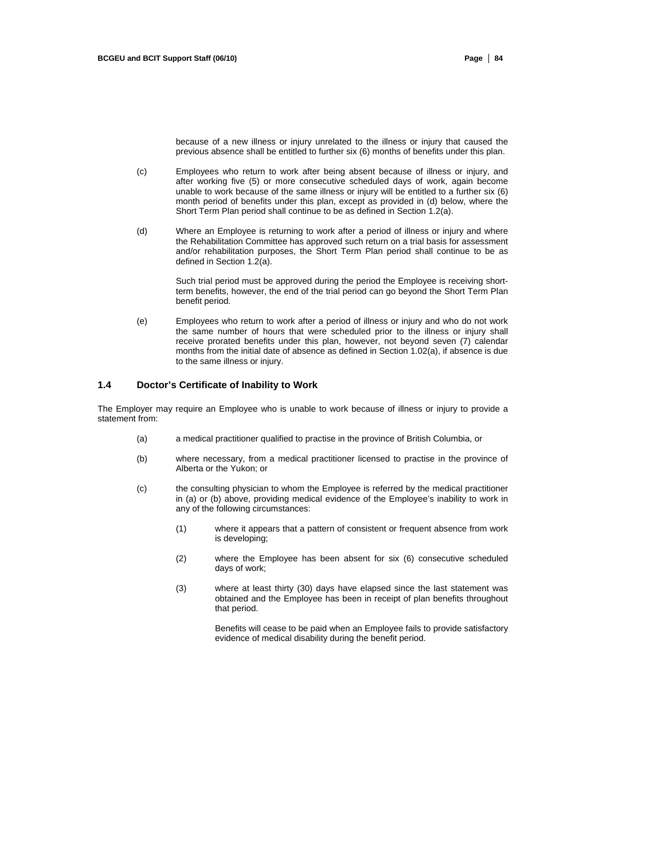because of a new illness or injury unrelated to the illness or injury that caused the previous absence shall be entitled to further six (6) months of benefits under this plan.

- (c) Employees who return to work after being absent because of illness or injury, and after working five (5) or more consecutive scheduled days of work, again become unable to work because of the same illness or injury will be entitled to a further six (6) month period of benefits under this plan, except as provided in (d) below, where the Short Term Plan period shall continue to be as defined in Section 1.2(a).
- (d) Where an Employee is returning to work after a period of illness or injury and where the Rehabilitation Committee has approved such return on a trial basis for assessment and/or rehabilitation purposes, the Short Term Plan period shall continue to be as defined in Section 1.2(a).

Such trial period must be approved during the period the Employee is receiving shortterm benefits, however, the end of the trial period can go beyond the Short Term Plan benefit period.

(e) Employees who return to work after a period of illness or injury and who do not work the same number of hours that were scheduled prior to the illness or injury shall receive prorated benefits under this plan, however, not beyond seven (7) calendar months from the initial date of absence as defined in Section 1.02(a), if absence is due to the same illness or injury.

#### **1.4 Doctor's Certificate of Inability to Work**

The Employer may require an Employee who is unable to work because of illness or injury to provide a statement from:

- (a) a medical practitioner qualified to practise in the province of British Columbia, or
- (b) where necessary, from a medical practitioner licensed to practise in the province of Alberta or the Yukon; or
- (c) the consulting physician to whom the Employee is referred by the medical practitioner in (a) or (b) above, providing medical evidence of the Employee's inability to work in any of the following circumstances:
	- (1) where it appears that a pattern of consistent or frequent absence from work is developing;
	- (2) where the Employee has been absent for six (6) consecutive scheduled days of work;
	- (3) where at least thirty (30) days have elapsed since the last statement was obtained and the Employee has been in receipt of plan benefits throughout that period.

Benefits will cease to be paid when an Employee fails to provide satisfactory evidence of medical disability during the benefit period.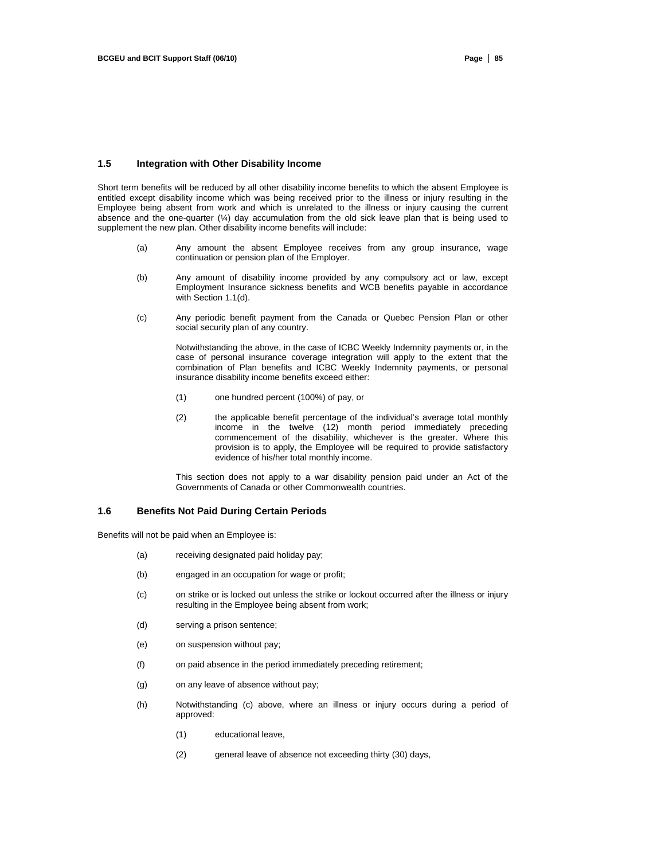#### **1.5 Integration with Other Disability Income**

Short term benefits will be reduced by all other disability income benefits to which the absent Employee is entitled except disability income which was being received prior to the illness or injury resulting in the Employee being absent from work and which is unrelated to the illness or injury causing the current absence and the one-quarter  $(\frac{1}{4})$  day accumulation from the old sick leave plan that is being used to supplement the new plan. Other disability income benefits will include:

- (a) Any amount the absent Employee receives from any group insurance, wage continuation or pension plan of the Employer.
- (b) Any amount of disability income provided by any compulsory act or law, except Employment Insurance sickness benefits and WCB benefits payable in accordance with Section 1.1(d).
- (c) Any periodic benefit payment from the Canada or Quebec Pension Plan or other social security plan of any country.

Notwithstanding the above, in the case of ICBC Weekly Indemnity payments or, in the case of personal insurance coverage integration will apply to the extent that the combination of Plan benefits and ICBC Weekly Indemnity payments, or personal insurance disability income benefits exceed either:

- (1) one hundred percent (100%) of pay, or
- (2) the applicable benefit percentage of the individual's average total monthly income in the twelve (12) month period immediately preceding commencement of the disability, whichever is the greater. Where this provision is to apply, the Employee will be required to provide satisfactory evidence of his/her total monthly income.

This section does not apply to a war disability pension paid under an Act of the Governments of Canada or other Commonwealth countries.

#### **1.6 Benefits Not Paid During Certain Periods**

Benefits will not be paid when an Employee is:

- (a) receiving designated paid holiday pay;
- (b) engaged in an occupation for wage or profit;
- (c) on strike or is locked out unless the strike or lockout occurred after the illness or injury resulting in the Employee being absent from work;
- (d) serving a prison sentence;
- (e) on suspension without pay;
- (f) on paid absence in the period immediately preceding retirement;
- (g) on any leave of absence without pay;
- (h) Notwithstanding (c) above, where an illness or injury occurs during a period of approved:
	- (1) educational leave,
	- (2) general leave of absence not exceeding thirty (30) days,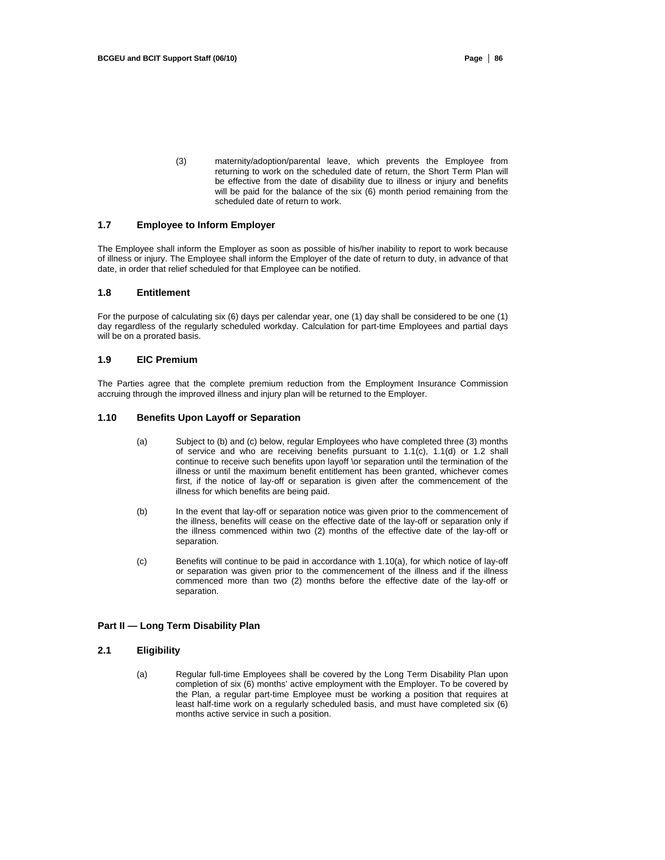(3) maternity/adoption/parental leave, which prevents the Employee from returning to work on the scheduled date of return, the Short Term Plan will be effective from the date of disability due to illness or injury and benefits will be paid for the balance of the six (6) month period remaining from the scheduled date of return to work.

#### **1.7 Employee to Inform Employer**

The Employee shall inform the Employer as soon as possible of his/her inability to report to work because of illness or injury. The Employee shall inform the Employer of the date of return to duty, in advance of that date, in order that relief scheduled for that Employee can be notified.

#### **1.8 Entitlement**

For the purpose of calculating six (6) days per calendar year, one (1) day shall be considered to be one (1) day regardless of the regularly scheduled workday. Calculation for part-time Employees and partial days will be on a prorated basis.

## **1.9 EIC Premium**

The Parties agree that the complete premium reduction from the Employment Insurance Commission accruing through the improved illness and injury plan will be returned to the Employer.

#### **1.10 Benefits Upon Layoff or Separation**

- (a) Subject to (b) and (c) below, regular Employees who have completed three (3) months of service and who are receiving benefits pursuant to 1.1(c), 1.1(d) or 1.2 shall continue to receive such benefits upon layoff \or separation until the termination of the illness or until the maximum benefit entitlement has been granted, whichever comes first, if the notice of lay-off or separation is given after the commencement of the illness for which benefits are being paid.
- (b) In the event that lay-off or separation notice was given prior to the commencement of the illness, benefits will cease on the effective date of the lay-off or separation only if the illness commenced within two (2) months of the effective date of the lay-off or separation.
- (c) Benefits will continue to be paid in accordance with 1.10(a), for which notice of lay-off or separation was given prior to the commencement of the illness and if the illness commenced more than two (2) months before the effective date of the lay-off or separation.

## **Part II — Long Term Disability Plan**

#### **2.1 Eligibility**

(a) Regular full-time Employees shall be covered by the Long Term Disability Plan upon completion of six (6) months' active employment with the Employer. To be covered by the Plan, a regular part-time Employee must be working a position that requires at least half-time work on a regularly scheduled basis, and must have completed six (6) months active service in such a position.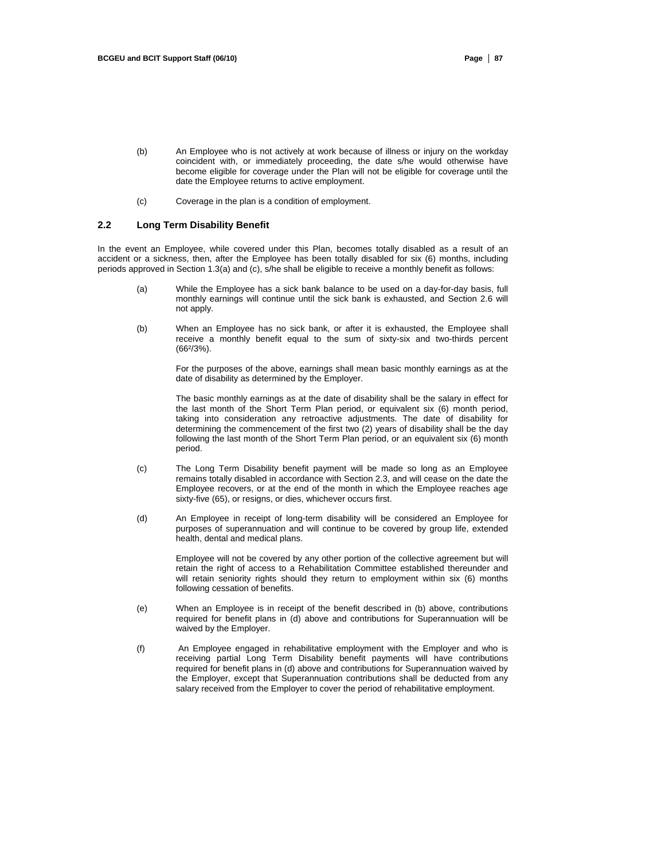- (b) An Employee who is not actively at work because of illness or injury on the workday coincident with, or immediately proceeding, the date s/he would otherwise have become eligible for coverage under the Plan will not be eligible for coverage until the date the Employee returns to active employment.
- (c) Coverage in the plan is a condition of employment.

#### **2.2 Long Term Disability Benefit**

In the event an Employee, while covered under this Plan, becomes totally disabled as a result of an accident or a sickness, then, after the Employee has been totally disabled for six (6) months, including periods approved in Section 1.3(a) and (c), s/he shall be eligible to receive a monthly benefit as follows:

- (a) While the Employee has a sick bank balance to be used on a day-for-day basis, full monthly earnings will continue until the sick bank is exhausted, and Section 2.6 will not apply.
- (b) When an Employee has no sick bank, or after it is exhausted, the Employee shall receive a monthly benefit equal to the sum of sixty-six and two-thirds percent (66²/3%).

For the purposes of the above, earnings shall mean basic monthly earnings as at the date of disability as determined by the Employer.

The basic monthly earnings as at the date of disability shall be the salary in effect for the last month of the Short Term Plan period, or equivalent six (6) month period, taking into consideration any retroactive adjustments. The date of disability for determining the commencement of the first two (2) years of disability shall be the day following the last month of the Short Term Plan period, or an equivalent six (6) month period.

- (c) The Long Term Disability benefit payment will be made so long as an Employee remains totally disabled in accordance with Section 2.3, and will cease on the date the Employee recovers, or at the end of the month in which the Employee reaches age sixty-five (65), or resigns, or dies, whichever occurs first.
- (d) An Employee in receipt of long-term disability will be considered an Employee for purposes of superannuation and will continue to be covered by group life, extended health, dental and medical plans.

Employee will not be covered by any other portion of the collective agreement but will retain the right of access to a Rehabilitation Committee established thereunder and will retain seniority rights should they return to employment within six (6) months following cessation of benefits.

- (e) When an Employee is in receipt of the benefit described in (b) above, contributions required for benefit plans in (d) above and contributions for Superannuation will be waived by the Employer.
- (f) An Employee engaged in rehabilitative employment with the Employer and who is receiving partial Long Term Disability benefit payments will have contributions required for benefit plans in (d) above and contributions for Superannuation waived by the Employer, except that Superannuation contributions shall be deducted from any salary received from the Employer to cover the period of rehabilitative employment.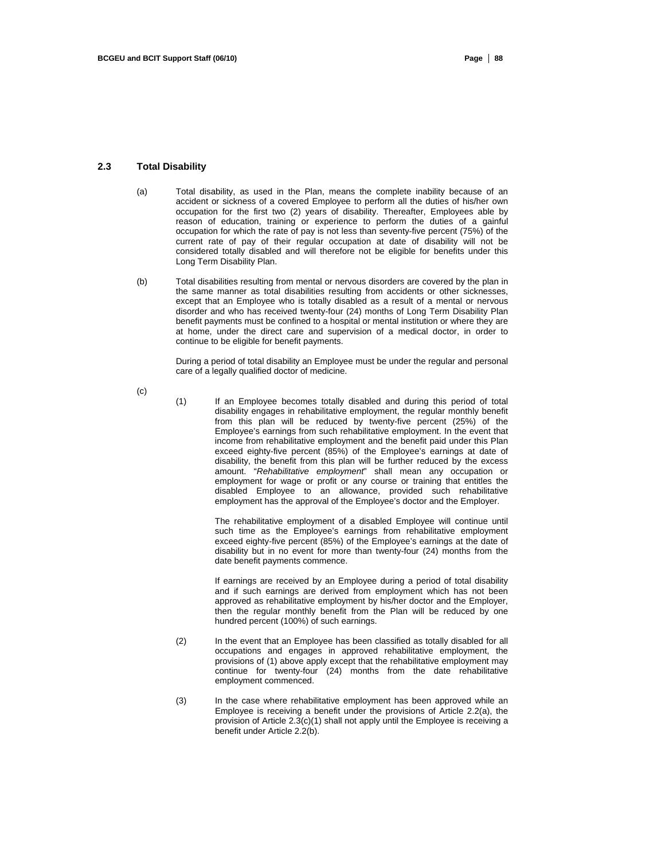#### **2.3 Total Disability**

- (a) Total disability, as used in the Plan, means the complete inability because of an accident or sickness of a covered Employee to perform all the duties of his/her own occupation for the first two (2) years of disability. Thereafter, Employees able by reason of education, training or experience to perform the duties of a gainful occupation for which the rate of pay is not less than seventy-five percent (75%) of the current rate of pay of their regular occupation at date of disability will not be considered totally disabled and will therefore not be eligible for benefits under this Long Term Disability Plan.
- (b) Total disabilities resulting from mental or nervous disorders are covered by the plan in the same manner as total disabilities resulting from accidents or other sicknesses, except that an Employee who is totally disabled as a result of a mental or nervous disorder and who has received twenty-four (24) months of Long Term Disability Plan benefit payments must be confined to a hospital or mental institution or where they are at home, under the direct care and supervision of a medical doctor, in order to continue to be eligible for benefit payments.

During a period of total disability an Employee must be under the regular and personal care of a legally qualified doctor of medicine.

(c)

(1) If an Employee becomes totally disabled and during this period of total disability engages in rehabilitative employment, the regular monthly benefit from this plan will be reduced by twenty-five percent (25%) of the Employee's earnings from such rehabilitative employment. In the event that income from rehabilitative employment and the benefit paid under this Plan exceed eighty-five percent (85%) of the Employee's earnings at date of disability, the benefit from this plan will be further reduced by the excess amount. "*Rehabilitative employment*" shall mean any occupation or employment for wage or profit or any course or training that entitles the disabled Employee to an allowance, provided such rehabilitative employment has the approval of the Employee's doctor and the Employer.

> The rehabilitative employment of a disabled Employee will continue until such time as the Employee's earnings from rehabilitative employment exceed eighty-five percent (85%) of the Employee's earnings at the date of disability but in no event for more than twenty-four (24) months from the date benefit payments commence.

> If earnings are received by an Employee during a period of total disability and if such earnings are derived from employment which has not been approved as rehabilitative employment by his/her doctor and the Employer, then the regular monthly benefit from the Plan will be reduced by one hundred percent (100%) of such earnings.

- (2) In the event that an Employee has been classified as totally disabled for all occupations and engages in approved rehabilitative employment, the provisions of (1) above apply except that the rehabilitative employment may continue for twenty-four (24) months from the date rehabilitative employment commenced.
- (3) In the case where rehabilitative employment has been approved while an Employee is receiving a benefit under the provisions of Article 2.2(a), the provision of Article 2.3(c)(1) shall not apply until the Employee is receiving a benefit under Article 2.2(b).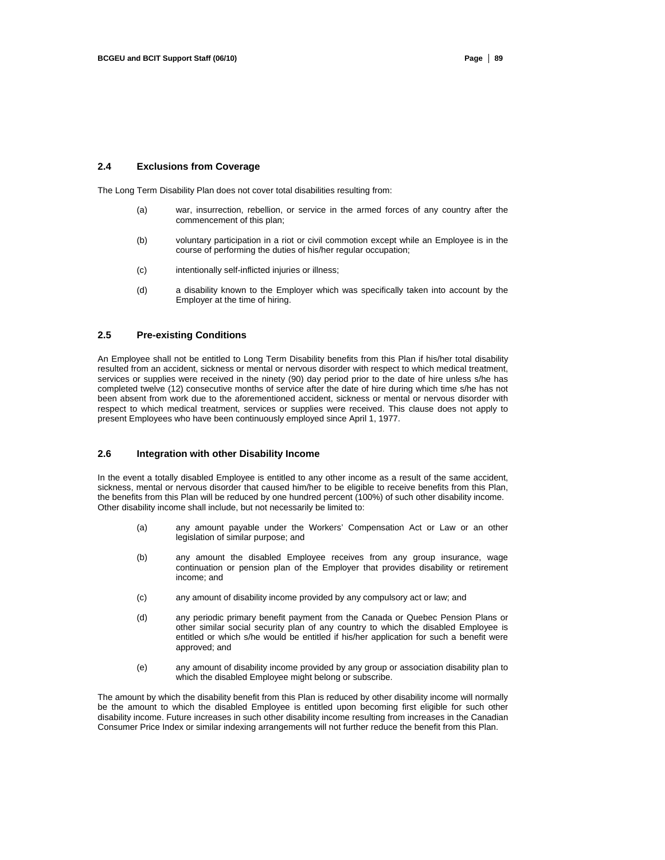#### **2.4 Exclusions from Coverage**

The Long Term Disability Plan does not cover total disabilities resulting from:

- (a) war, insurrection, rebellion, or service in the armed forces of any country after the commencement of this plan;
- (b) voluntary participation in a riot or civil commotion except while an Employee is in the course of performing the duties of his/her regular occupation;
- (c) intentionally self-inflicted injuries or illness;
- (d) a disability known to the Employer which was specifically taken into account by the Employer at the time of hiring.

# **2.5 Pre-existing Conditions**

An Employee shall not be entitled to Long Term Disability benefits from this Plan if his/her total disability resulted from an accident, sickness or mental or nervous disorder with respect to which medical treatment, services or supplies were received in the ninety (90) day period prior to the date of hire unless s/he has completed twelve (12) consecutive months of service after the date of hire during which time s/he has not been absent from work due to the aforementioned accident, sickness or mental or nervous disorder with respect to which medical treatment, services or supplies were received. This clause does not apply to present Employees who have been continuously employed since April 1, 1977.

## **2.6 Integration with other Disability Income**

In the event a totally disabled Employee is entitled to any other income as a result of the same accident, sickness, mental or nervous disorder that caused him/her to be eligible to receive benefits from this Plan, the benefits from this Plan will be reduced by one hundred percent (100%) of such other disability income. Other disability income shall include, but not necessarily be limited to:

- (a) any amount payable under the Workers' Compensation Act or Law or an other legislation of similar purpose; and
- (b) any amount the disabled Employee receives from any group insurance, wage continuation or pension plan of the Employer that provides disability or retirement income; and
- (c) any amount of disability income provided by any compulsory act or law; and
- (d) any periodic primary benefit payment from the Canada or Quebec Pension Plans or other similar social security plan of any country to which the disabled Employee is entitled or which s/he would be entitled if his/her application for such a benefit were approved; and
- (e) any amount of disability income provided by any group or association disability plan to which the disabled Employee might belong or subscribe.

The amount by which the disability benefit from this Plan is reduced by other disability income will normally be the amount to which the disabled Employee is entitled upon becoming first eligible for such other disability income. Future increases in such other disability income resulting from increases in the Canadian Consumer Price Index or similar indexing arrangements will not further reduce the benefit from this Plan.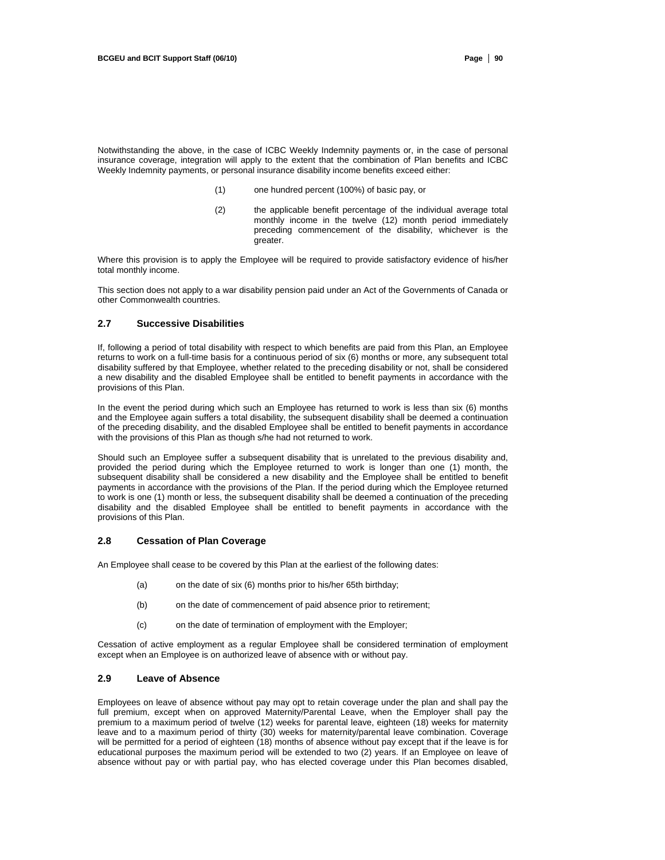Notwithstanding the above, in the case of ICBC Weekly Indemnity payments or, in the case of personal insurance coverage, integration will apply to the extent that the combination of Plan benefits and ICBC Weekly Indemnity payments, or personal insurance disability income benefits exceed either:

- (1) one hundred percent (100%) of basic pay, or
- (2) the applicable benefit percentage of the individual average total monthly income in the twelve (12) month period immediately preceding commencement of the disability, whichever is the greater.

Where this provision is to apply the Employee will be required to provide satisfactory evidence of his/her total monthly income.

This section does not apply to a war disability pension paid under an Act of the Governments of Canada or other Commonwealth countries.

#### **2.7 Successive Disabilities**

If, following a period of total disability with respect to which benefits are paid from this Plan, an Employee returns to work on a full-time basis for a continuous period of six (6) months or more, any subsequent total disability suffered by that Employee, whether related to the preceding disability or not, shall be considered a new disability and the disabled Employee shall be entitled to benefit payments in accordance with the provisions of this Plan.

In the event the period during which such an Employee has returned to work is less than six (6) months and the Employee again suffers a total disability, the subsequent disability shall be deemed a continuation of the preceding disability, and the disabled Employee shall be entitled to benefit payments in accordance with the provisions of this Plan as though s/he had not returned to work.

Should such an Employee suffer a subsequent disability that is unrelated to the previous disability and, provided the period during which the Employee returned to work is longer than one (1) month, the subsequent disability shall be considered a new disability and the Employee shall be entitled to benefit payments in accordance with the provisions of the Plan. If the period during which the Employee returned to work is one (1) month or less, the subsequent disability shall be deemed a continuation of the preceding disability and the disabled Employee shall be entitled to benefit payments in accordance with the provisions of this Plan.

#### **2.8 Cessation of Plan Coverage**

An Employee shall cease to be covered by this Plan at the earliest of the following dates:

- (a) on the date of six (6) months prior to his/her 65th birthday;
- (b) on the date of commencement of paid absence prior to retirement;
- (c) on the date of termination of employment with the Employer;

Cessation of active employment as a regular Employee shall be considered termination of employment except when an Employee is on authorized leave of absence with or without pay.

#### **2.9 Leave of Absence**

Employees on leave of absence without pay may opt to retain coverage under the plan and shall pay the full premium, except when on approved Maternity/Parental Leave, when the Employer shall pay the premium to a maximum period of twelve (12) weeks for parental leave, eighteen (18) weeks for maternity leave and to a maximum period of thirty (30) weeks for maternity/parental leave combination. Coverage will be permitted for a period of eighteen (18) months of absence without pay except that if the leave is for educational purposes the maximum period will be extended to two (2) years. If an Employee on leave of absence without pay or with partial pay, who has elected coverage under this Plan becomes disabled,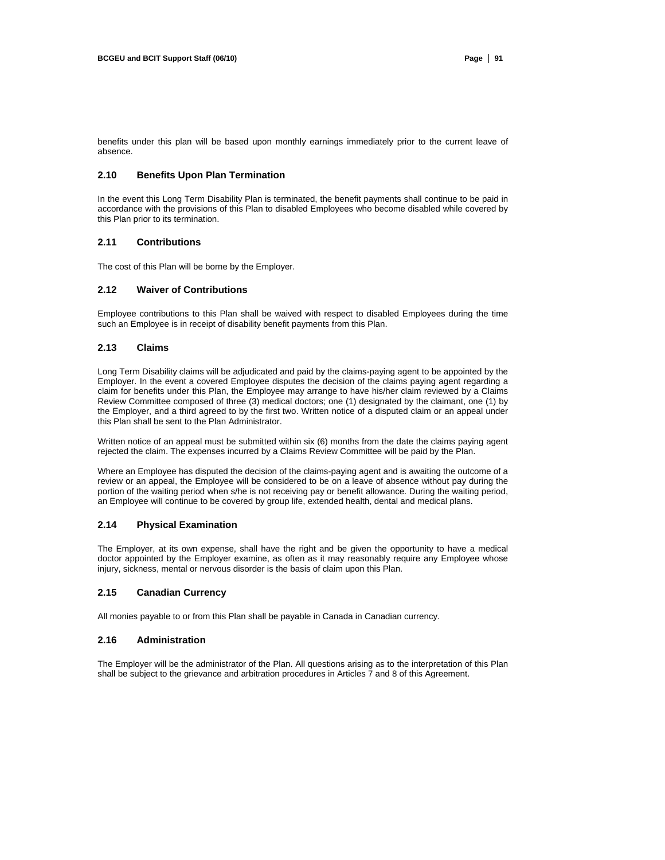benefits under this plan will be based upon monthly earnings immediately prior to the current leave of absence.

#### **2.10 Benefits Upon Plan Termination**

In the event this Long Term Disability Plan is terminated, the benefit payments shall continue to be paid in accordance with the provisions of this Plan to disabled Employees who become disabled while covered by this Plan prior to its termination.

#### **2.11 Contributions**

The cost of this Plan will be borne by the Employer.

#### **2.12 Waiver of Contributions**

Employee contributions to this Plan shall be waived with respect to disabled Employees during the time such an Employee is in receipt of disability benefit payments from this Plan.

#### **2.13 Claims**

Long Term Disability claims will be adjudicated and paid by the claims-paying agent to be appointed by the Employer. In the event a covered Employee disputes the decision of the claims paying agent regarding a claim for benefits under this Plan, the Employee may arrange to have his/her claim reviewed by a Claims Review Committee composed of three (3) medical doctors; one (1) designated by the claimant, one (1) by the Employer, and a third agreed to by the first two. Written notice of a disputed claim or an appeal under this Plan shall be sent to the Plan Administrator.

Written notice of an appeal must be submitted within six (6) months from the date the claims paying agent rejected the claim. The expenses incurred by a Claims Review Committee will be paid by the Plan.

Where an Employee has disputed the decision of the claims-paying agent and is awaiting the outcome of a review or an appeal, the Employee will be considered to be on a leave of absence without pay during the portion of the waiting period when s/he is not receiving pay or benefit allowance. During the waiting period, an Employee will continue to be covered by group life, extended health, dental and medical plans.

#### **2.14 Physical Examination**

The Employer, at its own expense, shall have the right and be given the opportunity to have a medical doctor appointed by the Employer examine, as often as it may reasonably require any Employee whose injury, sickness, mental or nervous disorder is the basis of claim upon this Plan.

#### **2.15 Canadian Currency**

All monies payable to or from this Plan shall be payable in Canada in Canadian currency.

#### **2.16 Administration**

The Employer will be the administrator of the Plan. All questions arising as to the interpretation of this Plan shall be subject to the grievance and arbitration procedures in Articles 7 and 8 of this Agreement.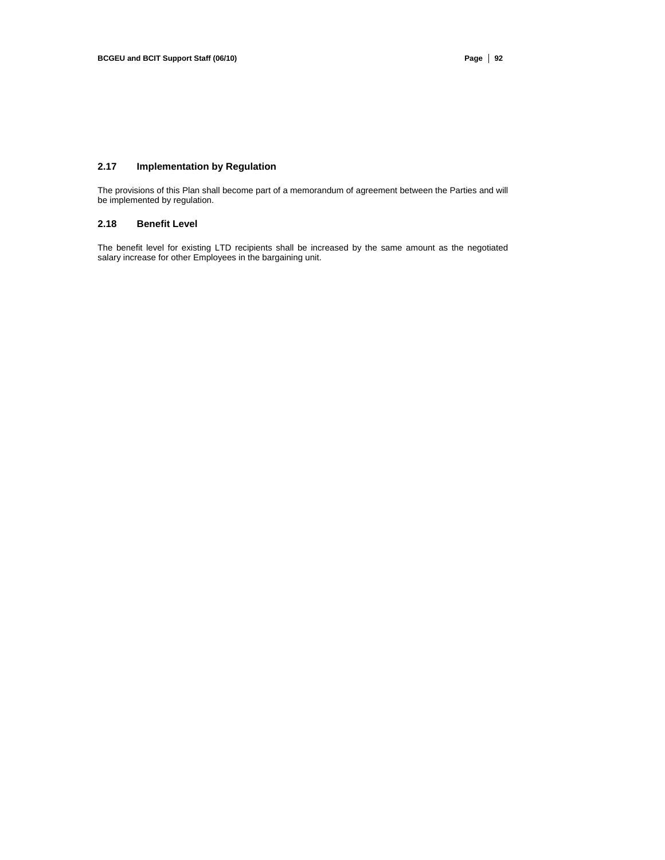# **2.17 Implementation by Regulation**

The provisions of this Plan shall become part of a memorandum of agreement between the Parties and will be implemented by regulation.

# **2.18 Benefit Level**

The benefit level for existing LTD recipients shall be increased by the same amount as the negotiated salary increase for other Employees in the bargaining unit.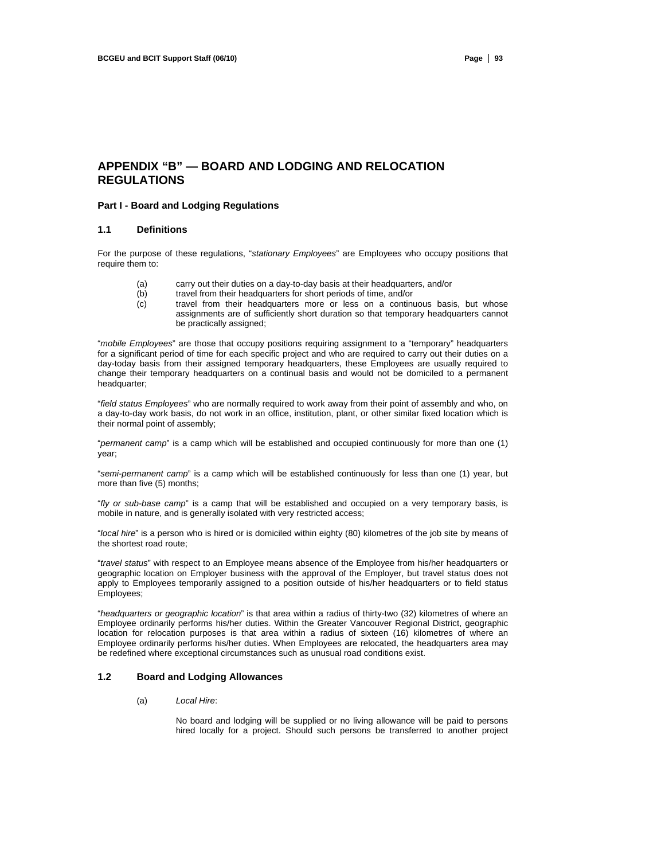# **APPENDIX "B" — BOARD AND LODGING AND RELOCATION REGULATIONS**

### **Part I - Board and Lodging Regulations**

#### **1.1 Definitions**

For the purpose of these regulations, "*stationary Employees*" are Employees who occupy positions that require them to:

- (a) carry out their duties on a day-to-day basis at their headquarters, and/or <br>(b) travel from their headquarters for short periods of time, and/or
- (b) travel from their headquarters for short periods of time, and/or<br>(c) travel from their headquarters more or less on a continu
- travel from their headquarters more or less on a continuous basis, but whose assignments are of sufficiently short duration so that temporary headquarters cannot be practically assigned;

"*mobile Employees*" are those that occupy positions requiring assignment to a "temporary" headquarters for a significant period of time for each specific project and who are required to carry out their duties on a day-today basis from their assigned temporary headquarters, these Employees are usually required to change their temporary headquarters on a continual basis and would not be domiciled to a permanent headquarter;

"*field status Employees*" who are normally required to work away from their point of assembly and who, on a day-to-day work basis, do not work in an office, institution, plant, or other similar fixed location which is their normal point of assembly;

"*permanent camp*" is a camp which will be established and occupied continuously for more than one (1) year;

"*semi-permanent camp*" is a camp which will be established continuously for less than one (1) year, but more than five (5) months;

"*fly or sub-base camp*" is a camp that will be established and occupied on a very temporary basis, is mobile in nature, and is generally isolated with very restricted access;

"*local hire*" is a person who is hired or is domiciled within eighty (80) kilometres of the job site by means of the shortest road route;

"*travel status*" with respect to an Employee means absence of the Employee from his/her headquarters or geographic location on Employer business with the approval of the Employer, but travel status does not apply to Employees temporarily assigned to a position outside of his/her headquarters or to field status Employees;

"*headquarters or geographic location*" is that area within a radius of thirty-two (32) kilometres of where an Employee ordinarily performs his/her duties. Within the Greater Vancouver Regional District, geographic location for relocation purposes is that area within a radius of sixteen (16) kilometres of where an Employee ordinarily performs his/her duties. When Employees are relocated, the headquarters area may be redefined where exceptional circumstances such as unusual road conditions exist.

#### **1.2 Board and Lodging Allowances**

#### (a) *Local Hire*:

No board and lodging will be supplied or no living allowance will be paid to persons hired locally for a project. Should such persons be transferred to another project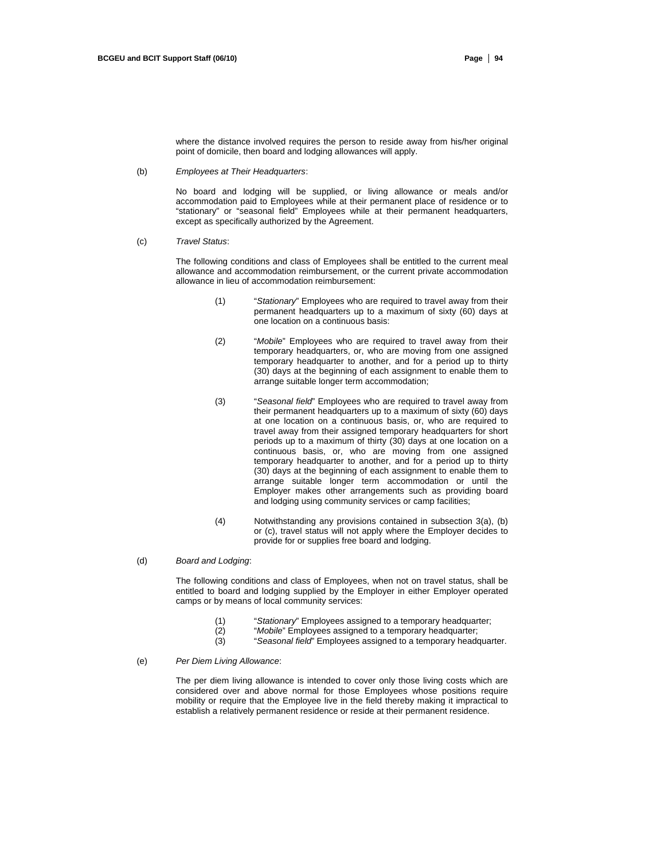where the distance involved requires the person to reside away from his/her original point of domicile, then board and lodging allowances will apply.

(b) *Employees at Their Headquarters*:

No board and lodging will be supplied, or living allowance or meals and/or accommodation paid to Employees while at their permanent place of residence or to "stationary" or "seasonal field" Employees while at their permanent headquarters, except as specifically authorized by the Agreement.

(c) *Travel Status*:

The following conditions and class of Employees shall be entitled to the current meal allowance and accommodation reimbursement, or the current private accommodation allowance in lieu of accommodation reimbursement:

- (1) "*Stationary*" Employees who are required to travel away from their permanent headquarters up to a maximum of sixty (60) days at one location on a continuous basis:
- (2) "*Mobile*" Employees who are required to travel away from their temporary headquarters, or, who are moving from one assigned temporary headquarter to another, and for a period up to thirty (30) days at the beginning of each assignment to enable them to arrange suitable longer term accommodation;
- (3) "*Seasonal field*" Employees who are required to travel away from their permanent headquarters up to a maximum of sixty (60) days at one location on a continuous basis, or, who are required to travel away from their assigned temporary headquarters for short periods up to a maximum of thirty (30) days at one location on a continuous basis, or, who are moving from one assigned temporary headquarter to another, and for a period up to thirty (30) days at the beginning of each assignment to enable them to arrange suitable longer term accommodation or until the Employer makes other arrangements such as providing board and lodging using community services or camp facilities;
- (4) Notwithstanding any provisions contained in subsection 3(a), (b) or (c), travel status will not apply where the Employer decides to provide for or supplies free board and lodging.

#### (d) *Board and Lodging*:

The following conditions and class of Employees, when not on travel status, shall be entitled to board and lodging supplied by the Employer in either Employer operated camps or by means of local community services:

- (1) "*Stationary*" Employees assigned to a temporary headquarter;
- "Mobile" Employees assigned to a temporary headquarter;
- (3) "*Seasonal field*" Employees assigned to a temporary headquarter.
- (e) *Per Diem Living Allowance*:

The per diem living allowance is intended to cover only those living costs which are considered over and above normal for those Employees whose positions require mobility or require that the Employee live in the field thereby making it impractical to establish a relatively permanent residence or reside at their permanent residence.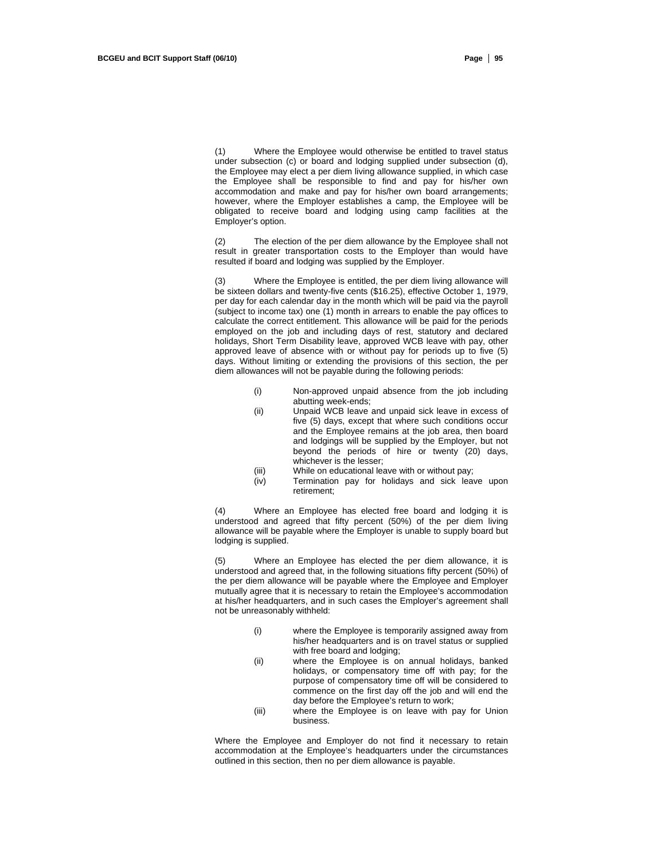(1) Where the Employee would otherwise be entitled to travel status under subsection (c) or board and lodging supplied under subsection (d), the Employee may elect a per diem living allowance supplied, in which case the Employee shall be responsible to find and pay for his/her own accommodation and make and pay for his/her own board arrangements; however, where the Employer establishes a camp, the Employee will be obligated to receive board and lodging using camp facilities at the Employer's option.

(2) The election of the per diem allowance by the Employee shall not result in greater transportation costs to the Employer than would have resulted if board and lodging was supplied by the Employer.

(3) Where the Employee is entitled, the per diem living allowance will be sixteen dollars and twenty-five cents (\$16.25), effective October 1, 1979, per day for each calendar day in the month which will be paid via the payroll (subject to income tax) one (1) month in arrears to enable the pay offices to calculate the correct entitlement. This allowance will be paid for the periods employed on the job and including days of rest, statutory and declared holidays, Short Term Disability leave, approved WCB leave with pay, other approved leave of absence with or without pay for periods up to five (5) days. Without limiting or extending the provisions of this section, the per diem allowances will not be payable during the following periods:

- (i) Non-approved unpaid absence from the job including abutting week-ends;
- (ii) Unpaid WCB leave and unpaid sick leave in excess of five (5) days, except that where such conditions occur and the Employee remains at the job area, then board and lodgings will be supplied by the Employer, but not beyond the periods of hire or twenty (20) days, whichever is the lesser;
- (iii) While on educational leave with or without pay;
- (iv) Termination pay for holidays and sick leave upon retirement;

(4) Where an Employee has elected free board and lodging it is understood and agreed that fifty percent (50%) of the per diem living allowance will be payable where the Employer is unable to supply board but lodging is supplied.

Where an Employee has elected the per diem allowance, it is understood and agreed that, in the following situations fifty percent (50%) of the per diem allowance will be payable where the Employee and Employer mutually agree that it is necessary to retain the Employee's accommodation at his/her headquarters, and in such cases the Employer's agreement shall not be unreasonably withheld:

- (i) where the Employee is temporarily assigned away from his/her headquarters and is on travel status or supplied with free board and lodging;
- (ii) where the Employee is on annual holidays, banked holidays, or compensatory time off with pay; for the purpose of compensatory time off will be considered to commence on the first day off the job and will end the day before the Employee's return to work;
- (iii) where the Employee is on leave with pay for Union business.

Where the Employee and Employer do not find it necessary to retain accommodation at the Employee's headquarters under the circumstances outlined in this section, then no per diem allowance is payable.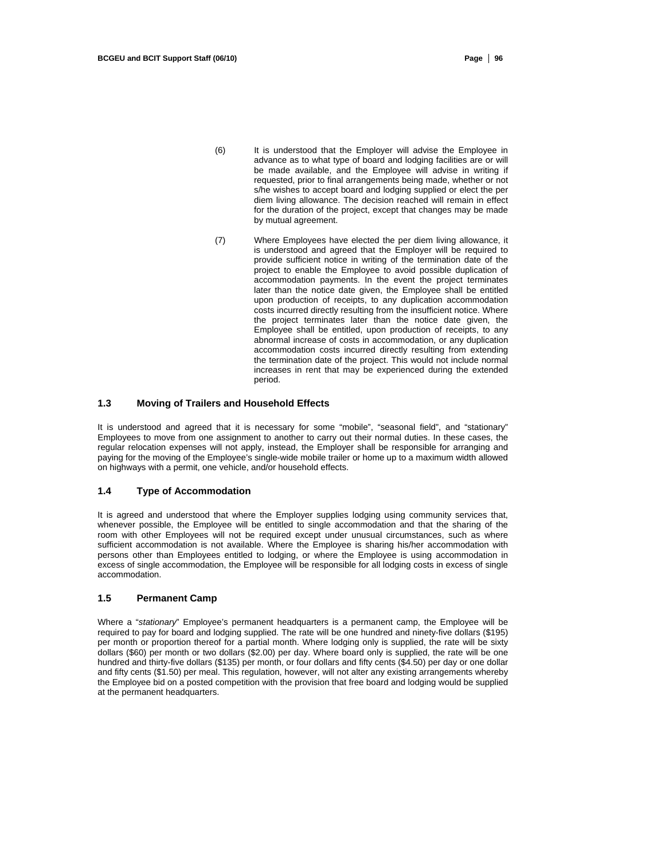- (6) It is understood that the Employer will advise the Employee in advance as to what type of board and lodging facilities are or will be made available, and the Employee will advise in writing if requested, prior to final arrangements being made, whether or not s/he wishes to accept board and lodging supplied or elect the per diem living allowance. The decision reached will remain in effect for the duration of the project, except that changes may be made by mutual agreement.
- (7) Where Employees have elected the per diem living allowance, it is understood and agreed that the Employer will be required to provide sufficient notice in writing of the termination date of the project to enable the Employee to avoid possible duplication of accommodation payments. In the event the project terminates later than the notice date given, the Employee shall be entitled upon production of receipts, to any duplication accommodation costs incurred directly resulting from the insufficient notice. Where the project terminates later than the notice date given, the Employee shall be entitled, upon production of receipts, to any abnormal increase of costs in accommodation, or any duplication accommodation costs incurred directly resulting from extending the termination date of the project. This would not include normal increases in rent that may be experienced during the extended period.

#### **1.3 Moving of Trailers and Household Effects**

It is understood and agreed that it is necessary for some "mobile", "seasonal field", and "stationary" Employees to move from one assignment to another to carry out their normal duties. In these cases, the regular relocation expenses will not apply, instead, the Employer shall be responsible for arranging and paying for the moving of the Employee's single-wide mobile trailer or home up to a maximum width allowed on highways with a permit, one vehicle, and/or household effects.

#### **1.4 Type of Accommodation**

It is agreed and understood that where the Employer supplies lodging using community services that, whenever possible, the Employee will be entitled to single accommodation and that the sharing of the room with other Employees will not be required except under unusual circumstances, such as where sufficient accommodation is not available. Where the Employee is sharing his/her accommodation with persons other than Employees entitled to lodging, or where the Employee is using accommodation in excess of single accommodation, the Employee will be responsible for all lodging costs in excess of single accommodation.

#### **1.5 Permanent Camp**

Where a "*stationary*" Employee's permanent headquarters is a permanent camp, the Employee will be required to pay for board and lodging supplied. The rate will be one hundred and ninety-five dollars (\$195) per month or proportion thereof for a partial month. Where lodging only is supplied, the rate will be sixty dollars (\$60) per month or two dollars (\$2.00) per day. Where board only is supplied, the rate will be one hundred and thirty-five dollars (\$135) per month, or four dollars and fifty cents (\$4.50) per day or one dollar and fifty cents (\$1.50) per meal. This regulation, however, will not alter any existing arrangements whereby the Employee bid on a posted competition with the provision that free board and lodging would be supplied at the permanent headquarters.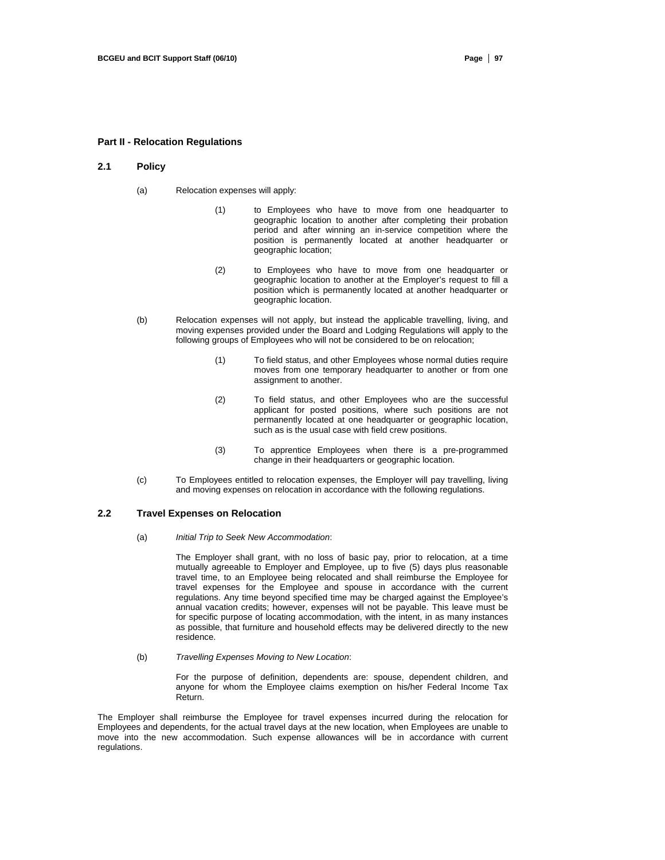#### **Part II - Relocation Regulations**

#### **2.1 Policy**

- (a) Relocation expenses will apply:
	- (1) to Employees who have to move from one headquarter to geographic location to another after completing their probation period and after winning an in-service competition where the position is permanently located at another headquarter or geographic location;
	- (2) to Employees who have to move from one headquarter or geographic location to another at the Employer's request to fill a position which is permanently located at another headquarter or geographic location.
- (b) Relocation expenses will not apply, but instead the applicable travelling, living, and moving expenses provided under the Board and Lodging Regulations will apply to the following groups of Employees who will not be considered to be on relocation;
	- (1) To field status, and other Employees whose normal duties require moves from one temporary headquarter to another or from one assignment to another.
	- (2) To field status, and other Employees who are the successful applicant for posted positions, where such positions are not permanently located at one headquarter or geographic location, such as is the usual case with field crew positions.
	- (3) To apprentice Employees when there is a pre-programmed change in their headquarters or geographic location.
- (c) To Employees entitled to relocation expenses, the Employer will pay travelling, living and moving expenses on relocation in accordance with the following regulations.

#### **2.2 Travel Expenses on Relocation**

(a) *Initial Trip to Seek New Accommodation*:

The Employer shall grant, with no loss of basic pay, prior to relocation, at a time mutually agreeable to Employer and Employee, up to five (5) days plus reasonable travel time, to an Employee being relocated and shall reimburse the Employee for travel expenses for the Employee and spouse in accordance with the current regulations. Any time beyond specified time may be charged against the Employee's annual vacation credits; however, expenses will not be payable. This leave must be for specific purpose of locating accommodation, with the intent, in as many instances as possible, that furniture and household effects may be delivered directly to the new residence.

(b) *Travelling Expenses Moving to New Location*:

For the purpose of definition, dependents are: spouse, dependent children, and anyone for whom the Employee claims exemption on his/her Federal Income Tax Return.

The Employer shall reimburse the Employee for travel expenses incurred during the relocation for Employees and dependents, for the actual travel days at the new location, when Employees are unable to move into the new accommodation. Such expense allowances will be in accordance with current regulations.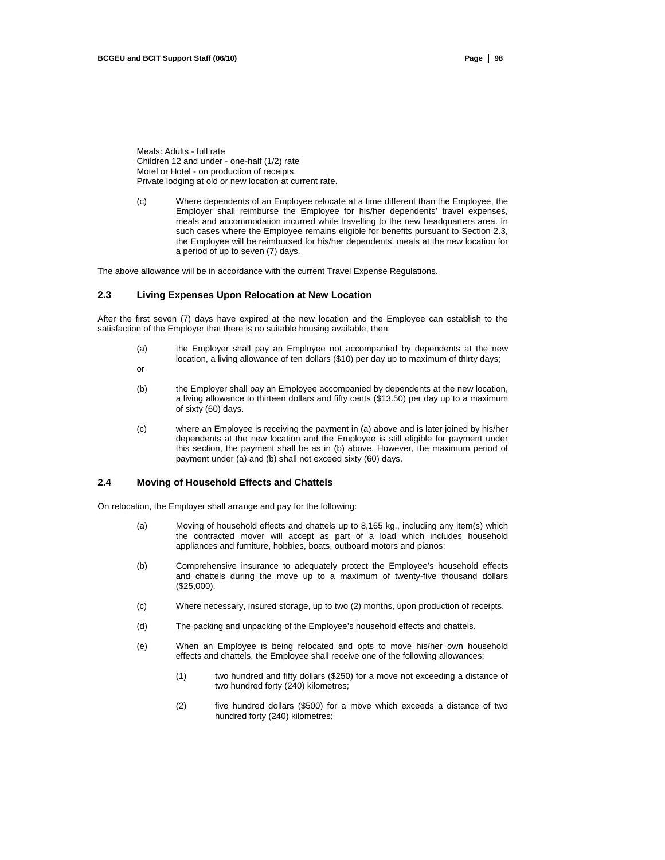Meals: Adults - full rate Children 12 and under - one-half (1/2) rate Motel or Hotel - on production of receipts. Private lodging at old or new location at current rate.

(c) Where dependents of an Employee relocate at a time different than the Employee, the Employer shall reimburse the Employee for his/her dependents' travel expenses, meals and accommodation incurred while travelling to the new headquarters area. In such cases where the Employee remains eligible for benefits pursuant to Section 2.3, the Employee will be reimbursed for his/her dependents' meals at the new location for a period of up to seven (7) days.

The above allowance will be in accordance with the current Travel Expense Regulations.

### **2.3 Living Expenses Upon Relocation at New Location**

After the first seven (7) days have expired at the new location and the Employee can establish to the satisfaction of the Employer that there is no suitable housing available, then:

- (a) the Employer shall pay an Employee not accompanied by dependents at the new location, a living allowance of ten dollars (\$10) per day up to maximum of thirty days;
- or
- (b) the Employer shall pay an Employee accompanied by dependents at the new location, a living allowance to thirteen dollars and fifty cents (\$13.50) per day up to a maximum of sixty (60) days.
- (c) where an Employee is receiving the payment in (a) above and is later joined by his/her dependents at the new location and the Employee is still eligible for payment under this section, the payment shall be as in (b) above. However, the maximum period of payment under (a) and (b) shall not exceed sixty (60) days.

### **2.4 Moving of Household Effects and Chattels**

On relocation, the Employer shall arrange and pay for the following:

- (a) Moving of household effects and chattels up to 8,165 kg., including any item(s) which the contracted mover will accept as part of a load which includes household appliances and furniture, hobbies, boats, outboard motors and pianos;
- (b) Comprehensive insurance to adequately protect the Employee's household effects and chattels during the move up to a maximum of twenty-five thousand dollars (\$25,000).
- (c) Where necessary, insured storage, up to two (2) months, upon production of receipts.
- (d) The packing and unpacking of the Employee's household effects and chattels.
- (e) When an Employee is being relocated and opts to move his/her own household effects and chattels, the Employee shall receive one of the following allowances:
	- (1) two hundred and fifty dollars (\$250) for a move not exceeding a distance of two hundred forty (240) kilometres;
	- (2) five hundred dollars (\$500) for a move which exceeds a distance of two hundred forty (240) kilometres;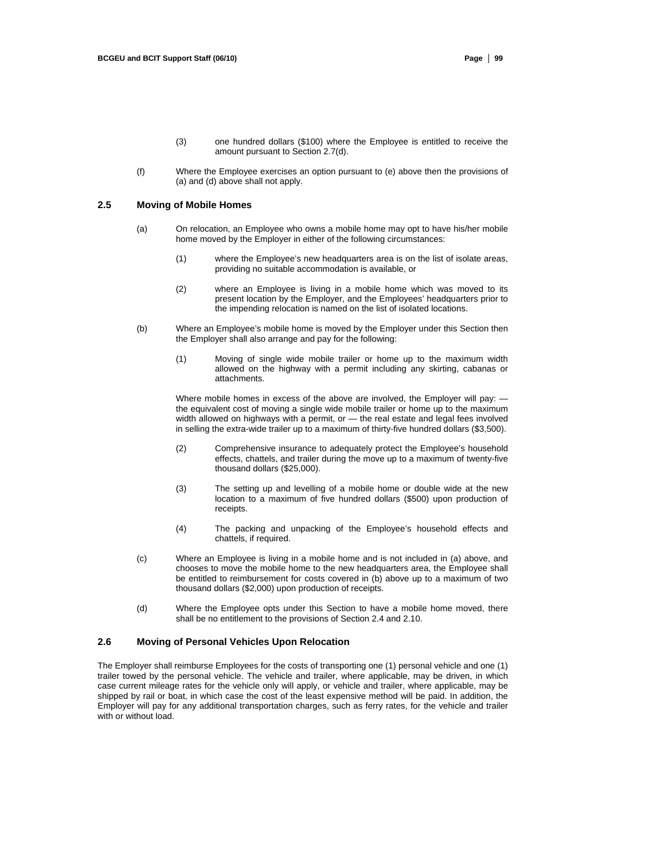- (3) one hundred dollars (\$100) where the Employee is entitled to receive the amount pursuant to Section 2.7(d).
- (f) Where the Employee exercises an option pursuant to (e) above then the provisions of (a) and (d) above shall not apply.

### **2.5 Moving of Mobile Homes**

- (a) On relocation, an Employee who owns a mobile home may opt to have his/her mobile home moved by the Employer in either of the following circumstances:
	- (1) where the Employee's new headquarters area is on the list of isolate areas, providing no suitable accommodation is available, or
	- (2) where an Employee is living in a mobile home which was moved to its present location by the Employer, and the Employees' headquarters prior to the impending relocation is named on the list of isolated locations.
- (b) Where an Employee's mobile home is moved by the Employer under this Section then the Employer shall also arrange and pay for the following:
	- (1) Moving of single wide mobile trailer or home up to the maximum width allowed on the highway with a permit including any skirting, cabanas or attachments.

Where mobile homes in excess of the above are involved, the Employer will pay: the equivalent cost of moving a single wide mobile trailer or home up to the maximum width allowed on highways with a permit, or — the real estate and legal fees involved in selling the extra-wide trailer up to a maximum of thirty-five hundred dollars (\$3,500).

- (2) Comprehensive insurance to adequately protect the Employee's household effects, chattels, and trailer during the move up to a maximum of twenty-five thousand dollars (\$25,000).
- (3) The setting up and levelling of a mobile home or double wide at the new location to a maximum of five hundred dollars (\$500) upon production of receipts.
- (4) The packing and unpacking of the Employee's household effects and chattels, if required.
- (c) Where an Employee is living in a mobile home and is not included in (a) above, and chooses to move the mobile home to the new headquarters area, the Employee shall be entitled to reimbursement for costs covered in (b) above up to a maximum of two thousand dollars (\$2,000) upon production of receipts.
- (d) Where the Employee opts under this Section to have a mobile home moved, there shall be no entitlement to the provisions of Section 2.4 and 2.10.

#### **2.6 Moving of Personal Vehicles Upon Relocation**

The Employer shall reimburse Employees for the costs of transporting one (1) personal vehicle and one (1) trailer towed by the personal vehicle. The vehicle and trailer, where applicable, may be driven, in which case current mileage rates for the vehicle only will apply, or vehicle and trailer, where applicable, may be shipped by rail or boat, in which case the cost of the least expensive method will be paid. In addition, the Employer will pay for any additional transportation charges, such as ferry rates, for the vehicle and trailer with or without load.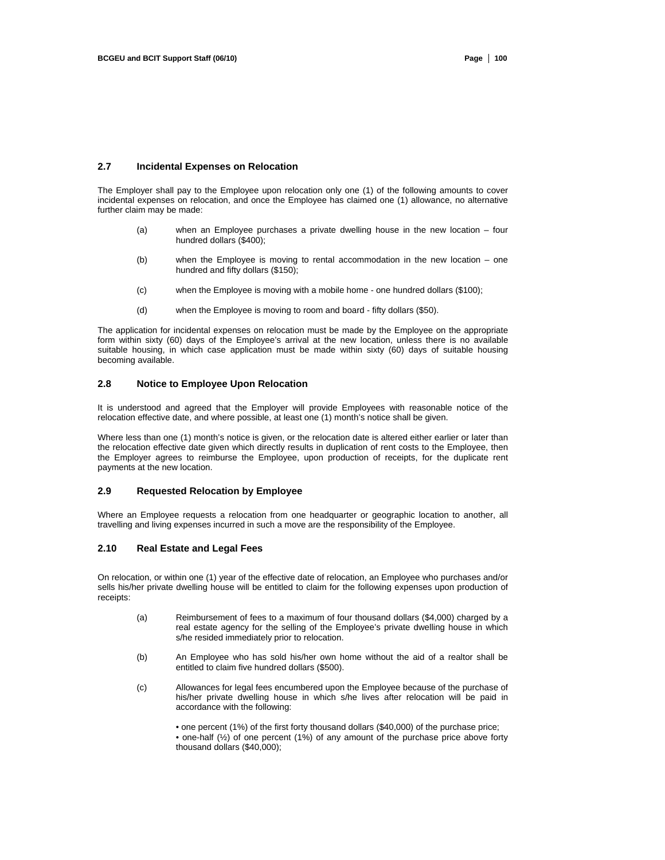#### **2.7 Incidental Expenses on Relocation**

The Employer shall pay to the Employee upon relocation only one (1) of the following amounts to cover incidental expenses on relocation, and once the Employee has claimed one (1) allowance, no alternative further claim may be made:

- (a) when an Employee purchases a private dwelling house in the new location four hundred dollars (\$400);
- (b) when the Employee is moving to rental accommodation in the new location one hundred and fifty dollars (\$150);
- (c) when the Employee is moving with a mobile home one hundred dollars (\$100);
- (d) when the Employee is moving to room and board fifty dollars (\$50).

The application for incidental expenses on relocation must be made by the Employee on the appropriate form within sixty (60) days of the Employee's arrival at the new location, unless there is no available suitable housing, in which case application must be made within sixty (60) days of suitable housing becoming available.

### **2.8 Notice to Employee Upon Relocation**

It is understood and agreed that the Employer will provide Employees with reasonable notice of the relocation effective date, and where possible, at least one (1) month's notice shall be given.

Where less than one (1) month's notice is given, or the relocation date is altered either earlier or later than the relocation effective date given which directly results in duplication of rent costs to the Employee, then the Employer agrees to reimburse the Employee, upon production of receipts, for the duplicate rent payments at the new location.

### **2.9 Requested Relocation by Employee**

Where an Employee requests a relocation from one headquarter or geographic location to another, all travelling and living expenses incurred in such a move are the responsibility of the Employee.

### **2.10 Real Estate and Legal Fees**

On relocation, or within one (1) year of the effective date of relocation, an Employee who purchases and/or sells his/her private dwelling house will be entitled to claim for the following expenses upon production of receipts:

- (a) Reimbursement of fees to a maximum of four thousand dollars (\$4,000) charged by a real estate agency for the selling of the Employee's private dwelling house in which s/he resided immediately prior to relocation.
- (b) An Employee who has sold his/her own home without the aid of a realtor shall be entitled to claim five hundred dollars (\$500).
- (c) Allowances for legal fees encumbered upon the Employee because of the purchase of his/her private dwelling house in which s/he lives after relocation will be paid in accordance with the following:

• one percent (1%) of the first forty thousand dollars (\$40,000) of the purchase price; • one-half (½) of one percent (1%) of any amount of the purchase price above forty thousand dollars (\$40,000);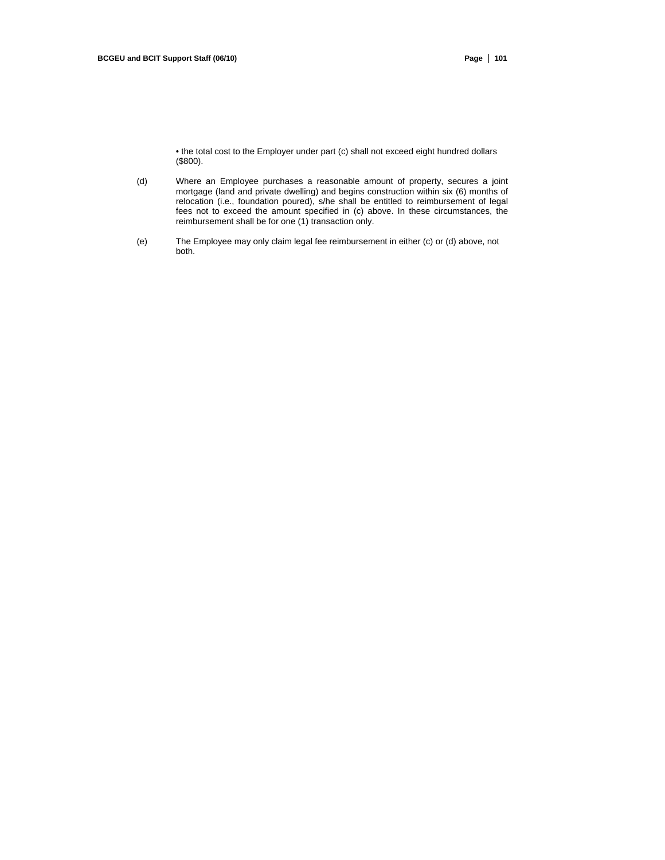• the total cost to the Employer under part (c) shall not exceed eight hundred dollars (\$800).

- (d) Where an Employee purchases a reasonable amount of property, secures a joint mortgage (land and private dwelling) and begins construction within six (6) months of relocation (i.e., foundation poured), s/he shall be entitled to reimbursement of legal fees not to exceed the amount specified in (c) above. In these circumstances, the reimbursement shall be for one (1) transaction only.
- (e) The Employee may only claim legal fee reimbursement in either (c) or (d) above, not both.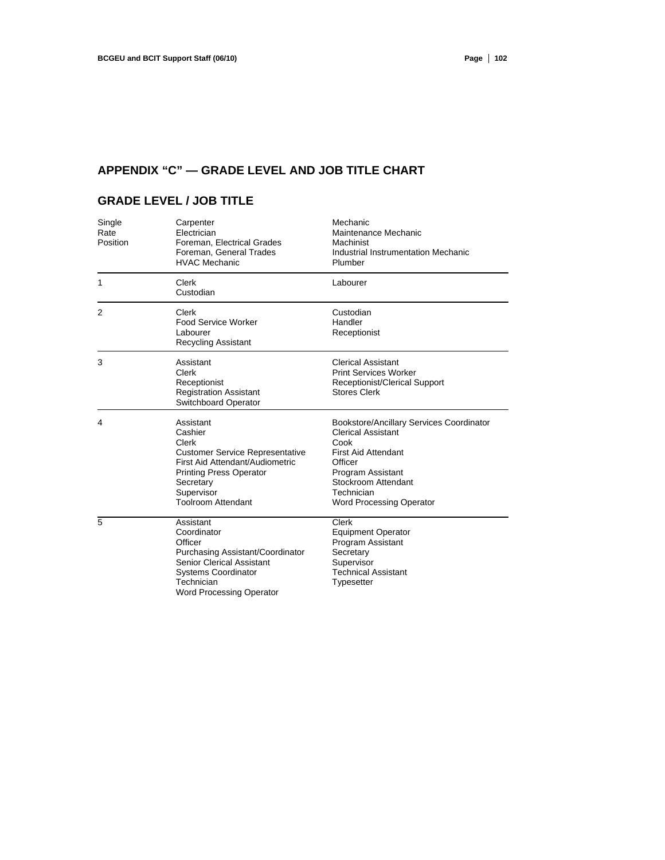# **APPENDIX "C" — GRADE LEVEL AND JOB TITLE CHART**

# **GRADE LEVEL / JOB TITLE**

| Single<br>Rate<br>Position | Carpenter<br>Electrician<br>Foreman, Electrical Grades<br>Foreman, General Trades<br><b>HVAC Mechanic</b>                                                                                            | Mechanic<br>Maintenance Mechanic<br>Machinist<br>Industrial Instrumentation Mechanic<br>Plumber                                                                                                                     |
|----------------------------|------------------------------------------------------------------------------------------------------------------------------------------------------------------------------------------------------|---------------------------------------------------------------------------------------------------------------------------------------------------------------------------------------------------------------------|
| 1                          | Clerk<br>Custodian                                                                                                                                                                                   | Labourer                                                                                                                                                                                                            |
| $\overline{2}$             | Clerk<br><b>Food Service Worker</b><br>Labourer<br>Recycling Assistant                                                                                                                               | Custodian<br>Handler<br>Receptionist                                                                                                                                                                                |
| 3                          | Assistant<br>Clerk<br>Receptionist<br><b>Registration Assistant</b><br>Switchboard Operator                                                                                                          | <b>Clerical Assistant</b><br><b>Print Services Worker</b><br>Receptionist/Clerical Support<br><b>Stores Clerk</b>                                                                                                   |
| 4                          | Assistant<br>Cashier<br>Clerk<br><b>Customer Service Representative</b><br>First Aid Attendant/Audiometric<br><b>Printing Press Operator</b><br>Secretary<br>Supervisor<br><b>Toolroom Attendant</b> | Bookstore/Ancillary Services Coordinator<br><b>Clerical Assistant</b><br>Cook<br><b>First Aid Attendant</b><br>Officer<br>Program Assistant<br>Stockroom Attendant<br>Technician<br><b>Word Processing Operator</b> |
| 5                          | Assistant<br>Coordinator<br>Officer<br>Purchasing Assistant/Coordinator<br><b>Senior Clerical Assistant</b><br><b>Systems Coordinator</b><br>Technician<br><b>Word Processing Operator</b>           | Clerk<br><b>Equipment Operator</b><br>Program Assistant<br>Secretary<br>Supervisor<br><b>Technical Assistant</b><br>Typesetter                                                                                      |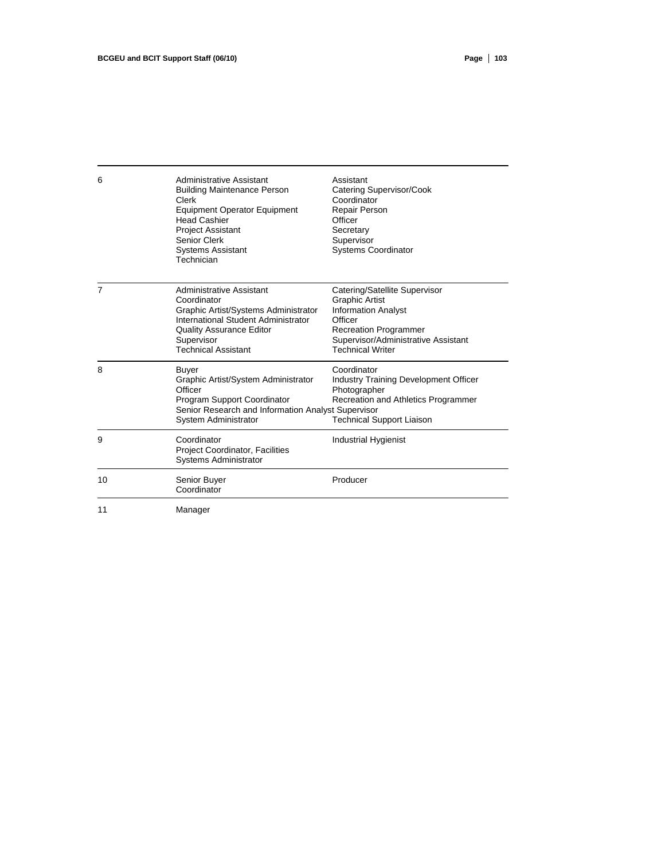| 6              | Administrative Assistant<br><b>Building Maintenance Person</b><br>Clerk<br><b>Equipment Operator Equipment</b><br><b>Head Cashier</b><br><b>Project Assistant</b><br>Senior Clerk<br><b>Systems Assistant</b><br>Technician | Assistant<br>Catering Supervisor/Cook<br>Coordinator<br><b>Repair Person</b><br>Officer<br>Secretary<br>Supervisor<br>Systems Coordinator                                                         |
|----------------|-----------------------------------------------------------------------------------------------------------------------------------------------------------------------------------------------------------------------------|---------------------------------------------------------------------------------------------------------------------------------------------------------------------------------------------------|
| $\overline{7}$ | <b>Administrative Assistant</b><br>Coordinator<br>Graphic Artist/Systems Administrator<br>International Student Administrator<br><b>Quality Assurance Editor</b><br>Supervisor<br><b>Technical Assistant</b>                | Catering/Satellite Supervisor<br><b>Graphic Artist</b><br><b>Information Analyst</b><br>Officer<br><b>Recreation Programmer</b><br>Supervisor/Administrative Assistant<br><b>Technical Writer</b> |
| 8              | Buyer<br>Graphic Artist/System Administrator<br>Officer<br>Program Support Coordinator<br>Senior Research and Information Analyst Supervisor<br>System Administrator                                                        | Coordinator<br><b>Industry Training Development Officer</b><br>Photographer<br>Recreation and Athletics Programmer<br><b>Technical Support Liaison</b>                                            |
| 9              | Coordinator<br><b>Project Coordinator, Facilities</b><br><b>Systems Administrator</b>                                                                                                                                       | Industrial Hygienist                                                                                                                                                                              |
| 10             | Senior Buyer<br>Coordinator                                                                                                                                                                                                 | Producer                                                                                                                                                                                          |
| $\overline{A}$ | $M$ ononon                                                                                                                                                                                                                  |                                                                                                                                                                                                   |

11 Manager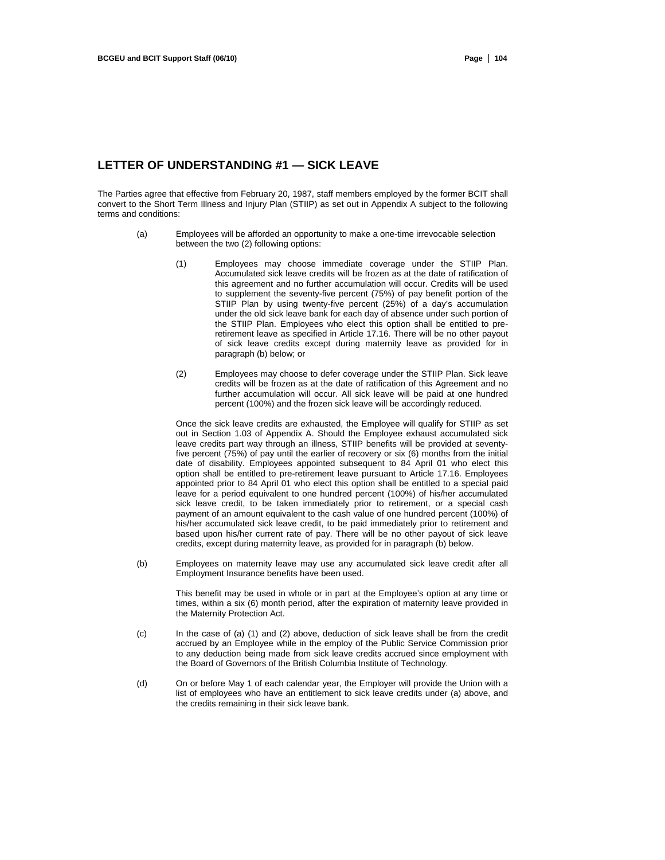## **LETTER OF UNDERSTANDING #1 — SICK LEAVE**

The Parties agree that effective from February 20, 1987, staff members employed by the former BCIT shall convert to the Short Term Illness and Injury Plan (STIIP) as set out in Appendix A subject to the following terms and conditions:

- (a) Employees will be afforded an opportunity to make a one-time irrevocable selection between the two (2) following options:
	- (1) Employees may choose immediate coverage under the STIIP Plan. Accumulated sick leave credits will be frozen as at the date of ratification of this agreement and no further accumulation will occur. Credits will be used to supplement the seventy-five percent (75%) of pay benefit portion of the STIIP Plan by using twenty-five percent (25%) of a day's accumulation under the old sick leave bank for each day of absence under such portion of the STIIP Plan. Employees who elect this option shall be entitled to preretirement leave as specified in Article 17.16. There will be no other payout of sick leave credits except during maternity leave as provided for in paragraph (b) below; or
	- (2) Employees may choose to defer coverage under the STIIP Plan. Sick leave credits will be frozen as at the date of ratification of this Agreement and no further accumulation will occur. All sick leave will be paid at one hundred percent (100%) and the frozen sick leave will be accordingly reduced.

Once the sick leave credits are exhausted, the Employee will qualify for STIIP as set out in Section 1.03 of Appendix A. Should the Employee exhaust accumulated sick leave credits part way through an illness, STIIP benefits will be provided at seventyfive percent (75%) of pay until the earlier of recovery or six (6) months from the initial date of disability. Employees appointed subsequent to 84 April 01 who elect this option shall be entitled to pre-retirement leave pursuant to Article 17.16. Employees appointed prior to 84 April 01 who elect this option shall be entitled to a special paid leave for a period equivalent to one hundred percent (100%) of his/her accumulated sick leave credit, to be taken immediately prior to retirement, or a special cash payment of an amount equivalent to the cash value of one hundred percent (100%) of his/her accumulated sick leave credit, to be paid immediately prior to retirement and based upon his/her current rate of pay. There will be no other payout of sick leave credits, except during maternity leave, as provided for in paragraph (b) below.

(b) Employees on maternity leave may use any accumulated sick leave credit after all Employment Insurance benefits have been used.

This benefit may be used in whole or in part at the Employee's option at any time or times, within a six (6) month period, after the expiration of maternity leave provided in the Maternity Protection Act.

- (c) In the case of (a) (1) and (2) above, deduction of sick leave shall be from the credit accrued by an Employee while in the employ of the Public Service Commission prior to any deduction being made from sick leave credits accrued since employment with the Board of Governors of the British Columbia Institute of Technology.
- (d) On or before May 1 of each calendar year, the Employer will provide the Union with a list of employees who have an entitlement to sick leave credits under (a) above, and the credits remaining in their sick leave bank.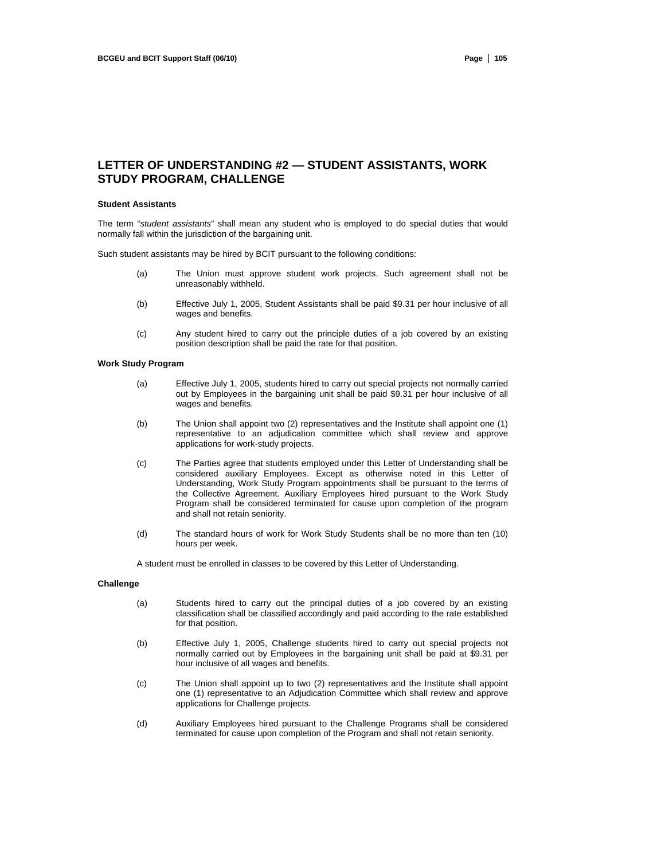## **LETTER OF UNDERSTANDING #2 — STUDENT ASSISTANTS, WORK STUDY PROGRAM, CHALLENGE**

#### **Student Assistants**

The term "*student assistants*" shall mean any student who is employed to do special duties that would normally fall within the jurisdiction of the bargaining unit.

Such student assistants may be hired by BCIT pursuant to the following conditions:

- (a) The Union must approve student work projects. Such agreement shall not be unreasonably withheld.
- (b) Effective July 1, 2005, Student Assistants shall be paid \$9.31 per hour inclusive of all wages and benefits.
- (c) Any student hired to carry out the principle duties of a job covered by an existing position description shall be paid the rate for that position.

#### **Work Study Program**

- (a) Effective July 1, 2005, students hired to carry out special projects not normally carried out by Employees in the bargaining unit shall be paid \$9.31 per hour inclusive of all wages and benefits.
- (b) The Union shall appoint two (2) representatives and the Institute shall appoint one (1) representative to an adjudication committee which shall review and approve applications for work-study projects.
- (c) The Parties agree that students employed under this Letter of Understanding shall be considered auxiliary Employees. Except as otherwise noted in this Letter of Understanding, Work Study Program appointments shall be pursuant to the terms of the Collective Agreement. Auxiliary Employees hired pursuant to the Work Study Program shall be considered terminated for cause upon completion of the program and shall not retain seniority.
- (d) The standard hours of work for Work Study Students shall be no more than ten (10) hours per week.

A student must be enrolled in classes to be covered by this Letter of Understanding.

### **Challenge**

- (a) Students hired to carry out the principal duties of a job covered by an existing classification shall be classified accordingly and paid according to the rate established for that position.
- (b) Effective July 1, 2005, Challenge students hired to carry out special projects not normally carried out by Employees in the bargaining unit shall be paid at \$9.31 per hour inclusive of all wages and benefits.
- (c) The Union shall appoint up to two (2) representatives and the Institute shall appoint one (1) representative to an Adjudication Committee which shall review and approve applications for Challenge projects.
- (d) Auxiliary Employees hired pursuant to the Challenge Programs shall be considered terminated for cause upon completion of the Program and shall not retain seniority.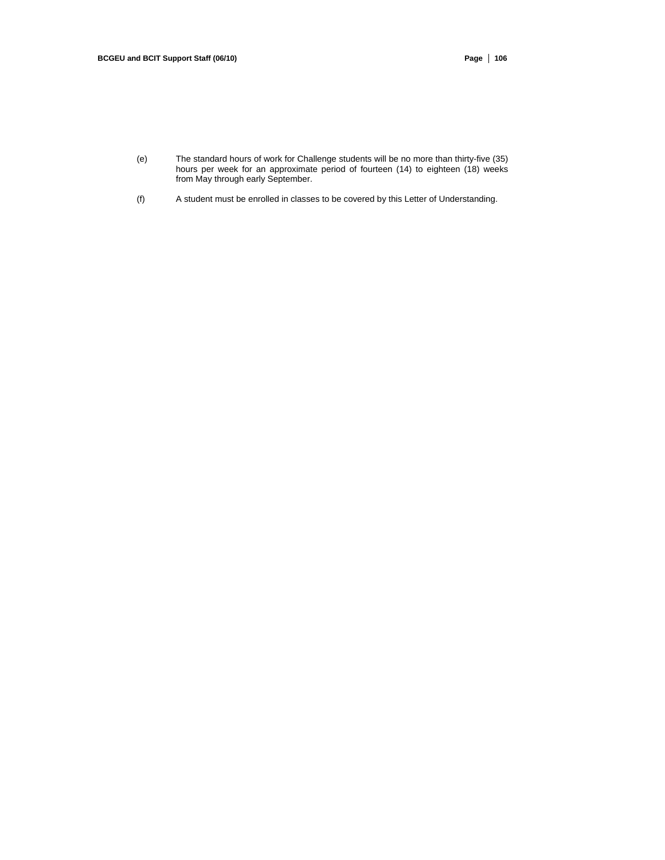- (e) The standard hours of work for Challenge students will be no more than thirty-five (35) hours per week for an approximate period of fourteen (14) to eighteen (18) weeks from May through early September.
- (f) A student must be enrolled in classes to be covered by this Letter of Understanding.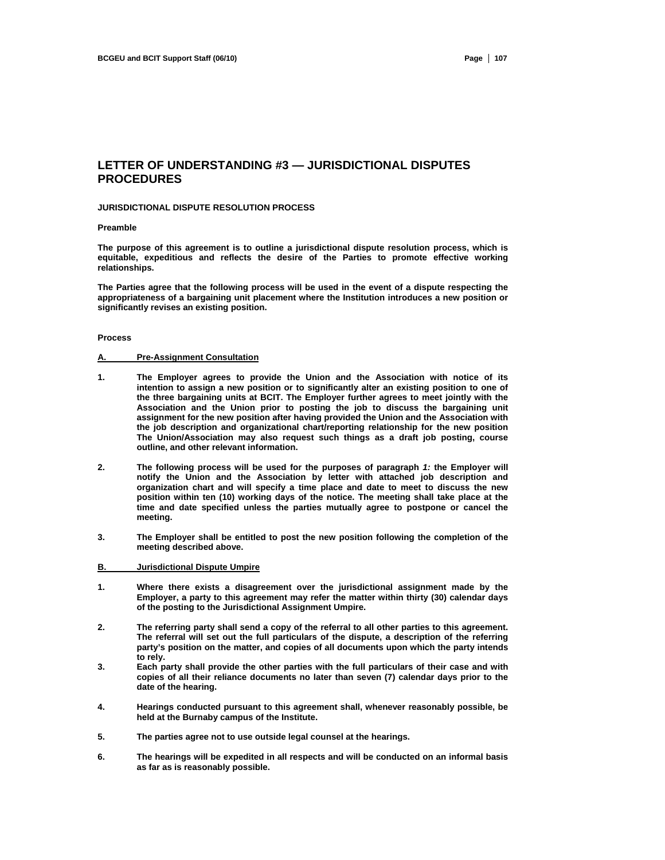## **LETTER OF UNDERSTANDING #3 — JURISDICTIONAL DISPUTES PROCEDURES**

#### **JURISDICTIONAL DISPUTE RESOLUTION PROCESS**

#### **Preamble**

**The purpose of this agreement is to outline a jurisdictional dispute resolution process, which is equitable, expeditious and reflects the desire of the Parties to promote effective working relationships.** 

**The Parties agree that the following process will be used in the event of a dispute respecting the appropriateness of a bargaining unit placement where the Institution introduces a new position or significantly revises an existing position.** 

#### **Process**

#### **A. Pre-Assignment Consultation**

- **1. The Employer agrees to provide the Union and the Association with notice of its intention to assign a new position or to significantly alter an existing position to one of the three bargaining units at BCIT. The Employer further agrees to meet jointly with the Association and the Union prior to posting the job to discuss the bargaining unit assignment for the new position after having provided the Union and the Association with the job description and organizational chart/reporting relationship for the new position The Union/Association may also request such things as a draft job posting, course outline, and other relevant information.**
- **2. The following process will be used for the purposes of paragraph** *1:* **the Employer will notify the Union and the Association by letter with attached job description and organization chart and will specify a time place and date to meet to discuss the new position within ten (10) working days of the notice. The meeting shall take place at the time and date specified unless the parties mutually agree to postpone or cancel the meeting.**
- **3. The Employer shall be entitled to post the new position following the completion of the meeting described above.**

#### **B. Jurisdictional Dispute Umpire**

- **1. Where there exists a disagreement over the jurisdictional assignment made by the Employer, a party to this agreement may refer the matter within thirty (30) calendar days of the posting to the Jurisdictional Assignment Umpire.**
- **2. The referring party shall send a copy of the referral to all other parties to this agreement. The referral will set out the full particulars of the dispute, a description of the referring party's position on the matter, and copies of all documents upon which the party intends to rely.**
- **3. Each party shall provide the other parties with the full particulars of their case and with copies of all their reliance documents no later than seven (7) calendar days prior to the date of the hearing.**
- **4. Hearings conducted pursuant to this agreement shall, whenever reasonably possible, be held at the Burnaby campus of the Institute.**
- **5. The parties agree not to use outside legal counsel at the hearings.**
- **6. The hearings will be expedited in all respects and will be conducted on an informal basis as far as is reasonably possible.**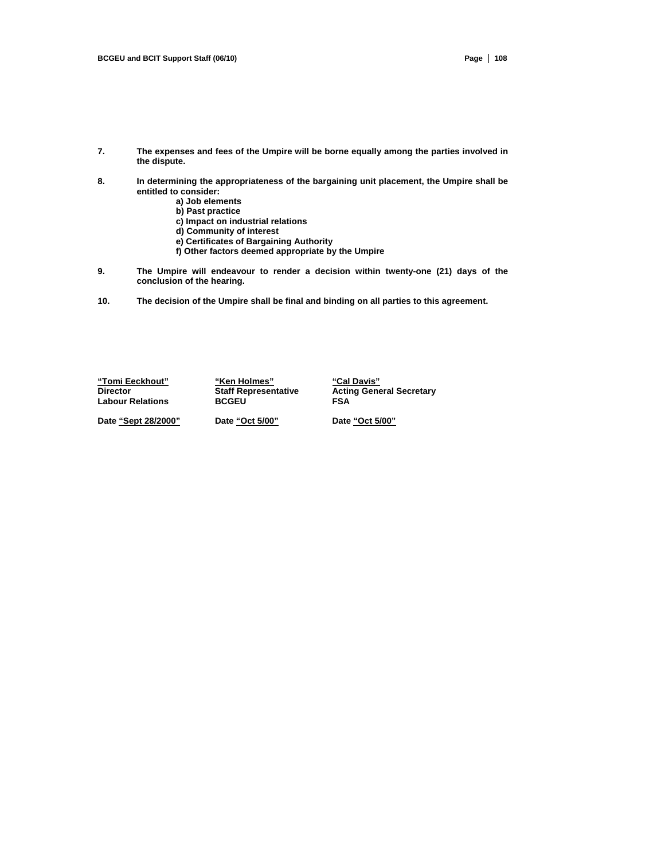- **7. The expenses and fees of the Umpire will be borne equally among the parties involved in the dispute.**
- **8. In determining the appropriateness of the bargaining unit placement, the Umpire shall be entitled to consider:** 
	- **a) Job elements**
	- **b) Past practice**
	- **c) Impact on industrial relations**
	- **d) Community of interest**
	- **e) Certificates of Bargaining Authority**
	- **f) Other factors deemed appropriate by the Umpire**
- **9. The Umpire will endeavour to render a decision within twenty-one (21) days of the conclusion of the hearing.**
- **10. The decision of the Umpire shall be final and binding on all parties to this agreement.**

**"Tomi Eeckhout" "Ken Holmes" "Cal Davis" Labour Relations** 

**Diaff Representative Acting General Secretary<br>
BCGEU FSA** 

**Date "Sept 28/2000" Date "Oct 5/00" Date "Oct 5/00"**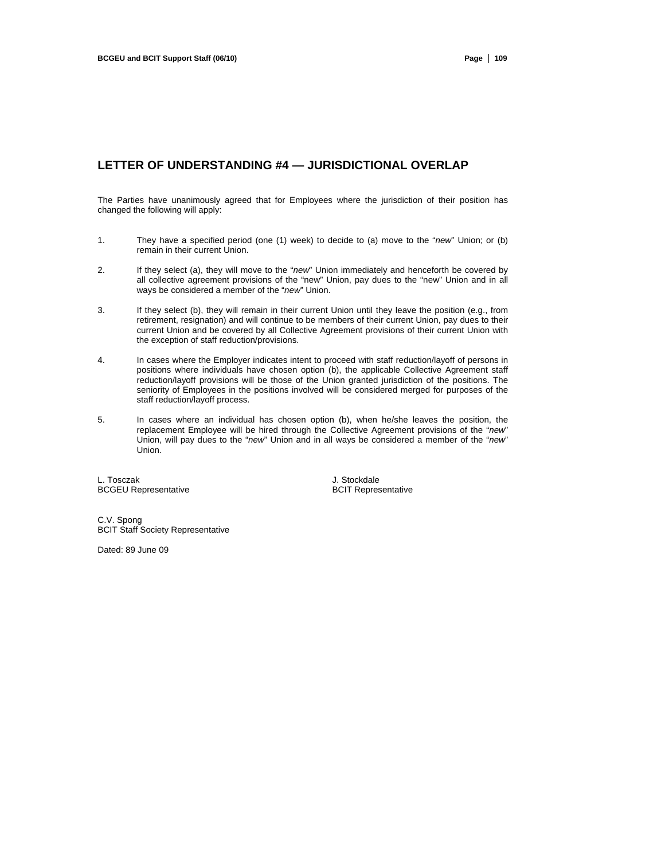## **LETTER OF UNDERSTANDING #4 — JURISDICTIONAL OVERLAP**

The Parties have unanimously agreed that for Employees where the jurisdiction of their position has changed the following will apply:

- 1. They have a specified period (one (1) week) to decide to (a) move to the "*new*" Union; or (b) remain in their current Union.
- 2. If they select (a), they will move to the "*new*" Union immediately and henceforth be covered by all collective agreement provisions of the "new" Union, pay dues to the "new" Union and in all ways be considered a member of the "*new*" Union.
- 3. If they select (b), they will remain in their current Union until they leave the position (e.g., from retirement, resignation) and will continue to be members of their current Union, pay dues to their current Union and be covered by all Collective Agreement provisions of their current Union with the exception of staff reduction/provisions.
- 4. In cases where the Employer indicates intent to proceed with staff reduction/layoff of persons in positions where individuals have chosen option (b), the applicable Collective Agreement staff reduction/layoff provisions will be those of the Union granted jurisdiction of the positions. The seniority of Employees in the positions involved will be considered merged for purposes of the staff reduction/layoff process.
- 5. In cases where an individual has chosen option (b), when he/she leaves the position, the replacement Employee will be hired through the Collective Agreement provisions of the "*new*" Union, will pay dues to the "*new*" Union and in all ways be considered a member of the "*new*" Union.

L. Tosczak **Marton Burger († 1888)**<br>BCGEU Representative **Greenwale Burger († 1898)**<br>BCIT Representative **BCGEU Representative** 

C.V. Spong BCIT Staff Society Representative

Dated: 89 June 09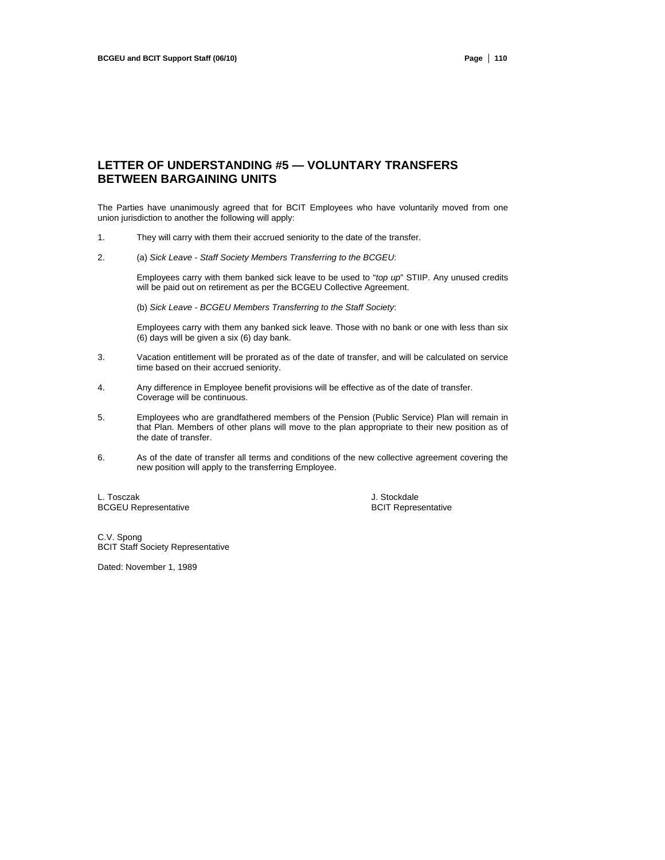## **LETTER OF UNDERSTANDING #5 — VOLUNTARY TRANSFERS BETWEEN BARGAINING UNITS**

The Parties have unanimously agreed that for BCIT Employees who have voluntarily moved from one union jurisdiction to another the following will apply:

- 1. They will carry with them their accrued seniority to the date of the transfer.
- 2. (a) *Sick Leave Staff Society Members Transferring to the BCGEU*:

Employees carry with them banked sick leave to be used to "*top up*" STIIP. Any unused credits will be paid out on retirement as per the BCGEU Collective Agreement.

(b) *Sick Leave - BCGEU Members Transferring to the Staff Society*:

Employees carry with them any banked sick leave. Those with no bank or one with less than six (6) days will be given a six (6) day bank.

- 3. Vacation entitlement will be prorated as of the date of transfer, and will be calculated on service time based on their accrued seniority.
- 4. Any difference in Employee benefit provisions will be effective as of the date of transfer. Coverage will be continuous.
- 5. Employees who are grandfathered members of the Pension (Public Service) Plan will remain in that Plan. Members of other plans will move to the plan appropriate to their new position as of the date of transfer.
- 6. As of the date of transfer all terms and conditions of the new collective agreement covering the new position will apply to the transferring Employee.

L. Tosczak **Value III. Stockdale Stockdale**<br>
BCGEU Representative **Alexander Stockdale**<br>
BCGEU Representative **BCGEU Representative** 

C.V. Spong BCIT Staff Society Representative

Dated: November 1, 1989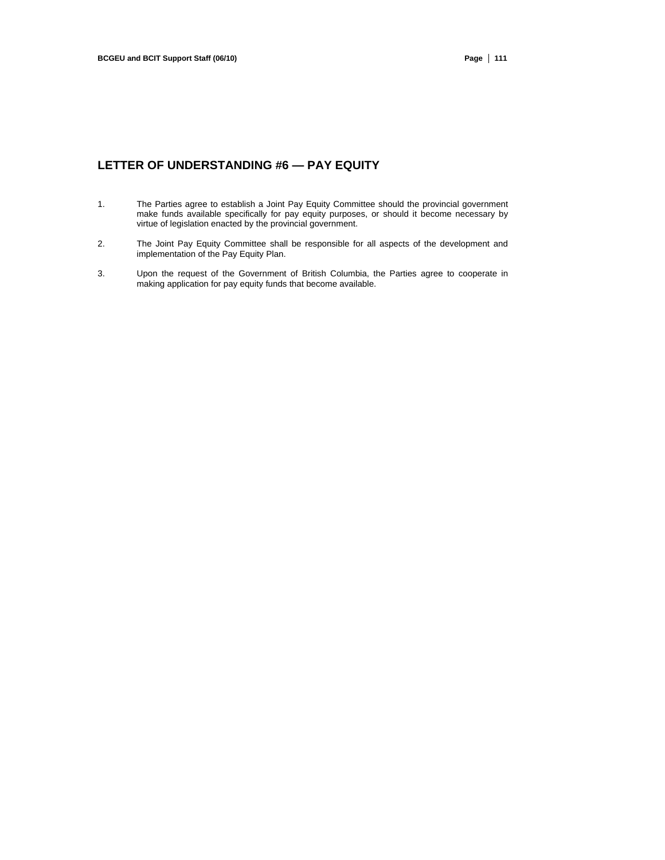## **LETTER OF UNDERSTANDING #6 — PAY EQUITY**

- 1. The Parties agree to establish a Joint Pay Equity Committee should the provincial government make funds available specifically for pay equity purposes, or should it become necessary by virtue of legislation enacted by the provincial government.
- 2. The Joint Pay Equity Committee shall be responsible for all aspects of the development and implementation of the Pay Equity Plan.
- 3. Upon the request of the Government of British Columbia, the Parties agree to cooperate in making application for pay equity funds that become available.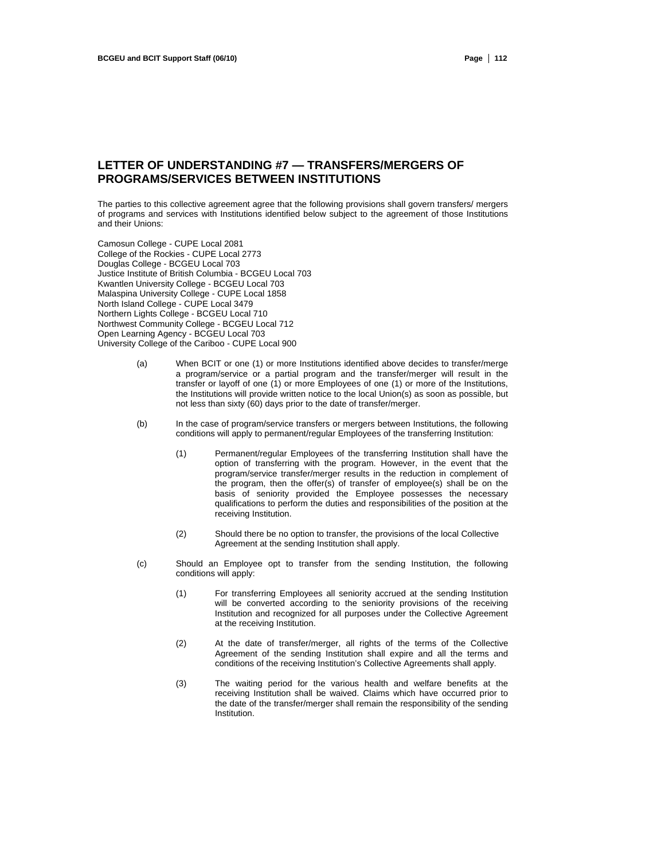## **LETTER OF UNDERSTANDING #7 — TRANSFERS/MERGERS OF PROGRAMS/SERVICES BETWEEN INSTITUTIONS**

The parties to this collective agreement agree that the following provisions shall govern transfers/ mergers of programs and services with Institutions identified below subject to the agreement of those Institutions and their Unions:

Camosun College - CUPE Local 2081 College of the Rockies - CUPE Local 2773 Douglas College - BCGEU Local 703 Justice Institute of British Columbia - BCGEU Local 703 Kwantlen University College - BCGEU Local 703 Malaspina University College - CUPE Local 1858 North Island College - CUPE Local 3479 Northern Lights College - BCGEU Local 710 Northwest Community College - BCGEU Local 712 Open Learning Agency - BCGEU Local 703 University College of the Cariboo - CUPE Local 900

- (a) When BCIT or one (1) or more Institutions identified above decides to transfer/merge a program/service or a partial program and the transfer/merger will result in the transfer or layoff of one (1) or more Employees of one (1) or more of the Institutions, the Institutions will provide written notice to the local Union(s) as soon as possible, but not less than sixty (60) days prior to the date of transfer/merger.
- (b) In the case of program/service transfers or mergers between Institutions, the following conditions will apply to permanent/regular Employees of the transferring Institution:
	- (1) Permanent/regular Employees of the transferring Institution shall have the option of transferring with the program. However, in the event that the program/service transfer/merger results in the reduction in complement of the program, then the offer(s) of transfer of employee(s) shall be on the basis of seniority provided the Employee possesses the necessary qualifications to perform the duties and responsibilities of the position at the receiving Institution.
	- (2) Should there be no option to transfer, the provisions of the local Collective Agreement at the sending Institution shall apply.
- (c) Should an Employee opt to transfer from the sending Institution, the following conditions will apply:
	- (1) For transferring Employees all seniority accrued at the sending Institution will be converted according to the seniority provisions of the receiving Institution and recognized for all purposes under the Collective Agreement at the receiving Institution.
	- (2) At the date of transfer/merger, all rights of the terms of the Collective Agreement of the sending Institution shall expire and all the terms and conditions of the receiving Institution's Collective Agreements shall apply.
	- (3) The waiting period for the various health and welfare benefits at the receiving Institution shall be waived. Claims which have occurred prior to the date of the transfer/merger shall remain the responsibility of the sending Institution.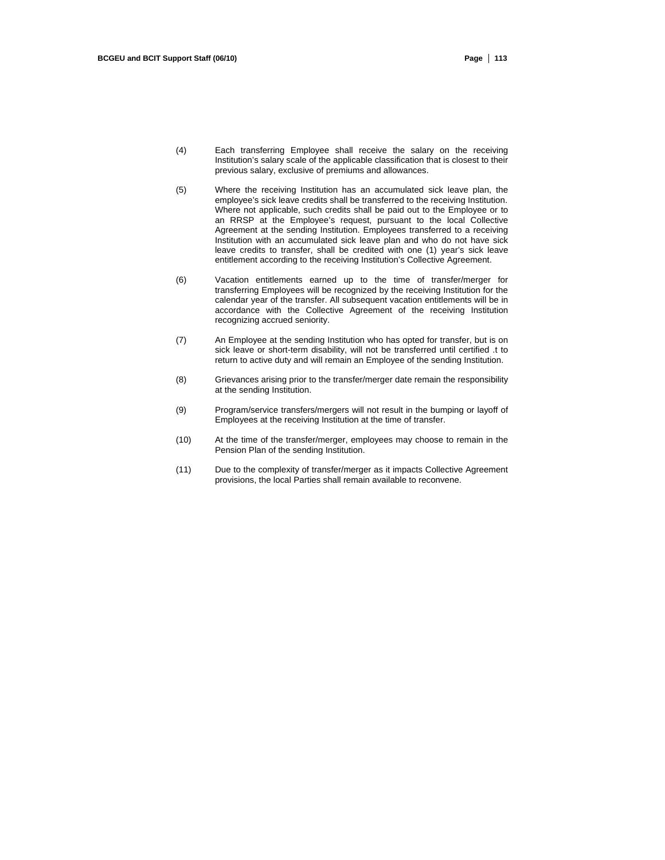- (4) Each transferring Employee shall receive the salary on the receiving Institution's salary scale of the applicable classification that is closest to their previous salary, exclusive of premiums and allowances.
- (5) Where the receiving Institution has an accumulated sick leave plan, the employee's sick leave credits shall be transferred to the receiving Institution. Where not applicable, such credits shall be paid out to the Employee or to an RRSP at the Employee's request, pursuant to the local Collective Agreement at the sending Institution. Employees transferred to a receiving Institution with an accumulated sick leave plan and who do not have sick leave credits to transfer, shall be credited with one (1) year's sick leave entitlement according to the receiving Institution's Collective Agreement.
- (6) Vacation entitlements earned up to the time of transfer/merger for transferring Employees will be recognized by the receiving Institution for the calendar year of the transfer. All subsequent vacation entitlements will be in accordance with the Collective Agreement of the receiving Institution recognizing accrued seniority.
- (7) An Employee at the sending Institution who has opted for transfer, but is on sick leave or short-term disability, will not be transferred until certified .t to return to active duty and will remain an Employee of the sending Institution.
- (8) Grievances arising prior to the transfer/merger date remain the responsibility at the sending Institution.
- (9) Program/service transfers/mergers will not result in the bumping or layoff of Employees at the receiving Institution at the time of transfer.
- (10) At the time of the transfer/merger, employees may choose to remain in the Pension Plan of the sending Institution.
- (11) Due to the complexity of transfer/merger as it impacts Collective Agreement provisions, the local Parties shall remain available to reconvene.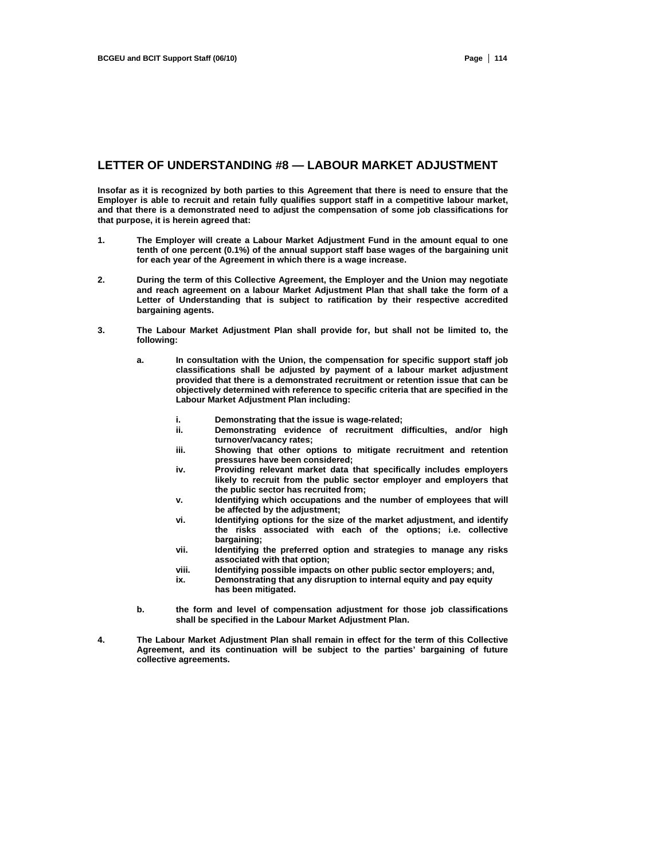### **LETTER OF UNDERSTANDING #8 — LABOUR MARKET ADJUSTMENT**

**Insofar as it is recognized by both parties to this Agreement that there is need to ensure that the Employer is able to recruit and retain fully qualifies support staff in a competitive labour market, and that there is a demonstrated need to adjust the compensation of some job classifications for that purpose, it is herein agreed that:** 

- **1. The Employer will create a Labour Market Adjustment Fund in the amount equal to one tenth of one percent (0.1%) of the annual support staff base wages of the bargaining unit for each year of the Agreement in which there is a wage increase.**
- **2. During the term of this Collective Agreement, the Employer and the Union may negotiate and reach agreement on a labour Market Adjustment Plan that shall take the form of a Letter of Understanding that is subject to ratification by their respective accredited bargaining agents.**
- **3. The Labour Market Adjustment Plan shall provide for, but shall not be limited to, the following:** 
	- **a. In consultation with the Union, the compensation for specific support staff job classifications shall be adjusted by payment of a labour market adjustment provided that there is a demonstrated recruitment or retention issue that can be objectively determined with reference to specific criteria that are specified in the Labour Market Adjustment Plan including:** 
		- **i. Demonstrating that the issue is wage-related;**
		- Demonstrating evidence of recruitment difficulties, and/or high **turnover/vacancy rates;**
		- **iii. Showing that other options to mitigate recruitment and retention pressures have been considered;**
		- **iv. Providing relevant market data that specifically includes employers likely to recruit from the public sector employer and employers that the public sector has recruited from;**
		- **v. Identifying which occupations and the number of employees that will be affected by the adjustment;**
		- **vi. Identifying options for the size of the market adjustment, and identify the risks associated with each of the options; i.e. collective bargaining;**
		- **vii. Identifying the preferred option and strategies to manage any risks associated with that option;**
		- **viii. Identifying possible impacts on other public sector employers; and,**
		- **ix. Demonstrating that any disruption to internal equity and pay equity has been mitigated.**
	- **b. the form and level of compensation adjustment for those job classifications shall be specified in the Labour Market Adjustment Plan.**
- **4. The Labour Market Adjustment Plan shall remain in effect for the term of this Collective Agreement, and its continuation will be subject to the parties' bargaining of future collective agreements.**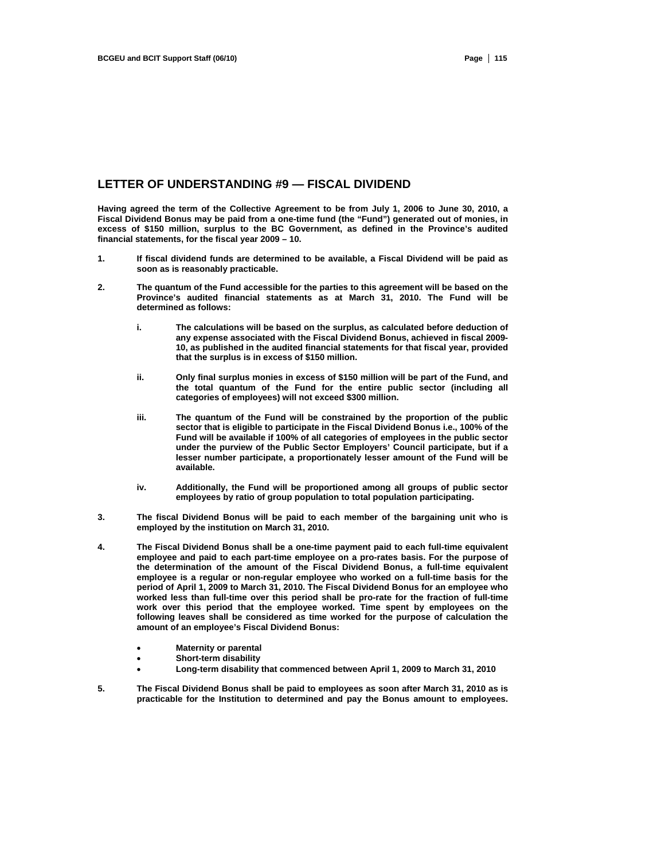### **LETTER OF UNDERSTANDING #9 — FISCAL DIVIDEND**

**Having agreed the term of the Collective Agreement to be from July 1, 2006 to June 30, 2010, a Fiscal Dividend Bonus may be paid from a one-time fund (the "Fund") generated out of monies, in excess of \$150 million, surplus to the BC Government, as defined in the Province's audited financial statements, for the fiscal year 2009 – 10.** 

- **1. If fiscal dividend funds are determined to be available, a Fiscal Dividend will be paid as soon as is reasonably practicable.**
- **2. The quantum of the Fund accessible for the parties to this agreement will be based on the Province's audited financial statements as at March 31, 2010. The Fund will be determined as follows:** 
	- **i. The calculations will be based on the surplus, as calculated before deduction of any expense associated with the Fiscal Dividend Bonus, achieved in fiscal 2009- 10, as published in the audited financial statements for that fiscal year, provided that the surplus is in excess of \$150 million.**
	- **ii. Only final surplus monies in excess of \$150 million will be part of the Fund, and the total quantum of the Fund for the entire public sector (including all categories of employees) will not exceed \$300 million.**
	- **iii. The quantum of the Fund will be constrained by the proportion of the public sector that is eligible to participate in the Fiscal Dividend Bonus i.e., 100% of the Fund will be available if 100% of all categories of employees in the public sector under the purview of the Public Sector Employers' Council participate, but if a lesser number participate, a proportionately lesser amount of the Fund will be available.**
	- **iv. Additionally, the Fund will be proportioned among all groups of public sector employees by ratio of group population to total population participating.**
- **3. The fiscal Dividend Bonus will be paid to each member of the bargaining unit who is employed by the institution on March 31, 2010.**
- **4. The Fiscal Dividend Bonus shall be a one-time payment paid to each full-time equivalent employee and paid to each part-time employee on a pro-rates basis. For the purpose of the determination of the amount of the Fiscal Dividend Bonus, a full-time equivalent employee is a regular or non-regular employee who worked on a full-time basis for the period of April 1, 2009 to March 31, 2010. The Fiscal Dividend Bonus for an employee who worked less than full-time over this period shall be pro-rate for the fraction of full-time work over this period that the employee worked. Time spent by employees on the following leaves shall be considered as time worked for the purpose of calculation the amount of an employee's Fiscal Dividend Bonus:** 
	- **Maternity or parental**
	- **Short-term disability**
	- **Long-term disability that commenced between April 1, 2009 to March 31, 2010**
- **5. The Fiscal Dividend Bonus shall be paid to employees as soon after March 31, 2010 as is practicable for the Institution to determined and pay the Bonus amount to employees.**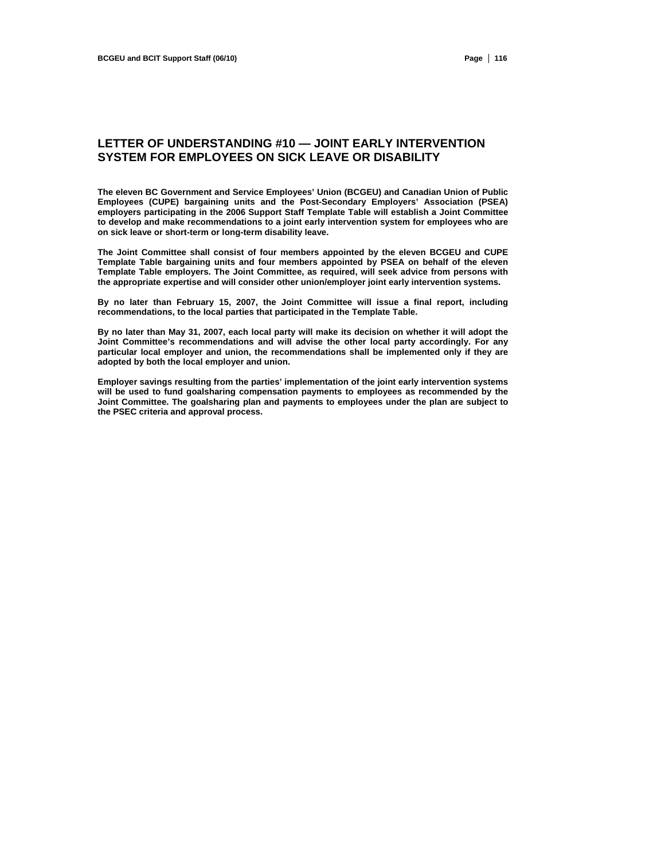## **LETTER OF UNDERSTANDING #10 — JOINT EARLY INTERVENTION SYSTEM FOR EMPLOYEES ON SICK LEAVE OR DISABILITY**

**The eleven BC Government and Service Employees' Union (BCGEU) and Canadian Union of Public Employees (CUPE) bargaining units and the Post-Secondary Employers' Association (PSEA) employers participating in the 2006 Support Staff Template Table will establish a Joint Committee to develop and make recommendations to a joint early intervention system for employees who are on sick leave or short-term or long-term disability leave.** 

**The Joint Committee shall consist of four members appointed by the eleven BCGEU and CUPE Template Table bargaining units and four members appointed by PSEA on behalf of the eleven Template Table employers. The Joint Committee, as required, will seek advice from persons with the appropriate expertise and will consider other union/employer joint early intervention systems.** 

**By no later than February 15, 2007, the Joint Committee will issue a final report, including recommendations, to the local parties that participated in the Template Table.** 

**By no later than May 31, 2007, each local party will make its decision on whether it will adopt the Joint Committee's recommendations and will advise the other local party accordingly. For any particular local employer and union, the recommendations shall be implemented only if they are adopted by both the local employer and union.** 

**Employer savings resulting from the parties' implementation of the joint early intervention systems will be used to fund goalsharing compensation payments to employees as recommended by the Joint Committee. The goalsharing plan and payments to employees under the plan are subject to the PSEC criteria and approval process.**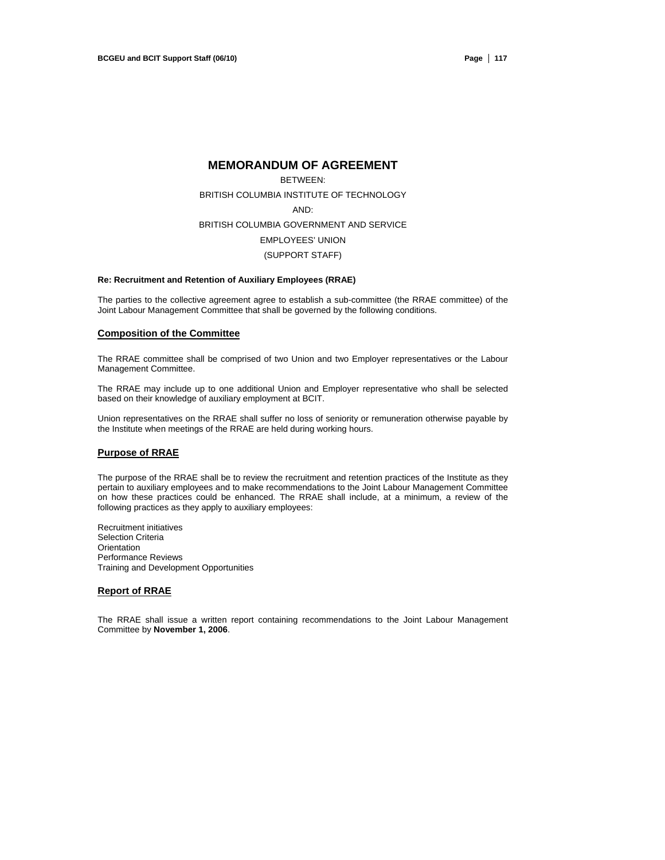### **MEMORANDUM OF AGREEMENT**

BETWEEN: BRITISH COLUMBIA INSTITUTE OF TECHNOLOGY AND: BRITISH COLUMBIA GOVERNMENT AND SERVICE EMPLOYEES' UNION (SUPPORT STAFF)

#### **Re: Recruitment and Retention of Auxiliary Employees (RRAE)**

The parties to the collective agreement agree to establish a sub-committee (the RRAE committee) of the Joint Labour Management Committee that shall be governed by the following conditions.

### **Composition of the Committee**

The RRAE committee shall be comprised of two Union and two Employer representatives or the Labour Management Committee.

The RRAE may include up to one additional Union and Employer representative who shall be selected based on their knowledge of auxiliary employment at BCIT.

Union representatives on the RRAE shall suffer no loss of seniority or remuneration otherwise payable by the Institute when meetings of the RRAE are held during working hours.

#### **Purpose of RRAE**

The purpose of the RRAE shall be to review the recruitment and retention practices of the Institute as they pertain to auxiliary employees and to make recommendations to the Joint Labour Management Committee on how these practices could be enhanced. The RRAE shall include, at a minimum, a review of the following practices as they apply to auxiliary employees:

Recruitment initiatives Selection Criteria **Orientation** Performance Reviews Training and Development Opportunities

### **Report of RRAE**

The RRAE shall issue a written report containing recommendations to the Joint Labour Management Committee by **November 1, 2006**.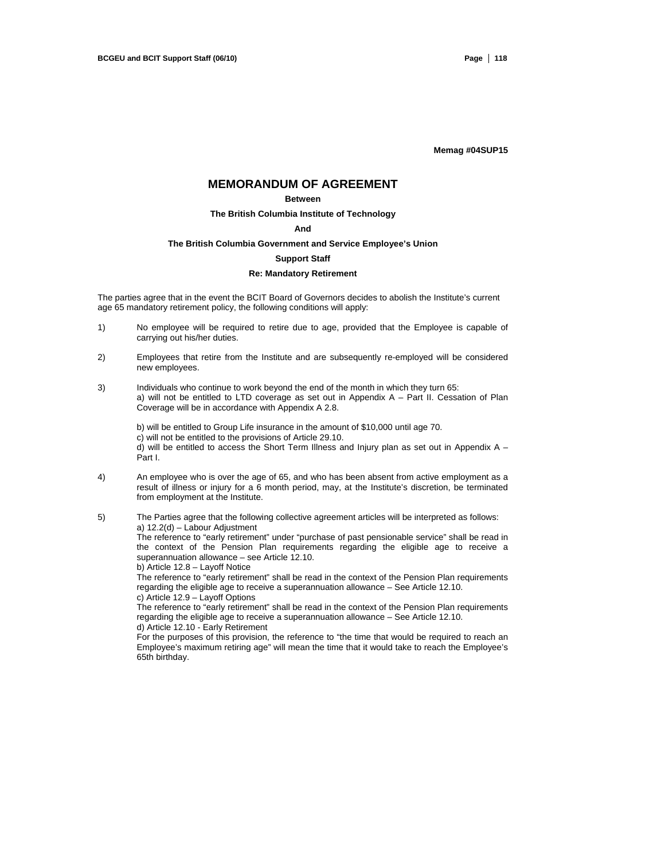**Memag #04SUP15** 

## **MEMORANDUM OF AGREEMENT**

#### **Between**

### **The British Columbia Institute of Technology**

#### **And**

#### **The British Columbia Government and Service Employee's Union**

#### **Support Staff**

#### **Re: Mandatory Retirement**

The parties agree that in the event the BCIT Board of Governors decides to abolish the Institute's current age 65 mandatory retirement policy, the following conditions will apply:

- 1) No employee will be required to retire due to age, provided that the Employee is capable of carrying out his/her duties.
- 2) Employees that retire from the Institute and are subsequently re-employed will be considered new employees.
- 3) Individuals who continue to work beyond the end of the month in which they turn 65: a) will not be entitled to LTD coverage as set out in Appendix A – Part II. Cessation of Plan Coverage will be in accordance with Appendix A 2.8.

b) will be entitled to Group Life insurance in the amount of \$10,000 until age 70. c) will not be entitled to the provisions of Article 29.10. d) will be entitled to access the Short Term Illness and Injury plan as set out in Appendix  $A -$ Part I.

- 4) An employee who is over the age of 65, and who has been absent from active employment as a result of illness or injury for a 6 month period, may, at the Institute's discretion, be terminated from employment at the Institute.
- 5) The Parties agree that the following collective agreement articles will be interpreted as follows: a) 12.2(d) – Labour Adjustment The reference to "early retirement" under "purchase of past pensionable service" shall be read in the context of the Pension Plan requirements regarding the eligible age to receive a superannuation allowance – see Article 12.10. b) Article 12.8 – Layoff Notice The reference to "early retirement" shall be read in the context of the Pension Plan requirements

regarding the eligible age to receive a superannuation allowance – See Article 12.10. c) Article 12.9 – Layoff Options

The reference to "early retirement" shall be read in the context of the Pension Plan requirements regarding the eligible age to receive a superannuation allowance – See Article 12.10. d) Article 12.10 - Early Retirement

For the purposes of this provision, the reference to "the time that would be required to reach an Employee's maximum retiring age" will mean the time that it would take to reach the Employee's 65th birthday.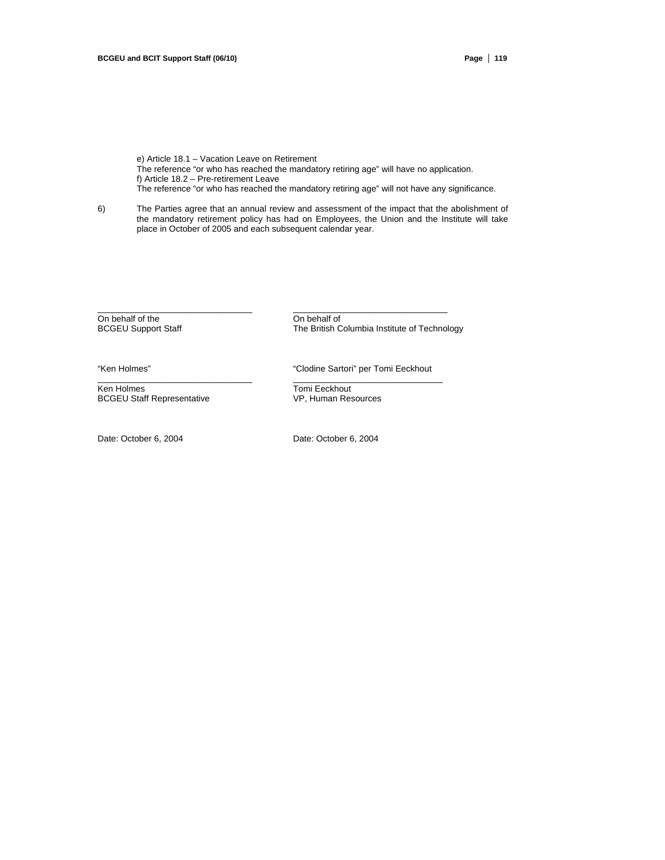e) Article 18.1 – Vacation Leave on Retirement The reference "or who has reached the mandatory retiring age" will have no application. f) Article 18.2 – Pre-retirement Leave The reference "or who has reached the mandatory retiring age" will not have any significance.

6) The Parties agree that an annual review and assessment of the impact that the abolishment of the mandatory retirement policy has had on Employees, the Union and the Institute will take place in October of 2005 and each subsequent calendar year.

 $\_$  , and the set of the set of the set of the set of the set of the set of the set of the set of the set of the set of the set of the set of the set of the set of the set of the set of the set of the set of the set of th

\_\_\_\_\_\_\_\_\_\_\_\_\_\_\_\_\_\_\_\_\_\_\_\_\_\_\_\_\_\_\_\_ \_\_\_\_\_\_\_\_\_\_\_\_\_\_\_\_\_\_\_\_\_\_\_\_\_\_\_\_\_\_\_

On behalf of the On behalf of the On behalf of BCGEU Support Staff The British C

The British Columbia Institute of Technology

Ken Holmes<br>
BCGEU Staff Representative<br>
Tomi Eeckhout<br>
VP, Human Resources **BCGEU Staff Representative** 

Date: October 6, 2004 Date: October 6, 2004

"Ken Holmes" "Clodine Sartori" per Tomi Eeckhout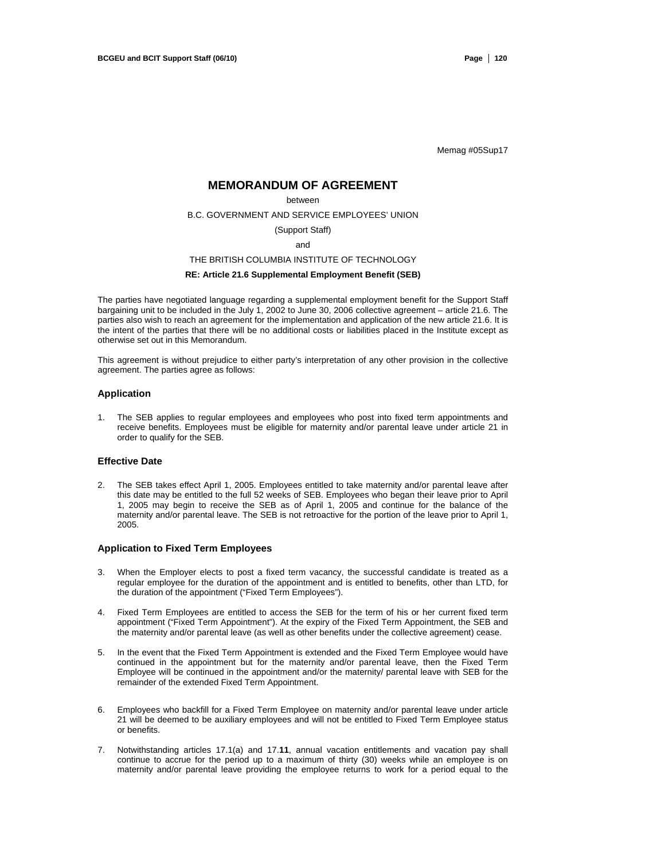Memag #05Sup17

## **MEMORANDUM OF AGREEMENT**

#### between

B.C. GOVERNMENT AND SERVICE EMPLOYEES' UNION

#### (Support Staff)

and

#### THE BRITISH COLUMBIA INSTITUTE OF TECHNOLOGY

### **RE: Article 21.6 Supplemental Employment Benefit (SEB)**

The parties have negotiated language regarding a supplemental employment benefit for the Support Staff bargaining unit to be included in the July 1, 2002 to June 30, 2006 collective agreement – article 21.6. The parties also wish to reach an agreement for the implementation and application of the new article 21.6. It is the intent of the parties that there will be no additional costs or liabilities placed in the Institute except as otherwise set out in this Memorandum.

This agreement is without prejudice to either party's interpretation of any other provision in the collective agreement. The parties agree as follows:

### **Application**

1. The SEB applies to regular employees and employees who post into fixed term appointments and receive benefits. Employees must be eligible for maternity and/or parental leave under article 21 in order to qualify for the SEB.

#### **Effective Date**

2. The SEB takes effect April 1, 2005. Employees entitled to take maternity and/or parental leave after this date may be entitled to the full 52 weeks of SEB. Employees who began their leave prior to April 1, 2005 may begin to receive the SEB as of April 1, 2005 and continue for the balance of the maternity and/or parental leave. The SEB is not retroactive for the portion of the leave prior to April 1, 2005.

#### **Application to Fixed Term Employees**

- 3. When the Employer elects to post a fixed term vacancy, the successful candidate is treated as a regular employee for the duration of the appointment and is entitled to benefits, other than LTD, for the duration of the appointment ("Fixed Term Employees").
- 4. Fixed Term Employees are entitled to access the SEB for the term of his or her current fixed term appointment ("Fixed Term Appointment"). At the expiry of the Fixed Term Appointment, the SEB and the maternity and/or parental leave (as well as other benefits under the collective agreement) cease.
- 5. In the event that the Fixed Term Appointment is extended and the Fixed Term Employee would have continued in the appointment but for the maternity and/or parental leave, then the Fixed Term Employee will be continued in the appointment and/or the maternity/ parental leave with SEB for the remainder of the extended Fixed Term Appointment.
- 6. Employees who backfill for a Fixed Term Employee on maternity and/or parental leave under article 21 will be deemed to be auxiliary employees and will not be entitled to Fixed Term Employee status or benefits.
- 7. Notwithstanding articles 17.1(a) and 17.**11**, annual vacation entitlements and vacation pay shall continue to accrue for the period up to a maximum of thirty (30) weeks while an employee is on maternity and/or parental leave providing the employee returns to work for a period equal to the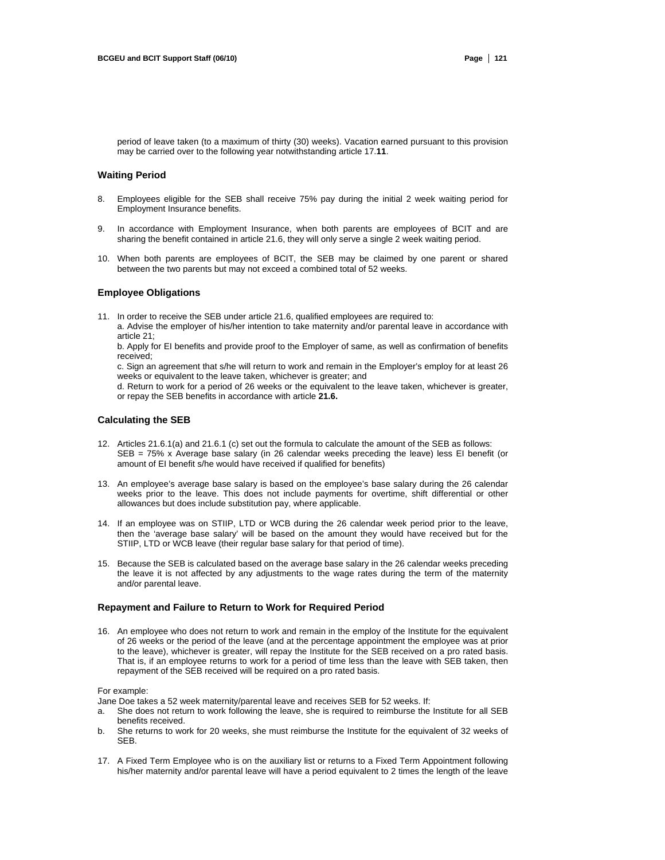period of leave taken (to a maximum of thirty (30) weeks). Vacation earned pursuant to this provision may be carried over to the following year notwithstanding article 17.**11**.

### **Waiting Period**

- 8. Employees eligible for the SEB shall receive 75% pay during the initial 2 week waiting period for Employment Insurance benefits.
- 9. In accordance with Employment Insurance, when both parents are employees of BCIT and are sharing the benefit contained in article 21.6, they will only serve a single 2 week waiting period.
- 10. When both parents are employees of BCIT, the SEB may be claimed by one parent or shared between the two parents but may not exceed a combined total of 52 weeks.

#### **Employee Obligations**

11. In order to receive the SEB under article 21.6, qualified employees are required to:

a. Advise the employer of his/her intention to take maternity and/or parental leave in accordance with article 21;

b. Apply for EI benefits and provide proof to the Employer of same, as well as confirmation of benefits received;

c. Sign an agreement that s/he will return to work and remain in the Employer's employ for at least 26 weeks or equivalent to the leave taken, whichever is greater; and

d. Return to work for a period of 26 weeks or the equivalent to the leave taken, whichever is greater, or repay the SEB benefits in accordance with article **21.6.**

#### **Calculating the SEB**

- 12. Articles 21.6.1(a) and 21.6.1 (c) set out the formula to calculate the amount of the SEB as follows: SEB = 75% x Average base salary (in 26 calendar weeks preceding the leave) less EI benefit (or amount of EI benefit s/he would have received if qualified for benefits)
- 13. An employee's average base salary is based on the employee's base salary during the 26 calendar weeks prior to the leave. This does not include payments for overtime, shift differential or other allowances but does include substitution pay, where applicable.
- 14. If an employee was on STIIP, LTD or WCB during the 26 calendar week period prior to the leave, then the 'average base salary' will be based on the amount they would have received but for the STIIP, LTD or WCB leave (their regular base salary for that period of time).
- 15. Because the SEB is calculated based on the average base salary in the 26 calendar weeks preceding the leave it is not affected by any adjustments to the wage rates during the term of the maternity and/or parental leave.

### **Repayment and Failure to Return to Work for Required Period**

16. An employee who does not return to work and remain in the employ of the Institute for the equivalent of 26 weeks or the period of the leave (and at the percentage appointment the employee was at prior to the leave), whichever is greater, will repay the Institute for the SEB received on a pro rated basis. That is, if an employee returns to work for a period of time less than the leave with SEB taken, then repayment of the SEB received will be required on a pro rated basis.

#### For example:

Jane Doe takes a 52 week maternity/parental leave and receives SEB for 52 weeks. If:

- a. She does not return to work following the leave, she is required to reimburse the Institute for all SEB benefits received.
- b. She returns to work for 20 weeks, she must reimburse the Institute for the equivalent of 32 weeks of SEB.
- 17. A Fixed Term Employee who is on the auxiliary list or returns to a Fixed Term Appointment following his/her maternity and/or parental leave will have a period equivalent to 2 times the length of the leave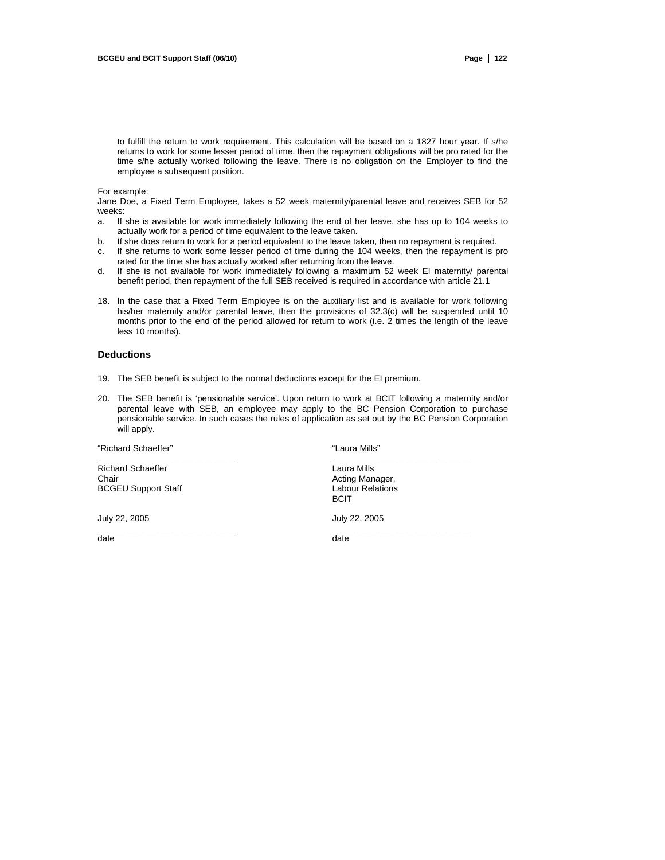to fulfill the return to work requirement. This calculation will be based on a 1827 hour year. If s/he returns to work for some lesser period of time, then the repayment obligations will be pro rated for the time s/he actually worked following the leave. There is no obligation on the Employer to find the employee a subsequent position.

For example:

Jane Doe, a Fixed Term Employee, takes a 52 week maternity/parental leave and receives SEB for 52 weeks:

- a. If she is available for work immediately following the end of her leave, she has up to 104 weeks to actually work for a period of time equivalent to the leave taken.
- b. If she does return to work for a period equivalent to the leave taken, then no repayment is required.
- c. If she returns to work some lesser period of time during the 104 weeks, then the repayment is pro rated for the time she has actually worked after returning from the leave.
- d. If she is not available for work immediately following a maximum 52 week EI maternity/ parental benefit period, then repayment of the full SEB received is required in accordance with article 21.1
- 18. In the case that a Fixed Term Employee is on the auxiliary list and is available for work following his/her maternity and/or parental leave, then the provisions of 32.3(c) will be suspended until 10 months prior to the end of the period allowed for return to work (i.e. 2 times the length of the leave less 10 months).

#### **Deductions**

- 19. The SEB benefit is subject to the normal deductions except for the EI premium.
- 20. The SEB benefit is 'pensionable service'. Upon return to work at BCIT following a maternity and/or parental leave with SEB, an employee may apply to the BC Pension Corporation to purchase pensionable service. In such cases the rules of application as set out by the BC Pension Corporation will apply.

 $\_$  ,  $\_$  ,  $\_$  ,  $\_$  ,  $\_$  ,  $\_$  ,  $\_$  ,  $\_$  ,  $\_$  ,  $\_$  ,  $\_$  ,  $\_$  ,  $\_$  ,  $\_$  ,  $\_$  ,  $\_$  ,  $\_$  ,  $\_$  ,  $\_$ 

 $\_$  ,  $\_$  ,  $\_$  ,  $\_$  ,  $\_$  ,  $\_$  ,  $\_$  ,  $\_$  ,  $\_$  ,  $\_$  ,  $\_$  ,  $\_$  ,  $\_$  ,  $\_$  ,  $\_$  ,  $\_$  ,  $\_$  ,  $\_$  ,  $\_$ 

"Richard Schaeffer" "Laura Mills"

Richard Schaeffer **Laura Mills**<br>Chair **Laura Mills**<br>Chair **Acting Man BCGEU Support Staff** 

Acting Manager,<br>Labour Relations **BCIT** 

July 22, 2005 July 22, 2005

date date date of the control of the control of the control of the control of the control of the control of the control of the control of the control of the control of the control of the control of the control of the contr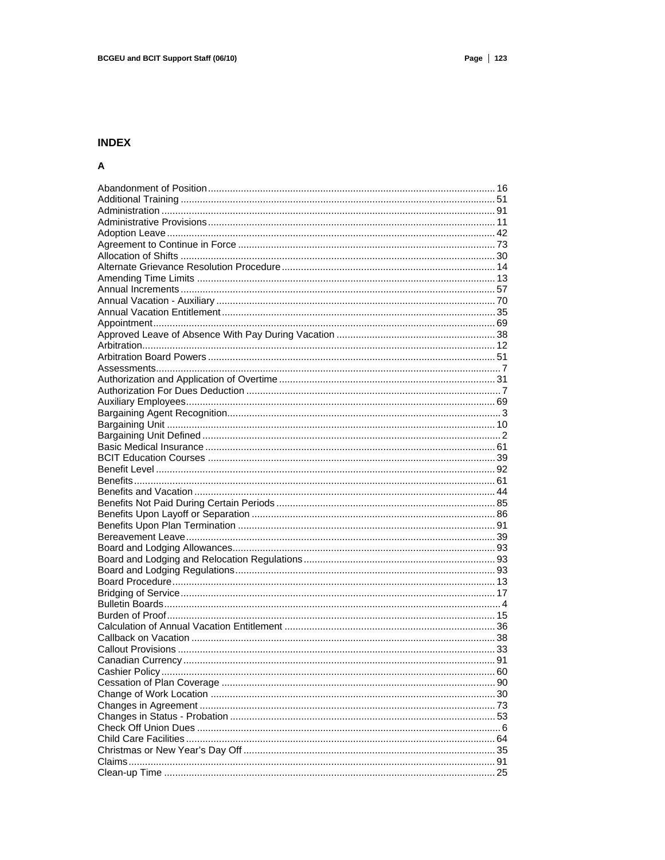## **INDEX**

## $\boldsymbol{\mathsf{A}}$